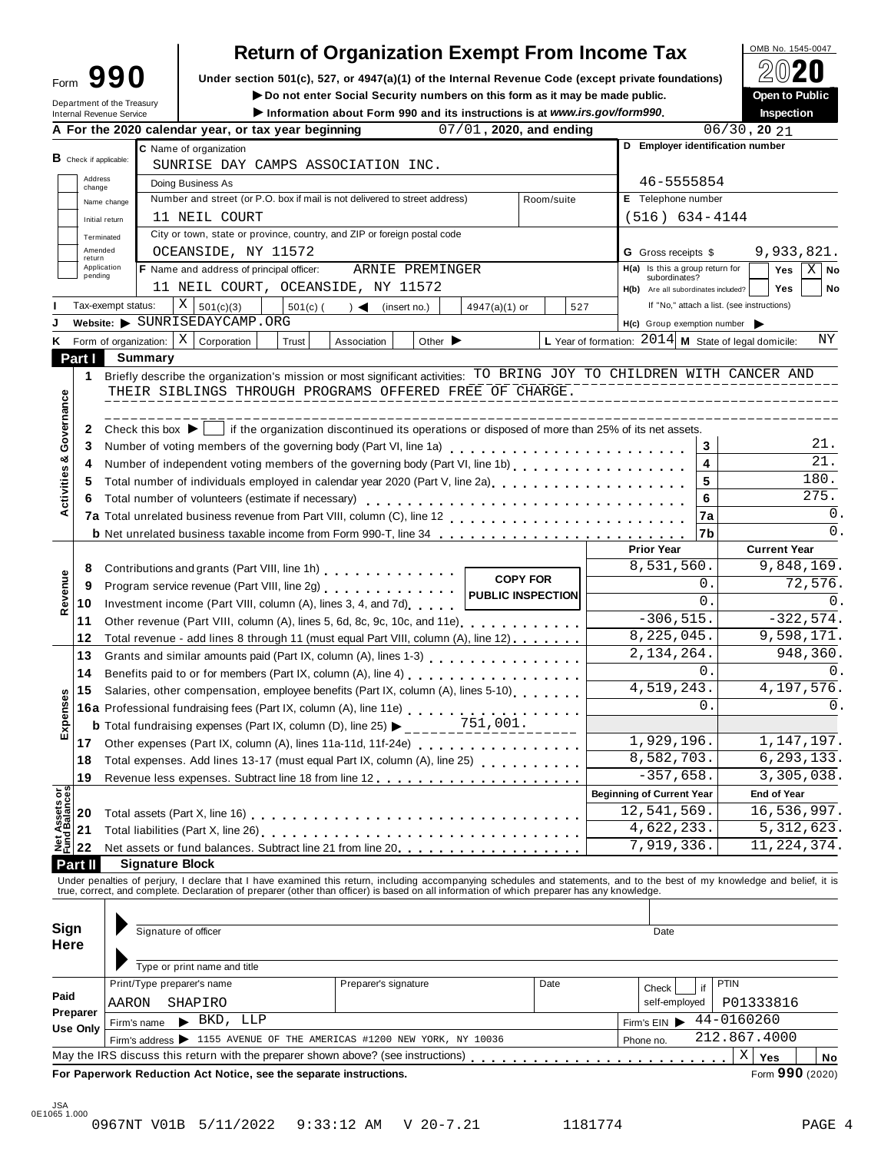## **Return of Organization Exempt From Income Tax**

Form 990 inder section 501(c), 527, or 4947(a)(1) of the Internal Revenue Code (except private foundations) <u>A</u>∪ZU<br>
Do not enter Social Security numbers on this form as it may be made public. Open to Public

Department of the Treasury

▶ **Do not enter Social Security numbers** on this form as it may be made public.

|                                |                   | Department of the Treasury<br><b>Internal Revenue Service</b>                             |                                                                                                                                                                                                                                                      |                                                                                                                                                                                                                                   | ► Do not enter Social Security numbers on this form as it may be made public.<br>Information about Form 990 and its instructions is at www.irs.gov/form990. |                      |                             |                         |                 |              |                                                        |                                  |                    | <b>Open to Public</b><br>Inspection |             |  |
|--------------------------------|-------------------|-------------------------------------------------------------------------------------------|------------------------------------------------------------------------------------------------------------------------------------------------------------------------------------------------------------------------------------------------------|-----------------------------------------------------------------------------------------------------------------------------------------------------------------------------------------------------------------------------------|-------------------------------------------------------------------------------------------------------------------------------------------------------------|----------------------|-----------------------------|-------------------------|-----------------|--------------|--------------------------------------------------------|----------------------------------|--------------------|-------------------------------------|-------------|--|
|                                |                   |                                                                                           |                                                                                                                                                                                                                                                      | A For the 2020 calendar year, or tax year beginning                                                                                                                                                                               |                                                                                                                                                             |                      |                             | 07/01, 2020, and ending |                 |              |                                                        |                                  | $06/30$ , 20 $21$  |                                     |             |  |
|                                |                   |                                                                                           | C Name of organization                                                                                                                                                                                                                               |                                                                                                                                                                                                                                   |                                                                                                                                                             |                      |                             |                         |                 |              |                                                        | D Employer identification number |                    |                                     |             |  |
|                                |                   | <b>B</b> Check if applicable:                                                             | SUNRISE DAY CAMPS ASSOCIATION INC.                                                                                                                                                                                                                   |                                                                                                                                                                                                                                   |                                                                                                                                                             |                      |                             |                         |                 |              |                                                        |                                  |                    |                                     |             |  |
|                                | Address<br>change |                                                                                           | Doing Business As                                                                                                                                                                                                                                    |                                                                                                                                                                                                                                   |                                                                                                                                                             |                      |                             |                         |                 |              | 46-5555854                                             |                                  |                    |                                     |             |  |
|                                |                   | Name change                                                                               |                                                                                                                                                                                                                                                      | Number and street (or P.O. box if mail is not delivered to street address)                                                                                                                                                        |                                                                                                                                                             |                      |                             |                         | Room/suite      |              | E Telephone number                                     |                                  |                    |                                     |             |  |
|                                |                   | Initial return                                                                            |                                                                                                                                                                                                                                                      | 11 NEIL COURT                                                                                                                                                                                                                     |                                                                                                                                                             |                      |                             |                         |                 |              | $(516) 634 - 4144$                                     |                                  |                    |                                     |             |  |
|                                |                   | Terminated                                                                                |                                                                                                                                                                                                                                                      | City or town, state or province, country, and ZIP or foreign postal code                                                                                                                                                          |                                                                                                                                                             |                      |                             |                         |                 |              |                                                        |                                  |                    |                                     |             |  |
|                                | Amended           |                                                                                           |                                                                                                                                                                                                                                                      | OCEANSIDE, NY 11572                                                                                                                                                                                                               |                                                                                                                                                             |                      |                             |                         |                 |              | <b>G</b> Gross receipts \$                             |                                  |                    | 9,933,821.                          |             |  |
|                                | return            | Application                                                                               |                                                                                                                                                                                                                                                      | F Name and address of principal officer:                                                                                                                                                                                          |                                                                                                                                                             |                      | ARNIE PREMINGER             |                         |                 |              | H(a) Is this a group return for                        |                                  |                    | Yes                                 | $X \mid$ No |  |
|                                | pending           |                                                                                           |                                                                                                                                                                                                                                                      | 11 NEIL COURT, OCEANSIDE, NY 11572                                                                                                                                                                                                |                                                                                                                                                             |                      |                             |                         |                 |              | subordinates?<br>H(b) Are all subordinates included?   |                                  |                    | <b>Yes</b>                          | No          |  |
|                                |                   | Tax-exempt status:                                                                        |                                                                                                                                                                                                                                                      | X   501(c)(3)                                                                                                                                                                                                                     | $501(c)$ (                                                                                                                                                  | $\rightarrow$        | (insert no.)                | 4947(a)(1) or           |                 | 527          | If "No," attach a list. (see instructions)             |                                  |                    |                                     |             |  |
|                                |                   |                                                                                           |                                                                                                                                                                                                                                                      | Website: SUNRISEDAYCAMP.ORG                                                                                                                                                                                                       |                                                                                                                                                             |                      |                             |                         |                 |              | H(c) Group exemption number                            |                                  |                    |                                     |             |  |
|                                |                   |                                                                                           | K Form of organization:                                                                                                                                                                                                                              | $X \vert$<br>Corporation                                                                                                                                                                                                          | Trust                                                                                                                                                       | Association          | Other $\blacktriangleright$ |                         |                 |              | L Year of formation: $2014$ M State of legal domicile: |                                  |                    |                                     | ΝY          |  |
|                                | Part I            |                                                                                           | <b>Summary</b>                                                                                                                                                                                                                                       |                                                                                                                                                                                                                                   |                                                                                                                                                             |                      |                             |                         |                 |              |                                                        |                                  |                    |                                     |             |  |
|                                | 1                 |                                                                                           |                                                                                                                                                                                                                                                      | Briefly describe the organization's mission or most significant activities: TO BRING JOY TO CHILDREN WITH CANCER AND                                                                                                              |                                                                                                                                                             |                      |                             |                         |                 |              |                                                        |                                  |                    |                                     |             |  |
|                                |                   |                                                                                           |                                                                                                                                                                                                                                                      | THEIR SIBLINGS THROUGH PROGRAMS OFFERED FREE OF CHARGE.                                                                                                                                                                           |                                                                                                                                                             |                      |                             |                         |                 |              |                                                        |                                  |                    |                                     |             |  |
|                                |                   |                                                                                           |                                                                                                                                                                                                                                                      |                                                                                                                                                                                                                                   |                                                                                                                                                             |                      |                             |                         |                 |              |                                                        |                                  |                    |                                     |             |  |
| Activities & Governance        |                   |                                                                                           |                                                                                                                                                                                                                                                      |                                                                                                                                                                                                                                   |                                                                                                                                                             |                      |                             |                         |                 |              |                                                        |                                  |                    |                                     |             |  |
|                                | 2                 |                                                                                           |                                                                                                                                                                                                                                                      | Check this box $\blacktriangleright$   if the organization discontinued its operations or disposed of more than 25% of its net assets.                                                                                            |                                                                                                                                                             |                      |                             |                         |                 |              |                                                        |                                  |                    |                                     | 21.         |  |
|                                | 3                 |                                                                                           |                                                                                                                                                                                                                                                      | Number of voting members of the governing body (Part VI, line 1a)<br>                                                                                                                                                             |                                                                                                                                                             |                      |                             |                         |                 |              |                                                        | 3                                |                    |                                     | 21.         |  |
|                                | 4                 |                                                                                           |                                                                                                                                                                                                                                                      |                                                                                                                                                                                                                                   |                                                                                                                                                             |                      |                             |                         |                 |              |                                                        | 4                                |                    |                                     |             |  |
|                                | 5                 |                                                                                           |                                                                                                                                                                                                                                                      | Total number of individuals employed in calendar year 2020 (Part V, line 2a)                                                                                                                                                      |                                                                                                                                                             |                      |                             |                         |                 |              |                                                        | 5                                |                    |                                     | 180.        |  |
|                                | 6                 |                                                                                           |                                                                                                                                                                                                                                                      | Total number of volunteers (estimate if necessary)                                                                                                                                                                                |                                                                                                                                                             |                      |                             |                         |                 |              |                                                        | 6                                |                    |                                     | 275.        |  |
|                                |                   | 7a<br><b>b</b> Net unrelated business taxable income from Form 990-T, line 34             |                                                                                                                                                                                                                                                      |                                                                                                                                                                                                                                   |                                                                                                                                                             |                      |                             |                         |                 |              |                                                        |                                  |                    |                                     | 0.          |  |
|                                |                   |                                                                                           |                                                                                                                                                                                                                                                      |                                                                                                                                                                                                                                   |                                                                                                                                                             |                      |                             |                         |                 |              |                                                        | l7b                              | 0.                 |                                     |             |  |
|                                |                   |                                                                                           |                                                                                                                                                                                                                                                      |                                                                                                                                                                                                                                   |                                                                                                                                                             |                      |                             |                         |                 |              | <b>Prior Year</b>                                      |                                  |                    | <b>Current Year</b>                 |             |  |
|                                | 8                 |                                                                                           |                                                                                                                                                                                                                                                      | Contributions and grants (Part VIII, line 1h)                                                                                                                                                                                     |                                                                                                                                                             |                      |                             |                         |                 |              | 8,531,560.                                             |                                  |                    | 9,848,169.                          |             |  |
|                                | 9                 |                                                                                           |                                                                                                                                                                                                                                                      |                                                                                                                                                                                                                                   |                                                                                                                                                             |                      |                             |                         | <b>COPY FOR</b> |              |                                                        | 0.                               |                    | 72,576.                             |             |  |
| Revenue                        | 10                | <b>PUBLIC INSPECTION</b><br>Investment income (Part VIII, column (A), lines 3, 4, and 7d) |                                                                                                                                                                                                                                                      |                                                                                                                                                                                                                                   |                                                                                                                                                             |                      |                             |                         |                 |              | 0.                                                     |                                  |                    | 0.                                  |             |  |
|                                | 11                |                                                                                           | Other revenue (Part VIII, column (A), lines 5, 6d, 8c, 9c, 10c, and 11e)                                                                                                                                                                             |                                                                                                                                                                                                                                   |                                                                                                                                                             |                      |                             |                         |                 | $-306, 515.$ |                                                        | $-322,574.$                      |                    |                                     |             |  |
|                                | 12                |                                                                                           |                                                                                                                                                                                                                                                      | Total revenue - add lines 8 through 11 (must equal Part VIII, column (A), line 12)                                                                                                                                                |                                                                                                                                                             |                      |                             |                         |                 |              | 8,225,045.                                             |                                  |                    | 9,598,171.                          |             |  |
|                                | 13                |                                                                                           |                                                                                                                                                                                                                                                      |                                                                                                                                                                                                                                   |                                                                                                                                                             |                      |                             |                         |                 |              | 2, 134, 264.                                           |                                  |                    | 948,360.                            |             |  |
|                                | 14                |                                                                                           |                                                                                                                                                                                                                                                      | Benefits paid to or for members (Part IX, column (A), line 4) [10] cases are set of the set of the set of the set of the set of the set of the set of the set of the set of the set of the set of the set of the set of the se    |                                                                                                                                                             |                      |                             |                         |                 |              |                                                        | 0.                               |                    |                                     | 0.          |  |
|                                | 15                |                                                                                           |                                                                                                                                                                                                                                                      | Salaries, other compensation, employee benefits (Part IX, column (A), lines 5-10)                                                                                                                                                 |                                                                                                                                                             |                      |                             |                         |                 |              | 4,519,243.                                             |                                  | 4, 197, 576.       |                                     |             |  |
| Expenses                       |                   |                                                                                           |                                                                                                                                                                                                                                                      |                                                                                                                                                                                                                                   |                                                                                                                                                             |                      |                             |                         |                 | $\Omega$ .   |                                                        |                                  | 0.                 |                                     |             |  |
|                                |                   |                                                                                           | 16a Professional fundraising fees (Part IX, column (A), line 11e)<br>16a Professional fundraising fees (Part IX, column (A), line 11e)<br>751,001.<br><b>b</b> Total fundraising expenses (Part IX, column (D), line 25) $\blacktriangleright$ _____ |                                                                                                                                                                                                                                   |                                                                                                                                                             |                      |                             |                         |                 |              |                                                        |                                  |                    |                                     |             |  |
|                                | 17                |                                                                                           |                                                                                                                                                                                                                                                      | Other expenses (Part IX, column (A), lines 11a-11d, 11f-24e)                                                                                                                                                                      |                                                                                                                                                             |                      |                             |                         |                 |              | 1,929,196.                                             |                                  |                    | 1,147,197.                          |             |  |
|                                | 18                |                                                                                           |                                                                                                                                                                                                                                                      | Total expenses. Add lines 13-17 (must equal Part IX, column (A), line 25)                                                                                                                                                         |                                                                                                                                                             |                      |                             |                         |                 |              | 8,582,703.                                             |                                  | 6, 293, 133.       |                                     |             |  |
|                                | 19                |                                                                                           |                                                                                                                                                                                                                                                      |                                                                                                                                                                                                                                   |                                                                                                                                                             |                      |                             |                         |                 |              | $-357,658.$                                            |                                  |                    | 3,305,038.                          |             |  |
|                                |                   |                                                                                           |                                                                                                                                                                                                                                                      |                                                                                                                                                                                                                                   |                                                                                                                                                             |                      |                             |                         |                 |              | <b>Beginning of Current Year</b>                       |                                  | <b>End of Year</b> |                                     |             |  |
| Net Assets or<br>Fund Balances | 20                |                                                                                           |                                                                                                                                                                                                                                                      |                                                                                                                                                                                                                                   |                                                                                                                                                             |                      |                             |                         |                 |              | 12,541,569.                                            |                                  |                    | 16,536,997.                         |             |  |
|                                |                   |                                                                                           |                                                                                                                                                                                                                                                      | Total assets (Part X, line 16) enterpreteration of the set of the set of the set of the set of the set of the set of the set of the set of the set of the set of the set of the set of the set of the set of the set of the se    |                                                                                                                                                             |                      |                             |                         |                 |              | $\overline{4,622}$ , 233.                              |                                  |                    | 5, 312, 623.                        |             |  |
|                                | 21<br>22          |                                                                                           | 7,919,336.<br>Net assets or fund balances. Subtract line 21 from line 20.                                                                                                                                                                            |                                                                                                                                                                                                                                   |                                                                                                                                                             |                      |                             |                         |                 |              |                                                        |                                  |                    | 11, 224, 374.                       |             |  |
|                                |                   |                                                                                           |                                                                                                                                                                                                                                                      |                                                                                                                                                                                                                                   |                                                                                                                                                             |                      |                             |                         |                 |              |                                                        |                                  |                    |                                     |             |  |
|                                | Part II           |                                                                                           | <b>Signature Block</b>                                                                                                                                                                                                                               |                                                                                                                                                                                                                                   |                                                                                                                                                             |                      |                             |                         |                 |              |                                                        |                                  |                    |                                     |             |  |
|                                |                   |                                                                                           |                                                                                                                                                                                                                                                      | Under penalties of perjury, I declare that I have examined this return, including accompanying schedules and statements, and to the best of my knowledge and belief, it is<br>true, correct, and complete. Declaration of prepare |                                                                                                                                                             |                      |                             |                         |                 |              |                                                        |                                  |                    |                                     |             |  |
|                                |                   |                                                                                           |                                                                                                                                                                                                                                                      |                                                                                                                                                                                                                                   |                                                                                                                                                             |                      |                             |                         |                 |              |                                                        |                                  |                    |                                     |             |  |
| Sign                           |                   |                                                                                           |                                                                                                                                                                                                                                                      | Signature of officer                                                                                                                                                                                                              |                                                                                                                                                             |                      |                             |                         |                 |              | Date                                                   |                                  |                    |                                     |             |  |
| Here                           |                   |                                                                                           |                                                                                                                                                                                                                                                      |                                                                                                                                                                                                                                   |                                                                                                                                                             |                      |                             |                         |                 |              |                                                        |                                  |                    |                                     |             |  |
|                                |                   |                                                                                           |                                                                                                                                                                                                                                                      |                                                                                                                                                                                                                                   |                                                                                                                                                             |                      |                             |                         |                 |              |                                                        |                                  |                    |                                     |             |  |
|                                |                   |                                                                                           |                                                                                                                                                                                                                                                      | Type or print name and title                                                                                                                                                                                                      |                                                                                                                                                             |                      |                             |                         |                 |              |                                                        |                                  |                    |                                     |             |  |
| Paid                           |                   |                                                                                           |                                                                                                                                                                                                                                                      | Print/Type preparer's name                                                                                                                                                                                                        |                                                                                                                                                             | Preparer's signature |                             |                         | Date            |              | Check                                                  | <b>PTIN</b><br>if                |                    |                                     |             |  |
|                                | Preparer          | AARON                                                                                     |                                                                                                                                                                                                                                                      | SHAPIRO                                                                                                                                                                                                                           |                                                                                                                                                             |                      |                             |                         |                 |              | self-employed                                          |                                  | P01333816          |                                     |             |  |
|                                | Use Only          |                                                                                           | Firm's name                                                                                                                                                                                                                                          | $\blacktriangleright$ BKD, LLP                                                                                                                                                                                                    |                                                                                                                                                             |                      |                             |                         |                 |              | Firm's $EIN$                                           |                                  | 44-0160260         |                                     |             |  |
|                                |                   |                                                                                           | Firm's address > 1155 AVENUE OF THE AMERICAS #1200 NEW YORK, NY 10036                                                                                                                                                                                |                                                                                                                                                                                                                                   |                                                                                                                                                             |                      |                             |                         |                 |              | Phone no.                                              |                                  | 212.867.4000       |                                     |             |  |
|                                |                   |                                                                                           |                                                                                                                                                                                                                                                      | May the IRS discuss this return with the preparer shown above? (see instructions)                                                                                                                                                 |                                                                                                                                                             |                      |                             |                         |                 |              |                                                        |                                  | $X \mid Y$ es      |                                     | No          |  |
|                                |                   |                                                                                           |                                                                                                                                                                                                                                                      |                                                                                                                                                                                                                                   |                                                                                                                                                             |                      |                             |                         |                 |              |                                                        |                                  |                    |                                     |             |  |

**For Paperwork Reduction Act Notice, see the separate instructions.** The **interval of the** *Separate* **instructions.** Form **990** (2020)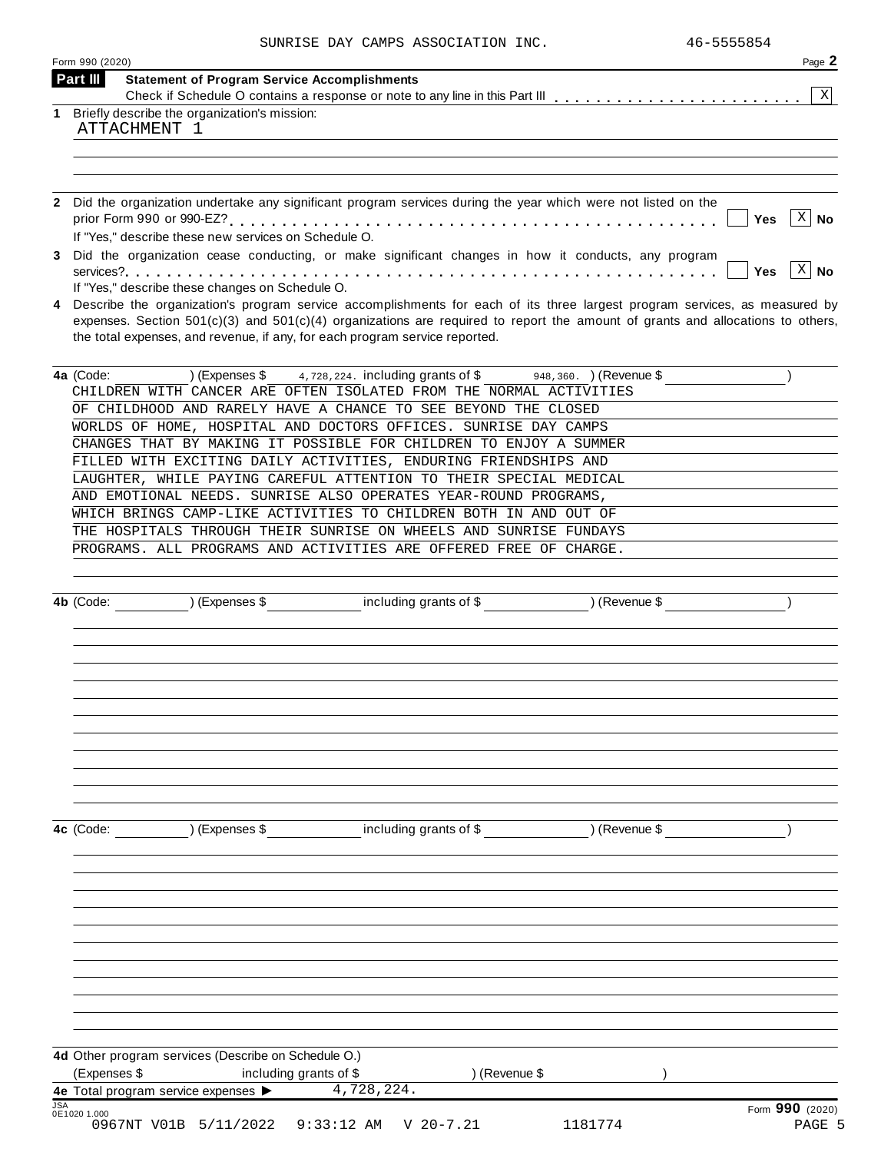|  | SUNRISE DAY CAMPS ASSOCIATION INC. |  |
|--|------------------------------------|--|
|  |                                    |  |

|            | Form 990 (2020)                                                                                                                                                                                                                                                                                                                                 | Page 2                    |
|------------|-------------------------------------------------------------------------------------------------------------------------------------------------------------------------------------------------------------------------------------------------------------------------------------------------------------------------------------------------|---------------------------|
|            | Part III<br><b>Statement of Program Service Accomplishments</b>                                                                                                                                                                                                                                                                                 |                           |
| 1          | Briefly describe the organization's mission:                                                                                                                                                                                                                                                                                                    | $\mathbf{X}$              |
|            | ATTACHMENT 1                                                                                                                                                                                                                                                                                                                                    |                           |
|            |                                                                                                                                                                                                                                                                                                                                                 |                           |
|            |                                                                                                                                                                                                                                                                                                                                                 |                           |
|            | 2 Did the organization undertake any significant program services during the year which were not listed on the                                                                                                                                                                                                                                  |                           |
|            | Yes<br>If "Yes," describe these new services on Schedule O.                                                                                                                                                                                                                                                                                     | $X \mid No$               |
|            | 3 Did the organization cease conducting, or make significant changes in how it conducts, any program                                                                                                                                                                                                                                            | $X \mid No$               |
|            | Yes<br>If "Yes," describe these changes on Schedule O.                                                                                                                                                                                                                                                                                          |                           |
| 4          | Describe the organization's program service accomplishments for each of its three largest program services, as measured by<br>expenses. Section $501(c)(3)$ and $501(c)(4)$ organizations are required to report the amount of grants and allocations to others,<br>the total expenses, and revenue, if any, for each program service reported. |                           |
|            | ) (Expenses $$4,728,224$ . including grants of $$$<br>4a (Code:<br>$\frac{1}{2}$ 948,360. ) (Revenue \$                                                                                                                                                                                                                                         |                           |
|            | CHILDREN WITH CANCER ARE OFTEN ISOLATED FROM THE NORMAL ACTIVITIES                                                                                                                                                                                                                                                                              |                           |
|            | OF CHILDHOOD AND RARELY HAVE A CHANCE TO SEE BEYOND THE CLOSED                                                                                                                                                                                                                                                                                  |                           |
|            | WORLDS OF HOME, HOSPITAL AND DOCTORS OFFICES. SUNRISE DAY CAMPS                                                                                                                                                                                                                                                                                 |                           |
|            | CHANGES THAT BY MAKING IT POSSIBLE FOR CHILDREN TO ENJOY A SUMMER                                                                                                                                                                                                                                                                               |                           |
|            | FILLED WITH EXCITING DAILY ACTIVITIES, ENDURING FRIENDSHIPS AND                                                                                                                                                                                                                                                                                 |                           |
|            | LAUGHTER, WHILE PAYING CAREFUL ATTENTION TO THEIR SPECIAL MEDICAL                                                                                                                                                                                                                                                                               |                           |
|            | AND EMOTIONAL NEEDS. SUNRISE ALSO OPERATES YEAR-ROUND PROGRAMS,                                                                                                                                                                                                                                                                                 |                           |
|            | WHICH BRINGS CAMP-LIKE ACTIVITIES TO CHILDREN BOTH IN AND OUT OF                                                                                                                                                                                                                                                                                |                           |
|            | THE HOSPITALS THROUGH THEIR SUNRISE ON WHEELS AND SUNRISE FUNDAYS                                                                                                                                                                                                                                                                               |                           |
|            | PROGRAMS. ALL PROGRAMS AND ACTIVITIES ARE OFFERED FREE OF CHARGE.                                                                                                                                                                                                                                                                               |                           |
|            |                                                                                                                                                                                                                                                                                                                                                 |                           |
|            | 4b (Code: ) (Expenses \$ including grants of \$ ) (Revenue \$                                                                                                                                                                                                                                                                                   |                           |
|            |                                                                                                                                                                                                                                                                                                                                                 |                           |
|            |                                                                                                                                                                                                                                                                                                                                                 |                           |
|            |                                                                                                                                                                                                                                                                                                                                                 |                           |
|            |                                                                                                                                                                                                                                                                                                                                                 |                           |
|            |                                                                                                                                                                                                                                                                                                                                                 |                           |
|            | 4c (Code: ) (Expenses \$ including grants of \$ ) (Revenue \$                                                                                                                                                                                                                                                                                   |                           |
|            |                                                                                                                                                                                                                                                                                                                                                 |                           |
|            |                                                                                                                                                                                                                                                                                                                                                 |                           |
|            |                                                                                                                                                                                                                                                                                                                                                 |                           |
|            |                                                                                                                                                                                                                                                                                                                                                 |                           |
|            |                                                                                                                                                                                                                                                                                                                                                 |                           |
|            | 4d Other program services (Describe on Schedule O.)<br>(Expenses \$<br>including grants of \$<br>) (Revenue \$                                                                                                                                                                                                                                  |                           |
| <b>JSA</b> | 4.728,224.                                                                                                                                                                                                                                                                                                                                      |                           |
|            | 0E1020 1.000<br>0967NT V01B 5/11/2022 9:33:12 AM V 20-7.21<br>1181774                                                                                                                                                                                                                                                                           | Form 990 (2020)<br>PAGE 5 |
|            |                                                                                                                                                                                                                                                                                                                                                 |                           |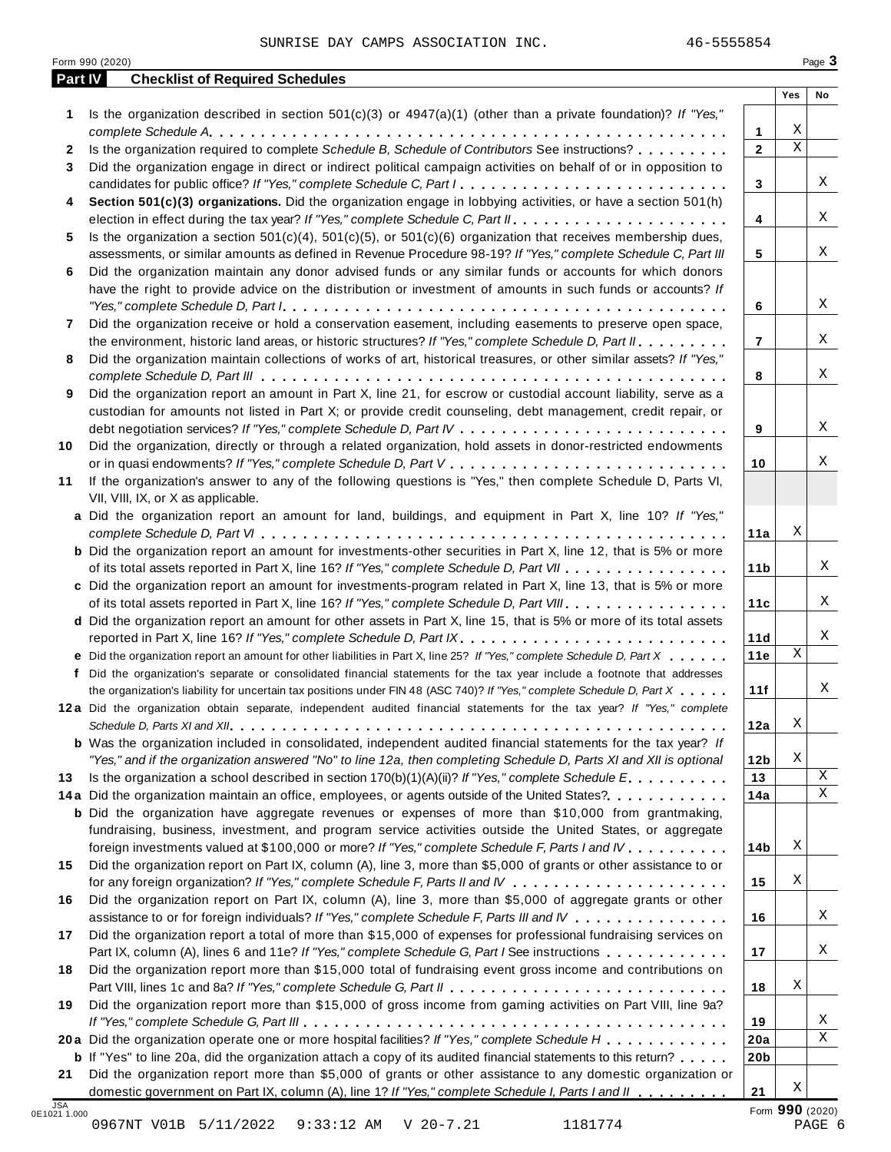| Part IV      | <b>Checklist of Required Schedules</b>                                                                                  |                 |             |    |
|--------------|-------------------------------------------------------------------------------------------------------------------------|-----------------|-------------|----|
|              |                                                                                                                         |                 | Yes         | No |
| 1            | Is the organization described in section $501(c)(3)$ or $4947(a)(1)$ (other than a private foundation)? If "Yes,"       |                 |             |    |
|              |                                                                                                                         | 1               | Χ           |    |
| $\mathbf{2}$ | Is the organization required to complete Schedule B, Schedule of Contributors See instructions?                         | $\mathbf{2}$    | $\mathbf X$ |    |
| 3            | Did the organization engage in direct or indirect political campaign activities on behalf of or in opposition to        |                 |             |    |
|              | candidates for public office? If "Yes," complete Schedule C, Part I.                                                    | 3               |             | Χ  |
| 4            | Section 501(c)(3) organizations. Did the organization engage in lobbying activities, or have a section 501(h)           |                 |             |    |
|              |                                                                                                                         | 4               |             | X  |
| 5            | Is the organization a section $501(c)(4)$ , $501(c)(5)$ , or $501(c)(6)$ organization that receives membership dues,    |                 |             | Χ  |
|              | assessments, or similar amounts as defined in Revenue Procedure 98-19? If "Yes," complete Schedule C, Part III          | 5               |             |    |
| 6            | Did the organization maintain any donor advised funds or any similar funds or accounts for which donors                 |                 |             |    |
|              | have the right to provide advice on the distribution or investment of amounts in such funds or accounts? If             |                 |             | X  |
|              |                                                                                                                         | 6               |             |    |
| 7            | Did the organization receive or hold a conservation easement, including easements to preserve open space,               |                 |             | Χ  |
|              | the environment, historic land areas, or historic structures? If "Yes," complete Schedule D, Part II.                   | $\overline{7}$  |             |    |
| 8            | Did the organization maintain collections of works of art, historical treasures, or other similar assets? If "Yes,"     |                 |             | Χ  |
|              | Did the organization report an amount in Part X, line 21, for escrow or custodial account liability, serve as a         | 8               |             |    |
| 9            |                                                                                                                         |                 |             |    |
|              | custodian for amounts not listed in Part X; or provide credit counseling, debt management, credit repair, or            | 9               |             | X  |
| 10           | Did the organization, directly or through a related organization, hold assets in donor-restricted endowments            |                 |             |    |
|              |                                                                                                                         | 10              |             | Χ  |
| 11           | If the organization's answer to any of the following questions is "Yes," then complete Schedule D, Parts VI,            |                 |             |    |
|              | VII, VIII, IX, or X as applicable.                                                                                      |                 |             |    |
|              | a Did the organization report an amount for land, buildings, and equipment in Part X, line 10? If "Yes,"                |                 |             |    |
|              |                                                                                                                         | 11a             | Χ           |    |
|              | <b>b</b> Did the organization report an amount for investments-other securities in Part X, line 12, that is 5% or more  |                 |             |    |
|              | of its total assets reported in Part X, line 16? If "Yes," complete Schedule D, Part VII                                | 11 <sub>b</sub> |             | Χ  |
|              | c Did the organization report an amount for investments-program related in Part X, line 13, that is 5% or more          |                 |             |    |
|              | of its total assets reported in Part X, line 16? If "Yes," complete Schedule D, Part VIII                               | 11c             |             | Χ  |
|              | d Did the organization report an amount for other assets in Part X, line 15, that is 5% or more of its total assets     |                 |             |    |
|              | reported in Part X, line 16? If "Yes," complete Schedule D, Part IX.                                                    | 11d             |             | Χ  |
|              | e Did the organization report an amount for other liabilities in Part X, line 25? If "Yes," complete Schedule D, Part X | 11e             | $\mathbf X$ |    |
| f            | Did the organization's separate or consolidated financial statements for the tax year include a footnote that addresses |                 |             |    |
|              | the organization's liability for uncertain tax positions under FIN 48 (ASC 740)? If "Yes," complete Schedule D, Part X  | 11f             |             | Χ  |
|              | 12a Did the organization obtain separate, independent audited financial statements for the tax year? If "Yes," complete |                 |             |    |
|              |                                                                                                                         | 12a             | Χ           |    |
|              | <b>b</b> Was the organization included in consolidated, independent audited financial statements for the tax year? If   |                 |             |    |
|              | "Yes," and if the organization answered "No" to line 12a, then completing Schedule D, Parts XI and XII is optional      | 12 <sub>b</sub> | Χ           |    |
| 13           | Is the organization a school described in section $170(b)(1)(A)(ii)$ ? If "Yes," complete Schedule E.                   | 13              |             | X  |
|              | 14a Did the organization maintain an office, employees, or agents outside of the United States?.                        | 14a             |             | X  |
|              | <b>b</b> Did the organization have aggregate revenues or expenses of more than \$10,000 from grantmaking,               |                 |             |    |
|              | fundraising, business, investment, and program service activities outside the United States, or aggregate               |                 |             |    |
|              | foreign investments valued at \$100,000 or more? If "Yes," complete Schedule F, Parts I and IV                          | 14b             | Χ           |    |
| 15           | Did the organization report on Part IX, column (A), line 3, more than \$5,000 of grants or other assistance to or       |                 |             |    |
|              |                                                                                                                         | 15              | Χ           |    |
| 16           | Did the organization report on Part IX, column (A), line 3, more than \$5,000 of aggregate grants or other              |                 |             |    |
|              | assistance to or for foreign individuals? If "Yes," complete Schedule F, Parts III and IV                               | 16              |             | Χ  |
| 17           | Did the organization report a total of more than \$15,000 of expenses for professional fundraising services on          |                 |             |    |
|              | Part IX, column (A), lines 6 and 11e? If "Yes," complete Schedule G, Part I See instructions                            | 17              |             | Χ  |
| 18           | Did the organization report more than \$15,000 total of fundraising event gross income and contributions on             |                 |             |    |
|              |                                                                                                                         | 18              | Χ           |    |
| 19           | Did the organization report more than \$15,000 of gross income from gaming activities on Part VIII, line 9a?            |                 |             |    |
|              |                                                                                                                         | 19              |             | Χ  |
|              | 20a Did the organization operate one or more hospital facilities? If "Yes," complete Schedule H                         | 20a             |             | Χ  |
|              | <b>b</b> If "Yes" to line 20a, did the organization attach a copy of its audited financial statements to this return?   | 20 <sub>b</sub> |             |    |
|              |                                                                                                                         |                 |             |    |
| 21           | Did the organization report more than \$5,000 of grants or other assistance to any domestic organization or             |                 |             |    |

0967NT V01B 5/11/2022 9:33:12 AM V 20-7.21 1181774 PAGE 6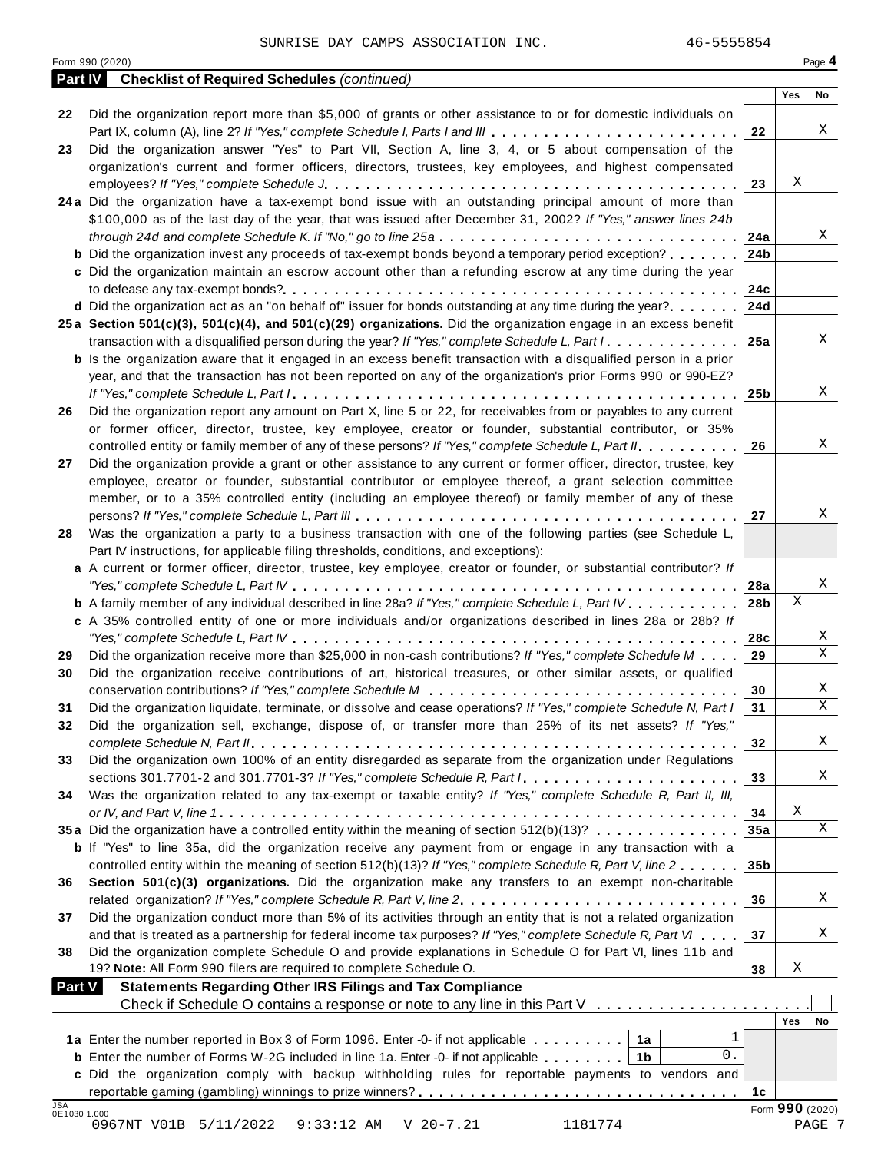| Did the organization report more than \$5,000 of grants or other assistance to or for domestic individuals on<br>Part IX, column (A), line 2? If "Yes," complete Schedule I, Parts I and III<br>22<br>Did the organization answer "Yes" to Part VII, Section A, line 3, 4, or 5 about compensation of the<br>organization's current and former officers, directors, trustees, key employees, and highest compensated<br>Χ<br>23<br>24a Did the organization have a tax-exempt bond issue with an outstanding principal amount of more than<br>\$100,000 as of the last day of the year, that was issued after December 31, 2002? If "Yes," answer lines 24b<br>through 24d and complete Schedule K. If "No," go to line 25a<br>24a<br><b>b</b> Did the organization invest any proceeds of tax-exempt bonds beyond a temporary period exception?<br>24 <sub>b</sub><br>c Did the organization maintain an escrow account other than a refunding escrow at any time during the year<br>24c<br><b>d</b> Did the organization act as an "on behalf of" issuer for bonds outstanding at any time during the year?<br>24d<br>25a Section 501(c)(3), 501(c)(4), and 501(c)(29) organizations. Did the organization engage in an excess benefit<br>transaction with a disqualified person during the year? If "Yes," complete Schedule L, Part I.<br>25a<br><b>b</b> Is the organization aware that it engaged in an excess benefit transaction with a disqualified person in a prior<br>year, and that the transaction has not been reported on any of the organization's prior Forms 990 or 990-EZ?<br>25 <sub>b</sub><br>Did the organization report any amount on Part X, line 5 or 22, for receivables from or payables to any current<br>or former officer, director, trustee, key employee, creator or founder, substantial contributor, or 35%<br>controlled entity or family member of any of these persons? If "Yes," complete Schedule L, Part II.<br>26<br>Did the organization provide a grant or other assistance to any current or former officer, director, trustee, key<br>employee, creator or founder, substantial contributor or employee thereof, a grant selection committee<br>member, or to a 35% controlled entity (including an employee thereof) or family member of any of these<br>27<br>Was the organization a party to a business transaction with one of the following parties (see Schedule L,<br>Part IV instructions, for applicable filing thresholds, conditions, and exceptions):<br>a A current or former officer, director, trustee, key employee, creator or founder, or substantial contributor? If<br>28a<br>Χ<br><b>b</b> A family member of any individual described in line 28a? If "Yes," complete Schedule L, Part IV.<br>28 <sub>b</sub><br>c A 35% controlled entity of one or more individuals and/or organizations described in lines 28a or 28b? If<br>28c<br>Did the organization receive more than \$25,000 in non-cash contributions? If "Yes," complete Schedule M<br>29<br>Did the organization receive contributions of art, historical treasures, or other similar assets, or qualified<br>30<br>Did the organization liquidate, terminate, or dissolve and cease operations? If "Yes," complete Schedule N, Part I<br>31<br>Did the organization sell, exchange, dispose of, or transfer more than 25% of its net assets? If "Yes,"<br>32<br>Did the organization own 100% of an entity disregarded as separate from the organization under Regulations<br>sections 301.7701-2 and 301.7701-3? If "Yes," complete Schedule R, Part /<br>33<br>Was the organization related to any tax-exempt or taxable entity? If "Yes," complete Schedule R, Part II, III,<br>Χ<br>34<br>35a Did the organization have a controlled entity within the meaning of section 512(b)(13)?<br>35a<br><b>b</b> If "Yes" to line 35a, did the organization receive any payment from or engage in any transaction with a<br>controlled entity within the meaning of section 512(b)(13)? If "Yes," complete Schedule R, Part V, line 2<br>35 <sub>b</sub><br>Section 501(c)(3) organizations. Did the organization make any transfers to an exempt non-charitable<br>related organization? If "Yes," complete Schedule R, Part V, line 2.<br>36<br>Did the organization conduct more than 5% of its activities through an entity that is not a related organization<br>and that is treated as a partnership for federal income tax purposes? If "Yes," complete Schedule R, Part VI<br>37<br>Did the organization complete Schedule O and provide explanations in Schedule O for Part VI, lines 11b and<br>19? Note: All Form 990 filers are required to complete Schedule O.<br>Χ<br>38<br><b>Statements Regarding Other IRS Filings and Tax Compliance</b><br><b>Part V</b><br>Check if Schedule O contains a response or note to any line in this Part V<br>Yes<br>1<br>1a Enter the number reported in Box 3 of Form 1096. Enter -0- if not applicable   1a<br>0.<br><b>b</b> Enter the number of Forms W-2G included in line 1a. Enter -0- if not applicable $\ldots \ldots$ ,<br>c Did the organization comply with backup withholding rules for reportable payments to vendors and<br>1c<br>Form 990 (2020)<br>0E1030 1.000<br>PAGE 7 | Part IV    | <b>Checklist of Required Schedules (continued)</b>              | Yes | No |
|----------------------------------------------------------------------------------------------------------------------------------------------------------------------------------------------------------------------------------------------------------------------------------------------------------------------------------------------------------------------------------------------------------------------------------------------------------------------------------------------------------------------------------------------------------------------------------------------------------------------------------------------------------------------------------------------------------------------------------------------------------------------------------------------------------------------------------------------------------------------------------------------------------------------------------------------------------------------------------------------------------------------------------------------------------------------------------------------------------------------------------------------------------------------------------------------------------------------------------------------------------------------------------------------------------------------------------------------------------------------------------------------------------------------------------------------------------------------------------------------------------------------------------------------------------------------------------------------------------------------------------------------------------------------------------------------------------------------------------------------------------------------------------------------------------------------------------------------------------------------------------------------------------------------------------------------------------------------------------------------------------------------------------------------------------------------------------------------------------------------------------------------------------------------------------------------------------------------------------------------------------------------------------------------------------------------------------------------------------------------------------------------------------------------------------------------------------------------------------------------------------------------------------------------------------------------------------------------------------------------------------------------------------------------------------------------------------------------------------------------------------------------------------------------------------------------------------------------------------------------------------------------------------------------------------------------------------------------------------------------------------------------------------------------------------------------------------------------------------------------------------------------------------------------------------------------------------------------------------------------------------------------------------------------------------------------------------------------------------------------------------------------------------------------------------------------------------------------------------------------------------------------------------------------------------------------------------------------------------------------------------------------------------------------------------------------------------------------------------------------------------------------------------------------------------------------------------------------------------------------------------------------------------------------------------------------------------------------------------------------------------------------------------------------------------------------------------------------------------------------------------------------------------------------------------------------------------------------------------------------------------------------------------------------------------------------------------------------------------------------------------------------------------------------------------------------------------------------------------------------------------------------------------------------------------------------------------------------------------------------------------------------------------------------------------------------------------------------------------------------------------------------------------------------------------------------------------------------------------------------------------------------------------------------------------------------------------------------------------------------------------------------------------------------------------------------------------------------------------------------------------------------------------------------------------------------------------------------------------------------------------------------------|------------|-----------------------------------------------------------------|-----|----|
|                                                                                                                                                                                                                                                                                                                                                                                                                                                                                                                                                                                                                                                                                                                                                                                                                                                                                                                                                                                                                                                                                                                                                                                                                                                                                                                                                                                                                                                                                                                                                                                                                                                                                                                                                                                                                                                                                                                                                                                                                                                                                                                                                                                                                                                                                                                                                                                                                                                                                                                                                                                                                                                                                                                                                                                                                                                                                                                                                                                                                                                                                                                                                                                                                                                                                                                                                                                                                                                                                                                                                                                                                                                                                                                                                                                                                                                                                                                                                                                                                                                                                                                                                                                                                                                                                                                                                                                                                                                                                                                                                                                                                                                                                                                                                                                                                                                                                                                                                                                                                                                                                                                                                                                                                                                                            | 22         |                                                                 |     |    |
|                                                                                                                                                                                                                                                                                                                                                                                                                                                                                                                                                                                                                                                                                                                                                                                                                                                                                                                                                                                                                                                                                                                                                                                                                                                                                                                                                                                                                                                                                                                                                                                                                                                                                                                                                                                                                                                                                                                                                                                                                                                                                                                                                                                                                                                                                                                                                                                                                                                                                                                                                                                                                                                                                                                                                                                                                                                                                                                                                                                                                                                                                                                                                                                                                                                                                                                                                                                                                                                                                                                                                                                                                                                                                                                                                                                                                                                                                                                                                                                                                                                                                                                                                                                                                                                                                                                                                                                                                                                                                                                                                                                                                                                                                                                                                                                                                                                                                                                                                                                                                                                                                                                                                                                                                                                                            |            |                                                                 |     | Χ  |
|                                                                                                                                                                                                                                                                                                                                                                                                                                                                                                                                                                                                                                                                                                                                                                                                                                                                                                                                                                                                                                                                                                                                                                                                                                                                                                                                                                                                                                                                                                                                                                                                                                                                                                                                                                                                                                                                                                                                                                                                                                                                                                                                                                                                                                                                                                                                                                                                                                                                                                                                                                                                                                                                                                                                                                                                                                                                                                                                                                                                                                                                                                                                                                                                                                                                                                                                                                                                                                                                                                                                                                                                                                                                                                                                                                                                                                                                                                                                                                                                                                                                                                                                                                                                                                                                                                                                                                                                                                                                                                                                                                                                                                                                                                                                                                                                                                                                                                                                                                                                                                                                                                                                                                                                                                                                            | 23         |                                                                 |     |    |
|                                                                                                                                                                                                                                                                                                                                                                                                                                                                                                                                                                                                                                                                                                                                                                                                                                                                                                                                                                                                                                                                                                                                                                                                                                                                                                                                                                                                                                                                                                                                                                                                                                                                                                                                                                                                                                                                                                                                                                                                                                                                                                                                                                                                                                                                                                                                                                                                                                                                                                                                                                                                                                                                                                                                                                                                                                                                                                                                                                                                                                                                                                                                                                                                                                                                                                                                                                                                                                                                                                                                                                                                                                                                                                                                                                                                                                                                                                                                                                                                                                                                                                                                                                                                                                                                                                                                                                                                                                                                                                                                                                                                                                                                                                                                                                                                                                                                                                                                                                                                                                                                                                                                                                                                                                                                            |            |                                                                 |     |    |
|                                                                                                                                                                                                                                                                                                                                                                                                                                                                                                                                                                                                                                                                                                                                                                                                                                                                                                                                                                                                                                                                                                                                                                                                                                                                                                                                                                                                                                                                                                                                                                                                                                                                                                                                                                                                                                                                                                                                                                                                                                                                                                                                                                                                                                                                                                                                                                                                                                                                                                                                                                                                                                                                                                                                                                                                                                                                                                                                                                                                                                                                                                                                                                                                                                                                                                                                                                                                                                                                                                                                                                                                                                                                                                                                                                                                                                                                                                                                                                                                                                                                                                                                                                                                                                                                                                                                                                                                                                                                                                                                                                                                                                                                                                                                                                                                                                                                                                                                                                                                                                                                                                                                                                                                                                                                            |            |                                                                 |     |    |
|                                                                                                                                                                                                                                                                                                                                                                                                                                                                                                                                                                                                                                                                                                                                                                                                                                                                                                                                                                                                                                                                                                                                                                                                                                                                                                                                                                                                                                                                                                                                                                                                                                                                                                                                                                                                                                                                                                                                                                                                                                                                                                                                                                                                                                                                                                                                                                                                                                                                                                                                                                                                                                                                                                                                                                                                                                                                                                                                                                                                                                                                                                                                                                                                                                                                                                                                                                                                                                                                                                                                                                                                                                                                                                                                                                                                                                                                                                                                                                                                                                                                                                                                                                                                                                                                                                                                                                                                                                                                                                                                                                                                                                                                                                                                                                                                                                                                                                                                                                                                                                                                                                                                                                                                                                                                            |            |                                                                 |     |    |
|                                                                                                                                                                                                                                                                                                                                                                                                                                                                                                                                                                                                                                                                                                                                                                                                                                                                                                                                                                                                                                                                                                                                                                                                                                                                                                                                                                                                                                                                                                                                                                                                                                                                                                                                                                                                                                                                                                                                                                                                                                                                                                                                                                                                                                                                                                                                                                                                                                                                                                                                                                                                                                                                                                                                                                                                                                                                                                                                                                                                                                                                                                                                                                                                                                                                                                                                                                                                                                                                                                                                                                                                                                                                                                                                                                                                                                                                                                                                                                                                                                                                                                                                                                                                                                                                                                                                                                                                                                                                                                                                                                                                                                                                                                                                                                                                                                                                                                                                                                                                                                                                                                                                                                                                                                                                            |            |                                                                 |     |    |
|                                                                                                                                                                                                                                                                                                                                                                                                                                                                                                                                                                                                                                                                                                                                                                                                                                                                                                                                                                                                                                                                                                                                                                                                                                                                                                                                                                                                                                                                                                                                                                                                                                                                                                                                                                                                                                                                                                                                                                                                                                                                                                                                                                                                                                                                                                                                                                                                                                                                                                                                                                                                                                                                                                                                                                                                                                                                                                                                                                                                                                                                                                                                                                                                                                                                                                                                                                                                                                                                                                                                                                                                                                                                                                                                                                                                                                                                                                                                                                                                                                                                                                                                                                                                                                                                                                                                                                                                                                                                                                                                                                                                                                                                                                                                                                                                                                                                                                                                                                                                                                                                                                                                                                                                                                                                            |            |                                                                 |     | Χ  |
|                                                                                                                                                                                                                                                                                                                                                                                                                                                                                                                                                                                                                                                                                                                                                                                                                                                                                                                                                                                                                                                                                                                                                                                                                                                                                                                                                                                                                                                                                                                                                                                                                                                                                                                                                                                                                                                                                                                                                                                                                                                                                                                                                                                                                                                                                                                                                                                                                                                                                                                                                                                                                                                                                                                                                                                                                                                                                                                                                                                                                                                                                                                                                                                                                                                                                                                                                                                                                                                                                                                                                                                                                                                                                                                                                                                                                                                                                                                                                                                                                                                                                                                                                                                                                                                                                                                                                                                                                                                                                                                                                                                                                                                                                                                                                                                                                                                                                                                                                                                                                                                                                                                                                                                                                                                                            |            |                                                                 |     |    |
|                                                                                                                                                                                                                                                                                                                                                                                                                                                                                                                                                                                                                                                                                                                                                                                                                                                                                                                                                                                                                                                                                                                                                                                                                                                                                                                                                                                                                                                                                                                                                                                                                                                                                                                                                                                                                                                                                                                                                                                                                                                                                                                                                                                                                                                                                                                                                                                                                                                                                                                                                                                                                                                                                                                                                                                                                                                                                                                                                                                                                                                                                                                                                                                                                                                                                                                                                                                                                                                                                                                                                                                                                                                                                                                                                                                                                                                                                                                                                                                                                                                                                                                                                                                                                                                                                                                                                                                                                                                                                                                                                                                                                                                                                                                                                                                                                                                                                                                                                                                                                                                                                                                                                                                                                                                                            |            |                                                                 |     |    |
|                                                                                                                                                                                                                                                                                                                                                                                                                                                                                                                                                                                                                                                                                                                                                                                                                                                                                                                                                                                                                                                                                                                                                                                                                                                                                                                                                                                                                                                                                                                                                                                                                                                                                                                                                                                                                                                                                                                                                                                                                                                                                                                                                                                                                                                                                                                                                                                                                                                                                                                                                                                                                                                                                                                                                                                                                                                                                                                                                                                                                                                                                                                                                                                                                                                                                                                                                                                                                                                                                                                                                                                                                                                                                                                                                                                                                                                                                                                                                                                                                                                                                                                                                                                                                                                                                                                                                                                                                                                                                                                                                                                                                                                                                                                                                                                                                                                                                                                                                                                                                                                                                                                                                                                                                                                                            |            |                                                                 |     |    |
|                                                                                                                                                                                                                                                                                                                                                                                                                                                                                                                                                                                                                                                                                                                                                                                                                                                                                                                                                                                                                                                                                                                                                                                                                                                                                                                                                                                                                                                                                                                                                                                                                                                                                                                                                                                                                                                                                                                                                                                                                                                                                                                                                                                                                                                                                                                                                                                                                                                                                                                                                                                                                                                                                                                                                                                                                                                                                                                                                                                                                                                                                                                                                                                                                                                                                                                                                                                                                                                                                                                                                                                                                                                                                                                                                                                                                                                                                                                                                                                                                                                                                                                                                                                                                                                                                                                                                                                                                                                                                                                                                                                                                                                                                                                                                                                                                                                                                                                                                                                                                                                                                                                                                                                                                                                                            |            |                                                                 |     |    |
|                                                                                                                                                                                                                                                                                                                                                                                                                                                                                                                                                                                                                                                                                                                                                                                                                                                                                                                                                                                                                                                                                                                                                                                                                                                                                                                                                                                                                                                                                                                                                                                                                                                                                                                                                                                                                                                                                                                                                                                                                                                                                                                                                                                                                                                                                                                                                                                                                                                                                                                                                                                                                                                                                                                                                                                                                                                                                                                                                                                                                                                                                                                                                                                                                                                                                                                                                                                                                                                                                                                                                                                                                                                                                                                                                                                                                                                                                                                                                                                                                                                                                                                                                                                                                                                                                                                                                                                                                                                                                                                                                                                                                                                                                                                                                                                                                                                                                                                                                                                                                                                                                                                                                                                                                                                                            |            |                                                                 |     |    |
|                                                                                                                                                                                                                                                                                                                                                                                                                                                                                                                                                                                                                                                                                                                                                                                                                                                                                                                                                                                                                                                                                                                                                                                                                                                                                                                                                                                                                                                                                                                                                                                                                                                                                                                                                                                                                                                                                                                                                                                                                                                                                                                                                                                                                                                                                                                                                                                                                                                                                                                                                                                                                                                                                                                                                                                                                                                                                                                                                                                                                                                                                                                                                                                                                                                                                                                                                                                                                                                                                                                                                                                                                                                                                                                                                                                                                                                                                                                                                                                                                                                                                                                                                                                                                                                                                                                                                                                                                                                                                                                                                                                                                                                                                                                                                                                                                                                                                                                                                                                                                                                                                                                                                                                                                                                                            |            |                                                                 |     | X  |
|                                                                                                                                                                                                                                                                                                                                                                                                                                                                                                                                                                                                                                                                                                                                                                                                                                                                                                                                                                                                                                                                                                                                                                                                                                                                                                                                                                                                                                                                                                                                                                                                                                                                                                                                                                                                                                                                                                                                                                                                                                                                                                                                                                                                                                                                                                                                                                                                                                                                                                                                                                                                                                                                                                                                                                                                                                                                                                                                                                                                                                                                                                                                                                                                                                                                                                                                                                                                                                                                                                                                                                                                                                                                                                                                                                                                                                                                                                                                                                                                                                                                                                                                                                                                                                                                                                                                                                                                                                                                                                                                                                                                                                                                                                                                                                                                                                                                                                                                                                                                                                                                                                                                                                                                                                                                            |            |                                                                 |     |    |
|                                                                                                                                                                                                                                                                                                                                                                                                                                                                                                                                                                                                                                                                                                                                                                                                                                                                                                                                                                                                                                                                                                                                                                                                                                                                                                                                                                                                                                                                                                                                                                                                                                                                                                                                                                                                                                                                                                                                                                                                                                                                                                                                                                                                                                                                                                                                                                                                                                                                                                                                                                                                                                                                                                                                                                                                                                                                                                                                                                                                                                                                                                                                                                                                                                                                                                                                                                                                                                                                                                                                                                                                                                                                                                                                                                                                                                                                                                                                                                                                                                                                                                                                                                                                                                                                                                                                                                                                                                                                                                                                                                                                                                                                                                                                                                                                                                                                                                                                                                                                                                                                                                                                                                                                                                                                            |            |                                                                 |     |    |
|                                                                                                                                                                                                                                                                                                                                                                                                                                                                                                                                                                                                                                                                                                                                                                                                                                                                                                                                                                                                                                                                                                                                                                                                                                                                                                                                                                                                                                                                                                                                                                                                                                                                                                                                                                                                                                                                                                                                                                                                                                                                                                                                                                                                                                                                                                                                                                                                                                                                                                                                                                                                                                                                                                                                                                                                                                                                                                                                                                                                                                                                                                                                                                                                                                                                                                                                                                                                                                                                                                                                                                                                                                                                                                                                                                                                                                                                                                                                                                                                                                                                                                                                                                                                                                                                                                                                                                                                                                                                                                                                                                                                                                                                                                                                                                                                                                                                                                                                                                                                                                                                                                                                                                                                                                                                            |            |                                                                 |     | X  |
|                                                                                                                                                                                                                                                                                                                                                                                                                                                                                                                                                                                                                                                                                                                                                                                                                                                                                                                                                                                                                                                                                                                                                                                                                                                                                                                                                                                                                                                                                                                                                                                                                                                                                                                                                                                                                                                                                                                                                                                                                                                                                                                                                                                                                                                                                                                                                                                                                                                                                                                                                                                                                                                                                                                                                                                                                                                                                                                                                                                                                                                                                                                                                                                                                                                                                                                                                                                                                                                                                                                                                                                                                                                                                                                                                                                                                                                                                                                                                                                                                                                                                                                                                                                                                                                                                                                                                                                                                                                                                                                                                                                                                                                                                                                                                                                                                                                                                                                                                                                                                                                                                                                                                                                                                                                                            | 26         |                                                                 |     |    |
|                                                                                                                                                                                                                                                                                                                                                                                                                                                                                                                                                                                                                                                                                                                                                                                                                                                                                                                                                                                                                                                                                                                                                                                                                                                                                                                                                                                                                                                                                                                                                                                                                                                                                                                                                                                                                                                                                                                                                                                                                                                                                                                                                                                                                                                                                                                                                                                                                                                                                                                                                                                                                                                                                                                                                                                                                                                                                                                                                                                                                                                                                                                                                                                                                                                                                                                                                                                                                                                                                                                                                                                                                                                                                                                                                                                                                                                                                                                                                                                                                                                                                                                                                                                                                                                                                                                                                                                                                                                                                                                                                                                                                                                                                                                                                                                                                                                                                                                                                                                                                                                                                                                                                                                                                                                                            |            |                                                                 |     |    |
|                                                                                                                                                                                                                                                                                                                                                                                                                                                                                                                                                                                                                                                                                                                                                                                                                                                                                                                                                                                                                                                                                                                                                                                                                                                                                                                                                                                                                                                                                                                                                                                                                                                                                                                                                                                                                                                                                                                                                                                                                                                                                                                                                                                                                                                                                                                                                                                                                                                                                                                                                                                                                                                                                                                                                                                                                                                                                                                                                                                                                                                                                                                                                                                                                                                                                                                                                                                                                                                                                                                                                                                                                                                                                                                                                                                                                                                                                                                                                                                                                                                                                                                                                                                                                                                                                                                                                                                                                                                                                                                                                                                                                                                                                                                                                                                                                                                                                                                                                                                                                                                                                                                                                                                                                                                                            |            |                                                                 |     | X  |
|                                                                                                                                                                                                                                                                                                                                                                                                                                                                                                                                                                                                                                                                                                                                                                                                                                                                                                                                                                                                                                                                                                                                                                                                                                                                                                                                                                                                                                                                                                                                                                                                                                                                                                                                                                                                                                                                                                                                                                                                                                                                                                                                                                                                                                                                                                                                                                                                                                                                                                                                                                                                                                                                                                                                                                                                                                                                                                                                                                                                                                                                                                                                                                                                                                                                                                                                                                                                                                                                                                                                                                                                                                                                                                                                                                                                                                                                                                                                                                                                                                                                                                                                                                                                                                                                                                                                                                                                                                                                                                                                                                                                                                                                                                                                                                                                                                                                                                                                                                                                                                                                                                                                                                                                                                                                            | 27         |                                                                 |     |    |
|                                                                                                                                                                                                                                                                                                                                                                                                                                                                                                                                                                                                                                                                                                                                                                                                                                                                                                                                                                                                                                                                                                                                                                                                                                                                                                                                                                                                                                                                                                                                                                                                                                                                                                                                                                                                                                                                                                                                                                                                                                                                                                                                                                                                                                                                                                                                                                                                                                                                                                                                                                                                                                                                                                                                                                                                                                                                                                                                                                                                                                                                                                                                                                                                                                                                                                                                                                                                                                                                                                                                                                                                                                                                                                                                                                                                                                                                                                                                                                                                                                                                                                                                                                                                                                                                                                                                                                                                                                                                                                                                                                                                                                                                                                                                                                                                                                                                                                                                                                                                                                                                                                                                                                                                                                                                            |            |                                                                 |     |    |
|                                                                                                                                                                                                                                                                                                                                                                                                                                                                                                                                                                                                                                                                                                                                                                                                                                                                                                                                                                                                                                                                                                                                                                                                                                                                                                                                                                                                                                                                                                                                                                                                                                                                                                                                                                                                                                                                                                                                                                                                                                                                                                                                                                                                                                                                                                                                                                                                                                                                                                                                                                                                                                                                                                                                                                                                                                                                                                                                                                                                                                                                                                                                                                                                                                                                                                                                                                                                                                                                                                                                                                                                                                                                                                                                                                                                                                                                                                                                                                                                                                                                                                                                                                                                                                                                                                                                                                                                                                                                                                                                                                                                                                                                                                                                                                                                                                                                                                                                                                                                                                                                                                                                                                                                                                                                            |            |                                                                 |     |    |
|                                                                                                                                                                                                                                                                                                                                                                                                                                                                                                                                                                                                                                                                                                                                                                                                                                                                                                                                                                                                                                                                                                                                                                                                                                                                                                                                                                                                                                                                                                                                                                                                                                                                                                                                                                                                                                                                                                                                                                                                                                                                                                                                                                                                                                                                                                                                                                                                                                                                                                                                                                                                                                                                                                                                                                                                                                                                                                                                                                                                                                                                                                                                                                                                                                                                                                                                                                                                                                                                                                                                                                                                                                                                                                                                                                                                                                                                                                                                                                                                                                                                                                                                                                                                                                                                                                                                                                                                                                                                                                                                                                                                                                                                                                                                                                                                                                                                                                                                                                                                                                                                                                                                                                                                                                                                            |            |                                                                 |     | Χ  |
|                                                                                                                                                                                                                                                                                                                                                                                                                                                                                                                                                                                                                                                                                                                                                                                                                                                                                                                                                                                                                                                                                                                                                                                                                                                                                                                                                                                                                                                                                                                                                                                                                                                                                                                                                                                                                                                                                                                                                                                                                                                                                                                                                                                                                                                                                                                                                                                                                                                                                                                                                                                                                                                                                                                                                                                                                                                                                                                                                                                                                                                                                                                                                                                                                                                                                                                                                                                                                                                                                                                                                                                                                                                                                                                                                                                                                                                                                                                                                                                                                                                                                                                                                                                                                                                                                                                                                                                                                                                                                                                                                                                                                                                                                                                                                                                                                                                                                                                                                                                                                                                                                                                                                                                                                                                                            | 28         |                                                                 |     |    |
|                                                                                                                                                                                                                                                                                                                                                                                                                                                                                                                                                                                                                                                                                                                                                                                                                                                                                                                                                                                                                                                                                                                                                                                                                                                                                                                                                                                                                                                                                                                                                                                                                                                                                                                                                                                                                                                                                                                                                                                                                                                                                                                                                                                                                                                                                                                                                                                                                                                                                                                                                                                                                                                                                                                                                                                                                                                                                                                                                                                                                                                                                                                                                                                                                                                                                                                                                                                                                                                                                                                                                                                                                                                                                                                                                                                                                                                                                                                                                                                                                                                                                                                                                                                                                                                                                                                                                                                                                                                                                                                                                                                                                                                                                                                                                                                                                                                                                                                                                                                                                                                                                                                                                                                                                                                                            |            |                                                                 |     |    |
|                                                                                                                                                                                                                                                                                                                                                                                                                                                                                                                                                                                                                                                                                                                                                                                                                                                                                                                                                                                                                                                                                                                                                                                                                                                                                                                                                                                                                                                                                                                                                                                                                                                                                                                                                                                                                                                                                                                                                                                                                                                                                                                                                                                                                                                                                                                                                                                                                                                                                                                                                                                                                                                                                                                                                                                                                                                                                                                                                                                                                                                                                                                                                                                                                                                                                                                                                                                                                                                                                                                                                                                                                                                                                                                                                                                                                                                                                                                                                                                                                                                                                                                                                                                                                                                                                                                                                                                                                                                                                                                                                                                                                                                                                                                                                                                                                                                                                                                                                                                                                                                                                                                                                                                                                                                                            |            |                                                                 |     |    |
|                                                                                                                                                                                                                                                                                                                                                                                                                                                                                                                                                                                                                                                                                                                                                                                                                                                                                                                                                                                                                                                                                                                                                                                                                                                                                                                                                                                                                                                                                                                                                                                                                                                                                                                                                                                                                                                                                                                                                                                                                                                                                                                                                                                                                                                                                                                                                                                                                                                                                                                                                                                                                                                                                                                                                                                                                                                                                                                                                                                                                                                                                                                                                                                                                                                                                                                                                                                                                                                                                                                                                                                                                                                                                                                                                                                                                                                                                                                                                                                                                                                                                                                                                                                                                                                                                                                                                                                                                                                                                                                                                                                                                                                                                                                                                                                                                                                                                                                                                                                                                                                                                                                                                                                                                                                                            |            |                                                                 |     | X  |
|                                                                                                                                                                                                                                                                                                                                                                                                                                                                                                                                                                                                                                                                                                                                                                                                                                                                                                                                                                                                                                                                                                                                                                                                                                                                                                                                                                                                                                                                                                                                                                                                                                                                                                                                                                                                                                                                                                                                                                                                                                                                                                                                                                                                                                                                                                                                                                                                                                                                                                                                                                                                                                                                                                                                                                                                                                                                                                                                                                                                                                                                                                                                                                                                                                                                                                                                                                                                                                                                                                                                                                                                                                                                                                                                                                                                                                                                                                                                                                                                                                                                                                                                                                                                                                                                                                                                                                                                                                                                                                                                                                                                                                                                                                                                                                                                                                                                                                                                                                                                                                                                                                                                                                                                                                                                            |            |                                                                 |     |    |
|                                                                                                                                                                                                                                                                                                                                                                                                                                                                                                                                                                                                                                                                                                                                                                                                                                                                                                                                                                                                                                                                                                                                                                                                                                                                                                                                                                                                                                                                                                                                                                                                                                                                                                                                                                                                                                                                                                                                                                                                                                                                                                                                                                                                                                                                                                                                                                                                                                                                                                                                                                                                                                                                                                                                                                                                                                                                                                                                                                                                                                                                                                                                                                                                                                                                                                                                                                                                                                                                                                                                                                                                                                                                                                                                                                                                                                                                                                                                                                                                                                                                                                                                                                                                                                                                                                                                                                                                                                                                                                                                                                                                                                                                                                                                                                                                                                                                                                                                                                                                                                                                                                                                                                                                                                                                            |            |                                                                 |     |    |
|                                                                                                                                                                                                                                                                                                                                                                                                                                                                                                                                                                                                                                                                                                                                                                                                                                                                                                                                                                                                                                                                                                                                                                                                                                                                                                                                                                                                                                                                                                                                                                                                                                                                                                                                                                                                                                                                                                                                                                                                                                                                                                                                                                                                                                                                                                                                                                                                                                                                                                                                                                                                                                                                                                                                                                                                                                                                                                                                                                                                                                                                                                                                                                                                                                                                                                                                                                                                                                                                                                                                                                                                                                                                                                                                                                                                                                                                                                                                                                                                                                                                                                                                                                                                                                                                                                                                                                                                                                                                                                                                                                                                                                                                                                                                                                                                                                                                                                                                                                                                                                                                                                                                                                                                                                                                            |            |                                                                 |     | Χ  |
|                                                                                                                                                                                                                                                                                                                                                                                                                                                                                                                                                                                                                                                                                                                                                                                                                                                                                                                                                                                                                                                                                                                                                                                                                                                                                                                                                                                                                                                                                                                                                                                                                                                                                                                                                                                                                                                                                                                                                                                                                                                                                                                                                                                                                                                                                                                                                                                                                                                                                                                                                                                                                                                                                                                                                                                                                                                                                                                                                                                                                                                                                                                                                                                                                                                                                                                                                                                                                                                                                                                                                                                                                                                                                                                                                                                                                                                                                                                                                                                                                                                                                                                                                                                                                                                                                                                                                                                                                                                                                                                                                                                                                                                                                                                                                                                                                                                                                                                                                                                                                                                                                                                                                                                                                                                                            | 29         |                                                                 |     | Χ  |
|                                                                                                                                                                                                                                                                                                                                                                                                                                                                                                                                                                                                                                                                                                                                                                                                                                                                                                                                                                                                                                                                                                                                                                                                                                                                                                                                                                                                                                                                                                                                                                                                                                                                                                                                                                                                                                                                                                                                                                                                                                                                                                                                                                                                                                                                                                                                                                                                                                                                                                                                                                                                                                                                                                                                                                                                                                                                                                                                                                                                                                                                                                                                                                                                                                                                                                                                                                                                                                                                                                                                                                                                                                                                                                                                                                                                                                                                                                                                                                                                                                                                                                                                                                                                                                                                                                                                                                                                                                                                                                                                                                                                                                                                                                                                                                                                                                                                                                                                                                                                                                                                                                                                                                                                                                                                            | 30         |                                                                 |     |    |
|                                                                                                                                                                                                                                                                                                                                                                                                                                                                                                                                                                                                                                                                                                                                                                                                                                                                                                                                                                                                                                                                                                                                                                                                                                                                                                                                                                                                                                                                                                                                                                                                                                                                                                                                                                                                                                                                                                                                                                                                                                                                                                                                                                                                                                                                                                                                                                                                                                                                                                                                                                                                                                                                                                                                                                                                                                                                                                                                                                                                                                                                                                                                                                                                                                                                                                                                                                                                                                                                                                                                                                                                                                                                                                                                                                                                                                                                                                                                                                                                                                                                                                                                                                                                                                                                                                                                                                                                                                                                                                                                                                                                                                                                                                                                                                                                                                                                                                                                                                                                                                                                                                                                                                                                                                                                            |            |                                                                 |     | Χ  |
|                                                                                                                                                                                                                                                                                                                                                                                                                                                                                                                                                                                                                                                                                                                                                                                                                                                                                                                                                                                                                                                                                                                                                                                                                                                                                                                                                                                                                                                                                                                                                                                                                                                                                                                                                                                                                                                                                                                                                                                                                                                                                                                                                                                                                                                                                                                                                                                                                                                                                                                                                                                                                                                                                                                                                                                                                                                                                                                                                                                                                                                                                                                                                                                                                                                                                                                                                                                                                                                                                                                                                                                                                                                                                                                                                                                                                                                                                                                                                                                                                                                                                                                                                                                                                                                                                                                                                                                                                                                                                                                                                                                                                                                                                                                                                                                                                                                                                                                                                                                                                                                                                                                                                                                                                                                                            | 31         |                                                                 |     | X  |
|                                                                                                                                                                                                                                                                                                                                                                                                                                                                                                                                                                                                                                                                                                                                                                                                                                                                                                                                                                                                                                                                                                                                                                                                                                                                                                                                                                                                                                                                                                                                                                                                                                                                                                                                                                                                                                                                                                                                                                                                                                                                                                                                                                                                                                                                                                                                                                                                                                                                                                                                                                                                                                                                                                                                                                                                                                                                                                                                                                                                                                                                                                                                                                                                                                                                                                                                                                                                                                                                                                                                                                                                                                                                                                                                                                                                                                                                                                                                                                                                                                                                                                                                                                                                                                                                                                                                                                                                                                                                                                                                                                                                                                                                                                                                                                                                                                                                                                                                                                                                                                                                                                                                                                                                                                                                            | 32         |                                                                 |     |    |
|                                                                                                                                                                                                                                                                                                                                                                                                                                                                                                                                                                                                                                                                                                                                                                                                                                                                                                                                                                                                                                                                                                                                                                                                                                                                                                                                                                                                                                                                                                                                                                                                                                                                                                                                                                                                                                                                                                                                                                                                                                                                                                                                                                                                                                                                                                                                                                                                                                                                                                                                                                                                                                                                                                                                                                                                                                                                                                                                                                                                                                                                                                                                                                                                                                                                                                                                                                                                                                                                                                                                                                                                                                                                                                                                                                                                                                                                                                                                                                                                                                                                                                                                                                                                                                                                                                                                                                                                                                                                                                                                                                                                                                                                                                                                                                                                                                                                                                                                                                                                                                                                                                                                                                                                                                                                            |            |                                                                 |     | Χ  |
|                                                                                                                                                                                                                                                                                                                                                                                                                                                                                                                                                                                                                                                                                                                                                                                                                                                                                                                                                                                                                                                                                                                                                                                                                                                                                                                                                                                                                                                                                                                                                                                                                                                                                                                                                                                                                                                                                                                                                                                                                                                                                                                                                                                                                                                                                                                                                                                                                                                                                                                                                                                                                                                                                                                                                                                                                                                                                                                                                                                                                                                                                                                                                                                                                                                                                                                                                                                                                                                                                                                                                                                                                                                                                                                                                                                                                                                                                                                                                                                                                                                                                                                                                                                                                                                                                                                                                                                                                                                                                                                                                                                                                                                                                                                                                                                                                                                                                                                                                                                                                                                                                                                                                                                                                                                                            | 33         |                                                                 |     |    |
|                                                                                                                                                                                                                                                                                                                                                                                                                                                                                                                                                                                                                                                                                                                                                                                                                                                                                                                                                                                                                                                                                                                                                                                                                                                                                                                                                                                                                                                                                                                                                                                                                                                                                                                                                                                                                                                                                                                                                                                                                                                                                                                                                                                                                                                                                                                                                                                                                                                                                                                                                                                                                                                                                                                                                                                                                                                                                                                                                                                                                                                                                                                                                                                                                                                                                                                                                                                                                                                                                                                                                                                                                                                                                                                                                                                                                                                                                                                                                                                                                                                                                                                                                                                                                                                                                                                                                                                                                                                                                                                                                                                                                                                                                                                                                                                                                                                                                                                                                                                                                                                                                                                                                                                                                                                                            |            |                                                                 |     | Χ  |
|                                                                                                                                                                                                                                                                                                                                                                                                                                                                                                                                                                                                                                                                                                                                                                                                                                                                                                                                                                                                                                                                                                                                                                                                                                                                                                                                                                                                                                                                                                                                                                                                                                                                                                                                                                                                                                                                                                                                                                                                                                                                                                                                                                                                                                                                                                                                                                                                                                                                                                                                                                                                                                                                                                                                                                                                                                                                                                                                                                                                                                                                                                                                                                                                                                                                                                                                                                                                                                                                                                                                                                                                                                                                                                                                                                                                                                                                                                                                                                                                                                                                                                                                                                                                                                                                                                                                                                                                                                                                                                                                                                                                                                                                                                                                                                                                                                                                                                                                                                                                                                                                                                                                                                                                                                                                            | 34         |                                                                 |     |    |
|                                                                                                                                                                                                                                                                                                                                                                                                                                                                                                                                                                                                                                                                                                                                                                                                                                                                                                                                                                                                                                                                                                                                                                                                                                                                                                                                                                                                                                                                                                                                                                                                                                                                                                                                                                                                                                                                                                                                                                                                                                                                                                                                                                                                                                                                                                                                                                                                                                                                                                                                                                                                                                                                                                                                                                                                                                                                                                                                                                                                                                                                                                                                                                                                                                                                                                                                                                                                                                                                                                                                                                                                                                                                                                                                                                                                                                                                                                                                                                                                                                                                                                                                                                                                                                                                                                                                                                                                                                                                                                                                                                                                                                                                                                                                                                                                                                                                                                                                                                                                                                                                                                                                                                                                                                                                            |            |                                                                 |     |    |
|                                                                                                                                                                                                                                                                                                                                                                                                                                                                                                                                                                                                                                                                                                                                                                                                                                                                                                                                                                                                                                                                                                                                                                                                                                                                                                                                                                                                                                                                                                                                                                                                                                                                                                                                                                                                                                                                                                                                                                                                                                                                                                                                                                                                                                                                                                                                                                                                                                                                                                                                                                                                                                                                                                                                                                                                                                                                                                                                                                                                                                                                                                                                                                                                                                                                                                                                                                                                                                                                                                                                                                                                                                                                                                                                                                                                                                                                                                                                                                                                                                                                                                                                                                                                                                                                                                                                                                                                                                                                                                                                                                                                                                                                                                                                                                                                                                                                                                                                                                                                                                                                                                                                                                                                                                                                            |            |                                                                 |     | X  |
|                                                                                                                                                                                                                                                                                                                                                                                                                                                                                                                                                                                                                                                                                                                                                                                                                                                                                                                                                                                                                                                                                                                                                                                                                                                                                                                                                                                                                                                                                                                                                                                                                                                                                                                                                                                                                                                                                                                                                                                                                                                                                                                                                                                                                                                                                                                                                                                                                                                                                                                                                                                                                                                                                                                                                                                                                                                                                                                                                                                                                                                                                                                                                                                                                                                                                                                                                                                                                                                                                                                                                                                                                                                                                                                                                                                                                                                                                                                                                                                                                                                                                                                                                                                                                                                                                                                                                                                                                                                                                                                                                                                                                                                                                                                                                                                                                                                                                                                                                                                                                                                                                                                                                                                                                                                                            |            |                                                                 |     |    |
|                                                                                                                                                                                                                                                                                                                                                                                                                                                                                                                                                                                                                                                                                                                                                                                                                                                                                                                                                                                                                                                                                                                                                                                                                                                                                                                                                                                                                                                                                                                                                                                                                                                                                                                                                                                                                                                                                                                                                                                                                                                                                                                                                                                                                                                                                                                                                                                                                                                                                                                                                                                                                                                                                                                                                                                                                                                                                                                                                                                                                                                                                                                                                                                                                                                                                                                                                                                                                                                                                                                                                                                                                                                                                                                                                                                                                                                                                                                                                                                                                                                                                                                                                                                                                                                                                                                                                                                                                                                                                                                                                                                                                                                                                                                                                                                                                                                                                                                                                                                                                                                                                                                                                                                                                                                                            |            |                                                                 |     |    |
|                                                                                                                                                                                                                                                                                                                                                                                                                                                                                                                                                                                                                                                                                                                                                                                                                                                                                                                                                                                                                                                                                                                                                                                                                                                                                                                                                                                                                                                                                                                                                                                                                                                                                                                                                                                                                                                                                                                                                                                                                                                                                                                                                                                                                                                                                                                                                                                                                                                                                                                                                                                                                                                                                                                                                                                                                                                                                                                                                                                                                                                                                                                                                                                                                                                                                                                                                                                                                                                                                                                                                                                                                                                                                                                                                                                                                                                                                                                                                                                                                                                                                                                                                                                                                                                                                                                                                                                                                                                                                                                                                                                                                                                                                                                                                                                                                                                                                                                                                                                                                                                                                                                                                                                                                                                                            | 36         |                                                                 |     |    |
|                                                                                                                                                                                                                                                                                                                                                                                                                                                                                                                                                                                                                                                                                                                                                                                                                                                                                                                                                                                                                                                                                                                                                                                                                                                                                                                                                                                                                                                                                                                                                                                                                                                                                                                                                                                                                                                                                                                                                                                                                                                                                                                                                                                                                                                                                                                                                                                                                                                                                                                                                                                                                                                                                                                                                                                                                                                                                                                                                                                                                                                                                                                                                                                                                                                                                                                                                                                                                                                                                                                                                                                                                                                                                                                                                                                                                                                                                                                                                                                                                                                                                                                                                                                                                                                                                                                                                                                                                                                                                                                                                                                                                                                                                                                                                                                                                                                                                                                                                                                                                                                                                                                                                                                                                                                                            |            |                                                                 |     | Χ  |
|                                                                                                                                                                                                                                                                                                                                                                                                                                                                                                                                                                                                                                                                                                                                                                                                                                                                                                                                                                                                                                                                                                                                                                                                                                                                                                                                                                                                                                                                                                                                                                                                                                                                                                                                                                                                                                                                                                                                                                                                                                                                                                                                                                                                                                                                                                                                                                                                                                                                                                                                                                                                                                                                                                                                                                                                                                                                                                                                                                                                                                                                                                                                                                                                                                                                                                                                                                                                                                                                                                                                                                                                                                                                                                                                                                                                                                                                                                                                                                                                                                                                                                                                                                                                                                                                                                                                                                                                                                                                                                                                                                                                                                                                                                                                                                                                                                                                                                                                                                                                                                                                                                                                                                                                                                                                            | 37         |                                                                 |     |    |
|                                                                                                                                                                                                                                                                                                                                                                                                                                                                                                                                                                                                                                                                                                                                                                                                                                                                                                                                                                                                                                                                                                                                                                                                                                                                                                                                                                                                                                                                                                                                                                                                                                                                                                                                                                                                                                                                                                                                                                                                                                                                                                                                                                                                                                                                                                                                                                                                                                                                                                                                                                                                                                                                                                                                                                                                                                                                                                                                                                                                                                                                                                                                                                                                                                                                                                                                                                                                                                                                                                                                                                                                                                                                                                                                                                                                                                                                                                                                                                                                                                                                                                                                                                                                                                                                                                                                                                                                                                                                                                                                                                                                                                                                                                                                                                                                                                                                                                                                                                                                                                                                                                                                                                                                                                                                            |            |                                                                 |     | Χ  |
|                                                                                                                                                                                                                                                                                                                                                                                                                                                                                                                                                                                                                                                                                                                                                                                                                                                                                                                                                                                                                                                                                                                                                                                                                                                                                                                                                                                                                                                                                                                                                                                                                                                                                                                                                                                                                                                                                                                                                                                                                                                                                                                                                                                                                                                                                                                                                                                                                                                                                                                                                                                                                                                                                                                                                                                                                                                                                                                                                                                                                                                                                                                                                                                                                                                                                                                                                                                                                                                                                                                                                                                                                                                                                                                                                                                                                                                                                                                                                                                                                                                                                                                                                                                                                                                                                                                                                                                                                                                                                                                                                                                                                                                                                                                                                                                                                                                                                                                                                                                                                                                                                                                                                                                                                                                                            | 38         |                                                                 |     |    |
|                                                                                                                                                                                                                                                                                                                                                                                                                                                                                                                                                                                                                                                                                                                                                                                                                                                                                                                                                                                                                                                                                                                                                                                                                                                                                                                                                                                                                                                                                                                                                                                                                                                                                                                                                                                                                                                                                                                                                                                                                                                                                                                                                                                                                                                                                                                                                                                                                                                                                                                                                                                                                                                                                                                                                                                                                                                                                                                                                                                                                                                                                                                                                                                                                                                                                                                                                                                                                                                                                                                                                                                                                                                                                                                                                                                                                                                                                                                                                                                                                                                                                                                                                                                                                                                                                                                                                                                                                                                                                                                                                                                                                                                                                                                                                                                                                                                                                                                                                                                                                                                                                                                                                                                                                                                                            |            |                                                                 |     |    |
|                                                                                                                                                                                                                                                                                                                                                                                                                                                                                                                                                                                                                                                                                                                                                                                                                                                                                                                                                                                                                                                                                                                                                                                                                                                                                                                                                                                                                                                                                                                                                                                                                                                                                                                                                                                                                                                                                                                                                                                                                                                                                                                                                                                                                                                                                                                                                                                                                                                                                                                                                                                                                                                                                                                                                                                                                                                                                                                                                                                                                                                                                                                                                                                                                                                                                                                                                                                                                                                                                                                                                                                                                                                                                                                                                                                                                                                                                                                                                                                                                                                                                                                                                                                                                                                                                                                                                                                                                                                                                                                                                                                                                                                                                                                                                                                                                                                                                                                                                                                                                                                                                                                                                                                                                                                                            |            |                                                                 |     |    |
|                                                                                                                                                                                                                                                                                                                                                                                                                                                                                                                                                                                                                                                                                                                                                                                                                                                                                                                                                                                                                                                                                                                                                                                                                                                                                                                                                                                                                                                                                                                                                                                                                                                                                                                                                                                                                                                                                                                                                                                                                                                                                                                                                                                                                                                                                                                                                                                                                                                                                                                                                                                                                                                                                                                                                                                                                                                                                                                                                                                                                                                                                                                                                                                                                                                                                                                                                                                                                                                                                                                                                                                                                                                                                                                                                                                                                                                                                                                                                                                                                                                                                                                                                                                                                                                                                                                                                                                                                                                                                                                                                                                                                                                                                                                                                                                                                                                                                                                                                                                                                                                                                                                                                                                                                                                                            |            |                                                                 |     |    |
|                                                                                                                                                                                                                                                                                                                                                                                                                                                                                                                                                                                                                                                                                                                                                                                                                                                                                                                                                                                                                                                                                                                                                                                                                                                                                                                                                                                                                                                                                                                                                                                                                                                                                                                                                                                                                                                                                                                                                                                                                                                                                                                                                                                                                                                                                                                                                                                                                                                                                                                                                                                                                                                                                                                                                                                                                                                                                                                                                                                                                                                                                                                                                                                                                                                                                                                                                                                                                                                                                                                                                                                                                                                                                                                                                                                                                                                                                                                                                                                                                                                                                                                                                                                                                                                                                                                                                                                                                                                                                                                                                                                                                                                                                                                                                                                                                                                                                                                                                                                                                                                                                                                                                                                                                                                                            |            |                                                                 |     | No |
|                                                                                                                                                                                                                                                                                                                                                                                                                                                                                                                                                                                                                                                                                                                                                                                                                                                                                                                                                                                                                                                                                                                                                                                                                                                                                                                                                                                                                                                                                                                                                                                                                                                                                                                                                                                                                                                                                                                                                                                                                                                                                                                                                                                                                                                                                                                                                                                                                                                                                                                                                                                                                                                                                                                                                                                                                                                                                                                                                                                                                                                                                                                                                                                                                                                                                                                                                                                                                                                                                                                                                                                                                                                                                                                                                                                                                                                                                                                                                                                                                                                                                                                                                                                                                                                                                                                                                                                                                                                                                                                                                                                                                                                                                                                                                                                                                                                                                                                                                                                                                                                                                                                                                                                                                                                                            |            |                                                                 |     |    |
|                                                                                                                                                                                                                                                                                                                                                                                                                                                                                                                                                                                                                                                                                                                                                                                                                                                                                                                                                                                                                                                                                                                                                                                                                                                                                                                                                                                                                                                                                                                                                                                                                                                                                                                                                                                                                                                                                                                                                                                                                                                                                                                                                                                                                                                                                                                                                                                                                                                                                                                                                                                                                                                                                                                                                                                                                                                                                                                                                                                                                                                                                                                                                                                                                                                                                                                                                                                                                                                                                                                                                                                                                                                                                                                                                                                                                                                                                                                                                                                                                                                                                                                                                                                                                                                                                                                                                                                                                                                                                                                                                                                                                                                                                                                                                                                                                                                                                                                                                                                                                                                                                                                                                                                                                                                                            |            |                                                                 |     |    |
|                                                                                                                                                                                                                                                                                                                                                                                                                                                                                                                                                                                                                                                                                                                                                                                                                                                                                                                                                                                                                                                                                                                                                                                                                                                                                                                                                                                                                                                                                                                                                                                                                                                                                                                                                                                                                                                                                                                                                                                                                                                                                                                                                                                                                                                                                                                                                                                                                                                                                                                                                                                                                                                                                                                                                                                                                                                                                                                                                                                                                                                                                                                                                                                                                                                                                                                                                                                                                                                                                                                                                                                                                                                                                                                                                                                                                                                                                                                                                                                                                                                                                                                                                                                                                                                                                                                                                                                                                                                                                                                                                                                                                                                                                                                                                                                                                                                                                                                                                                                                                                                                                                                                                                                                                                                                            |            |                                                                 |     |    |
|                                                                                                                                                                                                                                                                                                                                                                                                                                                                                                                                                                                                                                                                                                                                                                                                                                                                                                                                                                                                                                                                                                                                                                                                                                                                                                                                                                                                                                                                                                                                                                                                                                                                                                                                                                                                                                                                                                                                                                                                                                                                                                                                                                                                                                                                                                                                                                                                                                                                                                                                                                                                                                                                                                                                                                                                                                                                                                                                                                                                                                                                                                                                                                                                                                                                                                                                                                                                                                                                                                                                                                                                                                                                                                                                                                                                                                                                                                                                                                                                                                                                                                                                                                                                                                                                                                                                                                                                                                                                                                                                                                                                                                                                                                                                                                                                                                                                                                                                                                                                                                                                                                                                                                                                                                                                            |            |                                                                 |     |    |
|                                                                                                                                                                                                                                                                                                                                                                                                                                                                                                                                                                                                                                                                                                                                                                                                                                                                                                                                                                                                                                                                                                                                                                                                                                                                                                                                                                                                                                                                                                                                                                                                                                                                                                                                                                                                                                                                                                                                                                                                                                                                                                                                                                                                                                                                                                                                                                                                                                                                                                                                                                                                                                                                                                                                                                                                                                                                                                                                                                                                                                                                                                                                                                                                                                                                                                                                                                                                                                                                                                                                                                                                                                                                                                                                                                                                                                                                                                                                                                                                                                                                                                                                                                                                                                                                                                                                                                                                                                                                                                                                                                                                                                                                                                                                                                                                                                                                                                                                                                                                                                                                                                                                                                                                                                                                            | <b>JSA</b> | 0967NT V01B 5/11/2022<br>$9:33:12$ AM<br>1181774<br>$V$ 20-7.21 |     |    |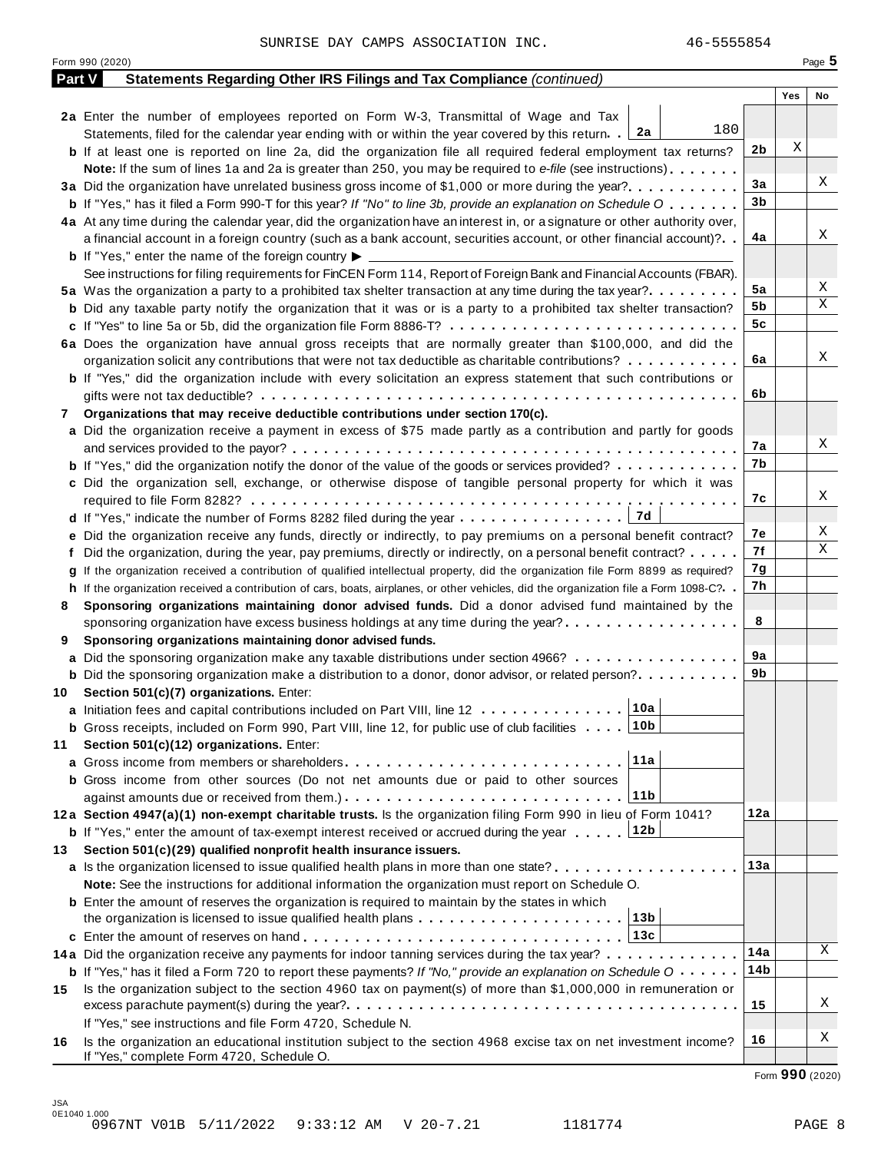|        | Form 990 (2020)                                                                                                                      |     |     | Page 5 |
|--------|--------------------------------------------------------------------------------------------------------------------------------------|-----|-----|--------|
| Part V | Statements Regarding Other IRS Filings and Tax Compliance (continued)                                                                |     |     |        |
|        |                                                                                                                                      |     | Yes | No     |
|        | 2a Enter the number of employees reported on Form W-3, Transmittal of Wage and Tax                                                   |     |     |        |
|        | 180<br>Statements, filed for the calendar year ending with or within the year covered by this return. 2a                             |     |     |        |
|        | <b>b</b> If at least one is reported on line 2a, did the organization file all required federal employment tax returns?              | 2b  | X   |        |
|        | <b>Note:</b> If the sum of lines 1a and 2a is greater than 250, you may be required to e-file (see instructions).                    |     |     |        |
|        | 3a Did the organization have unrelated business gross income of \$1,000 or more during the year?                                     | 3a  |     | Χ      |
|        | <b>b</b> If "Yes," has it filed a Form 990-T for this year? If "No" to line 3b, provide an explanation on Schedule O                 | 3b  |     |        |
|        | 4a At any time during the calendar year, did the organization have an interest in, or a signature or other authority over,           |     |     |        |
|        | a financial account in a foreign country (such as a bank account, securities account, or other financial account)?                   | 4a  |     | Χ      |
|        | <b>b</b> If "Yes," enter the name of the foreign country $\blacktriangleright$                                                       |     |     |        |
|        | See instructions for filing requirements for FinCEN Form 114, Report of Foreign Bank and Financial Accounts (FBAR).                  |     |     |        |
|        | 5a Was the organization a party to a prohibited tax shelter transaction at any time during the tax year?                             | 5a  |     | Χ      |
|        | <b>b</b> Did any taxable party notify the organization that it was or is a party to a prohibited tax shelter transaction?            | 5b  |     | Χ      |
|        | c If "Yes" to line 5a or 5b, did the organization file Form 8886-T?                                                                  | 5c  |     |        |
|        | 6a Does the organization have annual gross receipts that are normally greater than \$100,000, and did the                            |     |     |        |
|        | organization solicit any contributions that were not tax deductible as charitable contributions?                                     | 6a  |     | Χ      |
|        | <b>b</b> If "Yes," did the organization include with every solicitation an express statement that such contributions or              |     |     |        |
|        |                                                                                                                                      | 6b  |     |        |
| 7      | Organizations that may receive deductible contributions under section 170(c).                                                        |     |     |        |
|        | a Did the organization receive a payment in excess of \$75 made partly as a contribution and partly for goods                        |     |     |        |
|        |                                                                                                                                      | 7а  |     | Χ      |
|        | <b>b</b> If "Yes," did the organization notify the donor of the value of the goods or services provided?                             | 7b  |     |        |
|        | c Did the organization sell, exchange, or otherwise dispose of tangible personal property for which it was                           |     |     |        |
|        |                                                                                                                                      | 7с  |     | Χ      |
|        | 7d<br>d If "Yes," indicate the number of Forms 8282 filed during the year                                                            |     |     |        |
|        | e Did the organization receive any funds, directly or indirectly, to pay premiums on a personal benefit contract?                    | 7е  |     | Χ      |
|        | f Did the organization, during the year, pay premiums, directly or indirectly, on a personal benefit contract?                       | 7f  |     | Χ      |
|        | g If the organization received a contribution of qualified intellectual property, did the organization file Form 8899 as required?   | 7g  |     |        |
|        | h If the organization received a contribution of cars, boats, airplanes, or other vehicles, did the organization file a Form 1098-C? | 7h  |     |        |
| 8      | Sponsoring organizations maintaining donor advised funds. Did a donor advised fund maintained by the                                 |     |     |        |
|        | sponsoring organization have excess business holdings at any time during the year?                                                   | 8   |     |        |
| 9      | Sponsoring organizations maintaining donor advised funds.                                                                            |     |     |        |
|        | a Did the sponsoring organization make any taxable distributions under section 4966?                                                 | 9а  |     |        |
|        | <b>b</b> Did the sponsoring organization make a distribution to a donor, donor advisor, or related person?                           | 9b  |     |        |
|        | 10 Section 501(c)(7) organizations. Enter:                                                                                           |     |     |        |
|        | 10a <br>a Initiation fees and capital contributions included on Part VIII, line 12                                                   |     |     |        |
|        | 10b<br><b>b</b> Gross receipts, included on Form 990, Part VIII, line 12, for public use of club facilities                          |     |     |        |
| 11     | Section 501(c)(12) organizations. Enter:                                                                                             |     |     |        |
|        | 11a                                                                                                                                  |     |     |        |
|        | b Gross income from other sources (Do not net amounts due or paid to other sources                                                   |     |     |        |
|        | 11 <sub>b</sub>                                                                                                                      |     |     |        |
|        | 12a Section 4947(a)(1) non-exempt charitable trusts. Is the organization filing Form 990 in lieu of Form 1041?                       | 12a |     |        |
|        | 12b<br><b>b</b> If "Yes," enter the amount of tax-exempt interest received or accrued during the year                                |     |     |        |
| 13.    | Section 501(c)(29) qualified nonprofit health insurance issuers.                                                                     |     |     |        |
|        | <b>a</b> Is the organization licensed to issue qualified health plans in more than one state? <b>and interest and interest</b>       | 13а |     |        |
|        | Note: See the instructions for additional information the organization must report on Schedule O.                                    |     |     |        |
|        | <b>b</b> Enter the amount of reserves the organization is required to maintain by the states in which                                |     |     |        |
|        | 13b<br>the organization is licensed to issue qualified health plans $\ldots \ldots \ldots \ldots \ldots \ldots \ldots$               |     |     |        |
|        | 13c                                                                                                                                  |     |     |        |
|        | 14a Did the organization receive any payments for indoor tanning services during the tax year?                                       | 14a |     | Χ      |
|        | <b>b</b> If "Yes," has it filed a Form 720 to report these payments? If "No," provide an explanation on Schedule O                   | 14b |     |        |
| 15     | Is the organization subject to the section 4960 tax on payment(s) of more than \$1,000,000 in remuneration or                        |     |     |        |
|        |                                                                                                                                      | 15  |     | Χ      |
|        | If "Yes," see instructions and file Form 4720, Schedule N.                                                                           |     |     |        |
| 16     | Is the organization an educational institution subject to the section 4968 excise tax on net investment income?                      | 16  |     | Χ      |
|        | If "Yes," complete Form 4720, Schedule O.                                                                                            |     |     |        |

Form **990** (2020)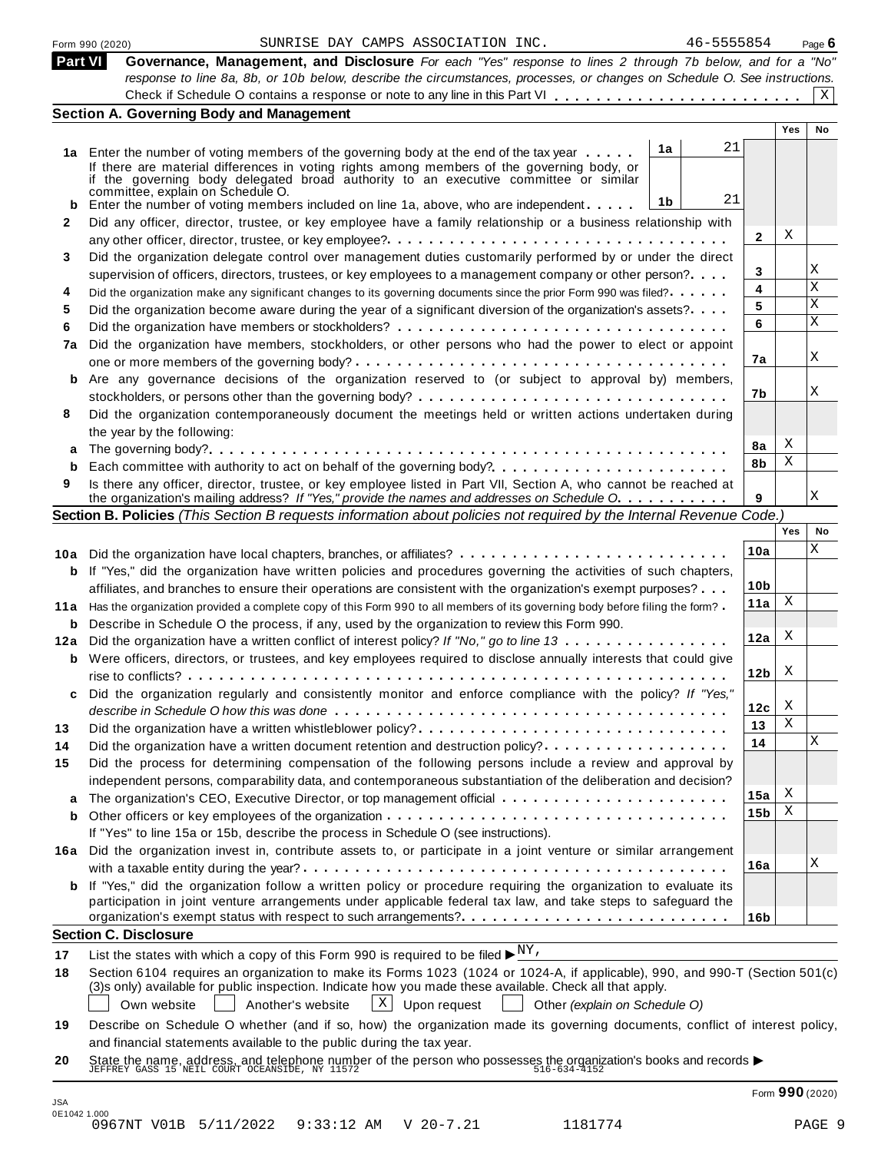|  | Form 990 (2020) |
|--|-----------------|
|  |                 |

| <b>Part VI</b> | Governance, Management, and Disclosure For each "Yes" response to lines 2 through 7b below, and for a "No"                |  |
|----------------|---------------------------------------------------------------------------------------------------------------------------|--|
|                | response to line 8a, 8b, or 10b below, describe the circumstances, processes, or changes on Schedule O. See instructions. |  |
|                |                                                                                                                           |  |
|                | <b>Section A. Governing Body and Management</b>                                                                           |  |

|     |                                                                                                                                                                                                                                          |                         | Yes | No          |  |  |  |  |  |  |
|-----|------------------------------------------------------------------------------------------------------------------------------------------------------------------------------------------------------------------------------------------|-------------------------|-----|-------------|--|--|--|--|--|--|
|     | 21<br>1a<br>1a Enter the number of voting members of the governing body at the end of the tax year                                                                                                                                       |                         |     |             |  |  |  |  |  |  |
|     | If there are material differences in voting rights among members of the governing body, or<br>if the governing body delegated broad authority to an executive committee or similar<br>committee, explain on Schedule O.                  |                         |     |             |  |  |  |  |  |  |
| b   | 21<br>1b<br>Enter the number of voting members included on line 1a, above, who are independent                                                                                                                                           |                         |     |             |  |  |  |  |  |  |
| 2   | Did any officer, director, trustee, or key employee have a family relationship or a business relationship with                                                                                                                           |                         |     |             |  |  |  |  |  |  |
|     | any other officer, director, trustee, or key employee?. $\dots \dots \dots \dots \dots \dots \dots \dots \dots \dots \dots \dots \dots \dots$                                                                                            | $\mathbf{2}$            | Χ   |             |  |  |  |  |  |  |
| 3   | Did the organization delegate control over management duties customarily performed by or under the direct                                                                                                                                |                         |     |             |  |  |  |  |  |  |
|     | supervision of officers, directors, trustees, or key employees to a management company or other person?                                                                                                                                  | 3                       |     | Χ           |  |  |  |  |  |  |
| 4   | Did the organization make any significant changes to its governing documents since the prior Form 990 was filed?                                                                                                                         | $\overline{\mathbf{4}}$ |     | $\mathbf x$ |  |  |  |  |  |  |
| 5   | Did the organization become aware during the year of a significant diversion of the organization's assets?                                                                                                                               | 5                       |     | $\mathbf X$ |  |  |  |  |  |  |
| 6   |                                                                                                                                                                                                                                          | 6                       |     | $\mathbf X$ |  |  |  |  |  |  |
| 7a  | Did the organization have members, stockholders, or other persons who had the power to elect or appoint                                                                                                                                  |                         |     |             |  |  |  |  |  |  |
|     |                                                                                                                                                                                                                                          | 7a                      |     | X           |  |  |  |  |  |  |
| b   | Are any governance decisions of the organization reserved to (or subject to approval by) members,                                                                                                                                        |                         |     |             |  |  |  |  |  |  |
|     |                                                                                                                                                                                                                                          | 7b                      |     | Χ           |  |  |  |  |  |  |
| 8   | Did the organization contemporaneously document the meetings held or written actions undertaken during                                                                                                                                   |                         |     |             |  |  |  |  |  |  |
|     | the year by the following:                                                                                                                                                                                                               |                         |     |             |  |  |  |  |  |  |
| a   |                                                                                                                                                                                                                                          | 8a                      | Χ   |             |  |  |  |  |  |  |
| b   |                                                                                                                                                                                                                                          | 8b                      | X   |             |  |  |  |  |  |  |
| 9   | Is there any officer, director, trustee, or key employee listed in Part VII, Section A, who cannot be reached at                                                                                                                         |                         |     |             |  |  |  |  |  |  |
|     | the organization's mailing address? If "Yes," provide the names and addresses on Schedule O.                                                                                                                                             | 9                       |     | X           |  |  |  |  |  |  |
|     | Section B. Policies (This Section B requests information about policies not required by the Internal Revenue Code.)                                                                                                                      |                         |     |             |  |  |  |  |  |  |
|     |                                                                                                                                                                                                                                          |                         | Yes | No          |  |  |  |  |  |  |
|     | 10a Did the organization have local chapters, branches, or affiliates?                                                                                                                                                                   | 10a                     |     | X           |  |  |  |  |  |  |
| b   | If "Yes," did the organization have written policies and procedures governing the activities of such chapters,                                                                                                                           |                         |     |             |  |  |  |  |  |  |
|     | affiliates, and branches to ensure their operations are consistent with the organization's exempt purposes?                                                                                                                              | 10 <sub>b</sub>         |     |             |  |  |  |  |  |  |
|     | 11a Has the organization provided a complete copy of this Form 990 to all members of its governing body before filing the form?                                                                                                          | 11a                     | X   |             |  |  |  |  |  |  |
| b   | Describe in Schedule O the process, if any, used by the organization to review this Form 990.                                                                                                                                            |                         |     |             |  |  |  |  |  |  |
| 12a | Did the organization have a written conflict of interest policy? If "No," go to line 13                                                                                                                                                  | 12a                     | Χ   |             |  |  |  |  |  |  |
| b   | Were officers, directors, or trustees, and key employees required to disclose annually interests that could give                                                                                                                         |                         |     |             |  |  |  |  |  |  |
|     |                                                                                                                                                                                                                                          | 12 <sub>b</sub>         | Χ   |             |  |  |  |  |  |  |
| c   | Did the organization regularly and consistently monitor and enforce compliance with the policy? If "Yes,"                                                                                                                                |                         |     |             |  |  |  |  |  |  |
|     |                                                                                                                                                                                                                                          | 12c                     | X   |             |  |  |  |  |  |  |
| 13  | Did the organization have a written whistleblower policy?                                                                                                                                                                                | 13                      | X   |             |  |  |  |  |  |  |
| 14  |                                                                                                                                                                                                                                          | 14                      |     | X           |  |  |  |  |  |  |
| 15  | Did the process for determining compensation of the following persons include a review and approval by                                                                                                                                   |                         |     |             |  |  |  |  |  |  |
|     | independent persons, comparability data, and contemporaneous substantiation of the deliberation and decision?                                                                                                                            |                         |     |             |  |  |  |  |  |  |
| a   |                                                                                                                                                                                                                                          | 15a                     | Χ   |             |  |  |  |  |  |  |
| b   |                                                                                                                                                                                                                                          | 15 <sub>b</sub>         | Χ   |             |  |  |  |  |  |  |
|     | If "Yes" to line 15a or 15b, describe the process in Schedule O (see instructions).                                                                                                                                                      |                         |     |             |  |  |  |  |  |  |
|     | 16a Did the organization invest in, contribute assets to, or participate in a joint venture or similar arrangement                                                                                                                       |                         |     |             |  |  |  |  |  |  |
|     |                                                                                                                                                                                                                                          | 16a                     |     | Χ           |  |  |  |  |  |  |
|     | <b>b</b> If "Yes," did the organization follow a written policy or procedure requiring the organization to evaluate its                                                                                                                  |                         |     |             |  |  |  |  |  |  |
|     | participation in joint venture arrangements under applicable federal tax law, and take steps to safeguard the                                                                                                                            |                         |     |             |  |  |  |  |  |  |
|     |                                                                                                                                                                                                                                          | 16b                     |     |             |  |  |  |  |  |  |
|     | <b>Section C. Disclosure</b>                                                                                                                                                                                                             |                         |     |             |  |  |  |  |  |  |
| 17  | List the states with which a copy of this Form 990 is required to be filed $\blacktriangleright^{\text{NY}}$ .                                                                                                                           |                         |     |             |  |  |  |  |  |  |
| 18  | Section 6104 requires an organization to make its Forms 1023 (1024 or 1024-A, if applicable), 990, and 990-T (Section 501(c)<br>(3)s only) available for public inspection. Indicate how you made these available. Check all that apply. |                         |     |             |  |  |  |  |  |  |

Own website  $\Box$  Another's website  $\Box$  Upon request  $\Box$  Other *(explain on Schedule O)* 

**19** Describe on Schedule O whether (and if so, how) the organization made its governing documents, conflict of interest policy, and financial statements available to the public during the tax year.

**20** and infancial statements available to the public during the tax year.<br>State the name, address, and telephone number of the person who possesses the organization's books and records<br>JEFFREY GASS 15 NEIL COURT OCEANSIDE, NY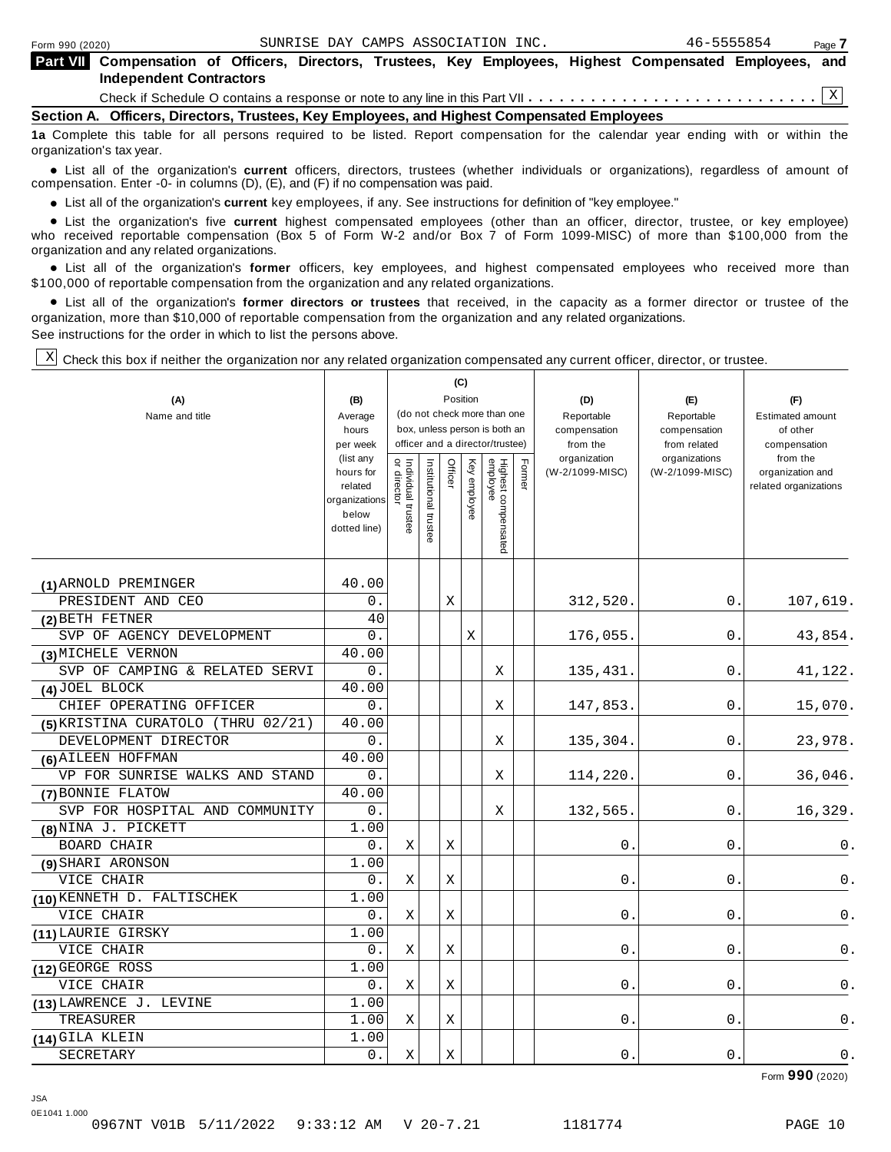|                                                                                            | <b>Part VII</b> Compensation of Officers, Directors, Trustees, Key Employees, Highest Compensated Employees, and<br><b>Independent Contractors</b> |  |  |  |  |  |  |  |  |  |  |  |
|--------------------------------------------------------------------------------------------|----------------------------------------------------------------------------------------------------------------------------------------------------|--|--|--|--|--|--|--|--|--|--|--|
|                                                                                            |                                                                                                                                                    |  |  |  |  |  |  |  |  |  |  |  |
| Section A. Officers, Directors, Trustees, Key Employees, and Highest Compensated Employees |                                                                                                                                                    |  |  |  |  |  |  |  |  |  |  |  |
|                                                                                            | da Osamahita ikka ikka da all mamama mambad ia ka Kitad. Damam mamamaikin famika mahadan mamamadkan mbinta ikk                                     |  |  |  |  |  |  |  |  |  |  |  |

**1a** Complete this table for all persons required to be listed. Report compensation for the calendar year ending with or within the organization's tax year.

anization's lax year.<br>● List all of the organization's **current** officers, directors, trustees (whether individuals or organizations), regardless of amount of<br>nnensation Enter -0- in columns (D) (E) and (E) if no compensa compensation. Enter -0- in columns (D), (E), and (F) if no compensation was paid.

• List all of the organization's current key employees, if any. See instructions for definition of "key employee."

■ List all of the organization's current key employees, if any. See instructions for definition of "key employee."<br>■ List the organization's five current highest compensated employees (other than an officer, director, tru who received reportable compensation (Box 5 of Form W-2 and/or Box 7 of Form 1099-MISC) of more than \$100,000 from the

organization and any related organizations.<br>• List all of the organization's **former** officers, key employees, and highest compensated employees who received more than<br>\$1.00.000 of reportable componention from the erganiza \$100,000 of reportable compensation from the organization and any related organizations.

% List all of the organization's **former directors or trustees** that received, in the capacity as a former director or trustee of the organization, more than \$10,000 of reportable compensation from the organization and any related organizations. See instructions for the order in which to list the persons above.

┱

Check this box if neither the organization nor any related organization compensated any current officer, director, or trustee. X

| (A)<br>Name and title                | (B)<br>Average<br>hours<br>per week<br>(list any<br>hours for<br>related<br>organizations<br>below<br>dotted line) | Individual trustee<br>or director | Institutional trustee | Officer     | (C)<br>Position<br>Key employee | (do not check more than one<br>box, unless person is both an<br>officer and a director/trustee)<br>Highest compensated<br>employee | Former | (D)<br>Reportable<br>compensation<br>from the<br>organization<br>(W-2/1099-MISC) | (E)<br>Reportable<br>compensation<br>from related<br>organizations<br>(W-2/1099-MISC) | (F)<br><b>Estimated amount</b><br>of other<br>compensation<br>from the<br>organization and<br>related organizations |
|--------------------------------------|--------------------------------------------------------------------------------------------------------------------|-----------------------------------|-----------------------|-------------|---------------------------------|------------------------------------------------------------------------------------------------------------------------------------|--------|----------------------------------------------------------------------------------|---------------------------------------------------------------------------------------|---------------------------------------------------------------------------------------------------------------------|
|                                      |                                                                                                                    |                                   |                       |             |                                 |                                                                                                                                    |        |                                                                                  |                                                                                       |                                                                                                                     |
| (1) ARNOLD PREMINGER                 | 40.00                                                                                                              |                                   |                       |             |                                 |                                                                                                                                    |        |                                                                                  |                                                                                       |                                                                                                                     |
| PRESIDENT AND CEO                    | 0.                                                                                                                 |                                   |                       | X           |                                 |                                                                                                                                    |        | 312,520.                                                                         | 0.                                                                                    | 107,619.                                                                                                            |
| (2) BETH FETNER                      | 40                                                                                                                 |                                   |                       |             |                                 |                                                                                                                                    |        |                                                                                  |                                                                                       |                                                                                                                     |
| SVP OF AGENCY DEVELOPMENT            | 0.                                                                                                                 |                                   |                       |             | X                               |                                                                                                                                    |        | 176,055.                                                                         | 0.                                                                                    | 43,854.                                                                                                             |
| (3) MICHELE VERNON                   | 40.00                                                                                                              |                                   |                       |             |                                 |                                                                                                                                    |        |                                                                                  |                                                                                       |                                                                                                                     |
| SVP OF CAMPING & RELATED SERVI       | 0.                                                                                                                 |                                   |                       |             |                                 | X                                                                                                                                  |        | 135,431.                                                                         | 0.                                                                                    | 41,122.                                                                                                             |
| (4) JOEL BLOCK                       | 40.00                                                                                                              |                                   |                       |             |                                 |                                                                                                                                    |        |                                                                                  |                                                                                       |                                                                                                                     |
| CHIEF OPERATING OFFICER              | 0.                                                                                                                 |                                   |                       |             |                                 | Χ                                                                                                                                  |        | 147,853.                                                                         | 0.                                                                                    | 15,070.                                                                                                             |
| $(5)$ KRISTINA CURATOLO (THRU 02/21) | 40.00                                                                                                              |                                   |                       |             |                                 |                                                                                                                                    |        |                                                                                  |                                                                                       |                                                                                                                     |
| DEVELOPMENT DIRECTOR                 | 0.                                                                                                                 |                                   |                       |             |                                 | Χ                                                                                                                                  |        | 135,304.                                                                         | 0.                                                                                    | 23,978.                                                                                                             |
| (6) AILEEN HOFFMAN                   | 40.00                                                                                                              |                                   |                       |             |                                 |                                                                                                                                    |        |                                                                                  |                                                                                       |                                                                                                                     |
| VP FOR SUNRISE WALKS AND STAND       | 0.                                                                                                                 |                                   |                       |             |                                 | X                                                                                                                                  |        | 114,220.                                                                         | 0.                                                                                    | 36,046.                                                                                                             |
| (7) BONNIE FLATOW                    | 40.00                                                                                                              |                                   |                       |             |                                 |                                                                                                                                    |        |                                                                                  |                                                                                       |                                                                                                                     |
| SVP FOR HOSPITAL AND COMMUNITY       | 0.                                                                                                                 |                                   |                       |             |                                 | Χ                                                                                                                                  |        | 132,565.                                                                         | 0.                                                                                    | 16,329.                                                                                                             |
| (8) NINA J. PICKETT                  | 1.00                                                                                                               |                                   |                       |             |                                 |                                                                                                                                    |        |                                                                                  |                                                                                       |                                                                                                                     |
| <b>BOARD CHAIR</b>                   | 0.                                                                                                                 | X                                 |                       | X           |                                 |                                                                                                                                    |        | 0                                                                                | 0                                                                                     | 0.                                                                                                                  |
| (9) SHARI ARONSON                    | 1.00                                                                                                               |                                   |                       |             |                                 |                                                                                                                                    |        |                                                                                  |                                                                                       |                                                                                                                     |
| VICE CHAIR                           | 0.                                                                                                                 | Χ                                 |                       | Χ           |                                 |                                                                                                                                    |        | 0                                                                                | 0                                                                                     | 0.                                                                                                                  |
| (10) KENNETH D. FALTISCHEK           | 1.00                                                                                                               |                                   |                       |             |                                 |                                                                                                                                    |        |                                                                                  |                                                                                       |                                                                                                                     |
| VICE CHAIR                           | 0.                                                                                                                 | Χ                                 |                       | Χ           |                                 |                                                                                                                                    |        | 0                                                                                | $\mathbf 0$ .                                                                         | 0.                                                                                                                  |
| (11) LAURIE GIRSKY                   | 1.00                                                                                                               |                                   |                       |             |                                 |                                                                                                                                    |        |                                                                                  |                                                                                       |                                                                                                                     |
| VICE CHAIR                           | 0.                                                                                                                 | X                                 |                       | X           |                                 |                                                                                                                                    |        | $\mathbf 0$                                                                      | $\mathbf 0$                                                                           | 0.                                                                                                                  |
| (12) GEORGE ROSS                     | 1.00                                                                                                               |                                   |                       |             |                                 |                                                                                                                                    |        |                                                                                  |                                                                                       |                                                                                                                     |
| VICE CHAIR                           | 0.                                                                                                                 | Χ                                 |                       | X           |                                 |                                                                                                                                    |        | 0                                                                                | 0                                                                                     | 0.                                                                                                                  |
| (13) LAWRENCE J. LEVINE              | 1.00                                                                                                               |                                   |                       |             |                                 |                                                                                                                                    |        |                                                                                  |                                                                                       |                                                                                                                     |
| TREASURER                            | 1.00                                                                                                               | Χ                                 |                       | $\mathbf X$ |                                 |                                                                                                                                    |        | 0                                                                                | 0                                                                                     | $0$ .                                                                                                               |
| (14) GILA KLEIN                      | 1.00                                                                                                               |                                   |                       |             |                                 |                                                                                                                                    |        |                                                                                  |                                                                                       |                                                                                                                     |
| SECRETARY                            | 0.                                                                                                                 | Χ                                 |                       | Χ           |                                 |                                                                                                                                    |        | 0.                                                                               | 0                                                                                     | 0.                                                                                                                  |

Form **990** (2020)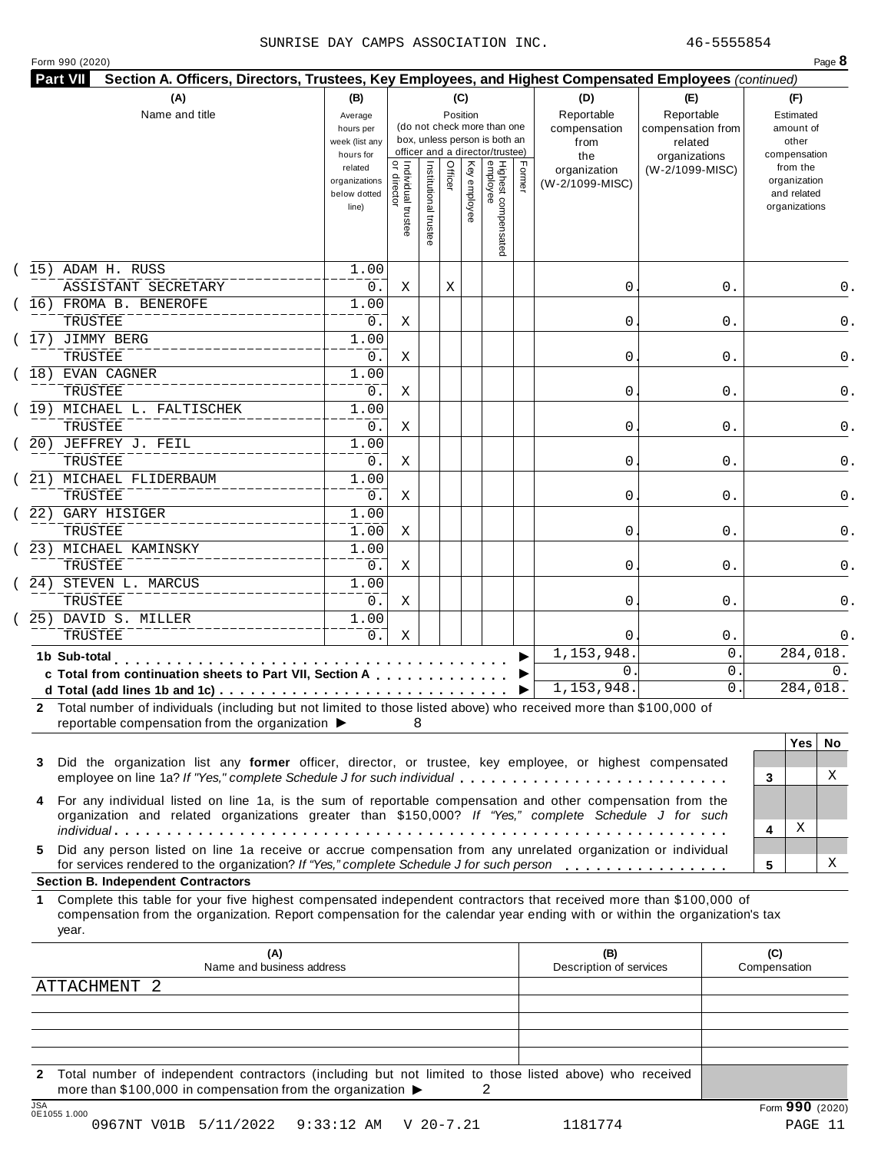### SUNRISE DAY CAMPS ASSOCIATION INC. 46-5555854

|  |  | Form 990 (2020) |
|--|--|-----------------|
|--|--|-----------------|

| (A)<br>Name and title                                                                                                                                                                                                                                                                                                                                                                                                | (B)<br>Average<br>hours per<br>week (list any<br>hours for |                                           |                       | (C)<br>Position |              | (do not check more than one<br>box, unless person is both an<br>officer and a director/trustee) |        | (D)<br>Reportable<br>compensation<br>from<br>the | (E)<br>Reportable<br>compensation from<br>related<br>organizations | (F)<br>Estimated<br>amount of<br>other<br>compensation   |
|----------------------------------------------------------------------------------------------------------------------------------------------------------------------------------------------------------------------------------------------------------------------------------------------------------------------------------------------------------------------------------------------------------------------|------------------------------------------------------------|-------------------------------------------|-----------------------|-----------------|--------------|-------------------------------------------------------------------------------------------------|--------|--------------------------------------------------|--------------------------------------------------------------------|----------------------------------------------------------|
|                                                                                                                                                                                                                                                                                                                                                                                                                      | related<br>organizations<br>below dotted<br>line)          | <br>  Individual trustee<br>  or director | Institutional trustee | Officer         | Key employee | Highest compensated<br>employee                                                                 | Former | organization<br>(W-2/1099-MISC)                  | (W-2/1099-MISC)                                                    | from the<br>organization<br>and related<br>organizations |
| (15) ADAM H. RUSS                                                                                                                                                                                                                                                                                                                                                                                                    | 1.00                                                       |                                           |                       |                 |              |                                                                                                 |        |                                                  |                                                                    |                                                          |
| ASSISTANT SECRETARY                                                                                                                                                                                                                                                                                                                                                                                                  | 0.                                                         | Χ                                         |                       | Χ               |              |                                                                                                 |        | 0                                                | 0.                                                                 | 0.                                                       |
| (16) FROMA B. BENEROFE<br>TRUSTEE                                                                                                                                                                                                                                                                                                                                                                                    | 1.00<br>0.                                                 | Χ                                         |                       |                 |              |                                                                                                 |        | 0                                                | 0.                                                                 | 0.                                                       |
| 17) JIMMY BERG                                                                                                                                                                                                                                                                                                                                                                                                       | 1.00                                                       |                                           |                       |                 |              |                                                                                                 |        |                                                  |                                                                    |                                                          |
| TRUSTEE                                                                                                                                                                                                                                                                                                                                                                                                              | 0.                                                         | Χ                                         |                       |                 |              |                                                                                                 |        | 0                                                | 0.                                                                 | 0.                                                       |
| 18) EVAN CAGNER                                                                                                                                                                                                                                                                                                                                                                                                      | 1.00                                                       |                                           |                       |                 |              |                                                                                                 |        |                                                  |                                                                    |                                                          |
| TRUSTEE                                                                                                                                                                                                                                                                                                                                                                                                              | 0.                                                         | Χ                                         |                       |                 |              |                                                                                                 |        | 0                                                | 0.                                                                 | 0.                                                       |
| (19) MICHAEL L. FALTISCHEK                                                                                                                                                                                                                                                                                                                                                                                           | 1.00                                                       |                                           |                       |                 |              |                                                                                                 |        |                                                  |                                                                    |                                                          |
| TRUSTEE                                                                                                                                                                                                                                                                                                                                                                                                              | 0.                                                         | Χ                                         |                       |                 |              |                                                                                                 |        | 0                                                | 0.                                                                 | 0.                                                       |
| 20) JEFFREY J. FEIL                                                                                                                                                                                                                                                                                                                                                                                                  | 1.00                                                       |                                           |                       |                 |              |                                                                                                 |        |                                                  |                                                                    |                                                          |
| TRUSTEE                                                                                                                                                                                                                                                                                                                                                                                                              | 0.                                                         | Χ                                         |                       |                 |              |                                                                                                 |        | 0                                                | 0.                                                                 | 0.                                                       |
| 21) MICHAEL FLIDERBAUM                                                                                                                                                                                                                                                                                                                                                                                               | 1.00                                                       |                                           |                       |                 |              |                                                                                                 |        |                                                  |                                                                    |                                                          |
| TRUSTEE<br>22) GARY HISIGER                                                                                                                                                                                                                                                                                                                                                                                          | $0$ .<br>$\overline{1}$ .00                                | Χ                                         |                       |                 |              |                                                                                                 |        | 0                                                | 0.                                                                 | 0.                                                       |
| TRUSTEE                                                                                                                                                                                                                                                                                                                                                                                                              | 1.00                                                       | Χ                                         |                       |                 |              |                                                                                                 |        | 0                                                | 0.                                                                 | 0.                                                       |
| 23) MICHAEL KAMINSKY                                                                                                                                                                                                                                                                                                                                                                                                 | 1.00                                                       |                                           |                       |                 |              |                                                                                                 |        |                                                  |                                                                    |                                                          |
| TRUSTEE                                                                                                                                                                                                                                                                                                                                                                                                              | $0$ .                                                      | Χ                                         |                       |                 |              |                                                                                                 |        | 0                                                | 0.                                                                 | 0.                                                       |
| 24) STEVEN L. MARCUS                                                                                                                                                                                                                                                                                                                                                                                                 | 1.00                                                       |                                           |                       |                 |              |                                                                                                 |        |                                                  |                                                                    |                                                          |
| TRUSTEE                                                                                                                                                                                                                                                                                                                                                                                                              | $0$ .                                                      | Χ                                         |                       |                 |              |                                                                                                 |        | 0                                                | 0.                                                                 | 0.                                                       |
| 25) DAVID S. MILLER                                                                                                                                                                                                                                                                                                                                                                                                  | 1.00                                                       |                                           |                       |                 |              |                                                                                                 |        |                                                  |                                                                    |                                                          |
| TRUSTEE                                                                                                                                                                                                                                                                                                                                                                                                              | 0.                                                         | Χ                                         |                       |                 |              |                                                                                                 |        | $\Omega$                                         | $0$ .                                                              | 0.                                                       |
| 1b Sub-total<br>.                                                                                                                                                                                                                                                                                                                                                                                                    |                                                            |                                           |                       |                 |              |                                                                                                 |        | 1, 153, 948.                                     | 0                                                                  | 284,018.                                                 |
| c Total from continuation sheets to Part VII, Section A                                                                                                                                                                                                                                                                                                                                                              |                                                            |                                           |                       |                 |              |                                                                                                 |        | $\mathbf{0}$<br>1, 153, 948.                     | 0<br>0.                                                            | 0.<br>284,018.                                           |
| 2 Total number of individuals (including but not limited to those listed above) who received more than \$100,000 of<br>reportable compensation from the organization ▶                                                                                                                                                                                                                                               |                                                            | 8                                         |                       |                 |              |                                                                                                 |        |                                                  |                                                                    | <b>Yes</b><br>No.                                        |
| Did the organization list any former officer, director, or trustee, key employee, or highest compensated<br>3<br>employee on line 1a? If "Yes," complete Schedule J for such individual<br>For any individual listed on line 1a, is the sum of reportable compensation and other compensation from the<br>4<br>organization and related organizations greater than \$150,000? If "Yes," complete Schedule J for such |                                                            |                                           |                       |                 |              |                                                                                                 |        |                                                  |                                                                    | X<br>3                                                   |
|                                                                                                                                                                                                                                                                                                                                                                                                                      |                                                            |                                           |                       |                 |              |                                                                                                 |        |                                                  |                                                                    | Χ<br>4                                                   |
| Did any person listed on line 1a receive or accrue compensation from any unrelated organization or individual<br>5.                                                                                                                                                                                                                                                                                                  |                                                            |                                           |                       |                 |              |                                                                                                 |        |                                                  |                                                                    |                                                          |
| for services rendered to the organization? If "Yes," complete Schedule J for such person<br><b>Section B. Independent Contractors</b>                                                                                                                                                                                                                                                                                |                                                            |                                           |                       |                 |              |                                                                                                 |        |                                                  |                                                                    | х<br>5                                                   |
| Complete this table for your five highest compensated independent contractors that received more than \$100,000 of<br>1<br>compensation from the organization. Report compensation for the calendar year ending with or within the organization's tax<br>year.                                                                                                                                                       |                                                            |                                           |                       |                 |              |                                                                                                 |        |                                                  |                                                                    |                                                          |
| (A)                                                                                                                                                                                                                                                                                                                                                                                                                  |                                                            |                                           |                       |                 |              |                                                                                                 |        | (B)                                              |                                                                    | (C)                                                      |
| Name and business address<br><b>ATTACHMENT</b><br>$\overline{2}$                                                                                                                                                                                                                                                                                                                                                     |                                                            |                                           |                       |                 |              |                                                                                                 |        | Description of services                          |                                                                    | Compensation                                             |
|                                                                                                                                                                                                                                                                                                                                                                                                                      |                                                            |                                           |                       |                 |              |                                                                                                 |        |                                                  |                                                                    |                                                          |
|                                                                                                                                                                                                                                                                                                                                                                                                                      |                                                            |                                           |                       |                 |              |                                                                                                 |        |                                                  |                                                                    |                                                          |
|                                                                                                                                                                                                                                                                                                                                                                                                                      |                                                            |                                           |                       |                 |              |                                                                                                 |        |                                                  |                                                                    |                                                          |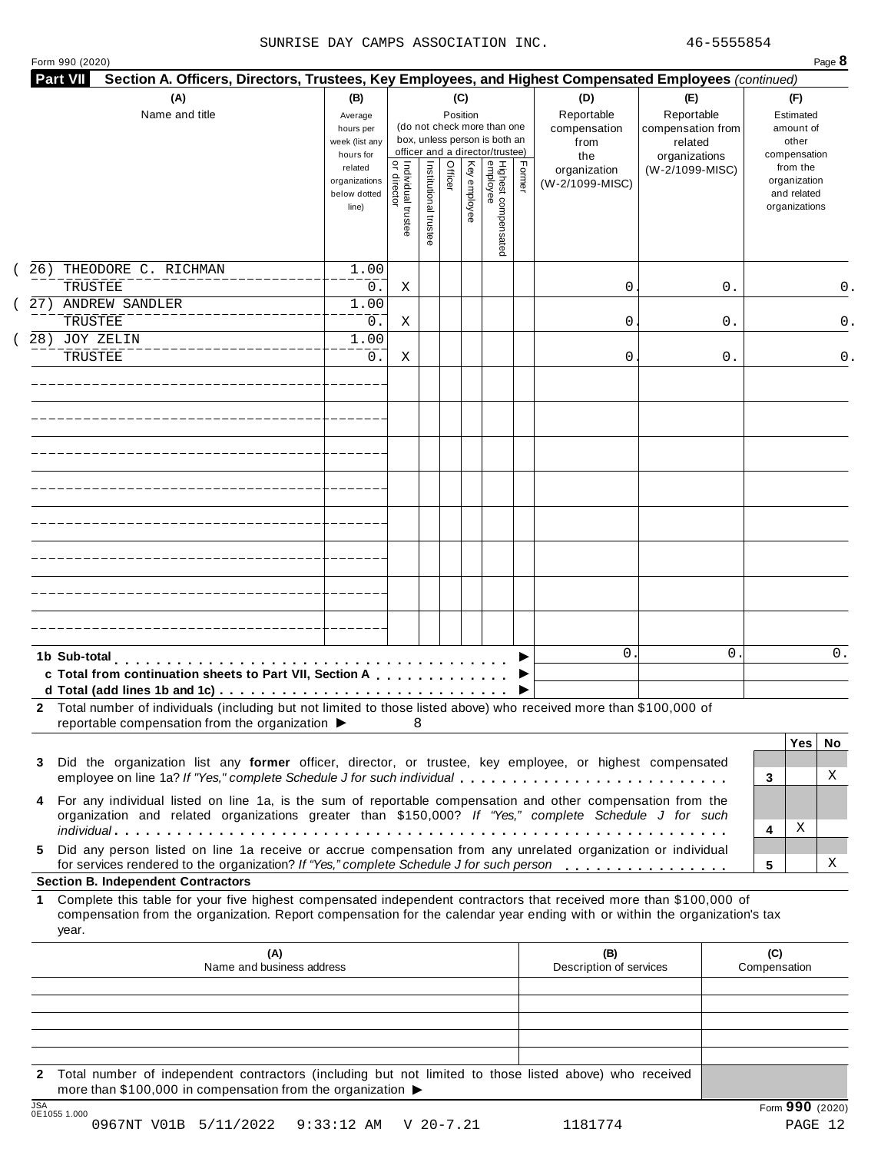### SUNRISE DAY CAMPS ASSOCIATION INC. 46-5555854

| Form 990 (2020) | Page $\delta$ |
|-----------------|---------------|
|-----------------|---------------|

| Section A. Officers, Directors, Trustees, Key Employees, and Highest Compensated Employees (continued)<br><b>Part VII</b>                                                                                                                                                                              |                                                            |                                   |                       |         |              |                                                                                                 |        |                                                  |                                                                    |    |                                                          |       |
|--------------------------------------------------------------------------------------------------------------------------------------------------------------------------------------------------------------------------------------------------------------------------------------------------------|------------------------------------------------------------|-----------------------------------|-----------------------|---------|--------------|-------------------------------------------------------------------------------------------------|--------|--------------------------------------------------|--------------------------------------------------------------------|----|----------------------------------------------------------|-------|
| (A)<br>Name and title                                                                                                                                                                                                                                                                                  | (B)<br>Average<br>hours per<br>week (list any<br>hours for |                                   |                       | (C)     | Position     | (do not check more than one<br>box, unless person is both an<br>officer and a director/trustee) |        | (D)<br>Reportable<br>compensation<br>from<br>the | (E)<br>Reportable<br>compensation from<br>related<br>organizations |    | (F)<br>Estimated<br>amount of<br>other<br>compensation   |       |
|                                                                                                                                                                                                                                                                                                        | related<br>organizations<br>below dotted<br>line)          | Individual trustee<br>or director | Institutional trustee | Officer | Key employee | Highest compensated<br>employee                                                                 | Former | organization<br>(W-2/1099-MISC)                  | (W-2/1099-MISC)                                                    |    | from the<br>organization<br>and related<br>organizations |       |
| 26)<br>THEODORE C. RICHMAN                                                                                                                                                                                                                                                                             | 1.00                                                       |                                   |                       |         |              |                                                                                                 |        |                                                  |                                                                    |    |                                                          |       |
| TRUSTEE<br>27) ANDREW SANDLER                                                                                                                                                                                                                                                                          | 0.<br>1.00                                                 | Χ                                 |                       |         |              |                                                                                                 |        | 0                                                |                                                                    | 0. |                                                          |       |
| TRUSTEE                                                                                                                                                                                                                                                                                                | $0$ .                                                      | Χ                                 |                       |         |              |                                                                                                 |        | 0                                                |                                                                    | 0. |                                                          |       |
| 28) JOY ZELIN<br>TRUSTEE                                                                                                                                                                                                                                                                               | 1.00<br>0.                                                 | Χ                                 |                       |         |              |                                                                                                 |        | 0                                                |                                                                    | 0. |                                                          |       |
|                                                                                                                                                                                                                                                                                                        |                                                            |                                   |                       |         |              |                                                                                                 |        |                                                  |                                                                    |    |                                                          |       |
|                                                                                                                                                                                                                                                                                                        |                                                            |                                   |                       |         |              |                                                                                                 |        |                                                  |                                                                    |    |                                                          |       |
|                                                                                                                                                                                                                                                                                                        |                                                            |                                   |                       |         |              |                                                                                                 |        |                                                  |                                                                    |    |                                                          |       |
|                                                                                                                                                                                                                                                                                                        |                                                            |                                   |                       |         |              |                                                                                                 |        |                                                  |                                                                    |    |                                                          |       |
|                                                                                                                                                                                                                                                                                                        |                                                            |                                   |                       |         |              |                                                                                                 |        |                                                  |                                                                    |    |                                                          |       |
|                                                                                                                                                                                                                                                                                                        |                                                            |                                   |                       |         |              |                                                                                                 |        |                                                  |                                                                    |    |                                                          |       |
|                                                                                                                                                                                                                                                                                                        |                                                            |                                   |                       |         |              |                                                                                                 |        |                                                  |                                                                    |    |                                                          |       |
|                                                                                                                                                                                                                                                                                                        |                                                            |                                   |                       |         |              |                                                                                                 |        |                                                  |                                                                    |    |                                                          |       |
| 1b Sub-total<br>c Total from continuation sheets to Part VII, Section A<br>2 Total number of individuals (including but not limited to those listed above) who received more than \$100,000 of                                                                                                         |                                                            |                                   |                       |         |              |                                                                                                 |        | 0.                                               |                                                                    | 0  |                                                          | $0$ . |
| reportable compensation from the organization ▶                                                                                                                                                                                                                                                        |                                                            |                                   |                       |         |              |                                                                                                 |        |                                                  |                                                                    |    | Yes <sub>1</sub>                                         | No    |
| Did the organization list any former officer, director, or trustee, key employee, or highest compensated<br>3<br>employee on line 1a? If "Yes," complete Schedule J for such individual<br>For any individual listed on line 1a, is the sum of reportable compensation and other compensation from the |                                                            |                                   |                       |         |              |                                                                                                 |        |                                                  |                                                                    |    | 3                                                        | Χ     |
| organization and related organizations greater than \$150,000? If "Yes," complete Schedule J for such                                                                                                                                                                                                  |                                                            |                                   |                       |         |              |                                                                                                 |        |                                                  |                                                                    |    | Χ<br>4                                                   |       |
| Did any person listed on line 1a receive or accrue compensation from any unrelated organization or individual<br>5.<br>for services rendered to the organization? If "Yes," complete Schedule J for such person<br><b>Section B. Independent Contractors</b>                                           |                                                            |                                   |                       |         |              |                                                                                                 |        |                                                  |                                                                    |    | 5                                                        | Χ     |
| Complete this table for your five highest compensated independent contractors that received more than \$100,000 of<br>1<br>compensation from the organization. Report compensation for the calendar year ending with or within the organization's tax<br>year.                                         |                                                            |                                   |                       |         |              |                                                                                                 |        |                                                  |                                                                    |    |                                                          |       |
| (A)<br>Name and business address                                                                                                                                                                                                                                                                       |                                                            |                                   |                       |         |              |                                                                                                 |        | (B)<br>Description of services                   |                                                                    |    | (C)<br>Compensation                                      |       |
|                                                                                                                                                                                                                                                                                                        |                                                            |                                   |                       |         |              |                                                                                                 |        |                                                  |                                                                    |    |                                                          |       |
|                                                                                                                                                                                                                                                                                                        |                                                            |                                   |                       |         |              |                                                                                                 |        |                                                  |                                                                    |    |                                                          |       |
| 2 Total number of independent contractors (including but not limited to those listed above) who received                                                                                                                                                                                               |                                                            |                                   |                       |         |              |                                                                                                 |        |                                                  |                                                                    |    |                                                          |       |
| more than \$100,000 in compensation from the organization ▶                                                                                                                                                                                                                                            |                                                            |                                   |                       |         |              |                                                                                                 |        |                                                  |                                                                    |    |                                                          |       |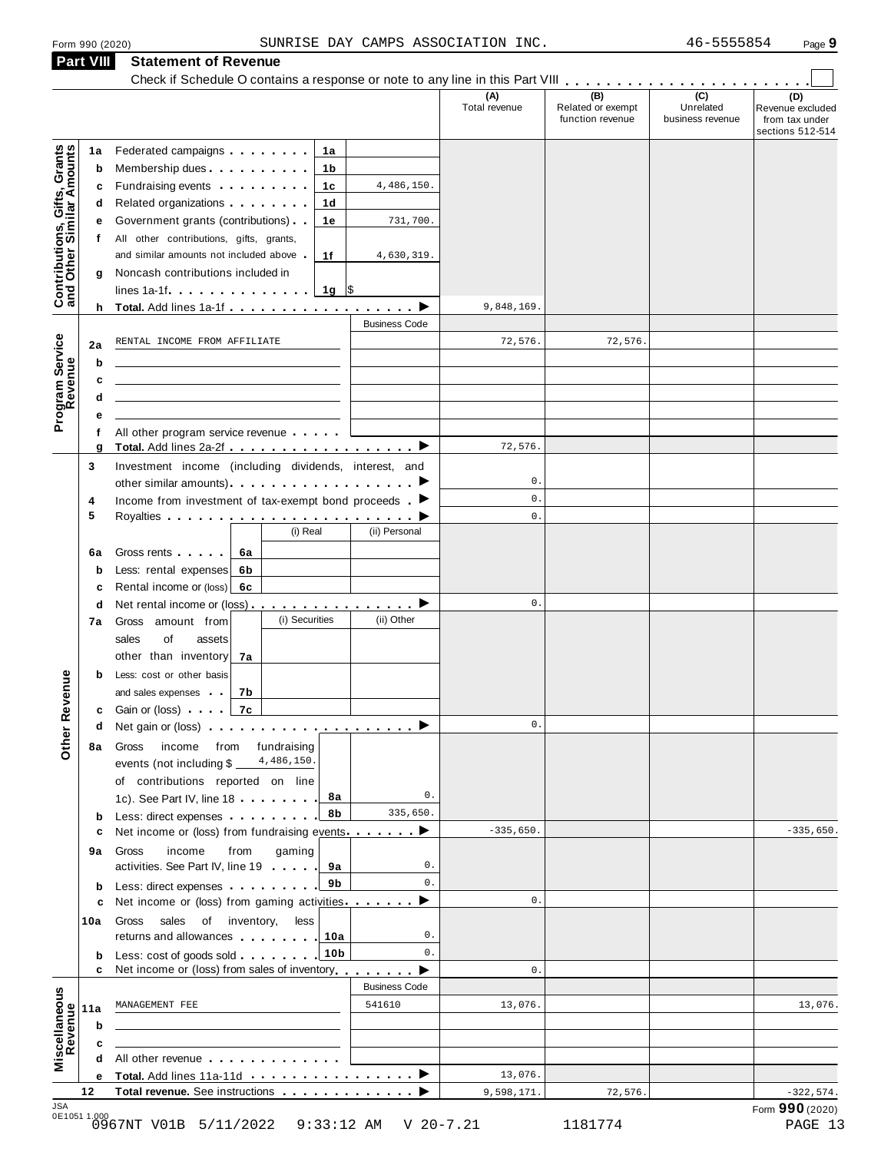**Part VIII Statement of Revenue**

### Statement of Revenue<br>Check if Schedule O contains a response or note to any line in this Part VIII **manual Check if Schedule O contains (D)** Revenue excluded from tax under sections 512-514 **(A)** Total revenue **(B)** Related or exempt function revenue **(C)** Unrelated business revenue **1a** Federated campaigns **manual**<br> **b** Membership dues **manual b** Membership dues<br> **c** Fundraising events . . . . . . . .<br> **d** Related organizations . . . . . . . . Federated campaigns **manual** Fundraising events . . . . . . .<br>Related organizations . . . . . . . **1b 1c 1d 1e 1f f d** Related organizations<br>**e** Government grants (contributions) **g** Noncash contributions included in<br>lines 1a-1f **matures** in metal of state in the state of state in the state in the state in the state in the state in the state in the state in the state in the state in the state in th All other contributions, gifts, grants, and similar amounts not included above  $\blacksquare$ **<sup>h</sup> Total.** Add lines 1a-1f m m m m m m m m m m m m m m m m m m I **Contributions, Gifts, Grants and Other Similar A mounts** h. Business Code **2ab cd** f All other program service revenue . . . . . . **e 6a** Gross rents<br> **b** Less: rental expenses **6b c** Rental income or (loss) **6c** | **b** Less: cost or other basis<br>and sales expenses and sales expenses<br> **c** Gain or (loss)<br> **7c** All other program service revenue <sup>m</sup> <sup>m</sup> <sup>m</sup> <sup>m</sup> <sup>m</sup> **<sup>g</sup> Total.** Add lines 2a-2f <sup>m</sup> <sup>m</sup> <sup>m</sup> <sup>m</sup> <sup>m</sup> <sup>m</sup> <sup>m</sup> <sup>m</sup> <sup>m</sup> <sup>m</sup> <sup>m</sup> <sup>m</sup> <sup>m</sup> <sup>m</sup> <sup>m</sup> <sup>m</sup> <sup>m</sup> <sup>m</sup> <sup>I</sup> Program<br>Reve<br>. . . . . **Service<br>Revenue<br>a**<br>a<br>a **3** Investment income (including dividends, interest, and Investment income (including dividends, interest, and<br>other similar amounts)  $\blacksquare$  $\frac{1}{\epsilon}$  $\begin{array}{|c|c|c|}\n\hline\n\hline\n\end{array}$  $\overline{\phantom{0}}$  $\overline{\phantom{0}}$  $\overline{\phantom{0}}$  $\overrightarrow{ }$  $\overrightarrow{ }$ **4 5** Income from investment of tax-exempt bond proceeds m Royalties om investment of tax-exempt bond proceeds . (i) Real (ii) Personal Gross rents m m m m m **6a 7a** other than inventory **7b <sup>d</sup>** Net rental income or (loss) m m m m m m m m m m m m m m m m **7a** Gross amount from sales of assets and sales expenses **<sup>d</sup>** Net gain or (loss) m m m m m m m m m m m m m m m m m m m m **8a** Gross income from fundraising **b** Less: direct expenses **9a** activities. See Part IV, line 19<br>**b** Less: direct expenses **manual 10a b** Less: cost of goods sold **........** 10b **11a** MANAGEMENT FEE<br>**b c** events (not including \$ of contributions reported on line **8a 8b 9a 9b 10a** of contributions reported on line<br>1c). See Part IV, line 18 c Net income or (loss) from fundraising events **manual** income from gaming activities. See Part IV, line 19 m m m m **c** Net income or (loss) from gaming activities manners  $\blacktriangleright$ Gross sales of inventory, less returns and allowances Less: cost of goods sold <sup>m</sup> <sup>m</sup> <sup>m</sup> <sup>m</sup> <sup>m</sup> <sup>m</sup> <sup>m</sup> <sup>m</sup> **<sup>c</sup>** Net income or (loss) from sales of inventory<sup>m</sup> <sup>m</sup> <sup>m</sup> <sup>m</sup> <sup>m</sup> <sup>m</sup> <sup>m</sup> <sup>m</sup> **Other Revenue** Business Code **c**  $\frac{1}{\text{All other revenue}}$  **a d** All other revenue<br>
<u>e Total. Add lines 11a-11d</u><br>
<u>——————————————————</u> **Miscellaneous**<br>
Revenue<br> **Revenue**<br> **a**<br> **a**<br> **a <sup>12</sup> Total revenue.** See instructions m m m m m m m m m m m m m I 4,486,150. 731,700. 4,630,319. 9,848,169. RENTAL INCOME FROM AFFILIATE 72,576. 72,576. 72,576. 0. 0.  $\mathbf{0}$ .  $\mathbf{0}$ . 0. 4,486,150. 0. 335,650.  $-335,650.$   $-335,650.$ 0.  $\mathbf{0}$ .  $\mathbf{0}$ . 0.  $\mathbf{0}$ .  $\mathbf{0}$ . MANAGEMENT FEE 541610 13,076. 13,076. 13,076. 9,598,171.  $72,576$ .  $-322,574$ .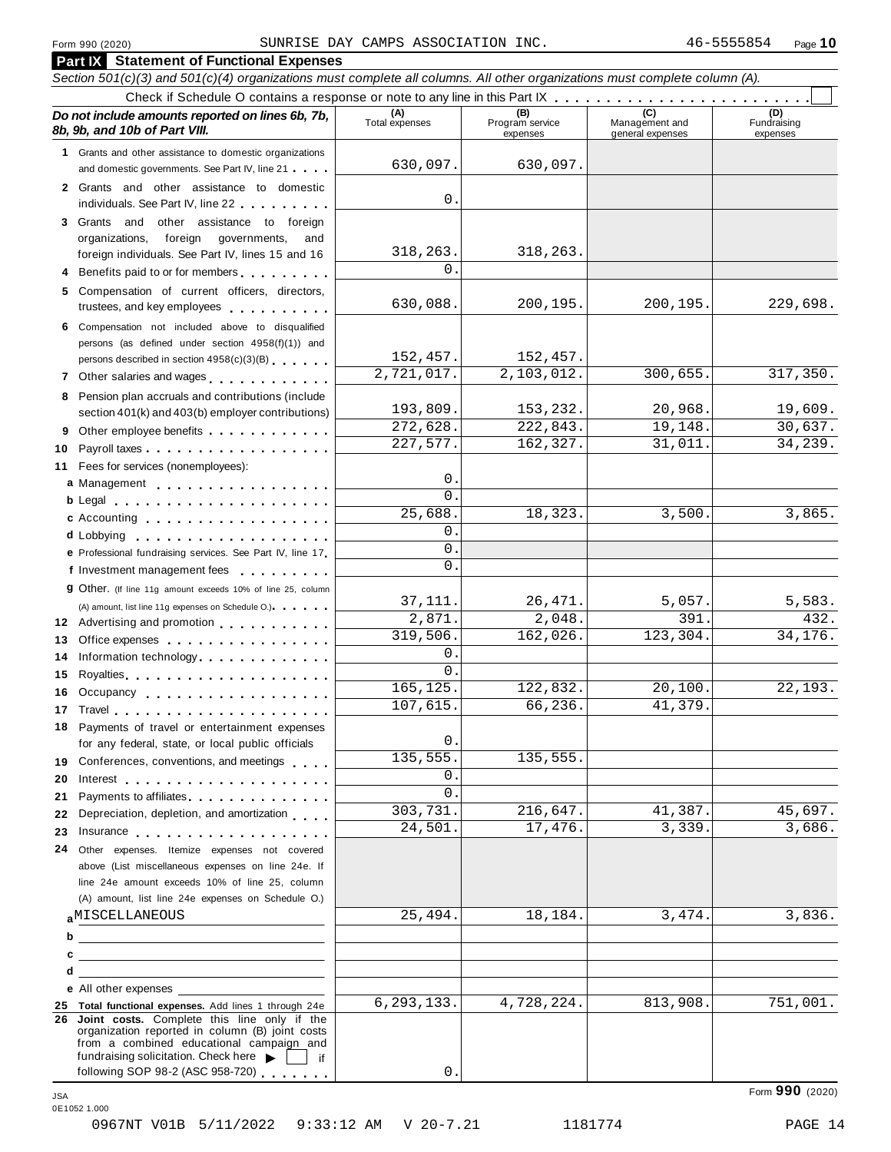|     | <b>Part IX</b> Statement of Functional Expenses                                                                                                                                                                                      |                       |                                    |                                    |                                |
|-----|--------------------------------------------------------------------------------------------------------------------------------------------------------------------------------------------------------------------------------------|-----------------------|------------------------------------|------------------------------------|--------------------------------|
|     | Section 501(c)(3) and 501(c)(4) organizations must complete all columns. All other organizations must complete column (A).                                                                                                           |                       |                                    |                                    |                                |
|     |                                                                                                                                                                                                                                      |                       |                                    |                                    |                                |
|     | Do not include amounts reported on lines 6b, 7b,<br>8b, 9b, and 10b of Part VIII.                                                                                                                                                    | (A)<br>Total expenses | (B)<br>Program service<br>expenses | Management and<br>general expenses | (D)<br>Fundraising<br>expenses |
|     | 1 Grants and other assistance to domestic organizations<br>and domestic governments. See Part IV, line 21                                                                                                                            | 630,097.              | 630,097.                           |                                    |                                |
|     | 2 Grants and other assistance to domestic<br>individuals. See Part IV, line 22                                                                                                                                                       | 0.                    |                                    |                                    |                                |
|     | 3 Grants and<br>other assistance to foreign                                                                                                                                                                                          |                       |                                    |                                    |                                |
|     | foreign<br>organizations,<br>governments,<br>and                                                                                                                                                                                     |                       |                                    |                                    |                                |
|     | foreign individuals. See Part IV, lines 15 and 16                                                                                                                                                                                    | 318,263.              | 318,263.                           |                                    |                                |
|     | 4 Benefits paid to or for members                                                                                                                                                                                                    | $0$ .                 |                                    |                                    |                                |
|     | 5 Compensation of current officers, directors,<br>trustees, and key employees                                                                                                                                                        | 630,088.              | 200,195.                           | 200, 195.                          | 229,698.                       |
|     | 6 Compensation not included above to disqualified                                                                                                                                                                                    |                       |                                    |                                    |                                |
|     | persons (as defined under section 4958(f)(1)) and                                                                                                                                                                                    |                       |                                    |                                    |                                |
|     | persons described in section 4958(c)(3)(B)                                                                                                                                                                                           | 152,457.              | 152,457.                           |                                    |                                |
|     | 7 Other salaries and wages                                                                                                                                                                                                           | 2,721,017.            | 2,103,012.                         | 300,655.                           | 317,350.                       |
|     | 8 Pension plan accruals and contributions (include                                                                                                                                                                                   | 193,809.              | 153,232.                           | 20,968.                            | 19,609.                        |
|     | section 401(k) and 403(b) employer contributions)                                                                                                                                                                                    | 272,628.              | 222,843.                           | 19,148.                            | 30,637.                        |
|     | Other employee benefits                                                                                                                                                                                                              | 227,577.              | 162,327.                           | 31,011.                            | 34,239.                        |
| 10  | Payroll taxes                                                                                                                                                                                                                        |                       |                                    |                                    |                                |
|     | 11 Fees for services (nonemployees):                                                                                                                                                                                                 | 0.                    |                                    |                                    |                                |
|     | a Management<br>b Legal experience and the set of the set of the set of the set of the set of the set of the set of the set of                                                                                                       | $\Omega$ .            |                                    |                                    |                                |
|     | c Accounting entering the set of the set of the set of the set of the set of the set of the set of the set of the set of the set of the set of the set of the set of the set of the set of the set of the set of the set of th       | 25,688.               | 18,323.                            | 3,500.                             | 3,865.                         |
|     |                                                                                                                                                                                                                                      | 0.                    |                                    |                                    |                                |
|     | e Professional fundraising services. See Part IV, line 17                                                                                                                                                                            | $\mathbf{0}$ .        |                                    |                                    |                                |
|     | f Investment management fees                                                                                                                                                                                                         | 0.                    |                                    |                                    |                                |
|     | <b>g</b> Other. (If line 11g amount exceeds 10% of line 25, column                                                                                                                                                                   |                       |                                    |                                    |                                |
|     | (A) amount, list line 11g expenses on Schedule O.) expenses                                                                                                                                                                          | 37,111.               | 26,471.                            | 5,057.                             | 5,583.                         |
|     | 12 Advertising and promotion                                                                                                                                                                                                         | 2,871.                | 2,048.                             | 391.                               | 432.                           |
| 13. | Office expenses                                                                                                                                                                                                                      | 319,506.              | 162,026.                           | 123,304.                           | 34,176.                        |
| 14  | Information technology.                                                                                                                                                                                                              | 0.<br>$\Omega$ .      |                                    |                                    |                                |
| 15  |                                                                                                                                                                                                                                      | 165, 125.             | 122,832.                           | 20,100.                            | 22, 193.                       |
| 16. | Occupancy                                                                                                                                                                                                                            | 107,615.              | 66,236.                            | 41,379.                            |                                |
|     |                                                                                                                                                                                                                                      |                       |                                    |                                    |                                |
|     | 18 Payments of travel or entertainment expenses<br>for any federal, state, or local public officials                                                                                                                                 | 0.                    |                                    |                                    |                                |
|     | 19 Conferences, conventions, and meetings                                                                                                                                                                                            | 135,555.              | 135,555.                           |                                    |                                |
| 20  | Interest $\ldots$ , $\ldots$ , $\ldots$ , $\ldots$ , $\ldots$ , $\ldots$ , $\ldots$                                                                                                                                                  | 0.                    |                                    |                                    |                                |
| 21  | Payments to affiliates experience and the property of the set of the set of the set of the set of the set of the set of the set of the set of the set of the set of the set of the set of the set of the set of the set of the       | 0.                    |                                    |                                    |                                |
| 22  | Depreciation, depletion, and amortization                                                                                                                                                                                            | 303,731.              | 216,647.                           | 41,387.                            | 45,697.                        |
| 23  | Insurance <b>All According to the Contract of the Contract of the Contract of the Contract of the Contract of the Contract of the Contract of the Contract of the Contract of the Contract of the Contract of the Contract of th</b> | 24,501.               | 17,476.                            | 3,339.                             | 3,686.                         |
| 24  | Other expenses. Itemize expenses not covered                                                                                                                                                                                         |                       |                                    |                                    |                                |
|     | above (List miscellaneous expenses on line 24e. If                                                                                                                                                                                   |                       |                                    |                                    |                                |
|     | line 24e amount exceeds 10% of line 25, column                                                                                                                                                                                       |                       |                                    |                                    |                                |
|     | (A) amount, list line 24e expenses on Schedule O.)                                                                                                                                                                                   |                       |                                    |                                    |                                |
|     | <b>AMISCELLANEOUS</b>                                                                                                                                                                                                                | 25,494.               | 18,184.                            | 3,474.                             | 3,836.                         |
|     | $b$ $\overline{\phantom{a}}$                                                                                                                                                                                                         |                       |                                    |                                    |                                |
| с   |                                                                                                                                                                                                                                      |                       |                                    |                                    |                                |
| d   | the contract of the contract of the contract of the contract of the contract of                                                                                                                                                      |                       |                                    |                                    |                                |
|     | e All other expenses<br>25 Total functional expenses. Add lines 1 through 24e                                                                                                                                                        | 6, 293, 133.          | 4,728,224.                         | 813,908.                           | 751,001.                       |
|     | 26 Joint costs. Complete this line only if the<br>organization reported in column (B) joint costs                                                                                                                                    |                       |                                    |                                    |                                |
|     | from a combined educational campaign and<br>fundraising solicitation. Check here $\blacktriangleright$                                                                                                                               |                       |                                    |                                    |                                |
|     | lif<br>following SOP 98-2 (ASC 958-720)                                                                                                                                                                                              | 0.                    |                                    |                                    |                                |

Form **990** (2020) JSA 0E1052 1.000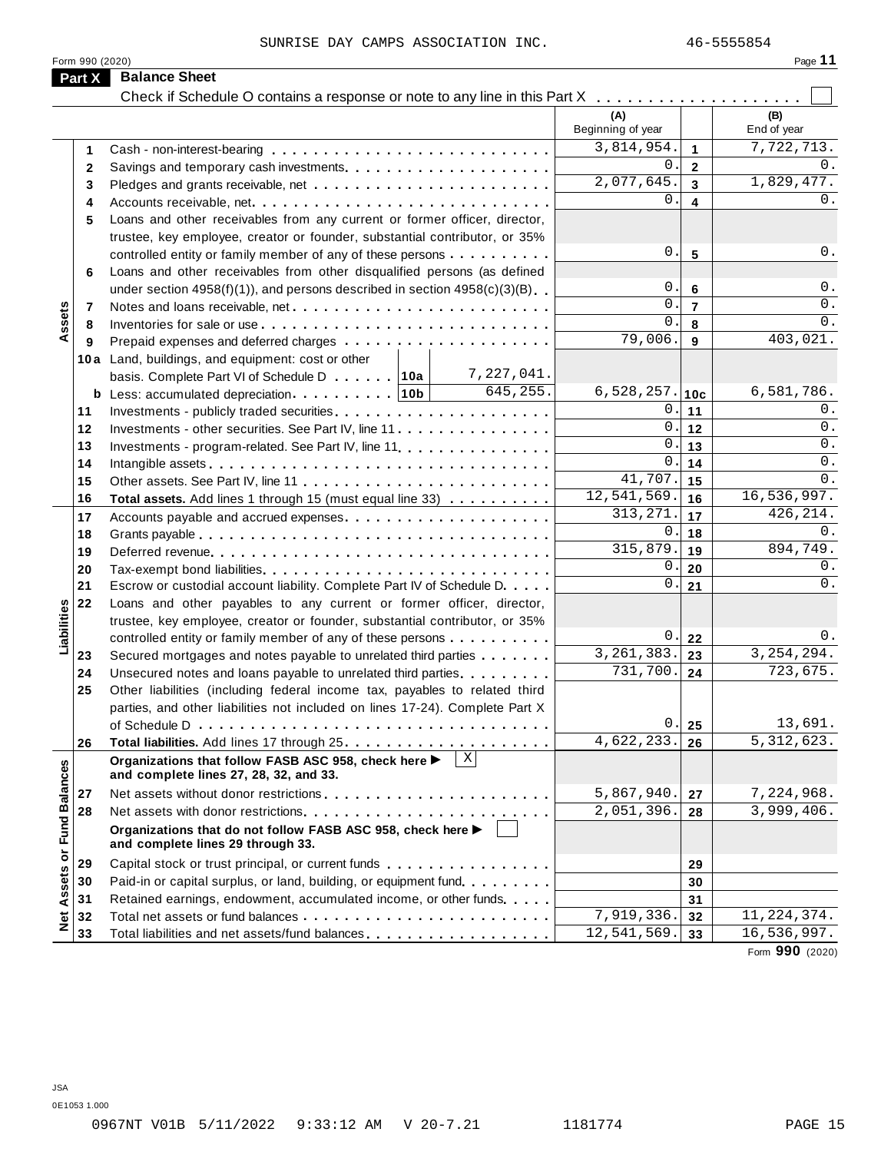Form 990 (2020)

JSA

| - 2<br>п<br>٠ |  |  |
|---------------|--|--|
|               |  |  |

|                      | Part X   | <b>Balance Sheet</b>                                                                                           |                           |                |                                              |
|----------------------|----------|----------------------------------------------------------------------------------------------------------------|---------------------------|----------------|----------------------------------------------|
|                      |          | Check if Schedule O contains a response or note to any line in this Part X                                     | (A)<br>Beginning of year  |                | (B)<br>End of year                           |
|                      | 1        |                                                                                                                | 3,814,954.                | $\mathbf{1}$   | 7,722,713.                                   |
|                      | 2        |                                                                                                                | 0.                        | $\mathbf{2}$   | 0.                                           |
|                      | 3        |                                                                                                                | 2,077,645.                | 3              | 1,829,477.                                   |
|                      | 4        | Accounts receivable, net                                                                                       | 0.                        | 4              | 0.                                           |
|                      | 5        | Loans and other receivables from any current or former officer, director,                                      |                           |                |                                              |
|                      |          | trustee, key employee, creator or founder, substantial contributor, or 35%                                     |                           |                |                                              |
|                      |          | controlled entity or family member of any of these persons                                                     | 0.                        | 5              | 0.                                           |
|                      | 6        | Loans and other receivables from other disqualified persons (as defined                                        |                           |                |                                              |
|                      |          | under section $4958(f)(1)$ , and persons described in section $4958(c)(3)(B)$                                  | 0.                        | 6              | $0$ .                                        |
|                      | 7        | Notes and loans receivable, net                                                                                | $\mathbf{0}$ .            | $\overline{7}$ | 0.                                           |
| Assets               | 8        |                                                                                                                | 0.                        | 8              | $0$ .                                        |
|                      | 9        |                                                                                                                | 79,006.                   | 9              | 403,021.                                     |
|                      |          | 10a Land, buildings, and equipment: cost or other                                                              |                           |                |                                              |
|                      |          | 7,227,041.<br>basis. Complete Part VI of Schedule D 10a                                                        |                           |                |                                              |
|                      |          | 645,255.                                                                                                       | $6,528,257.$ 10c          |                | 6,581,786.                                   |
|                      | 11       |                                                                                                                | 0.<br>0.                  | 11             | 0.<br>0.                                     |
|                      | 12       | Investments - other securities. See Part IV, line 11                                                           | 0.                        | 12<br>13       | 0.                                           |
|                      | 13<br>14 | Investments - program-related. See Part IV, line 11.                                                           | 0.                        | 14             | 0.                                           |
|                      | 15       |                                                                                                                | 41,707.                   | 15             | 0.                                           |
|                      | 16       | Total assets. Add lines 1 through 15 (must equal line 33)                                                      | 12,541,569.               | 16             | 16,536,997.                                  |
|                      | 17       |                                                                                                                | 313, 271.                 | 17             | 426, 214.                                    |
|                      | 18       |                                                                                                                | 0.                        | 18             | 0.                                           |
|                      | 19       |                                                                                                                | 315,879.                  | 19             | 894,749.                                     |
|                      | 20       | Tax-exempt bond liabilities                                                                                    | 0.                        | 20             | 0.                                           |
|                      | 21       | Escrow or custodial account liability. Complete Part IV of Schedule D.                                         | 0.                        | 21             | 0.                                           |
|                      | 22       | Loans and other payables to any current or former officer, director,                                           |                           |                |                                              |
| Liabilities          |          | trustee, key employee, creator or founder, substantial contributor, or 35%                                     |                           |                |                                              |
|                      |          | controlled entity or family member of any of these persons                                                     | 0.                        | 22             | 0.                                           |
|                      | 23       | Secured mortgages and notes payable to unrelated third parties                                                 | 3, 261, 383.              | 23             | 3, 254, 294.                                 |
|                      | 24       | Unsecured notes and loans payable to unrelated third parties.                                                  | $\overline{731}$ , 700.   | 24             | 723,675.                                     |
|                      | 25       | Other liabilities (including federal income tax, payables to related third                                     |                           |                |                                              |
|                      |          | parties, and other liabilities not included on lines 17-24). Complete Part X                                   |                           |                |                                              |
|                      |          |                                                                                                                | $\vert 0 \vert$           | 25             | 13,691.                                      |
|                      | 26       |                                                                                                                | 4,622,233.                | 26             | 5, 312, 623.                                 |
|                      |          | $\mathbf{X}$<br>Organizations that follow FASB ASC 958, check here ▶<br>and complete lines 27, 28, 32, and 33. |                           |                |                                              |
|                      | 27       |                                                                                                                | 5,867,940.                | 27             | 7,224,968.                                   |
|                      | 28       |                                                                                                                | $\overline{2,051}$ , 396. | 28             | 3,999,406.                                   |
| <b>Fund Balances</b> |          | Organizations that do not follow FASB ASC 958, check here ▶<br>and complete lines 29 through 33.               |                           |                |                                              |
|                      | 29       | Capital stock or trust principal, or current funds                                                             |                           | 29             |                                              |
|                      | 30       | Paid-in or capital surplus, or land, building, or equipment fund                                               |                           | 30             |                                              |
|                      | 31       | Retained earnings, endowment, accumulated income, or other funds                                               |                           | 31             |                                              |
| Net Assets or        | 32       |                                                                                                                | 7,919,336.                | 32             | 11, 224, 374.                                |
|                      | 33       | Total liabilities and net assets/fund balances.                                                                | 12,541,569.               | 33             | 16,536,997.<br>$F_{\text{arm}}$ QQ0 $(2020)$ |

Form **990** (2020)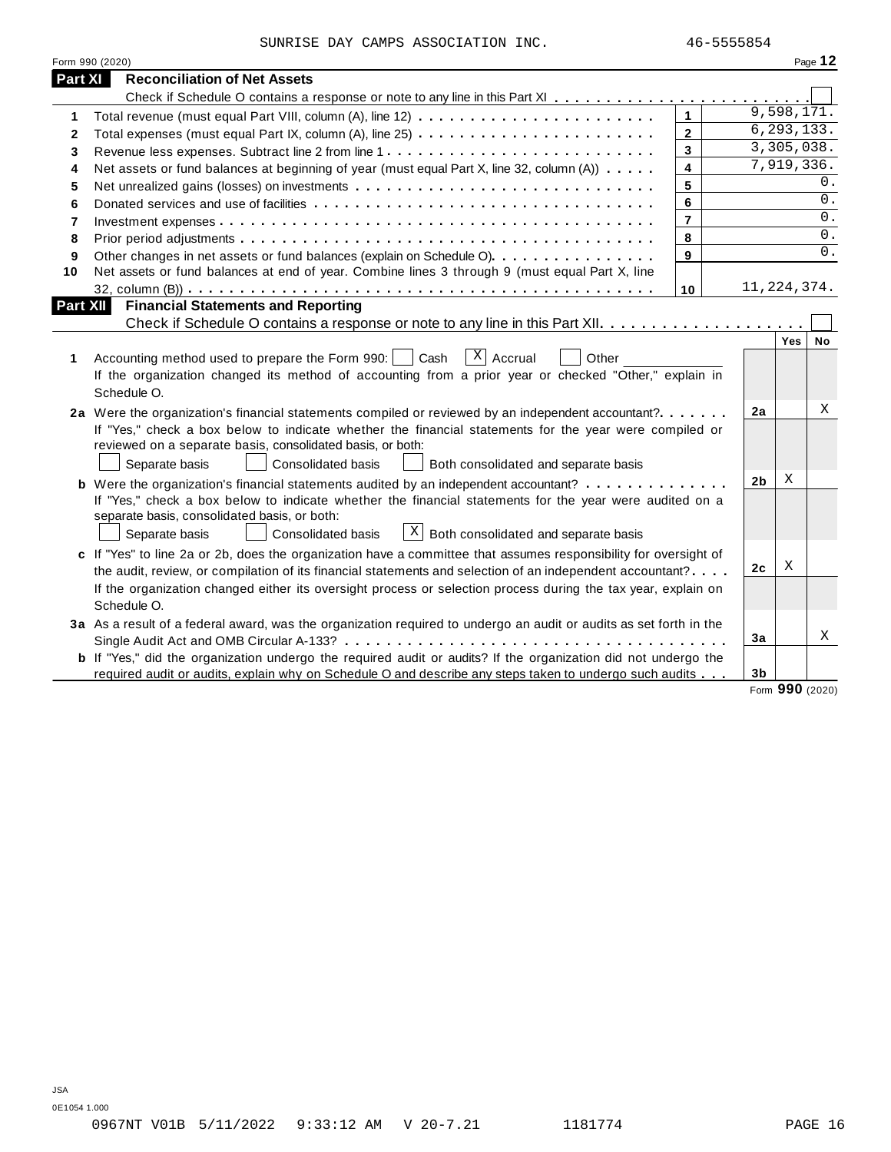|  | SUNRISE DAY CAMPS ASSOCIATION INC. |  |
|--|------------------------------------|--|
|  |                                    |  |

|         | Form 990 (2020)                                                                                                       |                |                |                            | Page 12 |
|---------|-----------------------------------------------------------------------------------------------------------------------|----------------|----------------|----------------------------|---------|
| Part XI | <b>Reconciliation of Net Assets</b>                                                                                   |                |                |                            |         |
|         |                                                                                                                       |                |                |                            |         |
| 1       |                                                                                                                       | $\mathbf{1}$   |                | $\overline{9}$ , 598, 171. |         |
| 2       | Total expenses (must equal Part IX, column (A), line 25)                                                              | $\overline{2}$ |                | 6, 293, 133.               |         |
| 3       |                                                                                                                       | $\mathbf{3}$   |                | 3,305,038.                 |         |
| 4       | Net assets or fund balances at beginning of year (must equal Part X, line 32, column (A))                             | 4              |                | 7,919,336.                 |         |
| 5       |                                                                                                                       | 5              |                |                            | $0$ .   |
| 6       |                                                                                                                       | 6              |                |                            | 0.      |
| 7       |                                                                                                                       | $\overline{7}$ |                |                            | 0.      |
| 8       |                                                                                                                       | 8              |                |                            | $0$ .   |
| 9       | Other changes in net assets or fund balances (explain on Schedule O)                                                  | 9              |                |                            | 0.      |
| 10      | Net assets or fund balances at end of year. Combine lines 3 through 9 (must equal Part X, line                        |                |                |                            |         |
|         |                                                                                                                       | 10             | 11, 224, 374.  |                            |         |
|         | <b>Financial Statements and Reporting</b><br>Part XII                                                                 |                |                |                            |         |
|         |                                                                                                                       |                |                |                            |         |
|         |                                                                                                                       |                |                | Yes                        | No      |
| 1       | $ X $ Accrual<br>Accounting method used to prepare the Form 990:     Cash<br>Other                                    |                |                |                            |         |
|         | If the organization changed its method of accounting from a prior year or checked "Other," explain in                 |                |                |                            |         |
|         | Schedule O.                                                                                                           |                |                |                            |         |
|         | 2a Were the organization's financial statements compiled or reviewed by an independent accountant?                    |                | 2a             |                            | X       |
|         | If "Yes," check a box below to indicate whether the financial statements for the year were compiled or                |                |                |                            |         |
|         | reviewed on a separate basis, consolidated basis, or both:                                                            |                |                |                            |         |
|         | Separate basis<br>Consolidated basis<br>Both consolidated and separate basis                                          |                |                |                            |         |
|         | <b>b</b> Were the organization's financial statements audited by an independent accountant?                           |                | 2 <sub>b</sub> | Χ                          |         |
|         | If "Yes," check a box below to indicate whether the financial statements for the year were audited on a               |                |                |                            |         |
|         | separate basis, consolidated basis, or both:                                                                          |                |                |                            |         |
|         | $\mathbf{X}$<br>Separate basis<br>Both consolidated and separate basis<br>Consolidated basis                          |                |                |                            |         |
|         | c If "Yes" to line 2a or 2b, does the organization have a committee that assumes responsibility for oversight of      |                |                |                            |         |
|         | the audit, review, or compilation of its financial statements and selection of an independent accountant?             |                | 2c             | Χ                          |         |
|         | If the organization changed either its oversight process or selection process during the tax year, explain on         |                |                |                            |         |
|         | Schedule O.                                                                                                           |                |                |                            |         |
|         | 3a As a result of a federal award, was the organization required to undergo an audit or audits as set forth in the    |                |                |                            |         |
|         |                                                                                                                       |                | Зa             |                            | Χ       |
|         | <b>b</b> If "Yes," did the organization undergo the required audit or audits? If the organization did not undergo the |                |                |                            |         |
|         | required audit or audits, explain why on Schedule O and describe any steps taken to undergo such audits               |                | 3 <sub>b</sub> |                            |         |
|         |                                                                                                                       |                |                | Form 990 (2020)            |         |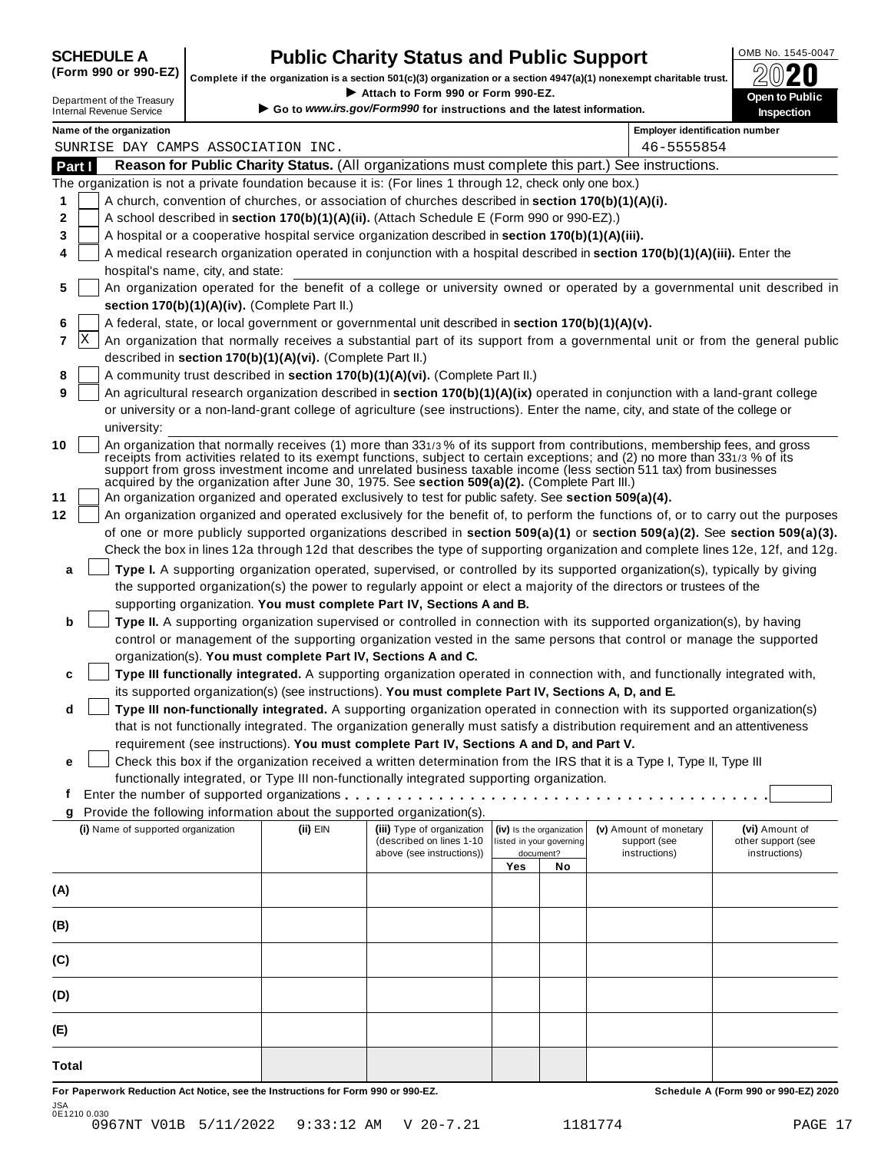## **OMB No. 1545-0047 CHEDULE A Public Charity Status and Public Support**<br>(Form 990 or 990-EZ) complete if the organization is a section 501(c)(3) organization or a section 4947(a)(1) popeyemet charitable trust  $\bigcap_{n=1}^$

(Form 990 or 990-EZ) complete if the organization is a section 501(c)(3) organization or a section 4947(a)(1) nonexempt charitable trust.  $2020$ If your section 4947(a)(1) nonexempt charitable trust.<br>
Department of the Treasury **Department of the Treasury <b>Department** of the Treasury **Department of the Treasury Department of the Treasury <b>Department** Conductions

| Department of the Treasury |  |
|----------------------------|--|
| Internal Revenue Service   |  |
|                            |  |

**www irs.gov/Form990** for instructions and the latest information.

| Name of the organization<br>SUNRISE DAY CAMPS ASSOCIATION INC.<br>Reason for Public Charity Status. (All organizations must complete this part.) See instructions.<br>The organization is not a private foundation because it is: (For lines 1 through 12, check only one box.)<br>A church, convention of churches, or association of churches described in section 170(b)(1)(A)(i).<br>A school described in section 170(b)(1)(A)(ii). (Attach Schedule E (Form 990 or 990-EZ).) |                                    |                                                           |                                                                                                                                                                                                                                                                                                                                                                        |                                                                                                                                                       | 46-5555854                                                        | <b>Employer identification number</b>                                                                                                                                                                                                                                                                                                                                                                                                                                                                                                                                                                                                                                                                                                                                                                                                                                                                                                                                                                                                                                                                                                                                                                                                                                                                                                                                                                                                                                                                                                                                                                                                                                                                                                                                                                                                                                                                                                                                                                                                                                                                                                                                                                                                                                                                                                                                                                                                                                                                                                                                                                                                                                                                                                                                                                                                                                                                                                                                                                                              |
|------------------------------------------------------------------------------------------------------------------------------------------------------------------------------------------------------------------------------------------------------------------------------------------------------------------------------------------------------------------------------------------------------------------------------------------------------------------------------------|------------------------------------|-----------------------------------------------------------|------------------------------------------------------------------------------------------------------------------------------------------------------------------------------------------------------------------------------------------------------------------------------------------------------------------------------------------------------------------------|-------------------------------------------------------------------------------------------------------------------------------------------------------|-------------------------------------------------------------------|------------------------------------------------------------------------------------------------------------------------------------------------------------------------------------------------------------------------------------------------------------------------------------------------------------------------------------------------------------------------------------------------------------------------------------------------------------------------------------------------------------------------------------------------------------------------------------------------------------------------------------------------------------------------------------------------------------------------------------------------------------------------------------------------------------------------------------------------------------------------------------------------------------------------------------------------------------------------------------------------------------------------------------------------------------------------------------------------------------------------------------------------------------------------------------------------------------------------------------------------------------------------------------------------------------------------------------------------------------------------------------------------------------------------------------------------------------------------------------------------------------------------------------------------------------------------------------------------------------------------------------------------------------------------------------------------------------------------------------------------------------------------------------------------------------------------------------------------------------------------------------------------------------------------------------------------------------------------------------------------------------------------------------------------------------------------------------------------------------------------------------------------------------------------------------------------------------------------------------------------------------------------------------------------------------------------------------------------------------------------------------------------------------------------------------------------------------------------------------------------------------------------------------------------------------------------------------------------------------------------------------------------------------------------------------------------------------------------------------------------------------------------------------------------------------------------------------------------------------------------------------------------------------------------------------------------------------------------------------------------------------------------------------|
|                                                                                                                                                                                                                                                                                                                                                                                                                                                                                    |                                    |                                                           |                                                                                                                                                                                                                                                                                                                                                                        |                                                                                                                                                       |                                                                   |                                                                                                                                                                                                                                                                                                                                                                                                                                                                                                                                                                                                                                                                                                                                                                                                                                                                                                                                                                                                                                                                                                                                                                                                                                                                                                                                                                                                                                                                                                                                                                                                                                                                                                                                                                                                                                                                                                                                                                                                                                                                                                                                                                                                                                                                                                                                                                                                                                                                                                                                                                                                                                                                                                                                                                                                                                                                                                                                                                                                                                    |
|                                                                                                                                                                                                                                                                                                                                                                                                                                                                                    |                                    |                                                           |                                                                                                                                                                                                                                                                                                                                                                        |                                                                                                                                                       |                                                                   |                                                                                                                                                                                                                                                                                                                                                                                                                                                                                                                                                                                                                                                                                                                                                                                                                                                                                                                                                                                                                                                                                                                                                                                                                                                                                                                                                                                                                                                                                                                                                                                                                                                                                                                                                                                                                                                                                                                                                                                                                                                                                                                                                                                                                                                                                                                                                                                                                                                                                                                                                                                                                                                                                                                                                                                                                                                                                                                                                                                                                                    |
|                                                                                                                                                                                                                                                                                                                                                                                                                                                                                    |                                    |                                                           |                                                                                                                                                                                                                                                                                                                                                                        |                                                                                                                                                       |                                                                   |                                                                                                                                                                                                                                                                                                                                                                                                                                                                                                                                                                                                                                                                                                                                                                                                                                                                                                                                                                                                                                                                                                                                                                                                                                                                                                                                                                                                                                                                                                                                                                                                                                                                                                                                                                                                                                                                                                                                                                                                                                                                                                                                                                                                                                                                                                                                                                                                                                                                                                                                                                                                                                                                                                                                                                                                                                                                                                                                                                                                                                    |
|                                                                                                                                                                                                                                                                                                                                                                                                                                                                                    |                                    |                                                           |                                                                                                                                                                                                                                                                                                                                                                        |                                                                                                                                                       |                                                                   |                                                                                                                                                                                                                                                                                                                                                                                                                                                                                                                                                                                                                                                                                                                                                                                                                                                                                                                                                                                                                                                                                                                                                                                                                                                                                                                                                                                                                                                                                                                                                                                                                                                                                                                                                                                                                                                                                                                                                                                                                                                                                                                                                                                                                                                                                                                                                                                                                                                                                                                                                                                                                                                                                                                                                                                                                                                                                                                                                                                                                                    |
|                                                                                                                                                                                                                                                                                                                                                                                                                                                                                    |                                    |                                                           |                                                                                                                                                                                                                                                                                                                                                                        |                                                                                                                                                       |                                                                   |                                                                                                                                                                                                                                                                                                                                                                                                                                                                                                                                                                                                                                                                                                                                                                                                                                                                                                                                                                                                                                                                                                                                                                                                                                                                                                                                                                                                                                                                                                                                                                                                                                                                                                                                                                                                                                                                                                                                                                                                                                                                                                                                                                                                                                                                                                                                                                                                                                                                                                                                                                                                                                                                                                                                                                                                                                                                                                                                                                                                                                    |
| A hospital or a cooperative hospital service organization described in section 170(b)(1)(A)(iii).                                                                                                                                                                                                                                                                                                                                                                                  |                                    |                                                           |                                                                                                                                                                                                                                                                                                                                                                        |                                                                                                                                                       |                                                                   |                                                                                                                                                                                                                                                                                                                                                                                                                                                                                                                                                                                                                                                                                                                                                                                                                                                                                                                                                                                                                                                                                                                                                                                                                                                                                                                                                                                                                                                                                                                                                                                                                                                                                                                                                                                                                                                                                                                                                                                                                                                                                                                                                                                                                                                                                                                                                                                                                                                                                                                                                                                                                                                                                                                                                                                                                                                                                                                                                                                                                                    |
| A medical research organization operated in conjunction with a hospital described in section 170(b)(1)(A)(iii). Enter the                                                                                                                                                                                                                                                                                                                                                          |                                    |                                                           |                                                                                                                                                                                                                                                                                                                                                                        |                                                                                                                                                       |                                                                   |                                                                                                                                                                                                                                                                                                                                                                                                                                                                                                                                                                                                                                                                                                                                                                                                                                                                                                                                                                                                                                                                                                                                                                                                                                                                                                                                                                                                                                                                                                                                                                                                                                                                                                                                                                                                                                                                                                                                                                                                                                                                                                                                                                                                                                                                                                                                                                                                                                                                                                                                                                                                                                                                                                                                                                                                                                                                                                                                                                                                                                    |
| hospital's name, city, and state:                                                                                                                                                                                                                                                                                                                                                                                                                                                  |                                    |                                                           |                                                                                                                                                                                                                                                                                                                                                                        |                                                                                                                                                       |                                                                   |                                                                                                                                                                                                                                                                                                                                                                                                                                                                                                                                                                                                                                                                                                                                                                                                                                                                                                                                                                                                                                                                                                                                                                                                                                                                                                                                                                                                                                                                                                                                                                                                                                                                                                                                                                                                                                                                                                                                                                                                                                                                                                                                                                                                                                                                                                                                                                                                                                                                                                                                                                                                                                                                                                                                                                                                                                                                                                                                                                                                                                    |
|                                                                                                                                                                                                                                                                                                                                                                                                                                                                                    |                                    |                                                           |                                                                                                                                                                                                                                                                                                                                                                        |                                                                                                                                                       |                                                                   |                                                                                                                                                                                                                                                                                                                                                                                                                                                                                                                                                                                                                                                                                                                                                                                                                                                                                                                                                                                                                                                                                                                                                                                                                                                                                                                                                                                                                                                                                                                                                                                                                                                                                                                                                                                                                                                                                                                                                                                                                                                                                                                                                                                                                                                                                                                                                                                                                                                                                                                                                                                                                                                                                                                                                                                                                                                                                                                                                                                                                                    |
|                                                                                                                                                                                                                                                                                                                                                                                                                                                                                    |                                    |                                                           |                                                                                                                                                                                                                                                                                                                                                                        |                                                                                                                                                       |                                                                   |                                                                                                                                                                                                                                                                                                                                                                                                                                                                                                                                                                                                                                                                                                                                                                                                                                                                                                                                                                                                                                                                                                                                                                                                                                                                                                                                                                                                                                                                                                                                                                                                                                                                                                                                                                                                                                                                                                                                                                                                                                                                                                                                                                                                                                                                                                                                                                                                                                                                                                                                                                                                                                                                                                                                                                                                                                                                                                                                                                                                                                    |
|                                                                                                                                                                                                                                                                                                                                                                                                                                                                                    |                                    |                                                           |                                                                                                                                                                                                                                                                                                                                                                        |                                                                                                                                                       |                                                                   |                                                                                                                                                                                                                                                                                                                                                                                                                                                                                                                                                                                                                                                                                                                                                                                                                                                                                                                                                                                                                                                                                                                                                                                                                                                                                                                                                                                                                                                                                                                                                                                                                                                                                                                                                                                                                                                                                                                                                                                                                                                                                                                                                                                                                                                                                                                                                                                                                                                                                                                                                                                                                                                                                                                                                                                                                                                                                                                                                                                                                                    |
|                                                                                                                                                                                                                                                                                                                                                                                                                                                                                    |                                    |                                                           |                                                                                                                                                                                                                                                                                                                                                                        |                                                                                                                                                       |                                                                   |                                                                                                                                                                                                                                                                                                                                                                                                                                                                                                                                                                                                                                                                                                                                                                                                                                                                                                                                                                                                                                                                                                                                                                                                                                                                                                                                                                                                                                                                                                                                                                                                                                                                                                                                                                                                                                                                                                                                                                                                                                                                                                                                                                                                                                                                                                                                                                                                                                                                                                                                                                                                                                                                                                                                                                                                                                                                                                                                                                                                                                    |
|                                                                                                                                                                                                                                                                                                                                                                                                                                                                                    |                                    |                                                           |                                                                                                                                                                                                                                                                                                                                                                        |                                                                                                                                                       |                                                                   |                                                                                                                                                                                                                                                                                                                                                                                                                                                                                                                                                                                                                                                                                                                                                                                                                                                                                                                                                                                                                                                                                                                                                                                                                                                                                                                                                                                                                                                                                                                                                                                                                                                                                                                                                                                                                                                                                                                                                                                                                                                                                                                                                                                                                                                                                                                                                                                                                                                                                                                                                                                                                                                                                                                                                                                                                                                                                                                                                                                                                                    |
|                                                                                                                                                                                                                                                                                                                                                                                                                                                                                    |                                    |                                                           |                                                                                                                                                                                                                                                                                                                                                                        |                                                                                                                                                       |                                                                   |                                                                                                                                                                                                                                                                                                                                                                                                                                                                                                                                                                                                                                                                                                                                                                                                                                                                                                                                                                                                                                                                                                                                                                                                                                                                                                                                                                                                                                                                                                                                                                                                                                                                                                                                                                                                                                                                                                                                                                                                                                                                                                                                                                                                                                                                                                                                                                                                                                                                                                                                                                                                                                                                                                                                                                                                                                                                                                                                                                                                                                    |
|                                                                                                                                                                                                                                                                                                                                                                                                                                                                                    |                                    |                                                           |                                                                                                                                                                                                                                                                                                                                                                        |                                                                                                                                                       |                                                                   |                                                                                                                                                                                                                                                                                                                                                                                                                                                                                                                                                                                                                                                                                                                                                                                                                                                                                                                                                                                                                                                                                                                                                                                                                                                                                                                                                                                                                                                                                                                                                                                                                                                                                                                                                                                                                                                                                                                                                                                                                                                                                                                                                                                                                                                                                                                                                                                                                                                                                                                                                                                                                                                                                                                                                                                                                                                                                                                                                                                                                                    |
| university:                                                                                                                                                                                                                                                                                                                                                                                                                                                                        |                                    |                                                           |                                                                                                                                                                                                                                                                                                                                                                        |                                                                                                                                                       |                                                                   |                                                                                                                                                                                                                                                                                                                                                                                                                                                                                                                                                                                                                                                                                                                                                                                                                                                                                                                                                                                                                                                                                                                                                                                                                                                                                                                                                                                                                                                                                                                                                                                                                                                                                                                                                                                                                                                                                                                                                                                                                                                                                                                                                                                                                                                                                                                                                                                                                                                                                                                                                                                                                                                                                                                                                                                                                                                                                                                                                                                                                                    |
|                                                                                                                                                                                                                                                                                                                                                                                                                                                                                    |                                    |                                                           |                                                                                                                                                                                                                                                                                                                                                                        |                                                                                                                                                       |                                                                   |                                                                                                                                                                                                                                                                                                                                                                                                                                                                                                                                                                                                                                                                                                                                                                                                                                                                                                                                                                                                                                                                                                                                                                                                                                                                                                                                                                                                                                                                                                                                                                                                                                                                                                                                                                                                                                                                                                                                                                                                                                                                                                                                                                                                                                                                                                                                                                                                                                                                                                                                                                                                                                                                                                                                                                                                                                                                                                                                                                                                                                    |
|                                                                                                                                                                                                                                                                                                                                                                                                                                                                                    |                                    |                                                           |                                                                                                                                                                                                                                                                                                                                                                        |                                                                                                                                                       |                                                                   |                                                                                                                                                                                                                                                                                                                                                                                                                                                                                                                                                                                                                                                                                                                                                                                                                                                                                                                                                                                                                                                                                                                                                                                                                                                                                                                                                                                                                                                                                                                                                                                                                                                                                                                                                                                                                                                                                                                                                                                                                                                                                                                                                                                                                                                                                                                                                                                                                                                                                                                                                                                                                                                                                                                                                                                                                                                                                                                                                                                                                                    |
|                                                                                                                                                                                                                                                                                                                                                                                                                                                                                    |                                    |                                                           |                                                                                                                                                                                                                                                                                                                                                                        |                                                                                                                                                       |                                                                   |                                                                                                                                                                                                                                                                                                                                                                                                                                                                                                                                                                                                                                                                                                                                                                                                                                                                                                                                                                                                                                                                                                                                                                                                                                                                                                                                                                                                                                                                                                                                                                                                                                                                                                                                                                                                                                                                                                                                                                                                                                                                                                                                                                                                                                                                                                                                                                                                                                                                                                                                                                                                                                                                                                                                                                                                                                                                                                                                                                                                                                    |
|                                                                                                                                                                                                                                                                                                                                                                                                                                                                                    |                                    |                                                           |                                                                                                                                                                                                                                                                                                                                                                        |                                                                                                                                                       |                                                                   |                                                                                                                                                                                                                                                                                                                                                                                                                                                                                                                                                                                                                                                                                                                                                                                                                                                                                                                                                                                                                                                                                                                                                                                                                                                                                                                                                                                                                                                                                                                                                                                                                                                                                                                                                                                                                                                                                                                                                                                                                                                                                                                                                                                                                                                                                                                                                                                                                                                                                                                                                                                                                                                                                                                                                                                                                                                                                                                                                                                                                                    |
|                                                                                                                                                                                                                                                                                                                                                                                                                                                                                    |                                    |                                                           |                                                                                                                                                                                                                                                                                                                                                                        |                                                                                                                                                       |                                                                   |                                                                                                                                                                                                                                                                                                                                                                                                                                                                                                                                                                                                                                                                                                                                                                                                                                                                                                                                                                                                                                                                                                                                                                                                                                                                                                                                                                                                                                                                                                                                                                                                                                                                                                                                                                                                                                                                                                                                                                                                                                                                                                                                                                                                                                                                                                                                                                                                                                                                                                                                                                                                                                                                                                                                                                                                                                                                                                                                                                                                                                    |
|                                                                                                                                                                                                                                                                                                                                                                                                                                                                                    |                                    |                                                           |                                                                                                                                                                                                                                                                                                                                                                        |                                                                                                                                                       |                                                                   |                                                                                                                                                                                                                                                                                                                                                                                                                                                                                                                                                                                                                                                                                                                                                                                                                                                                                                                                                                                                                                                                                                                                                                                                                                                                                                                                                                                                                                                                                                                                                                                                                                                                                                                                                                                                                                                                                                                                                                                                                                                                                                                                                                                                                                                                                                                                                                                                                                                                                                                                                                                                                                                                                                                                                                                                                                                                                                                                                                                                                                    |
|                                                                                                                                                                                                                                                                                                                                                                                                                                                                                    |                                    |                                                           |                                                                                                                                                                                                                                                                                                                                                                        |                                                                                                                                                       |                                                                   |                                                                                                                                                                                                                                                                                                                                                                                                                                                                                                                                                                                                                                                                                                                                                                                                                                                                                                                                                                                                                                                                                                                                                                                                                                                                                                                                                                                                                                                                                                                                                                                                                                                                                                                                                                                                                                                                                                                                                                                                                                                                                                                                                                                                                                                                                                                                                                                                                                                                                                                                                                                                                                                                                                                                                                                                                                                                                                                                                                                                                                    |
|                                                                                                                                                                                                                                                                                                                                                                                                                                                                                    |                                    |                                                           |                                                                                                                                                                                                                                                                                                                                                                        |                                                                                                                                                       |                                                                   |                                                                                                                                                                                                                                                                                                                                                                                                                                                                                                                                                                                                                                                                                                                                                                                                                                                                                                                                                                                                                                                                                                                                                                                                                                                                                                                                                                                                                                                                                                                                                                                                                                                                                                                                                                                                                                                                                                                                                                                                                                                                                                                                                                                                                                                                                                                                                                                                                                                                                                                                                                                                                                                                                                                                                                                                                                                                                                                                                                                                                                    |
|                                                                                                                                                                                                                                                                                                                                                                                                                                                                                    |                                    |                                                           |                                                                                                                                                                                                                                                                                                                                                                        |                                                                                                                                                       |                                                                   |                                                                                                                                                                                                                                                                                                                                                                                                                                                                                                                                                                                                                                                                                                                                                                                                                                                                                                                                                                                                                                                                                                                                                                                                                                                                                                                                                                                                                                                                                                                                                                                                                                                                                                                                                                                                                                                                                                                                                                                                                                                                                                                                                                                                                                                                                                                                                                                                                                                                                                                                                                                                                                                                                                                                                                                                                                                                                                                                                                                                                                    |
|                                                                                                                                                                                                                                                                                                                                                                                                                                                                                    |                                    |                                                           |                                                                                                                                                                                                                                                                                                                                                                        |                                                                                                                                                       |                                                                   |                                                                                                                                                                                                                                                                                                                                                                                                                                                                                                                                                                                                                                                                                                                                                                                                                                                                                                                                                                                                                                                                                                                                                                                                                                                                                                                                                                                                                                                                                                                                                                                                                                                                                                                                                                                                                                                                                                                                                                                                                                                                                                                                                                                                                                                                                                                                                                                                                                                                                                                                                                                                                                                                                                                                                                                                                                                                                                                                                                                                                                    |
|                                                                                                                                                                                                                                                                                                                                                                                                                                                                                    |                                    |                                                           |                                                                                                                                                                                                                                                                                                                                                                        |                                                                                                                                                       |                                                                   |                                                                                                                                                                                                                                                                                                                                                                                                                                                                                                                                                                                                                                                                                                                                                                                                                                                                                                                                                                                                                                                                                                                                                                                                                                                                                                                                                                                                                                                                                                                                                                                                                                                                                                                                                                                                                                                                                                                                                                                                                                                                                                                                                                                                                                                                                                                                                                                                                                                                                                                                                                                                                                                                                                                                                                                                                                                                                                                                                                                                                                    |
|                                                                                                                                                                                                                                                                                                                                                                                                                                                                                    |                                    |                                                           |                                                                                                                                                                                                                                                                                                                                                                        |                                                                                                                                                       |                                                                   |                                                                                                                                                                                                                                                                                                                                                                                                                                                                                                                                                                                                                                                                                                                                                                                                                                                                                                                                                                                                                                                                                                                                                                                                                                                                                                                                                                                                                                                                                                                                                                                                                                                                                                                                                                                                                                                                                                                                                                                                                                                                                                                                                                                                                                                                                                                                                                                                                                                                                                                                                                                                                                                                                                                                                                                                                                                                                                                                                                                                                                    |
|                                                                                                                                                                                                                                                                                                                                                                                                                                                                                    |                                    |                                                           |                                                                                                                                                                                                                                                                                                                                                                        |                                                                                                                                                       |                                                                   |                                                                                                                                                                                                                                                                                                                                                                                                                                                                                                                                                                                                                                                                                                                                                                                                                                                                                                                                                                                                                                                                                                                                                                                                                                                                                                                                                                                                                                                                                                                                                                                                                                                                                                                                                                                                                                                                                                                                                                                                                                                                                                                                                                                                                                                                                                                                                                                                                                                                                                                                                                                                                                                                                                                                                                                                                                                                                                                                                                                                                                    |
|                                                                                                                                                                                                                                                                                                                                                                                                                                                                                    |                                    |                                                           |                                                                                                                                                                                                                                                                                                                                                                        |                                                                                                                                                       |                                                                   |                                                                                                                                                                                                                                                                                                                                                                                                                                                                                                                                                                                                                                                                                                                                                                                                                                                                                                                                                                                                                                                                                                                                                                                                                                                                                                                                                                                                                                                                                                                                                                                                                                                                                                                                                                                                                                                                                                                                                                                                                                                                                                                                                                                                                                                                                                                                                                                                                                                                                                                                                                                                                                                                                                                                                                                                                                                                                                                                                                                                                                    |
|                                                                                                                                                                                                                                                                                                                                                                                                                                                                                    |                                    |                                                           |                                                                                                                                                                                                                                                                                                                                                                        |                                                                                                                                                       |                                                                   |                                                                                                                                                                                                                                                                                                                                                                                                                                                                                                                                                                                                                                                                                                                                                                                                                                                                                                                                                                                                                                                                                                                                                                                                                                                                                                                                                                                                                                                                                                                                                                                                                                                                                                                                                                                                                                                                                                                                                                                                                                                                                                                                                                                                                                                                                                                                                                                                                                                                                                                                                                                                                                                                                                                                                                                                                                                                                                                                                                                                                                    |
|                                                                                                                                                                                                                                                                                                                                                                                                                                                                                    |                                    |                                                           |                                                                                                                                                                                                                                                                                                                                                                        |                                                                                                                                                       |                                                                   |                                                                                                                                                                                                                                                                                                                                                                                                                                                                                                                                                                                                                                                                                                                                                                                                                                                                                                                                                                                                                                                                                                                                                                                                                                                                                                                                                                                                                                                                                                                                                                                                                                                                                                                                                                                                                                                                                                                                                                                                                                                                                                                                                                                                                                                                                                                                                                                                                                                                                                                                                                                                                                                                                                                                                                                                                                                                                                                                                                                                                                    |
|                                                                                                                                                                                                                                                                                                                                                                                                                                                                                    |                                    |                                                           |                                                                                                                                                                                                                                                                                                                                                                        |                                                                                                                                                       |                                                                   |                                                                                                                                                                                                                                                                                                                                                                                                                                                                                                                                                                                                                                                                                                                                                                                                                                                                                                                                                                                                                                                                                                                                                                                                                                                                                                                                                                                                                                                                                                                                                                                                                                                                                                                                                                                                                                                                                                                                                                                                                                                                                                                                                                                                                                                                                                                                                                                                                                                                                                                                                                                                                                                                                                                                                                                                                                                                                                                                                                                                                                    |
|                                                                                                                                                                                                                                                                                                                                                                                                                                                                                    |                                    |                                                           |                                                                                                                                                                                                                                                                                                                                                                        |                                                                                                                                                       |                                                                   |                                                                                                                                                                                                                                                                                                                                                                                                                                                                                                                                                                                                                                                                                                                                                                                                                                                                                                                                                                                                                                                                                                                                                                                                                                                                                                                                                                                                                                                                                                                                                                                                                                                                                                                                                                                                                                                                                                                                                                                                                                                                                                                                                                                                                                                                                                                                                                                                                                                                                                                                                                                                                                                                                                                                                                                                                                                                                                                                                                                                                                    |
|                                                                                                                                                                                                                                                                                                                                                                                                                                                                                    |                                    |                                                           |                                                                                                                                                                                                                                                                                                                                                                        |                                                                                                                                                       |                                                                   |                                                                                                                                                                                                                                                                                                                                                                                                                                                                                                                                                                                                                                                                                                                                                                                                                                                                                                                                                                                                                                                                                                                                                                                                                                                                                                                                                                                                                                                                                                                                                                                                                                                                                                                                                                                                                                                                                                                                                                                                                                                                                                                                                                                                                                                                                                                                                                                                                                                                                                                                                                                                                                                                                                                                                                                                                                                                                                                                                                                                                                    |
|                                                                                                                                                                                                                                                                                                                                                                                                                                                                                    |                                    | (described on lines 1-10<br>above (see instructions))     |                                                                                                                                                                                                                                                                                                                                                                        |                                                                                                                                                       | support (see<br>instructions)                                     | (vi) Amount of<br>other support (see<br>instructions)                                                                                                                                                                                                                                                                                                                                                                                                                                                                                                                                                                                                                                                                                                                                                                                                                                                                                                                                                                                                                                                                                                                                                                                                                                                                                                                                                                                                                                                                                                                                                                                                                                                                                                                                                                                                                                                                                                                                                                                                                                                                                                                                                                                                                                                                                                                                                                                                                                                                                                                                                                                                                                                                                                                                                                                                                                                                                                                                                                              |
|                                                                                                                                                                                                                                                                                                                                                                                                                                                                                    |                                    |                                                           | Yes                                                                                                                                                                                                                                                                                                                                                                    | No                                                                                                                                                    |                                                                   |                                                                                                                                                                                                                                                                                                                                                                                                                                                                                                                                                                                                                                                                                                                                                                                                                                                                                                                                                                                                                                                                                                                                                                                                                                                                                                                                                                                                                                                                                                                                                                                                                                                                                                                                                                                                                                                                                                                                                                                                                                                                                                                                                                                                                                                                                                                                                                                                                                                                                                                                                                                                                                                                                                                                                                                                                                                                                                                                                                                                                                    |
|                                                                                                                                                                                                                                                                                                                                                                                                                                                                                    |                                    |                                                           |                                                                                                                                                                                                                                                                                                                                                                        |                                                                                                                                                       |                                                                   |                                                                                                                                                                                                                                                                                                                                                                                                                                                                                                                                                                                                                                                                                                                                                                                                                                                                                                                                                                                                                                                                                                                                                                                                                                                                                                                                                                                                                                                                                                                                                                                                                                                                                                                                                                                                                                                                                                                                                                                                                                                                                                                                                                                                                                                                                                                                                                                                                                                                                                                                                                                                                                                                                                                                                                                                                                                                                                                                                                                                                                    |
|                                                                                                                                                                                                                                                                                                                                                                                                                                                                                    |                                    |                                                           |                                                                                                                                                                                                                                                                                                                                                                        |                                                                                                                                                       |                                                                   |                                                                                                                                                                                                                                                                                                                                                                                                                                                                                                                                                                                                                                                                                                                                                                                                                                                                                                                                                                                                                                                                                                                                                                                                                                                                                                                                                                                                                                                                                                                                                                                                                                                                                                                                                                                                                                                                                                                                                                                                                                                                                                                                                                                                                                                                                                                                                                                                                                                                                                                                                                                                                                                                                                                                                                                                                                                                                                                                                                                                                                    |
|                                                                                                                                                                                                                                                                                                                                                                                                                                                                                    |                                    |                                                           |                                                                                                                                                                                                                                                                                                                                                                        |                                                                                                                                                       |                                                                   |                                                                                                                                                                                                                                                                                                                                                                                                                                                                                                                                                                                                                                                                                                                                                                                                                                                                                                                                                                                                                                                                                                                                                                                                                                                                                                                                                                                                                                                                                                                                                                                                                                                                                                                                                                                                                                                                                                                                                                                                                                                                                                                                                                                                                                                                                                                                                                                                                                                                                                                                                                                                                                                                                                                                                                                                                                                                                                                                                                                                                                    |
|                                                                                                                                                                                                                                                                                                                                                                                                                                                                                    |                                    |                                                           |                                                                                                                                                                                                                                                                                                                                                                        |                                                                                                                                                       |                                                                   |                                                                                                                                                                                                                                                                                                                                                                                                                                                                                                                                                                                                                                                                                                                                                                                                                                                                                                                                                                                                                                                                                                                                                                                                                                                                                                                                                                                                                                                                                                                                                                                                                                                                                                                                                                                                                                                                                                                                                                                                                                                                                                                                                                                                                                                                                                                                                                                                                                                                                                                                                                                                                                                                                                                                                                                                                                                                                                                                                                                                                                    |
|                                                                                                                                                                                                                                                                                                                                                                                                                                                                                    |                                    |                                                           |                                                                                                                                                                                                                                                                                                                                                                        |                                                                                                                                                       |                                                                   |                                                                                                                                                                                                                                                                                                                                                                                                                                                                                                                                                                                                                                                                                                                                                                                                                                                                                                                                                                                                                                                                                                                                                                                                                                                                                                                                                                                                                                                                                                                                                                                                                                                                                                                                                                                                                                                                                                                                                                                                                                                                                                                                                                                                                                                                                                                                                                                                                                                                                                                                                                                                                                                                                                                                                                                                                                                                                                                                                                                                                                    |
|                                                                                                                                                                                                                                                                                                                                                                                                                                                                                    |                                    |                                                           |                                                                                                                                                                                                                                                                                                                                                                        |                                                                                                                                                       |                                                                   |                                                                                                                                                                                                                                                                                                                                                                                                                                                                                                                                                                                                                                                                                                                                                                                                                                                                                                                                                                                                                                                                                                                                                                                                                                                                                                                                                                                                                                                                                                                                                                                                                                                                                                                                                                                                                                                                                                                                                                                                                                                                                                                                                                                                                                                                                                                                                                                                                                                                                                                                                                                                                                                                                                                                                                                                                                                                                                                                                                                                                                    |
|                                                                                                                                                                                                                                                                                                                                                                                                                                                                                    |                                    |                                                           |                                                                                                                                                                                                                                                                                                                                                                        |                                                                                                                                                       |                                                                   |                                                                                                                                                                                                                                                                                                                                                                                                                                                                                                                                                                                                                                                                                                                                                                                                                                                                                                                                                                                                                                                                                                                                                                                                                                                                                                                                                                                                                                                                                                                                                                                                                                                                                                                                                                                                                                                                                                                                                                                                                                                                                                                                                                                                                                                                                                                                                                                                                                                                                                                                                                                                                                                                                                                                                                                                                                                                                                                                                                                                                                    |
|                                                                                                                                                                                                                                                                                                                                                                                                                                                                                    | (i) Name of supported organization | section 170(b)(1)(A)(iv). (Complete Part II.)<br>(ii) EIN | described in section 170(b)(1)(A)(vi). (Complete Part II.)<br>organization(s). You must complete Part IV, Sections A and C.<br>Enter the number of supported organizations<br>Provide the following information about the supported organization(s).<br>(iii) Type of organization<br>For Paperwork Reduction Act Notice, see the Instructions for Form 990 or 990-EZ. | A community trust described in section 170(b)(1)(A)(vi). (Complete Part II.)<br>supporting organization. You must complete Part IV, Sections A and B. | (iv) Is the organization<br>listed in your governing<br>document? | An organization operated for the benefit of a college or university owned or operated by a governmental unit described in<br>A federal, state, or local government or governmental unit described in section 170(b)(1)(A)(v).<br>An organization that normally receives a substantial part of its support from a governmental unit or from the general public<br>An agricultural research organization described in section 170(b)(1)(A)(ix) operated in conjunction with a land-grant college<br>or university or a non-land-grant college of agriculture (see instructions). Enter the name, city, and state of the college or<br>An organization that normally receives (1) more than 331/3% of its support from contributions, membership fees, and gross<br>receipts from activities related to its exempt functions, subject to certain exceptions; and (2) no more than 331/3 % of its<br>support from gross investment income and unrelated business taxable income (less section 511 tax) from businesses<br>acquired by the organization after June 30, 1975. See section 509(a)(2). (Complete Part III.)<br>An organization organized and operated exclusively to test for public safety. See section 509(a)(4).<br>An organization organized and operated exclusively for the benefit of, to perform the functions of, or to carry out the purposes<br>of one or more publicly supported organizations described in section 509(a)(1) or section 509(a)(2). See section 509(a)(3).<br>Check the box in lines 12a through 12d that describes the type of supporting organization and complete lines 12e, 12f, and 12g.<br>Type I. A supporting organization operated, supervised, or controlled by its supported organization(s), typically by giving<br>the supported organization(s) the power to regularly appoint or elect a majority of the directors or trustees of the<br>Type II. A supporting organization supervised or controlled in connection with its supported organization(s), by having<br>control or management of the supporting organization vested in the same persons that control or manage the supported<br>Type III functionally integrated. A supporting organization operated in connection with, and functionally integrated with,<br>its supported organization(s) (see instructions). You must complete Part IV, Sections A, D, and E.<br>Type III non-functionally integrated. A supporting organization operated in connection with its supported organization(s)<br>that is not functionally integrated. The organization generally must satisfy a distribution requirement and an attentiveness<br>requirement (see instructions). You must complete Part IV, Sections A and D, and Part V.<br>Check this box if the organization received a written determination from the IRS that it is a Type I, Type II, Type III<br>functionally integrated, or Type III non-functionally integrated supporting organization.<br>(v) Amount of monetary<br>Schedule A (Form 990 or 990-EZ) 2020 |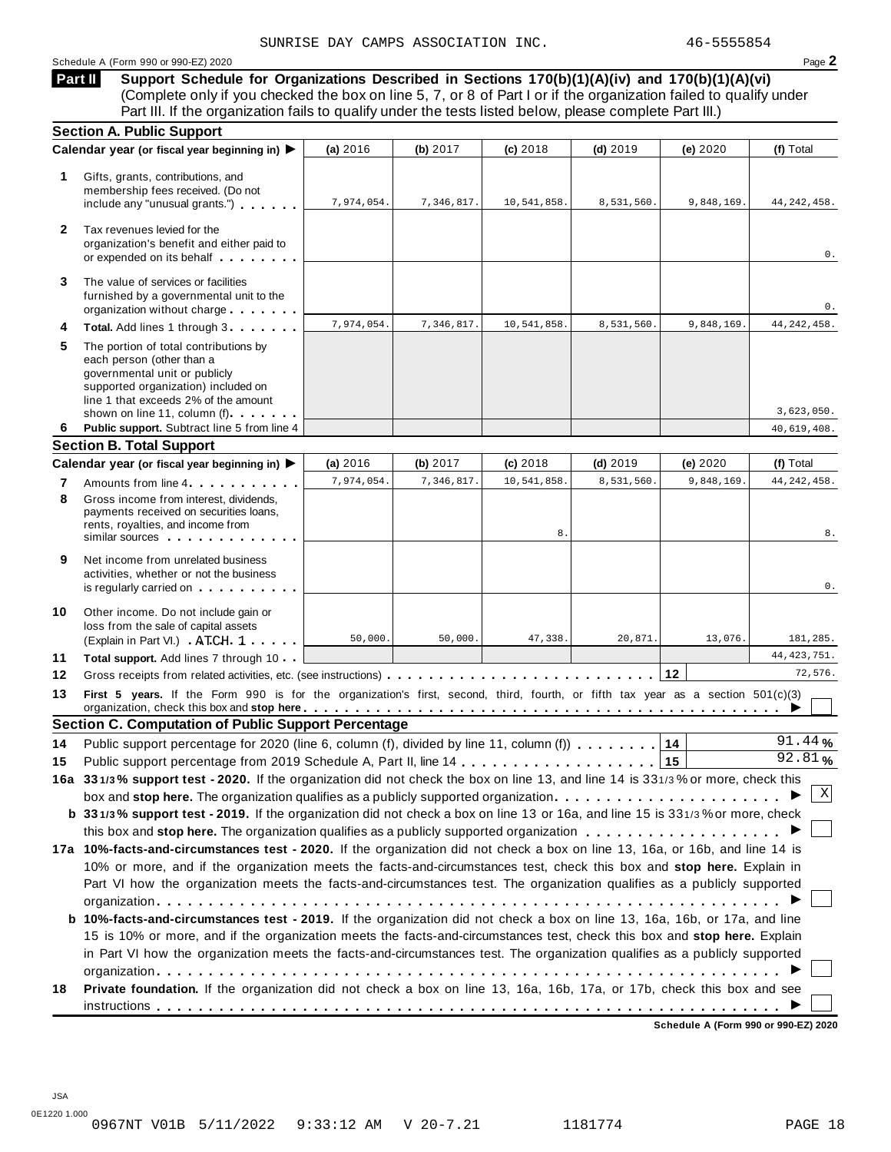### Schedule <sup>A</sup> (Form <sup>990</sup> or 990-EZ) <sup>2020</sup> Page **2**

**Support Schedule for Organizations Described in Sections 170(b)(1)(A)(iv) and 170(b)(1)(A)(vi)** (Complete only if you checked the box on line 5, 7, or 8 of Part I or if the organization failed to qualify under Part III. If the organization fails to qualify under the tests listed below, please complete Part III.) **Part II**

|              | <b>Section A. Public Support</b>                                                                                                                                                                                   |            |            |                |            |            |               |
|--------------|--------------------------------------------------------------------------------------------------------------------------------------------------------------------------------------------------------------------|------------|------------|----------------|------------|------------|---------------|
|              | Calendar year (or fiscal year beginning in) ▶                                                                                                                                                                      | (a) 2016   | (b) 2017   | $(c)$ 2018     | $(d)$ 2019 | (e) 2020   | (f) Total     |
| 1.           | Gifts, grants, contributions, and<br>membership fees received. (Do not<br>include any "unusual grants.")                                                                                                           | 7,974,054. | 7,346,817. | 10,541,858.    | 8,531,560. | 9,848,169. | 44, 242, 458. |
| $\mathbf{2}$ | Tax revenues levied for the<br>organization's benefit and either paid to<br>or expended on its behalf                                                                                                              |            |            |                |            |            | 0.            |
| 3            | The value of services or facilities<br>furnished by a governmental unit to the<br>organization without charge                                                                                                      |            |            |                |            |            | 0.            |
| 4            | Total. Add lines 1 through 3                                                                                                                                                                                       | 7.974.054. | 7,346,817. | 10,541,858.    | 8,531,560. | 9,848,169. | 44, 242, 458. |
| 5            | The portion of total contributions by<br>each person (other than a<br>governmental unit or publicly<br>supported organization) included on<br>line 1 that exceeds 2% of the amount<br>shown on line 11, column (f) |            |            |                |            |            | 3,623,050.    |
| 6            | Public support. Subtract line 5 from line 4                                                                                                                                                                        |            |            |                |            |            | 40,619,408.   |
|              | <b>Section B. Total Support</b>                                                                                                                                                                                    |            |            |                |            |            |               |
|              | Calendar year (or fiscal year beginning in) ▶                                                                                                                                                                      | (a) 2016   | (b) 2017   | $(c)$ 2018     | $(d)$ 2019 | (e) 2020   | (f) Total     |
| 7            | Amounts from line 4                                                                                                                                                                                                | 7,974,054. | 7,346,817. | 10,541,858.    | 8,531,560. | 9,848,169. | 44, 242, 458. |
| 8            | Gross income from interest, dividends.<br>payments received on securities loans,<br>rents, royalties, and income from<br>similar sources experiences                                                               |            |            | 8 <sub>1</sub> |            |            | 8.            |
| 9            | Net income from unrelated business<br>activities, whether or not the business<br>is regularly carried on the control of the set of the set of the set of the set of the set of the set of the s                    |            |            |                |            |            | 0.            |
| 10           | Other income. Do not include gain or<br>loss from the sale of capital assets<br>(Explain in Part VI.) ATCH 1                                                                                                       | 50,000.    | 50,000.    | 47,338.        | 20,871.    | 13,076.    | 181,285.      |
| 11           | Total support. Add lines 7 through 10                                                                                                                                                                              |            |            |                |            |            | 44, 423, 751. |
| 12           | Gross receipts from related activities, etc. (see instructions)                                                                                                                                                    |            |            |                |            | 12         | 72,576.       |
| 13           | First 5 years. If the Form 990 is for the organization's first, second, third, fourth, or fifth tax year as a section 501(c)(3)                                                                                    |            |            |                |            |            |               |
|              | <b>Section C. Computation of Public Support Percentage</b>                                                                                                                                                         |            |            |                |            |            |               |
| 14           | Public support percentage for 2020 (line 6, column (f), divided by line 11, column (f)                                                                                                                             |            |            |                |            | 14         | 91.44%        |
| 15           |                                                                                                                                                                                                                    |            |            |                |            | 15         | 92.81%        |
|              | 16a 331/3% support test - 2020. If the organization did not check the box on line 13, and line 14 is 331/3% or more, check this                                                                                    |            |            |                |            |            |               |
|              | box and stop here. The organization qualifies as a publicly supported organization $\ldots \ldots \ldots \ldots \ldots \ldots \ldots$                                                                              |            |            |                |            |            | Χ             |
|              | b 331/3% support test - 2019. If the organization did not check a box on line 13 or 16a, and line 15 is 331/3% or more, check                                                                                      |            |            |                |            |            |               |
|              |                                                                                                                                                                                                                    |            |            |                |            |            |               |
|              | 17a 10%-facts-and-circumstances test - 2020. If the organization did not check a box on line 13, 16a, or 16b, and line 14 is                                                                                       |            |            |                |            |            |               |
|              | 10% or more, and if the organization meets the facts-and-circumstances test, check this box and stop here. Explain in                                                                                              |            |            |                |            |            |               |
|              | Part VI how the organization meets the facts-and-circumstances test. The organization qualifies as a publicly supported                                                                                            |            |            |                |            |            |               |
|              |                                                                                                                                                                                                                    |            |            |                |            |            |               |
|              | b 10%-facts-and-circumstances test - 2019. If the organization did not check a box on line 13, 16a, 16b, or 17a, and line                                                                                          |            |            |                |            |            |               |
|              |                                                                                                                                                                                                                    |            |            |                |            |            |               |
|              | 15 is 10% or more, and if the organization meets the facts-and-circumstances test, check this box and stop here. Explain                                                                                           |            |            |                |            |            |               |
|              | in Part VI how the organization meets the facts-and-circumstances test. The organization qualifies as a publicly supported                                                                                         |            |            |                |            |            |               |
|              |                                                                                                                                                                                                                    |            |            |                |            |            |               |
| 18           | Private foundation. If the organization did not check a box on line 13, 16a, 16b, 17a, or 17b, check this box and see                                                                                              |            |            |                |            |            |               |

**Schedule A (Form 990 or 990-EZ) 2020**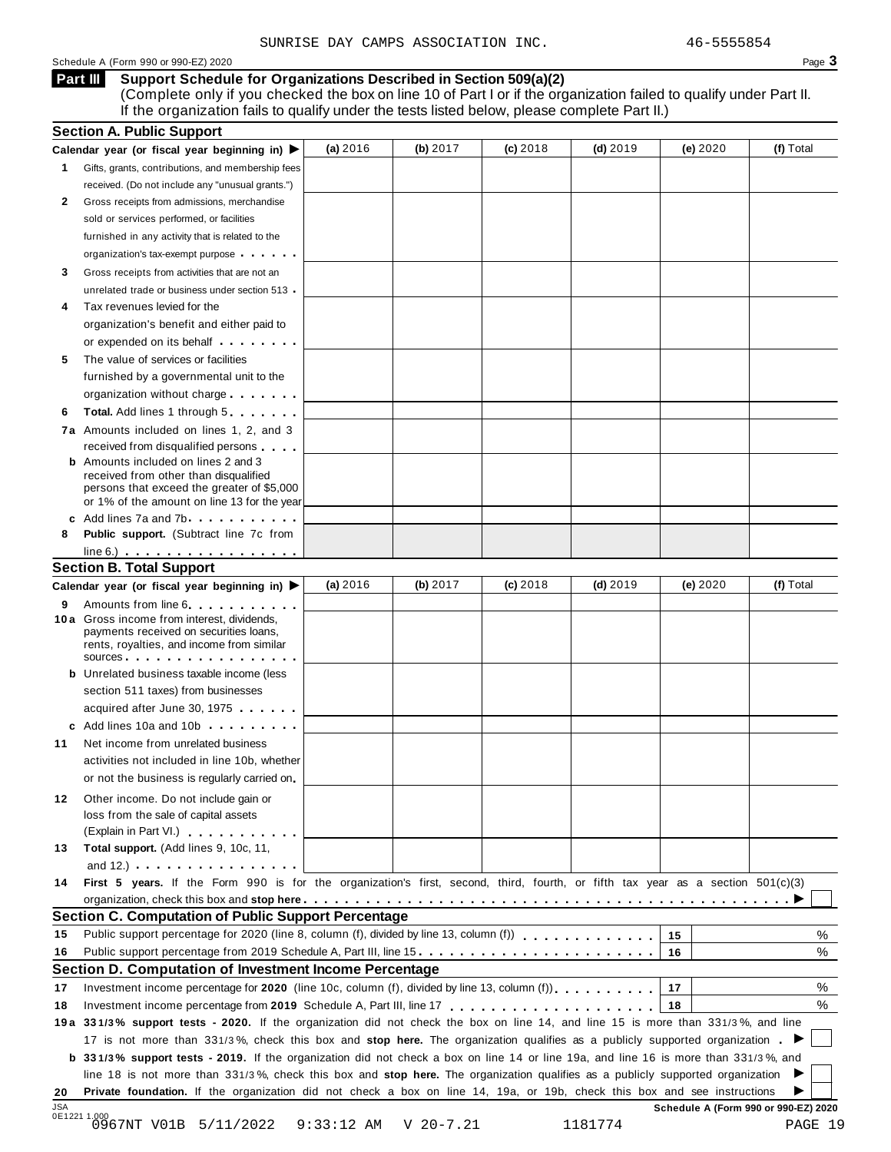### Schedule A (Form 990 or 990-EZ) 2020 Page 3

**Support Schedule for Organizations Described in Section 509(a)(2) Part III**

(Complete only if you checked the box on line 10 of Part I or if the organization failed to qualify under Part II. If the organization fails to qualify under the tests listed below, please complete Part II.)

|                      | <b>Section A. Public Support</b>                                                                                                                                                                                                    |          |          |            |            |          |           |
|----------------------|-------------------------------------------------------------------------------------------------------------------------------------------------------------------------------------------------------------------------------------|----------|----------|------------|------------|----------|-----------|
|                      | Calendar year (or fiscal year beginning in) $\blacktriangleright$                                                                                                                                                                   | (a) 2016 | (b) 2017 | $(c)$ 2018 | $(d)$ 2019 | (e) 2020 | (f) Total |
| 1                    | Gifts, grants, contributions, and membership fees                                                                                                                                                                                   |          |          |            |            |          |           |
|                      | received. (Do not include any "unusual grants.")                                                                                                                                                                                    |          |          |            |            |          |           |
| 2                    | Gross receipts from admissions, merchandise                                                                                                                                                                                         |          |          |            |            |          |           |
|                      | sold or services performed, or facilities                                                                                                                                                                                           |          |          |            |            |          |           |
|                      | furnished in any activity that is related to the                                                                                                                                                                                    |          |          |            |            |          |           |
|                      | organization's tax-exempt purpose                                                                                                                                                                                                   |          |          |            |            |          |           |
| 3                    | Gross receipts from activities that are not an                                                                                                                                                                                      |          |          |            |            |          |           |
|                      | unrelated trade or business under section 513                                                                                                                                                                                       |          |          |            |            |          |           |
| 4                    | Tax revenues levied for the                                                                                                                                                                                                         |          |          |            |            |          |           |
|                      | organization's benefit and either paid to                                                                                                                                                                                           |          |          |            |            |          |           |
|                      | or expended on its behalf <b>contained</b> by the set of the set of the set of the set of the set of the set of the set of the set of the set of the set of the set of the set of the set of the set of the set of the set of the s |          |          |            |            |          |           |
| 5                    | The value of services or facilities                                                                                                                                                                                                 |          |          |            |            |          |           |
|                      | furnished by a governmental unit to the                                                                                                                                                                                             |          |          |            |            |          |           |
|                      | organization without charge                                                                                                                                                                                                         |          |          |            |            |          |           |
| 6                    | <b>Total.</b> Add lines 1 through 5                                                                                                                                                                                                 |          |          |            |            |          |           |
|                      | 7a Amounts included on lines 1, 2, and 3                                                                                                                                                                                            |          |          |            |            |          |           |
|                      | received from disqualified persons                                                                                                                                                                                                  |          |          |            |            |          |           |
|                      | <b>b</b> Amounts included on lines 2 and 3                                                                                                                                                                                          |          |          |            |            |          |           |
|                      | received from other than disqualified                                                                                                                                                                                               |          |          |            |            |          |           |
|                      | persons that exceed the greater of \$5,000<br>or 1% of the amount on line 13 for the year                                                                                                                                           |          |          |            |            |          |           |
|                      | c Add lines 7a and 7b.                                                                                                                                                                                                              |          |          |            |            |          |           |
| 8                    | <b>Public support.</b> (Subtract line 7c from                                                                                                                                                                                       |          |          |            |            |          |           |
|                      | $line 6.)$                                                                                                                                                                                                                          |          |          |            |            |          |           |
|                      | <b>Section B. Total Support</b>                                                                                                                                                                                                     |          |          |            |            |          |           |
|                      | Calendar year (or fiscal year beginning in)                                                                                                                                                                                         | (a) 2016 | (b) 2017 | $(c)$ 2018 | $(d)$ 2019 | (e) 2020 | (f) Total |
|                      | Amounts from line 6                                                                                                                                                                                                                 |          |          |            |            |          |           |
| 9                    | 10 a Gross income from interest, dividends,                                                                                                                                                                                         |          |          |            |            |          |           |
|                      | payments received on securities loans,                                                                                                                                                                                              |          |          |            |            |          |           |
|                      | rents, royalties, and income from similar                                                                                                                                                                                           |          |          |            |            |          |           |
|                      | sources<br><b>b</b> Unrelated business taxable income (less                                                                                                                                                                         |          |          |            |            |          |           |
|                      |                                                                                                                                                                                                                                     |          |          |            |            |          |           |
|                      | section 511 taxes) from businesses                                                                                                                                                                                                  |          |          |            |            |          |           |
|                      | acquired after June 30, 1975                                                                                                                                                                                                        |          |          |            |            |          |           |
|                      | c Add lines 10a and 10b                                                                                                                                                                                                             |          |          |            |            |          |           |
| 11                   | Net income from unrelated business                                                                                                                                                                                                  |          |          |            |            |          |           |
|                      | activities not included in line 10b, whether                                                                                                                                                                                        |          |          |            |            |          |           |
|                      | or not the business is regularly carried on                                                                                                                                                                                         |          |          |            |            |          |           |
| 12                   | Other income. Do not include gain or                                                                                                                                                                                                |          |          |            |            |          |           |
|                      | loss from the sale of capital assets                                                                                                                                                                                                |          |          |            |            |          |           |
|                      | (Explain in Part VI.)                                                                                                                                                                                                               |          |          |            |            |          |           |
| 13                   | Total support. (Add lines 9, 10c, 11,                                                                                                                                                                                               |          |          |            |            |          |           |
|                      | and $12$ .) $\cdots$ $\cdots$ $\cdots$ $\cdots$ $\cdots$                                                                                                                                                                            |          |          |            |            |          |           |
| 14                   | First 5 years. If the Form 990 is for the organization's first, second, third, fourth, or fifth tax year as a section 501(c)(3)                                                                                                     |          |          |            |            |          |           |
|                      |                                                                                                                                                                                                                                     |          |          |            |            |          |           |
|                      | <b>Section C. Computation of Public Support Percentage</b>                                                                                                                                                                          |          |          |            |            |          |           |
| 15                   | Public support percentage for 2020 (line 8, column (f), divided by line 13, column (f)                                                                                                                                              |          |          |            |            | 15       | %         |
|                      |                                                                                                                                                                                                                                     |          |          |            |            | 16       | %         |
|                      |                                                                                                                                                                                                                                     |          |          |            |            |          |           |
|                      | Section D. Computation of Investment Income Percentage                                                                                                                                                                              |          |          |            |            |          |           |
|                      | Investment income percentage for 2020 (line 10c, column (f), divided by line 13, column (f)).                                                                                                                                       |          |          |            |            | 17       |           |
|                      |                                                                                                                                                                                                                                     |          |          |            |            | 18       |           |
|                      | 19a 331/3% support tests - 2020. If the organization did not check the box on line 14, and line 15 is more than 331/3%, and line                                                                                                    |          |          |            |            |          |           |
|                      | 17 is not more than 331/3%, check this box and stop here. The organization qualifies as a publicly supported organization.                                                                                                          |          |          |            |            |          |           |
|                      | <b>b</b> 331/3% support tests - 2019. If the organization did not check a box on line 14 or line 19a, and line 16 is more than 331/3%, and                                                                                          |          |          |            |            |          |           |
|                      | line 18 is not more than 331/3%, check this box and stop here. The organization qualifies as a publicly supported organization                                                                                                      |          |          |            |            |          |           |
| 16<br>17<br>18<br>20 | Private foundation. If the organization did not check a box on line 14, 19a, or 19b, check this box and see instructions                                                                                                            |          |          |            |            |          | %<br>%    |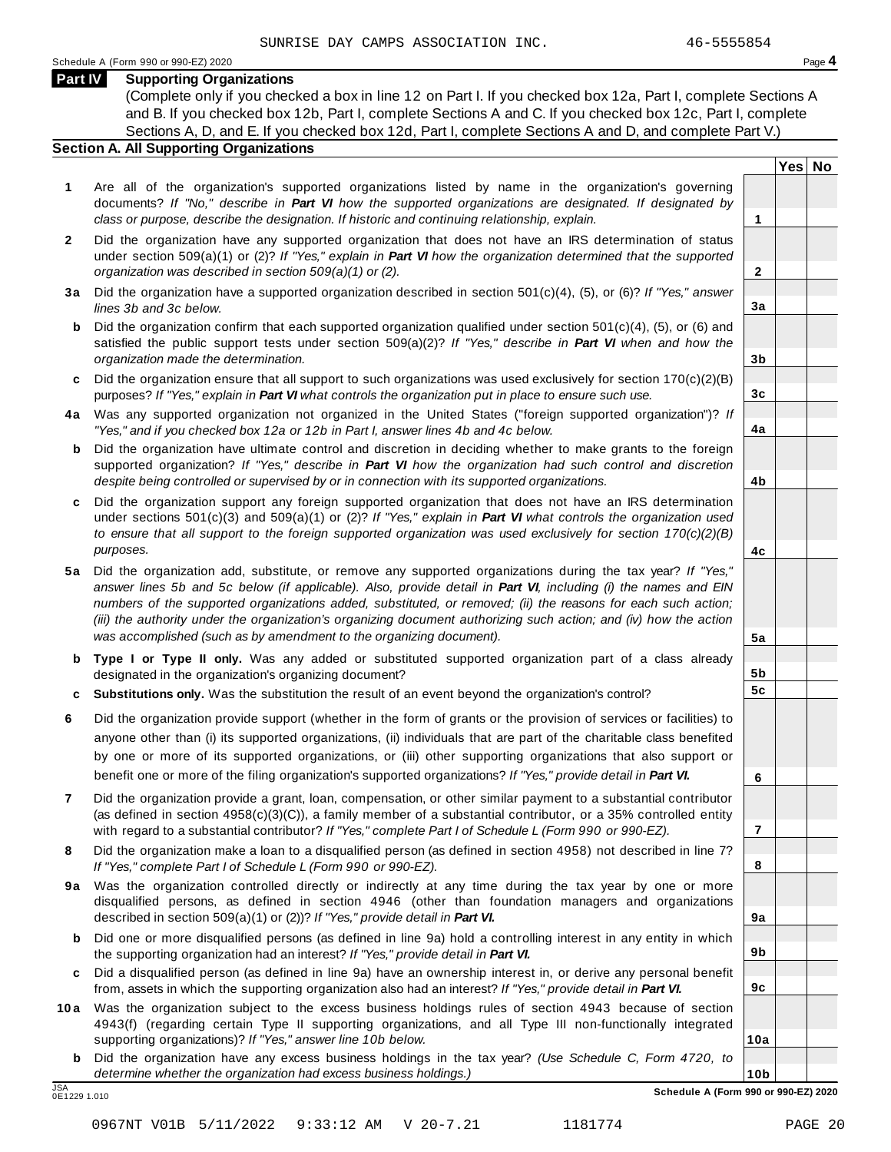**Yes No**

**2**

**3a**

**3b**

**3c**

**4a**

**4b**

**4c**

**5a**

**5b 5c**

**6**

**7**

**8**

**9a**

**9b**

**9c**

**10a**

### **Part IV Supporting Organizations**

(Complete only if you checked a box in line 12 on Part I. If you checked box 12a, Part I, complete Sections A and B. If you checked box 12b, Part I, complete Sections A and C. If you checked box 12c, Part I, complete Sections A, D, and E. If you checked box 12d, Part I, complete Sections A and D, and complete Part V.)

### **Section A. All Supporting Organizations**

- **1** Are all of the organization's supported organizations listed by name in the organization's governing documents? *If "No," describe in Part VI how the supported organizations are designated. If designated by class or purpose, describe the designation. If historic and continuing relationship, explain.* **1**
- **2** Did the organization have any supported organization that does not have an IRS determination of status under section 509(a)(1) or (2)? *If"Yes," explain in Part VI how the organization determined that the supported organization was described in section 509(a)(1) or (2).*
- **3 a** Did the organization have a supported organization described in section 501(c)(4), (5), or (6)? *If "Yes," answer lines 3b and 3c below.*
- **b** Did the organization confirm that each supported organization qualified under section 501(c)(4), (5), or (6) and | satisfied the public support tests under section 509(a)(2)? *If "Yes," describe in Part VI when and how the organization made the determination.*
- **c** Did the organization ensure that all support to such organizations was used exclusively for section 170(c)(2)(B) purposes? *If"Yes," explain in Part VI what controls the organization put in place to ensure such use.*
- **4 a** Was any supported organization not organized in the United States ("foreign supported organization")? *If "Yes," and if you checked box 12a or 12b in Part I, answer lines 4b and 4c below.*
- **b** Did the organization have ultimate control and discretion in deciding whether to make grants to the foreign | supported organization? *If "Yes," describe in Part VI how the organization had such control and discretion despite being controlled or supervised by or in connection with its supported organizations.*
- **c** Did the organization support any foreign supported organization that does not have an IRS determination | under sections 501(c)(3) and 509(a)(1) or (2)? *If "Yes," explain in Part VI what controls the organization used to ensure that all support to the foreign supported organization was used exclusively for section 170(c)(2)(B) purposes.*
- **5 a** Did the organization add, substitute, or remove any supported organizations during the tax year? *If "Yes,"* answer lines 5b and 5c below (if applicable). Also, provide detail in Part VI, including (i) the names and EIN *numbers of the supported organizations added, substituted, or removed; (ii) the reasons for each such action;* (iii) the authority under the organization's organizing document authorizing such action; and (iv) how the action *was accomplished (such as by amendment to the organizing document).*
- **b Type I or Type II only.** Was any added or substituted supported organization part of a class already designated in the organization's organizing document?
- **c Substitutions only.** Was the substitution the result of an event beyond the organization's control?
- **6** Did the organization provide support (whether in the form of grants or the provision of services or facilities) to anyone other than (i) its supported organizations, (ii) individuals that are part of the charitable class benefited by one or more of its supported organizations, or (iii) other supporting organizations that also support or benefit one or more of the filing organization's supported organizations? *If"Yes," provide detail in Part VI.*
- **7** Did the organization provide a grant, loan, compensation, or other similar payment to a substantial contributor (as defined in section 4958(c)(3)(C)), a family member of a substantial contributor, or a 35% controlled entity with regard to a substantial contributor? *If"Yes," complete Part I of Schedule L (Form 990 or 990-EZ).*
- **8** Did the organization make a loan to a disqualified person (as defined in section 4958) not described in line 7? *If "Yes," complete Part I of Schedule L (Form 990 or 990-EZ).*
- **9a** Was the organization controlled directly or indirectly at any time during the tax year by one or more | disqualified persons, as defined in section 4946 (other than foundation managers and organizations described in section 509(a)(1) or (2))? *If"Yes," provide detail in Part VI.*
- **b** Did one or more disqualified persons (as defined in line 9a) hold a controlling interest in any entity in which | the supporting organization had an interest? *If"Yes," provide detail in Part VI.*
- **c** Did a disqualified person (as defined in line 9a) have an ownership interest in, or derive any personal benefit from, assets in which the supporting organization also had an interest? *If"Yes," provide detail in Part VI.*
- **10a** Was the organization subject to the excess business holdings rules of section 4943 because of section | 4943(f) (regarding certain Type II supporting organizations, and all Type III non-functionally integrated supporting organizations)? *If"Yes," answer line 10b below.*
	- **b** Did the organization have any excess business holdings in the tax year? *(Use Schedule C, Form 4720, to determine whether the organization had excess business holdings.)*

0E1229 1.010

**10b** JSA **Schedule A (Form 990 or 990-EZ) 2020**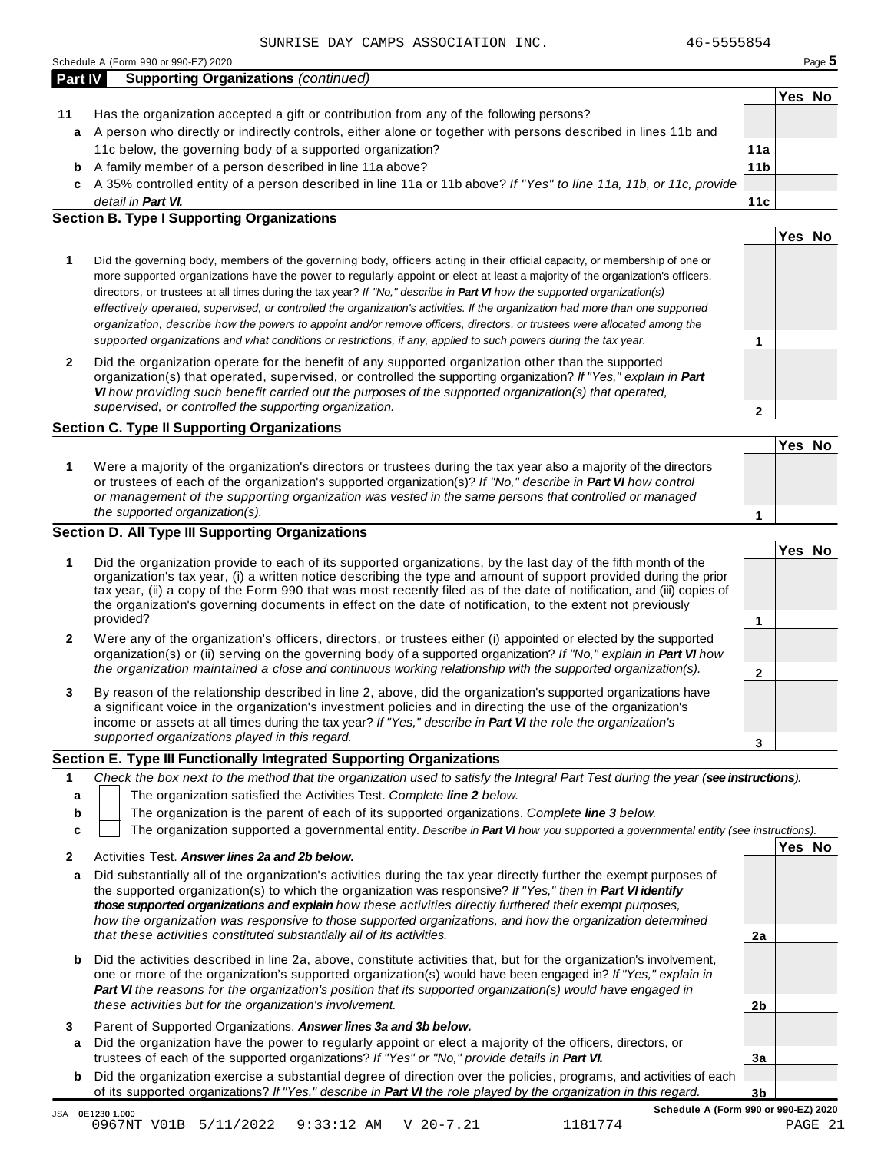| <b>Part IV</b> | <b>Supporting Organizations (continued)</b>                                                                        |                 |      |    |
|----------------|--------------------------------------------------------------------------------------------------------------------|-----------------|------|----|
|                |                                                                                                                    |                 | Yes⊺ | No |
| 11             | Has the organization accepted a gift or contribution from any of the following persons?                            |                 |      |    |
| a              | A person who directly or indirectly controls, either alone or together with persons described in lines 11b and     |                 |      |    |
|                | 11c below, the governing body of a supported organization?                                                         | 11a             |      |    |
| b              | A family member of a person described in line 11a above?                                                           | 11 <sub>b</sub> |      |    |
| C.             | A 35% controlled entity of a person described in line 11a or 11b above? If "Yes" to line 11a, 11b, or 11c, provide |                 |      |    |
|                | detail in Part VI.                                                                                                 | 11c             |      |    |

### **Section B. Type I Supporting Organizations**

|                                                                                                                                                                                                                                                                                                                                                                                                                                                                                                                                                                                                                                                                                                                                                                                 |   | Yes <sub>1</sub> |  |
|---------------------------------------------------------------------------------------------------------------------------------------------------------------------------------------------------------------------------------------------------------------------------------------------------------------------------------------------------------------------------------------------------------------------------------------------------------------------------------------------------------------------------------------------------------------------------------------------------------------------------------------------------------------------------------------------------------------------------------------------------------------------------------|---|------------------|--|
| Did the governing body, members of the governing body, officers acting in their official capacity, or membership of one or<br>more supported organizations have the power to regularly appoint or elect at least a majority of the organization's officers,<br>directors, or trustees at all times during the tax year? If "No," describe in <b>Part VI</b> how the supported organization(s)<br>effectively operated, supervised, or controlled the organization's activities. If the organization had more than one supported<br>organization, describe how the powers to appoint and/or remove officers, directors, or trustees were allocated among the<br>supported organizations and what conditions or restrictions, if any, applied to such powers during the tax year. |   |                  |  |
| Did the organization operate for the benefit of any supported organization other than the supported<br>organization(s) that operated, supervised, or controlled the supporting organization? If "Yes," explain in Part<br>VI how providing such benefit carried out the purposes of the supported organization(s) that operated,<br>supervised, or controlled the supporting organization.                                                                                                                                                                                                                                                                                                                                                                                      | ິ |                  |  |

### **Section C. Type II Supporting Organizations**

|                                                                                                                                                                                                                                                                                                                                                                               | 'Yes⊺ | No |
|-------------------------------------------------------------------------------------------------------------------------------------------------------------------------------------------------------------------------------------------------------------------------------------------------------------------------------------------------------------------------------|-------|----|
| Were a majority of the organization's directors or trustees during the tax year also a majority of the directors<br>or trustees of each of the organization's supported organization(s)? If "No," describe in Part VI how control<br>or management of the supporting organization was vested in the same persons that controlled or managed<br>the supported organization(s). |       |    |

### **Section D. All Type III Supporting Organizations**

|              |                                                                                                                                                                                                                                                                                                                                                                                                                                                                                          | Yes⊺ |  |
|--------------|------------------------------------------------------------------------------------------------------------------------------------------------------------------------------------------------------------------------------------------------------------------------------------------------------------------------------------------------------------------------------------------------------------------------------------------------------------------------------------------|------|--|
|              | Did the organization provide to each of its supported organizations, by the last day of the fifth month of the<br>organization's tax year, (i) a written notice describing the type and amount of support provided during the prior<br>tax year, (ii) a copy of the Form 990 that was most recently filed as of the date of notification, and (iii) copies of<br>the organization's governing documents in effect on the date of notification, to the extent not previously<br>provided? |      |  |
| $\mathbf{2}$ | Were any of the organization's officers, directors, or trustees either (i) appointed or elected by the supported<br>organization(s) or (ii) serving on the governing body of a supported organization? If "No," explain in Part VI how<br>the organization maintained a close and continuous working relationship with the supported organization(s).                                                                                                                                    |      |  |
| 3            | By reason of the relationship described in line 2, above, did the organization's supported organizations have<br>a significant voice in the organization's investment policies and in directing the use of the organization's<br>income or assets at all times during the tax year? If "Yes," describe in Part VI the role the organization's                                                                                                                                            |      |  |
|              | supported organizations played in this regard.                                                                                                                                                                                                                                                                                                                                                                                                                                           |      |  |

### **Section E. Type III Functionally Integrated Supporting Organizations**

|   | Check the box next to the method that the organization used to satisfy the Integral Part Test during the year (see instructions). |  |  |  |  |  |  |  |
|---|-----------------------------------------------------------------------------------------------------------------------------------|--|--|--|--|--|--|--|
|   | The organization satisfied the Activities Test. Complete line 2 below.                                                            |  |  |  |  |  |  |  |
| b | The organization is the parent of each of its supported organizations. Complete line 3 below.                                     |  |  |  |  |  |  |  |
|   | The organization supported a governmental entity. Describe in Part VI how you supported a governmental entity (see instructions). |  |  |  |  |  |  |  |
|   | 'Yes∣ No<br>Activities Test. Answer lines 2a and 2b below.                                                                        |  |  |  |  |  |  |  |

| a Did substantially all of the organization's activities during the tax year directly further the exempt purposes of |    |  |
|----------------------------------------------------------------------------------------------------------------------|----|--|
| the supported organization(s) to which the organization was responsive? If "Yes," then in Part VI identify           |    |  |
| those supported organizations and explain how these activities directly furthered their exempt purposes.             |    |  |
| how the organization was responsive to those supported organizations, and how the organization determined            |    |  |
| that these activities constituted substantially all of its activities.                                               | 2a |  |
|                                                                                                                      |    |  |

- **b** Did the activities described in line 2a, above, constitute activities that, but for the organization's involvement, one or more of the organization's supported organization(s) would have been engaged in? *If "Yes," explain in Part VI the reasons for the organization's position that its supported organization(s) would have engaged in these activities but for the organization's involvement.*
- **3** Parent of Supported Organizations. *Answer lines 3a and 3b below.*
- **a** Did the organization have the power to regularly appoint or elect a majority of the officers, directors, or trustees of each of the supported organizations? *If"Yes" or "No," provide details in Part VI.*
- **b** Did the organization exercise a substantial degree of direction over the policies, programs, and activities of each of its supported organizations? *If"Yes," describe in Part VI the role played by the organization in this regard.*

**2b**

**3a**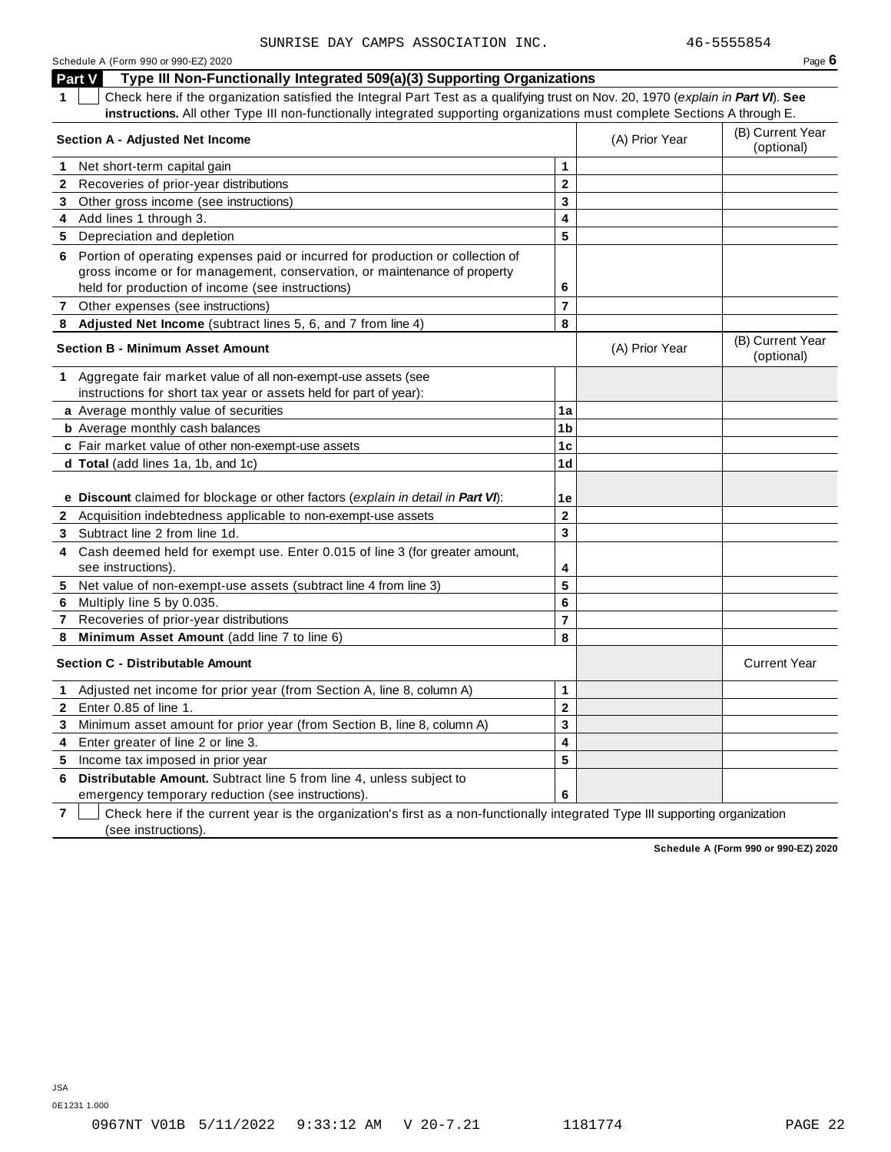| Schedule A (Form 990 or 990-EZ) 2020 | Page 6 |
|--------------------------------------|--------|
|--------------------------------------|--------|

**Part V Type III Non-Functionally Integrated 509(a)(3) Supporting Organizations 1** Check here if the organization satisfied the Integral Part Test as a qualifying trust on Nov. 20, 1970 (*explain in Part VI*). **See instructions.** All other Type III non-functionally integrated supporting organizations must complete Sections A through E. (B) Current Year **Section <sup>A</sup> - Adjusted Net Income** (A) Prior Year (optional) **1** Net short-term capital gain **1**

|              | Tiret Short-term Capital yaih                                                                                                                    |                    |                |                                |
|--------------|--------------------------------------------------------------------------------------------------------------------------------------------------|--------------------|----------------|--------------------------------|
|              | 2 Recoveries of prior-year distributions                                                                                                         | $\overline{2}$     |                |                                |
|              | 3 Other gross income (see instructions)                                                                                                          | 3                  |                |                                |
|              | 4 Add lines 1 through 3.                                                                                                                         | 4                  |                |                                |
|              | 5 Depreciation and depletion                                                                                                                     | 5                  |                |                                |
| 6            | Portion of operating expenses paid or incurred for production or collection of                                                                   |                    |                |                                |
|              | gross income or for management, conservation, or maintenance of property                                                                         |                    |                |                                |
|              | held for production of income (see instructions)                                                                                                 | 6                  |                |                                |
|              | 7 Other expenses (see instructions)                                                                                                              | $\overline{7}$     |                |                                |
|              | 8 Adjusted Net Income (subtract lines 5, 6, and 7 from line 4)                                                                                   | 8                  |                |                                |
|              | <b>Section B - Minimum Asset Amount</b>                                                                                                          |                    | (A) Prior Year | (B) Current Year<br>(optional) |
|              | 1 Aggregate fair market value of all non-exempt-use assets (see                                                                                  |                    |                |                                |
|              | instructions for short tax year or assets held for part of year):                                                                                |                    |                |                                |
|              | a Average monthly value of securities                                                                                                            | 1a                 |                |                                |
|              | <b>b</b> Average monthly cash balances                                                                                                           | 1 <sub>b</sub>     |                |                                |
|              | c Fair market value of other non-exempt-use assets                                                                                               | 1 <sub>c</sub>     |                |                                |
|              | d Total (add lines 1a, 1b, and 1c)                                                                                                               | 1 <sub>d</sub>     |                |                                |
| $\mathbf{2}$ | e Discount claimed for blockage or other factors (explain in detail in Part VI):<br>Acquisition indebtedness applicable to non-exempt-use assets | 1е<br>$\mathbf{2}$ |                |                                |
| 3            | Subtract line 2 from line 1d.                                                                                                                    | 3                  |                |                                |
| 4            | Cash deemed held for exempt use. Enter 0.015 of line 3 (for greater amount,                                                                      |                    |                |                                |
|              | see instructions).                                                                                                                               | 4                  |                |                                |
| 5.           | Net value of non-exempt-use assets (subtract line 4 from line 3)                                                                                 | 5                  |                |                                |
| 6            | Multiply line 5 by 0.035.                                                                                                                        | 6                  |                |                                |
| 7            | Recoveries of prior-year distributions                                                                                                           | $\overline{7}$     |                |                                |
| 8            | Minimum Asset Amount (add line 7 to line 6)                                                                                                      | 8                  |                |                                |
|              | <b>Section C - Distributable Amount</b>                                                                                                          |                    |                | <b>Current Year</b>            |
|              | Adjusted net income for prior year (from Section A, line 8, column A)                                                                            | 1                  |                |                                |
| $\mathbf{2}$ | Enter 0.85 of line 1.                                                                                                                            | $\mathbf{2}$       |                |                                |
| 3            | Minimum asset amount for prior year (from Section B, line 8, column A)                                                                           | 3                  |                |                                |
| 4            | Enter greater of line 2 or line 3.                                                                                                               | 4                  |                |                                |
| 5            | Income tax imposed in prior year                                                                                                                 | 5                  |                |                                |
| 6            | Distributable Amount. Subtract line 5 from line 4, unless subject to<br>emergency temporary reduction (see instructions).                        | 6                  |                |                                |

**7**  $\Box$  Check here if the current year is the organization's first as a non-functionally integrated Type III supporting organization (see instructions).

**Schedule A (Form 990 or 990-EZ) 2020**

0E1231 1.000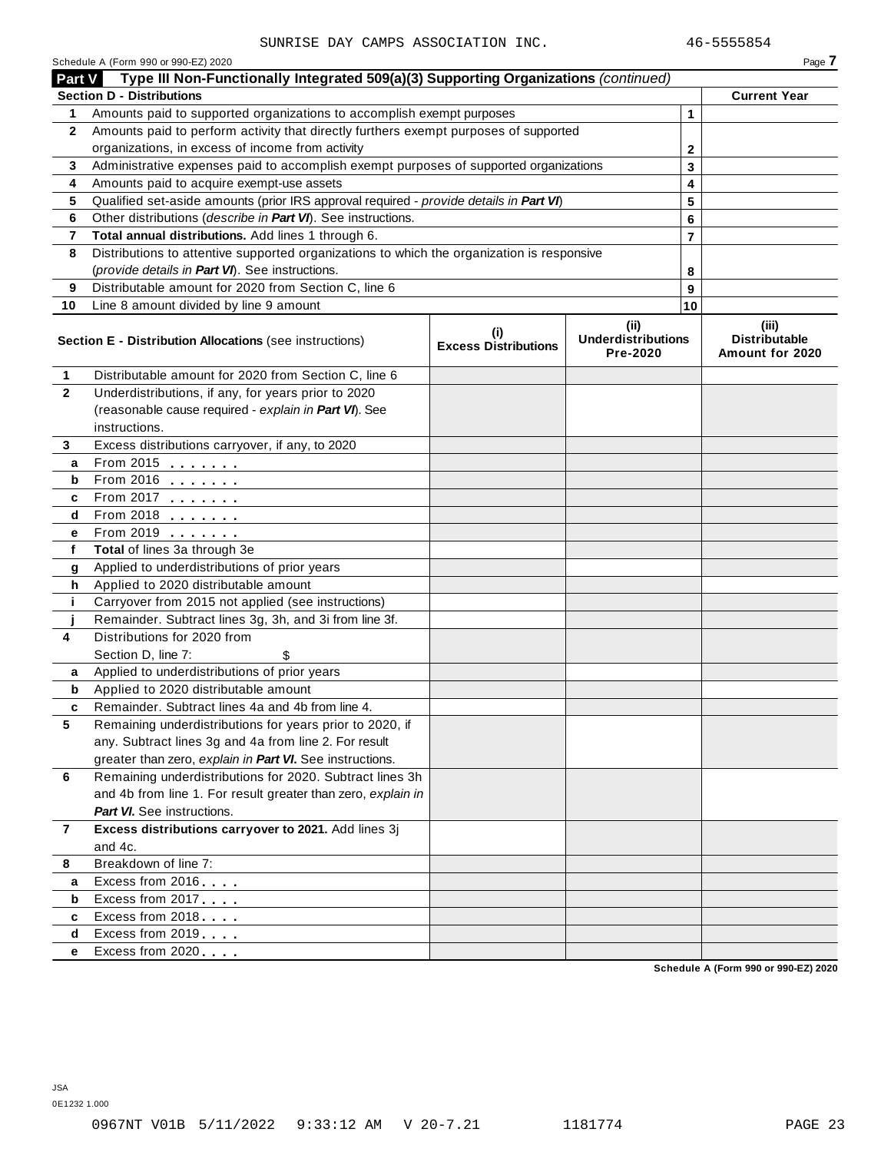|                | Schedule A (Form 990 or 990-EZ) 2020<br>Type III Non-Functionally Integrated 509(a)(3) Supporting Organizations (continued)              |                                    |                                       |        | Page 7                                  |
|----------------|------------------------------------------------------------------------------------------------------------------------------------------|------------------------------------|---------------------------------------|--------|-----------------------------------------|
| <b>Part V</b>  | <b>Section D - Distributions</b>                                                                                                         |                                    |                                       |        |                                         |
|                |                                                                                                                                          |                                    |                                       |        | <b>Current Year</b>                     |
| 1              | Amounts paid to supported organizations to accomplish exempt purposes                                                                    |                                    | 1                                     |        |                                         |
| $\mathbf{2}$   | Amounts paid to perform activity that directly furthers exempt purposes of supported<br>organizations, in excess of income from activity |                                    |                                       |        |                                         |
|                | Administrative expenses paid to accomplish exempt purposes of supported organizations                                                    |                                    | 2                                     |        |                                         |
| 3<br>4         | Amounts paid to acquire exempt-use assets                                                                                                |                                    |                                       | 3      |                                         |
| 5              | Qualified set-aside amounts (prior IRS approval required - provide details in Part VI)                                                   |                                    |                                       | 4      |                                         |
| 6              | Other distributions (describe in Part VI). See instructions.                                                                             |                                    |                                       | 5<br>6 |                                         |
| 7              | Total annual distributions. Add lines 1 through 6.                                                                                       |                                    |                                       | 7      |                                         |
| 8              | Distributions to attentive supported organizations to which the organization is responsive                                               |                                    |                                       |        |                                         |
|                | (provide details in Part VI). See instructions.                                                                                          |                                    |                                       | 8      |                                         |
| 9              | Distributable amount for 2020 from Section C, line 6                                                                                     |                                    |                                       | 9      |                                         |
| 10             | Line 8 amount divided by line 9 amount                                                                                                   |                                    |                                       | 10     |                                         |
|                |                                                                                                                                          |                                    | (ii)                                  |        | (iii)                                   |
|                | Section E - Distribution Allocations (see instructions)                                                                                  | (i)<br><b>Excess Distributions</b> | <b>Underdistributions</b><br>Pre-2020 |        | <b>Distributable</b><br>Amount for 2020 |
| 1              | Distributable amount for 2020 from Section C, line 6                                                                                     |                                    |                                       |        |                                         |
| $\mathbf{2}$   | Underdistributions, if any, for years prior to 2020                                                                                      |                                    |                                       |        |                                         |
|                | (reasonable cause required - explain in Part VI). See                                                                                    |                                    |                                       |        |                                         |
|                | instructions.                                                                                                                            |                                    |                                       |        |                                         |
| 3              | Excess distributions carryover, if any, to 2020                                                                                          |                                    |                                       |        |                                         |
| а              | From 2015 $\frac{1}{2}$                                                                                                                  |                                    |                                       |        |                                         |
| b              | From 2016 $\frac{2016}{200}$                                                                                                             |                                    |                                       |        |                                         |
| c              | From 2017 $\frac{1}{2}$                                                                                                                  |                                    |                                       |        |                                         |
| d              | From 2018 $\frac{2018}{200}$                                                                                                             |                                    |                                       |        |                                         |
| е              | From 2019 <b>Figure 1.1 Figure 1.1</b>                                                                                                   |                                    |                                       |        |                                         |
| f              | Total of lines 3a through 3e                                                                                                             |                                    |                                       |        |                                         |
| g              | Applied to underdistributions of prior years                                                                                             |                                    |                                       |        |                                         |
| h              | Applied to 2020 distributable amount                                                                                                     |                                    |                                       |        |                                         |
| j.             | Carryover from 2015 not applied (see instructions)                                                                                       |                                    |                                       |        |                                         |
| 4              | Remainder. Subtract lines 3g, 3h, and 3i from line 3f.<br>Distributions for 2020 from                                                    |                                    |                                       |        |                                         |
|                | Section D, line 7:                                                                                                                       |                                    |                                       |        |                                         |
| a              | \$<br>Applied to underdistributions of prior years                                                                                       |                                    |                                       |        |                                         |
| b              | Applied to 2020 distributable amount                                                                                                     |                                    |                                       |        |                                         |
| c              | Remainder. Subtract lines 4a and 4b from line 4.                                                                                         |                                    |                                       |        |                                         |
| 5              | Remaining underdistributions for years prior to 2020, if                                                                                 |                                    |                                       |        |                                         |
|                | any. Subtract lines 3g and 4a from line 2. For result                                                                                    |                                    |                                       |        |                                         |
|                | greater than zero, explain in Part VI. See instructions.                                                                                 |                                    |                                       |        |                                         |
| 6              | Remaining underdistributions for 2020. Subtract lines 3h                                                                                 |                                    |                                       |        |                                         |
|                | and 4b from line 1. For result greater than zero, explain in                                                                             |                                    |                                       |        |                                         |
|                | <b>Part VI.</b> See instructions.                                                                                                        |                                    |                                       |        |                                         |
| $\overline{7}$ | Excess distributions carryover to 2021. Add lines 3j                                                                                     |                                    |                                       |        |                                         |
|                | and 4c.                                                                                                                                  |                                    |                                       |        |                                         |
| 8              | Breakdown of line 7:                                                                                                                     |                                    |                                       |        |                                         |
| а              | Excess from 2016                                                                                                                         |                                    |                                       |        |                                         |
| b              | Excess from 2017                                                                                                                         |                                    |                                       |        |                                         |
| c              | Excess from 2018                                                                                                                         |                                    |                                       |        |                                         |
| d              | Excess from 2019                                                                                                                         |                                    |                                       |        |                                         |
| е              | Excess from 2020                                                                                                                         |                                    |                                       |        |                                         |
|                |                                                                                                                                          |                                    |                                       |        | Schodule A (Form 000 or 000 F7) 2020    |

**Schedule A (Form 990 or 990-EZ) 2020**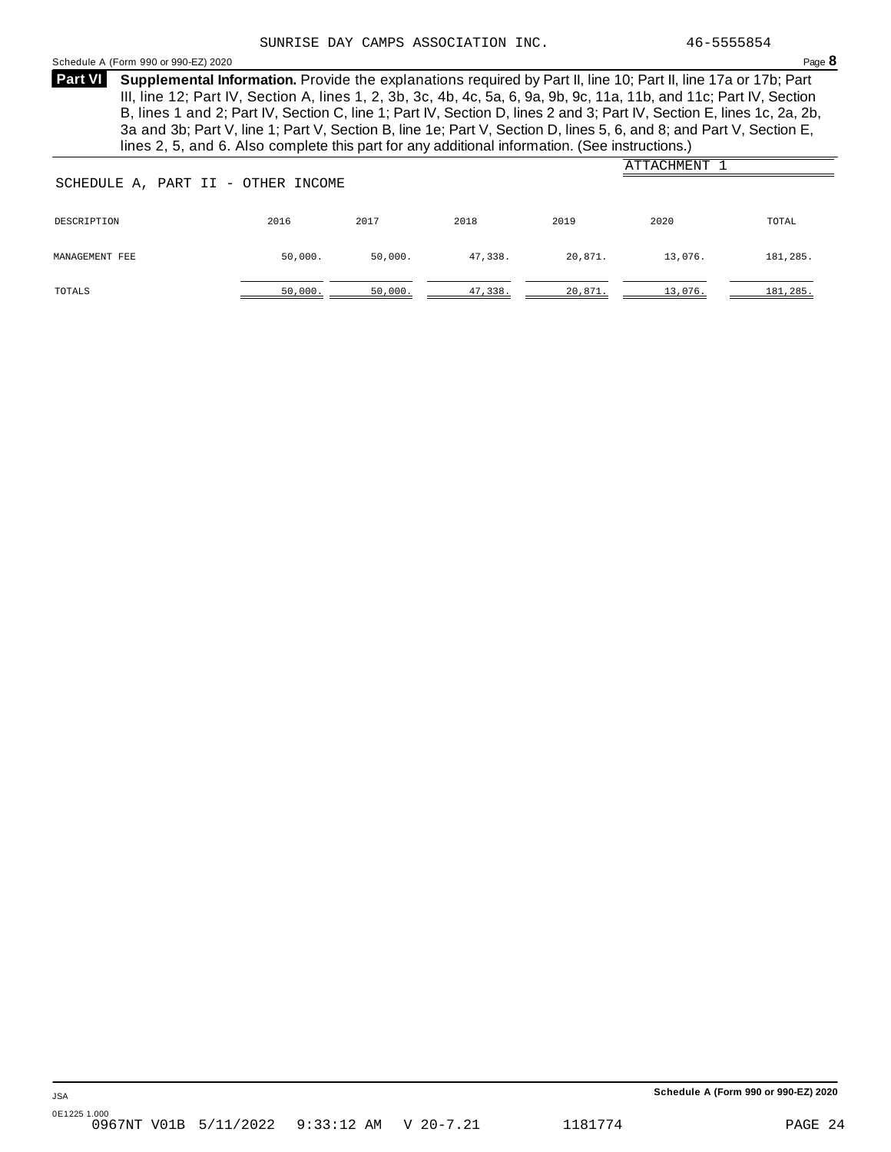### Schedule <sup>A</sup> (Form <sup>990</sup> or 990-EZ) <sup>2020</sup> Page **8**

**Supplemental Information.** Provide the explanations required by Part II, line 10; Part II, line 17a or 17b; Part **Part VI** III, line 12; Part IV, Section A, lines 1, 2, 3b, 3c, 4b, 4c, 5a, 6, 9a, 9b, 9c, 11a, 11b, and 11c; Part IV, Section B, lines 1 and 2; Part IV, Section C, line 1; Part IV, Section D, lines 2 and 3; Part IV, Section E, lines 1c, 2a, 2b, 3a and 3b; Part V, line 1; Part V, Section B, line 1e; Part V, Section D, lines 5, 6, and 8; and Part V, Section E, lines 2, 5, and 6. Also complete this part for any additional information. (See instructions.)

| ATTACHMENT<br>SCHEDULE A, PART II - OTHER INCOME |         |         |         |         |         |          |  |  |  |
|--------------------------------------------------|---------|---------|---------|---------|---------|----------|--|--|--|
| DESCRIPTION                                      | 2016    | 2017    | 2018    | 2019    | 2020    | TOTAL    |  |  |  |
| MANAGEMENT FEE                                   | 50,000. | 50,000. | 47,338. | 20,871. | 13,076. | 181,285. |  |  |  |
| TOTALS                                           | 50,000. | 50,000. | 47,338. | 20,871. | 13,076. | 181,285. |  |  |  |

**Schedule A (Form 990 or 990-EZ) 2020**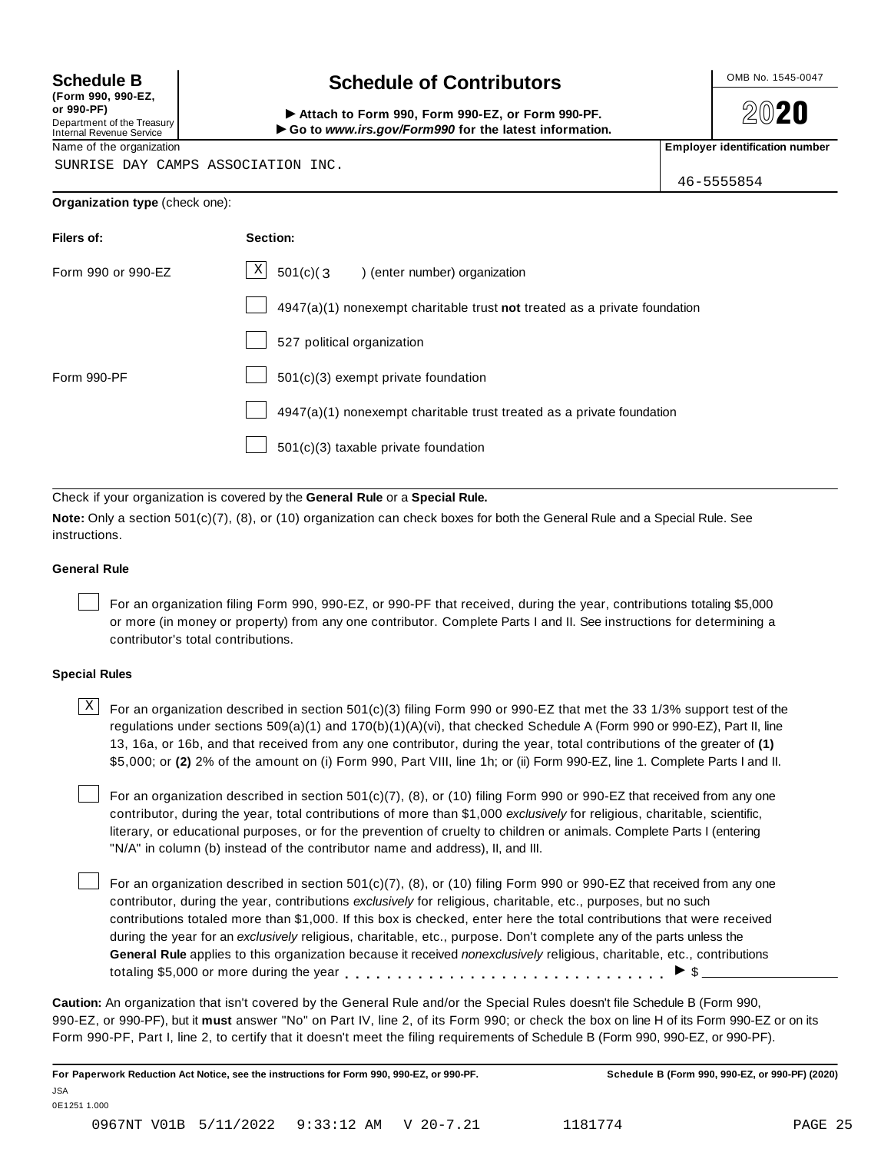**(Form 990, 990-EZ, or 990-PF)** Department of the Treasury<br>Internal Revenue Service

### **Schedule B chedule of Contributors**

(Form 990, 990-EZ,<br>
or 990-PF,<br>
Department of the Treasury **COLOCY**<br>
Internal Revenue Service **COLOCY**<br>
Name of the organization<br>
Name of the organization

**2020** 

SUNRISE DAY CAMPS ASSOCIATION INC.

46-5555854

| Filers of:         | Section:                                                                  |
|--------------------|---------------------------------------------------------------------------|
| Form 990 or 990-EZ | $\mathbf{X}$<br>$501(c)(3)$ (enter number) organization                   |
|                    | 4947(a)(1) nonexempt charitable trust not treated as a private foundation |
|                    | 527 political organization                                                |
| Form 990-PF        | 501(c)(3) exempt private foundation                                       |
|                    | 4947(a)(1) nonexempt charitable trust treated as a private foundation     |
|                    | $501(c)(3)$ taxable private foundation                                    |

Check if your organization is covered by the **General Rule** or a **Special Rule.**

**Note:** Only a section 501(c)(7), (8), or (10) organization can check boxes for both the General Rule and a Special Rule. See instructions.

### **General Rule**

For an organization filing Form 990, 990-EZ, or 990-PF that received, during the year, contributions totaling \$5,000 or more (in money or property) from any one contributor. Complete Parts I and II. See instructions for determining a contributor's total contributions.

### **Special Rules**

 $\text{X}$  For an organization described in section 501(c)(3) filing Form 990 or 990-EZ that met the 33 1/3% support test of the regulations under sections 509(a)(1) and 170(b)(1)(A)(vi), that checked Schedule A (Form 990 or 990-EZ), Part II, line 13, 16a, or 16b, and that received from any one contributor, during the year, total contributions of the greater of **(1)** \$5,000; or **(2)** 2% of the amount on (i) Form 990, Part VIII, line 1h; or (ii) Form 990-EZ, line 1. Complete Parts I and II.

For an organization described in section 501(c)(7), (8), or (10) filing Form 990 or 990-EZ that received from any one contributor, during the year, total contributions of more than \$1,000 *exclusively* for religious, charitable, scientific, literary, or educational purposes, or for the prevention of cruelty to children or animals. Complete Parts I (entering "N/A" in column (b) instead of the contributor name and address), II, and III.

For an organization described in section 501(c)(7), (8), or (10) filing Form 990 or 990-EZ that received from any one contributor, during the year, contributions *exclusively* for religious, charitable, etc., purposes, but no such contributions totaled more than \$1,000. If this box is checked, enter here the total contributions that were received during the year for an *exclusively* religious, charitable, etc., purpose. Don't complete any of the parts unless the **General Rule** applies to this organization because it received *nonexclusively* religious, charitable, etc., contributions totaling \$5,000 or more during the year  $\ldots \ldots \ldots \ldots \ldots \ldots \ldots \ldots \ldots \vdots$ 

**Caution:** An organization that isn't covered by the General Rule and/or the Special Rules doesn't file Schedule B (Form 990, 990-EZ, or 990-PF), but it **must** answer "No" on Part IV, line 2, of its Form 990; or check the box on line H of its Form 990-EZ or on its Form 990-PF, Part I, line 2, to certify that it doesn't meet the filing requirements of Schedule B (Form 990, 990-EZ, or 990-PF).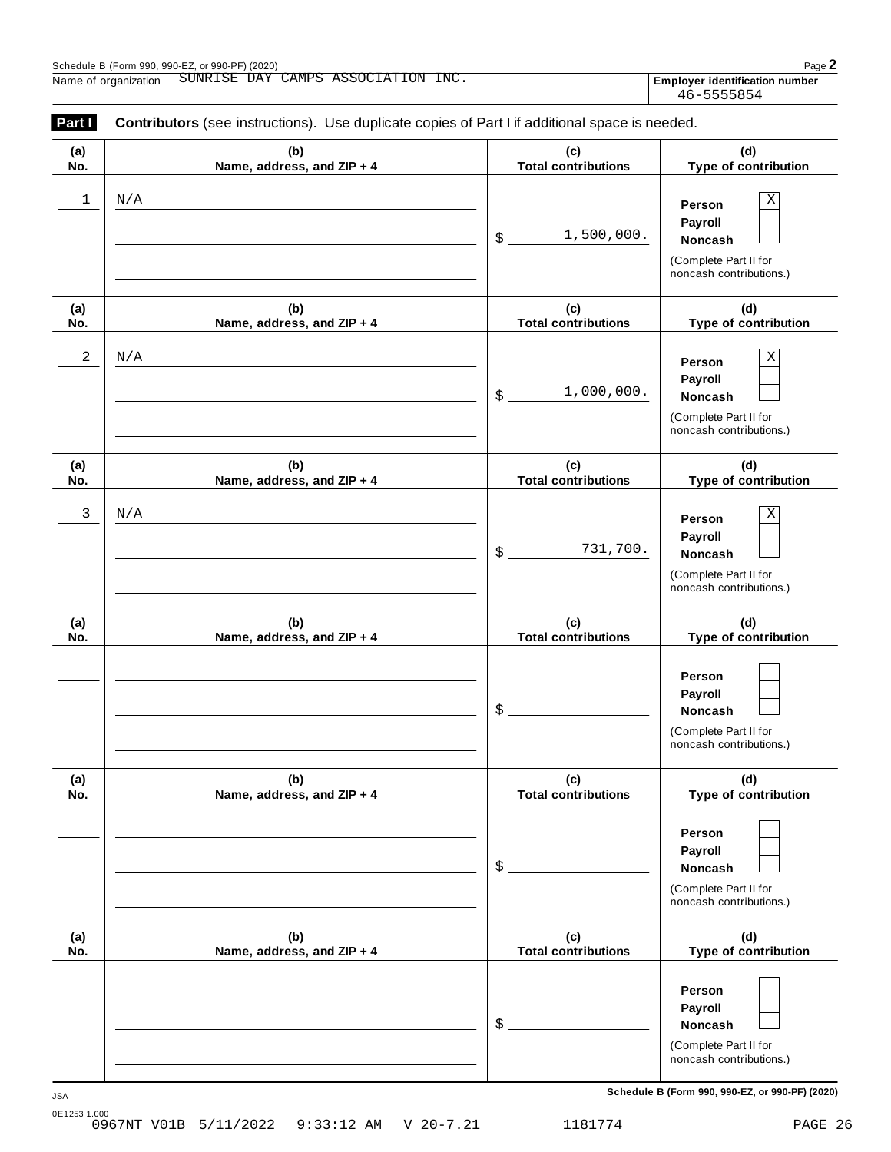| Part I     | <b>Contributors</b> (see instructions). Use duplicate copies of Part I if additional space is needed. |                                   |                                                                                       |
|------------|-------------------------------------------------------------------------------------------------------|-----------------------------------|---------------------------------------------------------------------------------------|
| (a)<br>No. | (b)<br>Name, address, and ZIP + 4                                                                     | (c)<br><b>Total contributions</b> | (d)<br>Type of contribution                                                           |
| 1          | N/A                                                                                                   | 1,500,000.<br>\$                  | Χ<br>Person<br>Payroll<br>Noncash<br>(Complete Part II for<br>noncash contributions.) |
| (a)<br>No. | (b)<br>Name, address, and ZIP + 4                                                                     | (c)<br><b>Total contributions</b> | (d)<br>Type of contribution                                                           |
| 2          | N/A                                                                                                   | 1,000,000.<br>\$                  | Х<br>Person<br>Payroll<br>Noncash<br>(Complete Part II for<br>noncash contributions.) |
| (a)<br>No. | (b)<br>Name, address, and ZIP + 4                                                                     | (c)<br><b>Total contributions</b> | (d)<br>Type of contribution                                                           |
| 3          | N/A                                                                                                   | 731,700.<br>\$                    | Χ<br>Person<br>Payroll<br>Noncash<br>(Complete Part II for<br>noncash contributions.) |
| (a)<br>No. | (b)<br>Name, address, and ZIP + 4                                                                     | (c)<br><b>Total contributions</b> | (d)<br>Type of contribution                                                           |
|            |                                                                                                       | \$                                | Person<br>Payroll<br>Noncash<br>(Complete Part II for<br>noncash contributions.)      |
| (a)<br>No. | (b)<br>Name, address, and ZIP + 4                                                                     | (c)<br><b>Total contributions</b> | (d)<br>Type of contribution                                                           |
|            |                                                                                                       | \$                                | Person<br>Payroll<br>Noncash<br>(Complete Part II for<br>noncash contributions.)      |
| (a)<br>No. | (b)<br>Name, address, and ZIP + 4                                                                     | (c)<br><b>Total contributions</b> | (d)<br>Type of contribution                                                           |
|            |                                                                                                       | \$                                | Person<br>Payroll<br>Noncash<br>(Complete Part II for<br>noncash contributions.)      |

**Schedule B (Form 990, 990-EZ, or 990-PF) (2020)** JSA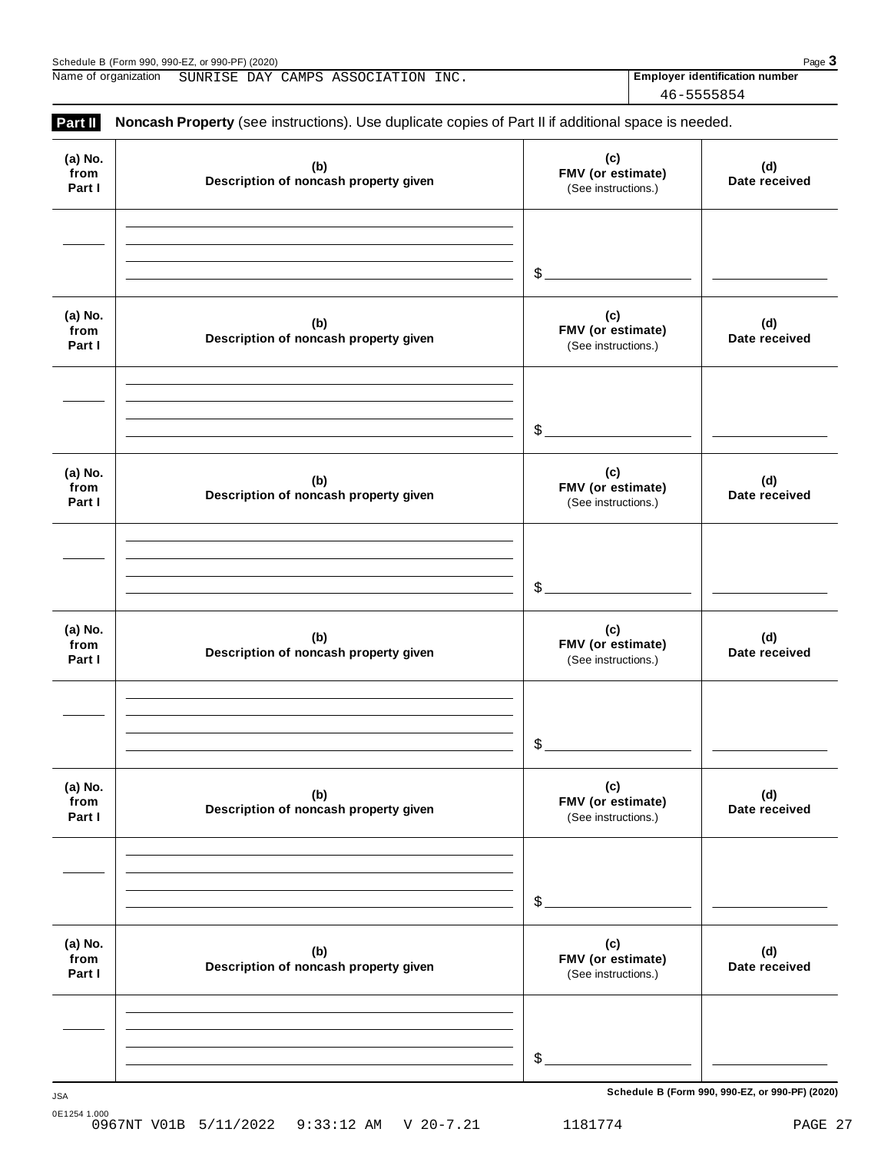| (2020)<br>. or 990-PF $^{\circ}$<br>Schedule<br>990.990-EZ.<br>$\sim$<br>٬ Form 990 ٬ ـ | Page |
|-----------------------------------------------------------------------------------------|------|
|-----------------------------------------------------------------------------------------|------|

Name of organization **Employer identification number** SUNRISE DAY CAMPS ASSOCIATION INC.

46-5555854

| Part II                   | Noncash Property (see instructions). Use duplicate copies of Part II if additional space is needed. |                                                 |                      |
|---------------------------|-----------------------------------------------------------------------------------------------------|-------------------------------------------------|----------------------|
| (a) No.<br>from<br>Part I | (b)<br>Description of noncash property given                                                        | (c)<br>FMV (or estimate)<br>(See instructions.) | (d)<br>Date received |
|                           |                                                                                                     | $\frac{1}{2}$                                   |                      |
| (a) No.<br>from<br>Part I | (b)<br>Description of noncash property given                                                        | (c)<br>FMV (or estimate)<br>(See instructions.) | (d)<br>Date received |
|                           |                                                                                                     | $\frac{1}{2}$                                   |                      |
| (a) No.<br>from<br>Part I | (b)<br>Description of noncash property given                                                        | (c)<br>FMV (or estimate)<br>(See instructions.) | (d)<br>Date received |
|                           |                                                                                                     | $\frac{1}{2}$                                   |                      |
| (a) No.<br>from<br>Part I | (b)<br>Description of noncash property given                                                        | (c)<br>FMV (or estimate)<br>(See instructions.) | (d)<br>Date received |
|                           |                                                                                                     | \$                                              |                      |
| (a) No.<br>from<br>Part I | (b)<br>Description of noncash property given                                                        | (c)<br>FMV (or estimate)<br>(See instructions.) | (d)<br>Date received |
|                           |                                                                                                     | \$                                              |                      |
| (a) No.<br>from<br>Part I | (b)<br>Description of noncash property given                                                        | (c)<br>FMV (or estimate)<br>(See instructions.) | (d)<br>Date received |
|                           |                                                                                                     |                                                 |                      |
|                           |                                                                                                     | $$$ .                                           |                      |

**Schedule B (Form 990, 990-EZ, or 990-PF) (2020)** JSA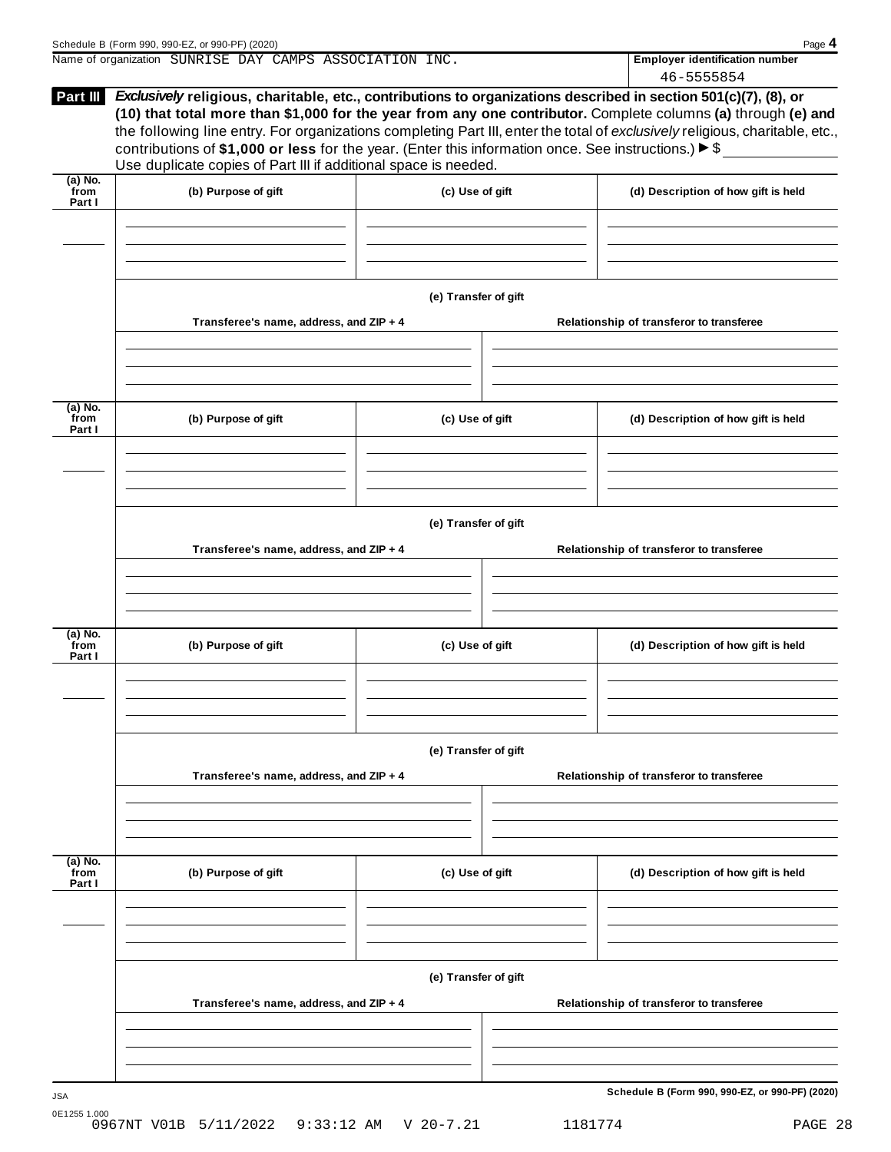|                           | Name of organization SUNRISE DAY CAMPS ASSOCIATION INC.                                                                                                                                                                                                                                                          |                      | <b>Employer identification number</b>                                                                                                                                                                                                         |
|---------------------------|------------------------------------------------------------------------------------------------------------------------------------------------------------------------------------------------------------------------------------------------------------------------------------------------------------------|----------------------|-----------------------------------------------------------------------------------------------------------------------------------------------------------------------------------------------------------------------------------------------|
|                           |                                                                                                                                                                                                                                                                                                                  |                      | 46-5555854                                                                                                                                                                                                                                    |
| <b>Part III</b>           | <i>Exclusively</i> religious, charitable, etc., contributions to organizations described in section 501(c)(7), (8), or<br>contributions of \$1,000 or less for the year. (Enter this information once. See instructions.) $\triangleright$ \$<br>Use duplicate copies of Part III if additional space is needed. |                      | (10) that total more than \$1,000 for the year from any one contributor. Complete columns (a) through (e) and<br>the following line entry. For organizations completing Part III, enter the total of exclusively religious, charitable, etc., |
| (a) No.<br>from<br>Part I | (b) Purpose of gift                                                                                                                                                                                                                                                                                              | (c) Use of gift      | (d) Description of how gift is held                                                                                                                                                                                                           |
|                           |                                                                                                                                                                                                                                                                                                                  | (e) Transfer of gift |                                                                                                                                                                                                                                               |

| $(a)$ No.<br>from<br>Part I | (b) Purpose of gift                     | (c) Use of gift      | (d) Description of how gift is held      |
|-----------------------------|-----------------------------------------|----------------------|------------------------------------------|
|                             |                                         |                      |                                          |
|                             |                                         |                      |                                          |
|                             |                                         | (e) Transfer of gift |                                          |
|                             | Transferee's name, address, and ZIP + 4 |                      | Relationship of transferor to transferee |
|                             |                                         |                      |                                          |
|                             |                                         |                      |                                          |
|                             |                                         |                      |                                          |
| (a) No.                     |                                         |                      |                                          |
| from<br>Part I              | (b) Purpose of gift                     | (c) Use of gift      | (d) Description of how gift is held      |
|                             |                                         |                      |                                          |
|                             |                                         |                      |                                          |
|                             |                                         |                      |                                          |
|                             |                                         | (e) Transfer of gift |                                          |
|                             | Transferee's name, address, and ZIP + 4 |                      | Relationship of transferor to transferee |
|                             |                                         |                      |                                          |
|                             |                                         |                      |                                          |
|                             |                                         |                      |                                          |

**(a) No. from Part I (b) Purpose of gift (c) Use of gift (d) Description of how gift is held (e) Transfer of gift Transferee's name, address, and ZIP + 4 Relationship of transferor to transferee**

 $\overline{1}$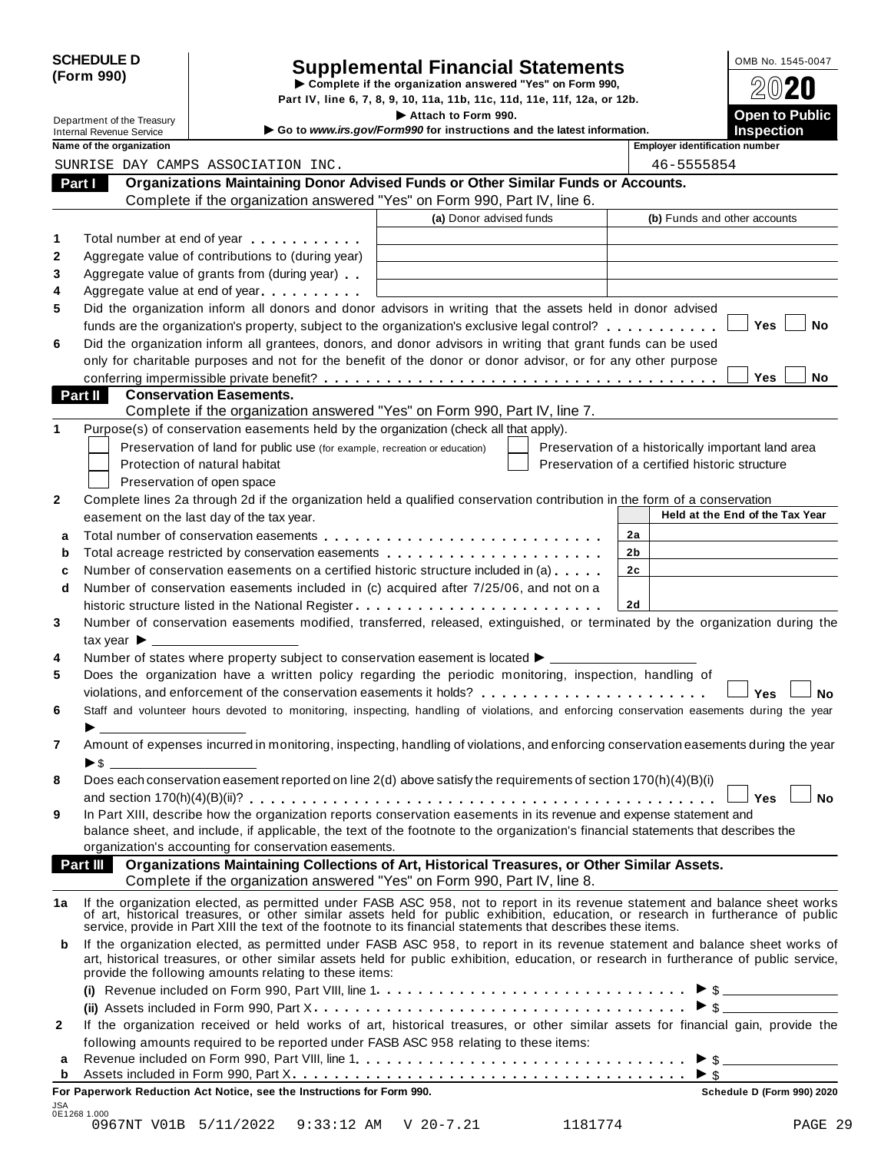|            | <b>SCHEDULE D</b> |
|------------|-------------------|
| (Form 990) |                   |

# SCHEDULE D<br>
Supplemental Financial Statements<br>
Form 990) Part IV. line 6. 7. 8. 9. 10. 11a. 11b. 11c. 11d. 11e. 11f. 12a. or 12b.

Part IV, line 6, 7, 8, 9, 10, 11a, 11b, 11c, 11d, 11e, 11f, 12a, or 12b.

|                |                 | Department of the Treasury                           |                                                                                                                                                                                                                                                                                                                                                  | Attach to Form 990.<br>Go to www.irs.gov/Form990 for instructions and the latest information. |                                                    |                |                                       | Open to Public<br><b>Inspection</b> |           |
|----------------|-----------------|------------------------------------------------------|--------------------------------------------------------------------------------------------------------------------------------------------------------------------------------------------------------------------------------------------------------------------------------------------------------------------------------------------------|-----------------------------------------------------------------------------------------------|----------------------------------------------------|----------------|---------------------------------------|-------------------------------------|-----------|
|                |                 | Internal Revenue Service<br>Name of the organization |                                                                                                                                                                                                                                                                                                                                                  |                                                                                               |                                                    |                | <b>Employer identification number</b> |                                     |           |
|                |                 |                                                      | SUNRISE DAY CAMPS ASSOCIATION INC.                                                                                                                                                                                                                                                                                                               |                                                                                               |                                                    |                | 46-5555854                            |                                     |           |
| Part I         |                 |                                                      | Organizations Maintaining Donor Advised Funds or Other Similar Funds or Accounts.                                                                                                                                                                                                                                                                |                                                                                               |                                                    |                |                                       |                                     |           |
|                |                 |                                                      | Complete if the organization answered "Yes" on Form 990, Part IV, line 6.                                                                                                                                                                                                                                                                        |                                                                                               |                                                    |                |                                       |                                     |           |
|                |                 |                                                      |                                                                                                                                                                                                                                                                                                                                                  | (a) Donor advised funds                                                                       |                                                    |                | (b) Funds and other accounts          |                                     |           |
|                |                 |                                                      |                                                                                                                                                                                                                                                                                                                                                  |                                                                                               |                                                    |                |                                       |                                     |           |
| 1              |                 |                                                      | Total number at end of year                                                                                                                                                                                                                                                                                                                      |                                                                                               |                                                    |                |                                       |                                     |           |
| $\mathbf{2}$   |                 |                                                      | Aggregate value of contributions to (during year)                                                                                                                                                                                                                                                                                                |                                                                                               |                                                    |                |                                       |                                     |           |
| 3              |                 |                                                      | Aggregate value of grants from (during year)                                                                                                                                                                                                                                                                                                     |                                                                                               |                                                    |                |                                       |                                     |           |
| 4<br>5         |                 |                                                      | Aggregate value at end of year<br>Did the organization inform all donors and donor advisors in writing that the assets held in donor advised                                                                                                                                                                                                     |                                                                                               |                                                    |                |                                       |                                     |           |
|                |                 |                                                      | funds are the organization's property, subject to the organization's exclusive legal control?                                                                                                                                                                                                                                                    |                                                                                               |                                                    |                |                                       | <b>Yes</b>                          | No        |
| 6              |                 |                                                      | Did the organization inform all grantees, donors, and donor advisors in writing that grant funds can be used                                                                                                                                                                                                                                     |                                                                                               |                                                    |                |                                       |                                     |           |
|                |                 |                                                      | only for charitable purposes and not for the benefit of the donor or donor advisor, or for any other purpose                                                                                                                                                                                                                                     |                                                                                               |                                                    |                |                                       |                                     |           |
|                |                 |                                                      |                                                                                                                                                                                                                                                                                                                                                  |                                                                                               |                                                    |                |                                       | <b>Yes</b>                          | No        |
| <b>Part II</b> |                 |                                                      | <b>Conservation Easements.</b>                                                                                                                                                                                                                                                                                                                   |                                                                                               |                                                    |                |                                       |                                     |           |
|                |                 |                                                      | Complete if the organization answered "Yes" on Form 990, Part IV, line 7.                                                                                                                                                                                                                                                                        |                                                                                               |                                                    |                |                                       |                                     |           |
| 1              |                 |                                                      | Purpose(s) of conservation easements held by the organization (check all that apply).                                                                                                                                                                                                                                                            |                                                                                               |                                                    |                |                                       |                                     |           |
|                |                 |                                                      | Preservation of land for public use (for example, recreation or education)                                                                                                                                                                                                                                                                       |                                                                                               | Preservation of a historically important land area |                |                                       |                                     |           |
|                |                 |                                                      | Protection of natural habitat                                                                                                                                                                                                                                                                                                                    |                                                                                               | Preservation of a certified historic structure     |                |                                       |                                     |           |
|                |                 |                                                      | Preservation of open space                                                                                                                                                                                                                                                                                                                       |                                                                                               |                                                    |                |                                       |                                     |           |
| $\mathbf{2}$   |                 |                                                      | Complete lines 2a through 2d if the organization held a qualified conservation contribution in the form of a conservation                                                                                                                                                                                                                        |                                                                                               |                                                    |                |                                       |                                     |           |
|                |                 |                                                      | easement on the last day of the tax year.                                                                                                                                                                                                                                                                                                        |                                                                                               |                                                    |                | Held at the End of the Tax Year       |                                     |           |
| a              |                 |                                                      |                                                                                                                                                                                                                                                                                                                                                  |                                                                                               |                                                    | 2a             |                                       |                                     |           |
| b              |                 |                                                      | Total acreage restricted by conservation easements                                                                                                                                                                                                                                                                                               |                                                                                               |                                                    | 2b             |                                       |                                     |           |
| c              |                 |                                                      | Number of conservation easements on a certified historic structure included in (a)                                                                                                                                                                                                                                                               |                                                                                               |                                                    | 2 <sub>c</sub> |                                       |                                     |           |
| d              |                 |                                                      | Number of conservation easements included in (c) acquired after 7/25/06, and not on a                                                                                                                                                                                                                                                            |                                                                                               |                                                    |                |                                       |                                     |           |
|                |                 |                                                      | historic structure listed in the National Register                                                                                                                                                                                                                                                                                               |                                                                                               |                                                    | <b>2d</b>      |                                       |                                     |           |
| 3              |                 |                                                      | Number of conservation easements modified, transferred, released, extinguished, or terminated by the organization during the                                                                                                                                                                                                                     |                                                                                               |                                                    |                |                                       |                                     |           |
|                |                 | tax year $\blacktriangleright$ $\blacksquare$        |                                                                                                                                                                                                                                                                                                                                                  |                                                                                               |                                                    |                |                                       |                                     |           |
| 4              |                 |                                                      | Number of states where property subject to conservation easement is located $\blacktriangleright$ ____                                                                                                                                                                                                                                           |                                                                                               |                                                    |                |                                       |                                     |           |
| 5              |                 |                                                      | Does the organization have a written policy regarding the periodic monitoring, inspection, handling of                                                                                                                                                                                                                                           |                                                                                               |                                                    |                |                                       |                                     |           |
|                |                 |                                                      |                                                                                                                                                                                                                                                                                                                                                  |                                                                                               |                                                    |                |                                       | Yes                                 | Nο        |
| 6              |                 |                                                      | Staff and volunteer hours devoted to monitoring, inspecting, handling of violations, and enforcing conservation easements during the year                                                                                                                                                                                                        |                                                                                               |                                                    |                |                                       |                                     |           |
|                |                 |                                                      |                                                                                                                                                                                                                                                                                                                                                  |                                                                                               |                                                    |                |                                       |                                     |           |
| 7              |                 |                                                      | Amount of expenses incurred in monitoring, inspecting, handling of violations, and enforcing conservation easements during the year                                                                                                                                                                                                              |                                                                                               |                                                    |                |                                       |                                     |           |
|                | ► \$            |                                                      |                                                                                                                                                                                                                                                                                                                                                  |                                                                                               |                                                    |                |                                       |                                     |           |
| 8              |                 |                                                      | Does each conservation easement reported on line 2(d) above satisfy the requirements of section 170(h)(4)(B)(i)                                                                                                                                                                                                                                  |                                                                                               |                                                    |                |                                       |                                     |           |
|                |                 |                                                      |                                                                                                                                                                                                                                                                                                                                                  |                                                                                               |                                                    |                |                                       | <b>Yes</b>                          | <b>No</b> |
| 9              |                 |                                                      | In Part XIII, describe how the organization reports conservation easements in its revenue and expense statement and                                                                                                                                                                                                                              |                                                                                               |                                                    |                |                                       |                                     |           |
|                |                 |                                                      | balance sheet, and include, if applicable, the text of the footnote to the organization's financial statements that describes the                                                                                                                                                                                                                |                                                                                               |                                                    |                |                                       |                                     |           |
|                |                 |                                                      | organization's accounting for conservation easements.                                                                                                                                                                                                                                                                                            |                                                                                               |                                                    |                |                                       |                                     |           |
|                | <b>Part III</b> |                                                      | Organizations Maintaining Collections of Art, Historical Treasures, or Other Similar Assets.                                                                                                                                                                                                                                                     |                                                                                               |                                                    |                |                                       |                                     |           |
|                |                 |                                                      | Complete if the organization answered "Yes" on Form 990, Part IV, line 8.                                                                                                                                                                                                                                                                        |                                                                                               |                                                    |                |                                       |                                     |           |
| 1a             |                 |                                                      | If the organization elected, as permitted under FASB ASC 958, not to report in its revenue statement and balance sheet works of art, historical treasures, or other similar assets held for public exhibition, education, or r<br>service, provide in Part XIII the text of the footnote to its financial statements that describes these items. |                                                                                               |                                                    |                |                                       |                                     |           |
| b              |                 |                                                      | If the organization elected, as permitted under FASB ASC 958, to report in its revenue statement and balance sheet works of<br>art, historical treasures, or other similar assets held for public exhibition, education, or research in furtherance of public service,<br>provide the following amounts relating to these items:                 |                                                                                               |                                                    |                |                                       |                                     |           |
|                |                 |                                                      |                                                                                                                                                                                                                                                                                                                                                  |                                                                                               |                                                    |                |                                       |                                     |           |
|                |                 |                                                      |                                                                                                                                                                                                                                                                                                                                                  |                                                                                               |                                                    |                | $\triangleright$ \$                   |                                     |           |
| 2              |                 |                                                      | If the organization received or held works of art, historical treasures, or other similar assets for financial gain, provide the                                                                                                                                                                                                                 |                                                                                               |                                                    |                |                                       |                                     |           |
|                |                 |                                                      | following amounts required to be reported under FASB ASC 958 relating to these items:                                                                                                                                                                                                                                                            |                                                                                               |                                                    |                |                                       |                                     |           |
| а              |                 |                                                      |                                                                                                                                                                                                                                                                                                                                                  |                                                                                               |                                                    |                |                                       |                                     |           |
| b              |                 |                                                      |                                                                                                                                                                                                                                                                                                                                                  |                                                                                               |                                                    |                |                                       |                                     |           |

|                     |  | For Paperwork Reduction Act Notice, see the Instructions for Form 990. |         | <b>Schedule D (Form 990) 2020</b> |
|---------------------|--|------------------------------------------------------------------------|---------|-----------------------------------|
| JSA<br>0E1268 1.000 |  |                                                                        |         |                                   |
|                     |  | 0967NT V01B 5/11/2022 9:33:12 AM V 20-7.21                             | 1181774 | PAGE 29                           |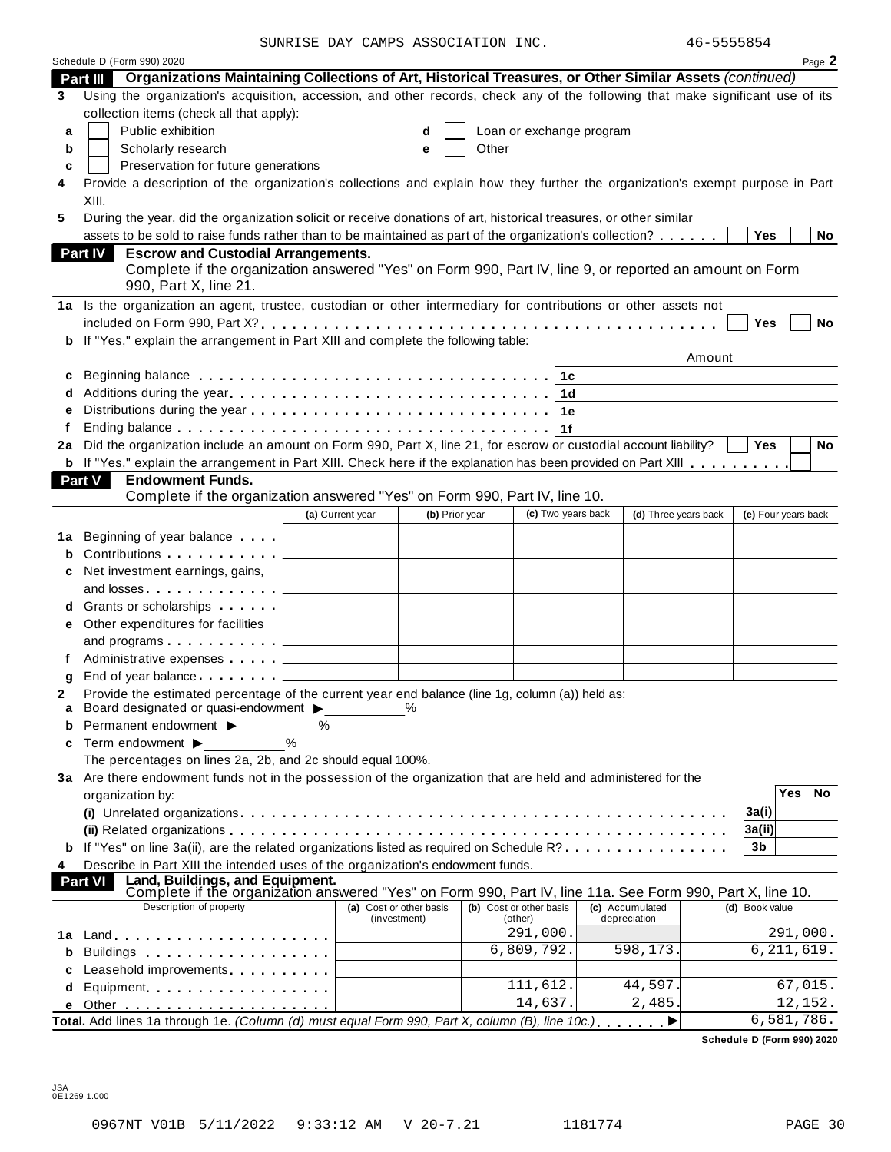SUNRISE DAY CAMPS ASSOCIATION INC.  $46-5555854$ 

|     | Schedule D (Form 990) 2020                                                                                                                 |                         |                |                          |                                                                                                                                                                                                                               |                |                     | Page 2    |
|-----|--------------------------------------------------------------------------------------------------------------------------------------------|-------------------------|----------------|--------------------------|-------------------------------------------------------------------------------------------------------------------------------------------------------------------------------------------------------------------------------|----------------|---------------------|-----------|
|     | Organizations Maintaining Collections of Art, Historical Treasures, or Other Similar Assets (continued)<br><b>Part III</b>                 |                         |                |                          |                                                                                                                                                                                                                               |                |                     |           |
| 3   | Using the organization's acquisition, accession, and other records, check any of the following that make significant use of its            |                         |                |                          |                                                                                                                                                                                                                               |                |                     |           |
|     | collection items (check all that apply):                                                                                                   |                         |                |                          |                                                                                                                                                                                                                               |                |                     |           |
| a   | Public exhibition                                                                                                                          |                         | d              | Loan or exchange program |                                                                                                                                                                                                                               |                |                     |           |
| b   | Scholarly research                                                                                                                         |                         | е              |                          | Other and the contract of the contract of the contract of the contract of the contract of the contract of the contract of the contract of the contract of the contract of the contract of the contract of the contract of the |                |                     |           |
| c   | Preservation for future generations                                                                                                        |                         |                |                          |                                                                                                                                                                                                                               |                |                     |           |
| 4   | Provide a description of the organization's collections and explain how they further the organization's exempt purpose in Part             |                         |                |                          |                                                                                                                                                                                                                               |                |                     |           |
|     | XIII.                                                                                                                                      |                         |                |                          |                                                                                                                                                                                                                               |                |                     |           |
| 5   | During the year, did the organization solicit or receive donations of art, historical treasures, or other similar                          |                         |                |                          |                                                                                                                                                                                                                               |                |                     |           |
|     | assets to be sold to raise funds rather than to be maintained as part of the organization's collection?                                    |                         |                |                          |                                                                                                                                                                                                                               | Yes            |                     | No        |
|     | <b>Escrow and Custodial Arrangements.</b><br>Part IV                                                                                       |                         |                |                          |                                                                                                                                                                                                                               |                |                     |           |
|     | Complete if the organization answered "Yes" on Form 990, Part IV, line 9, or reported an amount on Form                                    |                         |                |                          |                                                                                                                                                                                                                               |                |                     |           |
|     | 990, Part X, line 21.                                                                                                                      |                         |                |                          |                                                                                                                                                                                                                               |                |                     |           |
|     | 1a Is the organization an agent, trustee, custodian or other intermediary for contributions or other assets not                            |                         |                |                          |                                                                                                                                                                                                                               |                |                     |           |
|     |                                                                                                                                            |                         |                |                          |                                                                                                                                                                                                                               | Yes            |                     | <b>No</b> |
|     | If "Yes," explain the arrangement in Part XIII and complete the following table:                                                           |                         |                |                          |                                                                                                                                                                                                                               |                |                     |           |
|     |                                                                                                                                            |                         |                |                          | Amount                                                                                                                                                                                                                        |                |                     |           |
| с   |                                                                                                                                            |                         |                | 1c                       |                                                                                                                                                                                                                               |                |                     |           |
| d   |                                                                                                                                            |                         |                | 1d                       |                                                                                                                                                                                                                               |                |                     |           |
| е   |                                                                                                                                            |                         |                | 1е                       |                                                                                                                                                                                                                               |                |                     |           |
| f   |                                                                                                                                            |                         |                | 1f                       |                                                                                                                                                                                                                               |                |                     |           |
| 2a  | Did the organization include an amount on Form 990, Part X, line 21, for escrow or custodial account liability?                            |                         |                |                          |                                                                                                                                                                                                                               | Yes            |                     | No        |
|     | <b>b</b> If "Yes," explain the arrangement in Part XIII. Check here if the explanation has been provided on Part XIII                      |                         |                |                          |                                                                                                                                                                                                                               |                |                     |           |
|     | Part V<br><b>Endowment Funds.</b>                                                                                                          |                         |                |                          |                                                                                                                                                                                                                               |                |                     |           |
|     | Complete if the organization answered "Yes" on Form 990, Part IV, line 10.                                                                 |                         |                |                          |                                                                                                                                                                                                                               |                |                     |           |
|     |                                                                                                                                            | (a) Current year        | (b) Prior year | (c) Two years back       | (d) Three years back                                                                                                                                                                                                          |                | (e) Four years back |           |
|     | Beginning of year balance [15]                                                                                                             |                         |                |                          |                                                                                                                                                                                                                               |                |                     |           |
| 1а  | Contributions                                                                                                                              |                         |                |                          |                                                                                                                                                                                                                               |                |                     |           |
|     |                                                                                                                                            |                         |                |                          |                                                                                                                                                                                                                               |                |                     |           |
|     | Net investment earnings, gains,                                                                                                            |                         |                |                          |                                                                                                                                                                                                                               |                |                     |           |
|     | and losses                                                                                                                                 |                         |                |                          |                                                                                                                                                                                                                               |                |                     |           |
|     | Grants or scholarships <b>State of State State</b>                                                                                         |                         |                |                          |                                                                                                                                                                                                                               |                |                     |           |
| е   | Other expenditures for facilities                                                                                                          |                         |                |                          |                                                                                                                                                                                                                               |                |                     |           |
|     | and programs $\ldots$ $\ldots$ .                                                                                                           |                         |                |                          |                                                                                                                                                                                                                               |                |                     |           |
| f   | Administrative expenses                                                                                                                    |                         |                |                          |                                                                                                                                                                                                                               |                |                     |           |
| g   | End of year balance [1]                                                                                                                    |                         |                |                          |                                                                                                                                                                                                                               |                |                     |           |
| 2   | Provide the estimated percentage of the current year end balance (line 1g, column (a)) held as:<br>Board designated or quasi-endowment > % |                         |                |                          |                                                                                                                                                                                                                               |                |                     |           |
| b   | Permanent endowment ▶                                                                                                                      | $\%$                    |                |                          |                                                                                                                                                                                                                               |                |                     |           |
|     |                                                                                                                                            |                         |                |                          |                                                                                                                                                                                                                               |                |                     |           |
| c   | Term endowment $\blacktriangleright$<br>The percentages on lines 2a, 2b, and 2c should equal 100%.                                         |                         |                |                          |                                                                                                                                                                                                                               |                |                     |           |
|     |                                                                                                                                            |                         |                |                          |                                                                                                                                                                                                                               |                |                     |           |
|     | 3a Are there endowment funds not in the possession of the organization that are held and administered for the                              |                         |                |                          |                                                                                                                                                                                                                               |                | $\overline{Yes}$    | <b>No</b> |
|     | organization by:                                                                                                                           |                         |                |                          |                                                                                                                                                                                                                               |                |                     |           |
|     |                                                                                                                                            |                         |                |                          |                                                                                                                                                                                                                               | 3a(i)          |                     |           |
|     |                                                                                                                                            |                         |                |                          |                                                                                                                                                                                                                               | 3a(ii)         |                     |           |
|     | <b>b</b> If "Yes" on line 3a(ii), are the related organizations listed as required on Schedule R?                                          |                         |                |                          |                                                                                                                                                                                                                               | 3b             |                     |           |
| 4   | Describe in Part XIII the intended uses of the organization's endowment funds.<br>Land, Buildings, and Equipment.                          |                         |                |                          |                                                                                                                                                                                                                               |                |                     |           |
|     | <b>Part VI</b><br>Complete if the organization answered "Yes" on Form 990, Part IV, line 11a. See Form 990, Part X, line 10.               |                         |                |                          |                                                                                                                                                                                                                               |                |                     |           |
|     | Description of property                                                                                                                    | (a) Cost or other basis |                | (b) Cost or other basis  | (c) Accumulated                                                                                                                                                                                                               | (d) Book value |                     |           |
|     |                                                                                                                                            | (investment)            |                | (other)<br>291,000.      | depreciation                                                                                                                                                                                                                  |                | 291,000.            |           |
| 1 a |                                                                                                                                            |                         |                | 6,809,792.               | 598,173.                                                                                                                                                                                                                      |                | 6, 211, 619.        |           |
| b   | Buildings                                                                                                                                  |                         |                |                          |                                                                                                                                                                                                                               |                |                     |           |
| c   | Leasehold improvements <b>Leasehold</b> improvements                                                                                       |                         |                | 111,612.                 | 44,597                                                                                                                                                                                                                        |                | 67,015.             |           |
| d   | Equipment                                                                                                                                  |                         |                | 14,637.                  |                                                                                                                                                                                                                               |                | 12,152.             |           |
| е   |                                                                                                                                            |                         |                |                          | 2,485                                                                                                                                                                                                                         |                |                     |           |
|     | Total. Add lines 1a through 1e. (Column (d) must equal Form 990, Part X, column (B), line 10c.)                                            |                         |                |                          |                                                                                                                                                                                                                               |                | 6,581,786.          |           |

**Schedule D (Form 990) 2020**

JSA 0E1269 1.000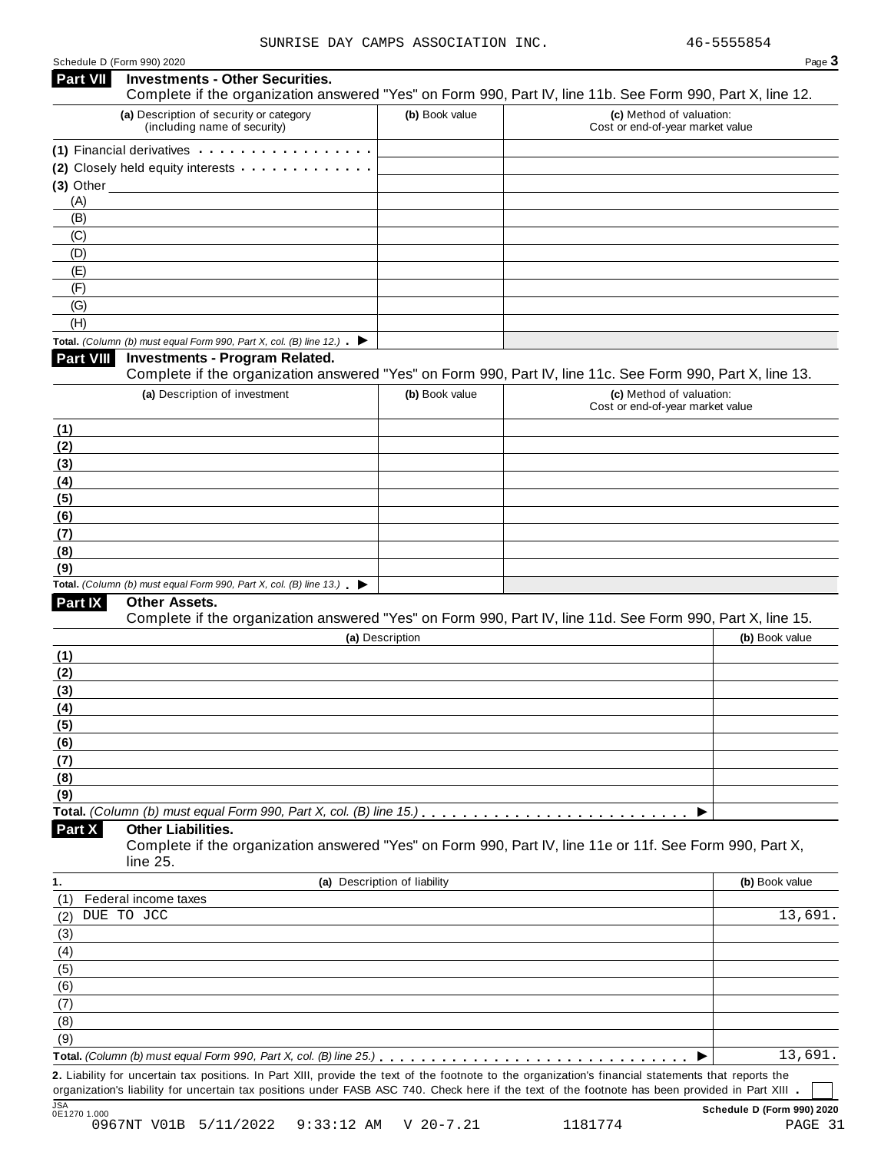| Schedule D (Form 990) 2020 |
|----------------------------|
|----------------------------|

| Part VII                                                              |                                                                                                                                                                                                                                |                              |                                                                                                            |
|-----------------------------------------------------------------------|--------------------------------------------------------------------------------------------------------------------------------------------------------------------------------------------------------------------------------|------------------------------|------------------------------------------------------------------------------------------------------------|
|                                                                       | <b>Investments - Other Securities.</b>                                                                                                                                                                                         |                              | Complete if the organization answered "Yes" on Form 990, Part IV, line 11b. See Form 990, Part X, line 12. |
|                                                                       | (a) Description of security or category<br>(including name of security)                                                                                                                                                        | (b) Book value               | (c) Method of valuation:<br>Cost or end-of-year market value                                               |
|                                                                       | (1) Financial derivatives expansion of the state of the state of the state of the state of the state of the state of the state of the state of the state of the state of the state of the state of the state of the state of t |                              |                                                                                                            |
|                                                                       | (2) Closely held equity interests                                                                                                                                                                                              |                              |                                                                                                            |
| $(3)$ Other                                                           |                                                                                                                                                                                                                                |                              |                                                                                                            |
| (A)                                                                   |                                                                                                                                                                                                                                |                              |                                                                                                            |
| (B)<br>(C)                                                            |                                                                                                                                                                                                                                |                              |                                                                                                            |
| (D)                                                                   |                                                                                                                                                                                                                                |                              |                                                                                                            |
| (E)                                                                   |                                                                                                                                                                                                                                |                              |                                                                                                            |
| (F)                                                                   |                                                                                                                                                                                                                                |                              |                                                                                                            |
| (G)                                                                   |                                                                                                                                                                                                                                |                              |                                                                                                            |
| (H)                                                                   |                                                                                                                                                                                                                                |                              |                                                                                                            |
|                                                                       | Total. (Column (b) must equal Form 990, Part X, col. (B) line 12.) $\blacktriangleright$                                                                                                                                       |                              |                                                                                                            |
| Part VIII                                                             | <b>Investments - Program Related.</b>                                                                                                                                                                                          |                              | Complete if the organization answered "Yes" on Form 990, Part IV, line 11c. See Form 990, Part X, line 13. |
|                                                                       | (a) Description of investment                                                                                                                                                                                                  | (b) Book value               | (c) Method of valuation:<br>Cost or end-of-year market value                                               |
| (1)                                                                   |                                                                                                                                                                                                                                |                              |                                                                                                            |
|                                                                       |                                                                                                                                                                                                                                |                              |                                                                                                            |
|                                                                       |                                                                                                                                                                                                                                |                              |                                                                                                            |
|                                                                       |                                                                                                                                                                                                                                |                              |                                                                                                            |
|                                                                       |                                                                                                                                                                                                                                |                              |                                                                                                            |
| (5)                                                                   |                                                                                                                                                                                                                                |                              |                                                                                                            |
|                                                                       |                                                                                                                                                                                                                                |                              |                                                                                                            |
| (8)                                                                   |                                                                                                                                                                                                                                |                              |                                                                                                            |
| (9)                                                                   |                                                                                                                                                                                                                                |                              |                                                                                                            |
|                                                                       | Total. (Column (b) must equal Form 990, Part X, col. (B) line 13.) $\blacktriangleright$                                                                                                                                       |                              |                                                                                                            |
|                                                                       |                                                                                                                                                                                                                                |                              |                                                                                                            |
| Part IX                                                               | <b>Other Assets.</b>                                                                                                                                                                                                           |                              | Complete if the organization answered "Yes" on Form 990, Part IV, line 11d. See Form 990, Part X, line 15. |
|                                                                       |                                                                                                                                                                                                                                | (a) Description              | (b) Book value                                                                                             |
|                                                                       |                                                                                                                                                                                                                                |                              |                                                                                                            |
|                                                                       |                                                                                                                                                                                                                                |                              |                                                                                                            |
|                                                                       |                                                                                                                                                                                                                                |                              |                                                                                                            |
|                                                                       |                                                                                                                                                                                                                                |                              |                                                                                                            |
|                                                                       |                                                                                                                                                                                                                                |                              |                                                                                                            |
|                                                                       |                                                                                                                                                                                                                                |                              |                                                                                                            |
|                                                                       |                                                                                                                                                                                                                                |                              |                                                                                                            |
|                                                                       |                                                                                                                                                                                                                                |                              |                                                                                                            |
|                                                                       | Total. (Column (b) must equal Form 990, Part X, col. (B) line 15.)                                                                                                                                                             |                              |                                                                                                            |
| (1)<br>(2)<br>(3)<br>(4)<br>(5)<br>(6)<br>(7)<br>(8)<br>(9)<br>Part X | <b>Other Liabilities.</b>                                                                                                                                                                                                      |                              | Complete if the organization answered "Yes" on Form 990, Part IV, line 11e or 11f. See Form 990, Part X,   |
|                                                                       | line 25.                                                                                                                                                                                                                       |                              |                                                                                                            |
|                                                                       |                                                                                                                                                                                                                                | (a) Description of liability | (b) Book value                                                                                             |
|                                                                       | Federal income taxes<br>DUE TO JCC                                                                                                                                                                                             |                              |                                                                                                            |
|                                                                       |                                                                                                                                                                                                                                |                              |                                                                                                            |
|                                                                       |                                                                                                                                                                                                                                |                              |                                                                                                            |
|                                                                       |                                                                                                                                                                                                                                |                              |                                                                                                            |
|                                                                       |                                                                                                                                                                                                                                |                              | 13,691.                                                                                                    |
| (1)<br>(2)<br>(3)<br>(4)<br>(5)<br>(6)<br>(7)                         |                                                                                                                                                                                                                                |                              |                                                                                                            |
| (8)                                                                   |                                                                                                                                                                                                                                |                              |                                                                                                            |
| (9)                                                                   |                                                                                                                                                                                                                                |                              | 13,691.                                                                                                    |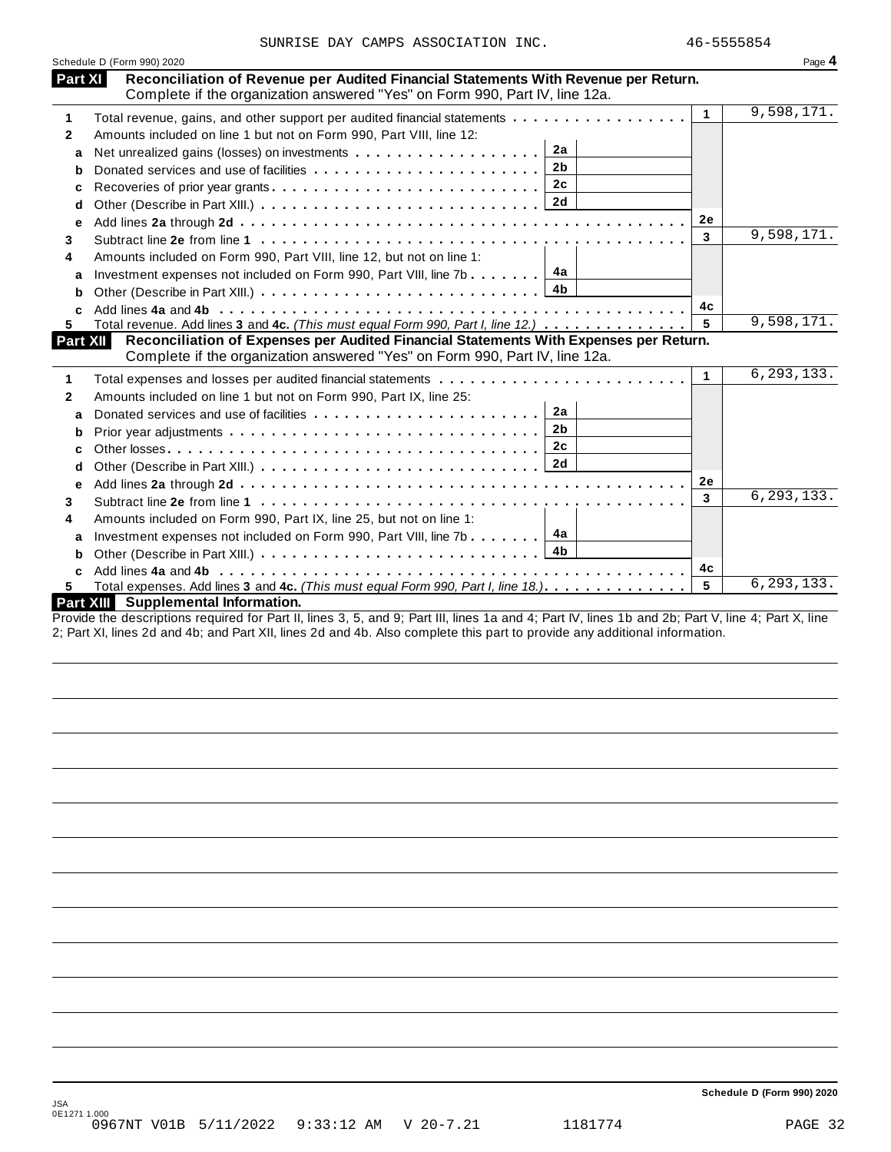| Schedule D (Form 990) 2020        |                                                                                                                                                                      |                |              | Page 4                                       |
|-----------------------------------|----------------------------------------------------------------------------------------------------------------------------------------------------------------------|----------------|--------------|----------------------------------------------|
| Part XI                           | Reconciliation of Revenue per Audited Financial Statements With Revenue per Return.                                                                                  |                |              |                                              |
|                                   | Complete if the organization answered "Yes" on Form 990, Part IV, line 12a.                                                                                          |                | $\mathbf{1}$ | 9,598,171.                                   |
| 1                                 | Total revenue, gains, and other support per audited financial statements                                                                                             |                |              |                                              |
| 2                                 | Amounts included on line 1 but not on Form 990, Part VIII, line 12:                                                                                                  | 2a             |              |                                              |
| a                                 |                                                                                                                                                                      | 2 <sub>b</sub> |              |                                              |
| b                                 |                                                                                                                                                                      |                |              |                                              |
| c                                 |                                                                                                                                                                      | 2c             |              |                                              |
| d                                 |                                                                                                                                                                      |                |              |                                              |
| e                                 |                                                                                                                                                                      |                | 2e           |                                              |
| 3                                 |                                                                                                                                                                      |                | 3            | 9,598,171.                                   |
| 4                                 | Amounts included on Form 990, Part VIII, line 12, but not on line 1:                                                                                                 |                |              |                                              |
| a                                 | Investment expenses not included on Form 990, Part VIII, line 7b $\ldots$                                                                                            | 4а             |              |                                              |
| b                                 |                                                                                                                                                                      |                |              |                                              |
| C                                 |                                                                                                                                                                      |                | 4с           |                                              |
|                                   |                                                                                                                                                                      |                |              |                                              |
| 5.                                | Total revenue. Add lines 3 and 4c. (This must equal Form 990, Part I, line 12.)                                                                                      |                |              | 9,598,171.                                   |
|                                   | Reconciliation of Expenses per Audited Financial Statements With Expenses per Return.<br>Complete if the organization answered "Yes" on Form 990, Part IV, line 12a. |                |              |                                              |
|                                   |                                                                                                                                                                      |                | 1            |                                              |
|                                   |                                                                                                                                                                      |                |              |                                              |
| a                                 | Amounts included on line 1 but not on Form 990, Part IX, line 25:                                                                                                    | 2a             |              |                                              |
| b                                 |                                                                                                                                                                      | 2 <sub>b</sub> |              |                                              |
|                                   |                                                                                                                                                                      | 2c             |              |                                              |
| с                                 |                                                                                                                                                                      |                |              |                                              |
| d                                 |                                                                                                                                                                      |                | 2e           |                                              |
| е                                 |                                                                                                                                                                      |                | 3            |                                              |
|                                   |                                                                                                                                                                      |                |              |                                              |
|                                   | Amounts included on Form 990, Part IX, line 25, but not on line 1:                                                                                                   |                |              |                                              |
| a                                 | Investment expenses not included on Form 990, Part VIII, line 7b                                                                                                     | 4a             |              |                                              |
| Part XII<br>1<br>2<br>3<br>4<br>b |                                                                                                                                                                      | 4b             |              |                                              |
| c<br>5.                           | Total expenses. Add lines 3 and 4c. (This must equal Form 990, Part I, line 18.)                                                                                     |                | 4с<br>5      | 6, 293, 133.<br>6, 293, 133.<br>6, 293, 133. |

Provide the descriptions required for Part II, lines 3, 5, and 9; Part III, lines 1a and 4; Part IV, lines 1b and 2b; Part V, line 4; Part X, line 2; Part XI, lines 2d and 4b; and Part XII, lines 2d and 4b. Also complete this part to provide any additional information.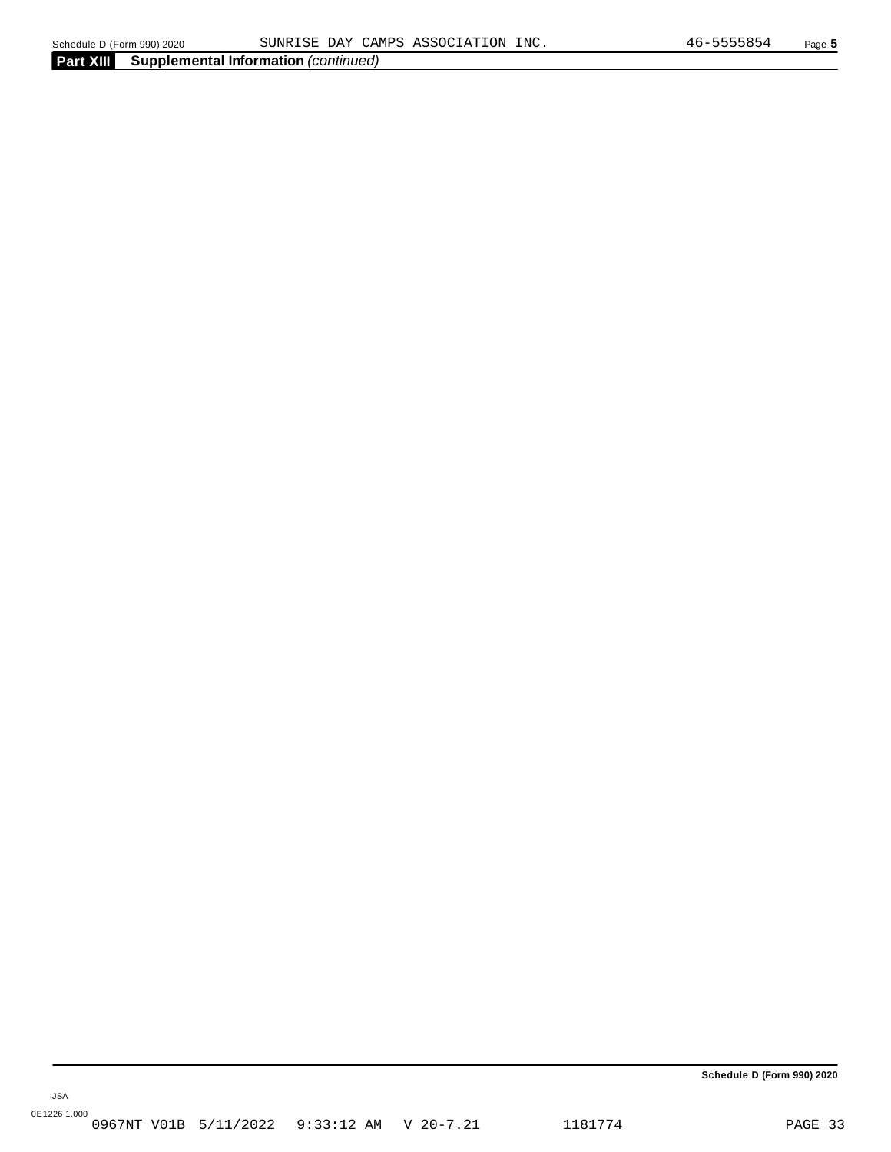JSA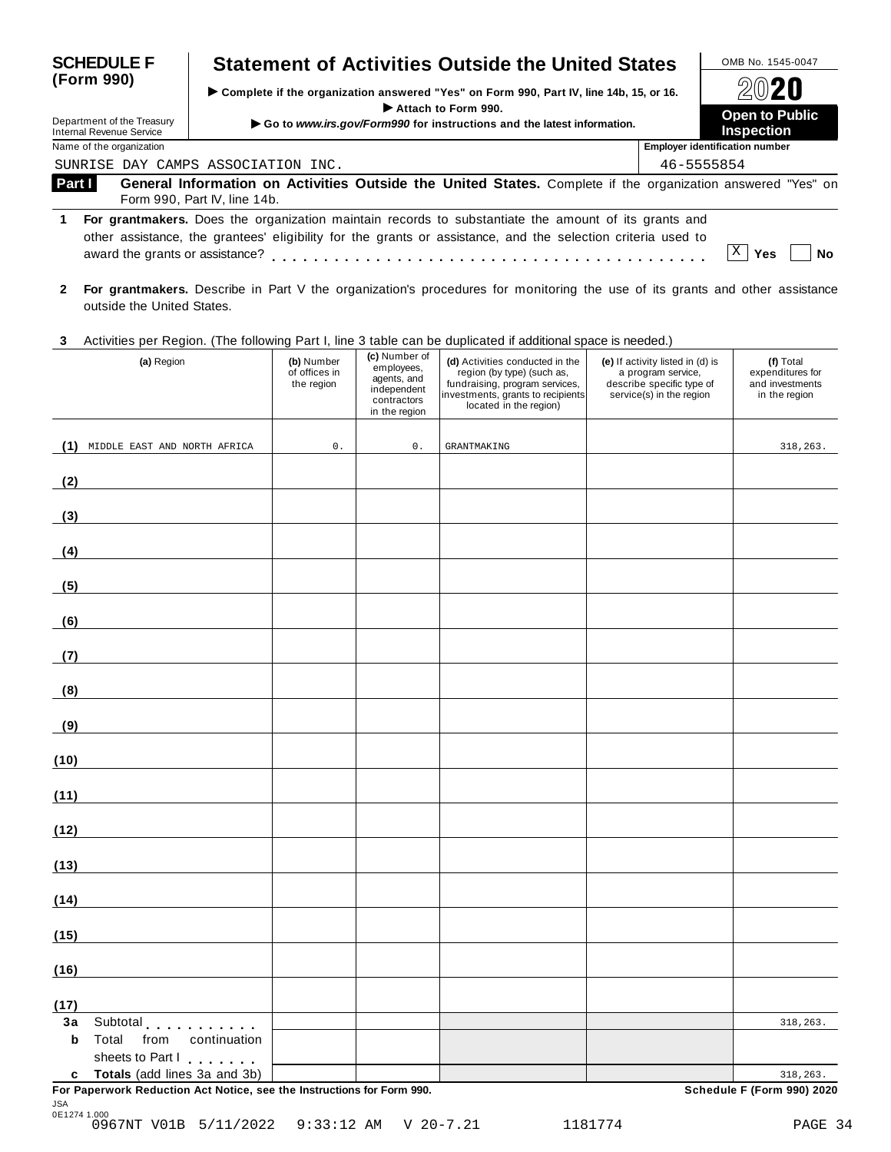| <b>SCHEDULE F</b>                                      | <b>Statement of Activities Outside the United States</b>                                                                                                                                                             |                                                                                          | OMB No. 1545-0047                     |  |  |
|--------------------------------------------------------|----------------------------------------------------------------------------------------------------------------------------------------------------------------------------------------------------------------------|------------------------------------------------------------------------------------------|---------------------------------------|--|--|
| (Form 990)                                             |                                                                                                                                                                                                                      | ► Complete if the organization answered "Yes" on Form 990, Part IV, line 14b, 15, or 16. |                                       |  |  |
| Department of the Treasury<br>Internal Revenue Service | Attach to Form 990.<br>Go to www.irs.gov/Form990 for instructions and the latest information.                                                                                                                        |                                                                                          | Open to Public<br><b>Inspection</b>   |  |  |
| Name of the organization                               |                                                                                                                                                                                                                      |                                                                                          | <b>Employer identification number</b> |  |  |
| SUNRISE                                                | DAY CAMPS ASSOCIATION INC.                                                                                                                                                                                           | 46-5555854                                                                               |                                       |  |  |
| Part I                                                 | General Information on Activities Outside the United States. Complete if the organization answered "Yes" on<br>Form 990, Part IV, line 14b.                                                                          |                                                                                          |                                       |  |  |
| 1.<br>award the grants or assistance?                  | For grantmakers. Does the organization maintain records to substantiate the amount of its grants and<br>other assistance, the grantees' eligibility for the grants or assistance, and the selection criteria used to |                                                                                          | Χ<br>Nο<br>Yes                        |  |  |

- **2 For grantmakers.** Describe in Part V the organization's procedures for monitoring the use of its grants and other assistance outside the United States.
- **3** Activities per Region. (The following Part I, line 3 table can be duplicated ifadditional space is needed.)

| $1.00111100$ por trogion. (The following Fart I, line<br>(a) Region                                      | (b) Number<br>of offices in<br>the region | (c) Number of<br>employees,<br>agents, and<br>independent<br>contractors<br>in the region | $a$ approarbed in determinant optics to rise assumption<br>(d) Activities conducted in the<br>region (by type) (such as,<br>fundraising, program services,<br>investments, grants to recipients<br>located in the region) | (e) If activity listed in (d) is<br>a program service,<br>describe specific type of<br>service(s) in the region | (f) Total<br>expenditures for<br>and investments<br>in the region |
|----------------------------------------------------------------------------------------------------------|-------------------------------------------|-------------------------------------------------------------------------------------------|---------------------------------------------------------------------------------------------------------------------------------------------------------------------------------------------------------------------------|-----------------------------------------------------------------------------------------------------------------|-------------------------------------------------------------------|
| (1)<br>MIDDLE EAST AND NORTH AFRICA                                                                      | $0$ .                                     | $0$ .                                                                                     | <b>GRANTMAKING</b>                                                                                                                                                                                                        |                                                                                                                 | 318,263.                                                          |
| (2)                                                                                                      |                                           |                                                                                           |                                                                                                                                                                                                                           |                                                                                                                 |                                                                   |
| (3)                                                                                                      |                                           |                                                                                           |                                                                                                                                                                                                                           |                                                                                                                 |                                                                   |
| (4)                                                                                                      |                                           |                                                                                           |                                                                                                                                                                                                                           |                                                                                                                 |                                                                   |
| (5)                                                                                                      |                                           |                                                                                           |                                                                                                                                                                                                                           |                                                                                                                 |                                                                   |
| (6)                                                                                                      |                                           |                                                                                           |                                                                                                                                                                                                                           |                                                                                                                 |                                                                   |
| (7)                                                                                                      |                                           |                                                                                           |                                                                                                                                                                                                                           |                                                                                                                 |                                                                   |
| (8)                                                                                                      |                                           |                                                                                           |                                                                                                                                                                                                                           |                                                                                                                 |                                                                   |
| (9)                                                                                                      |                                           |                                                                                           |                                                                                                                                                                                                                           |                                                                                                                 |                                                                   |
| (10)                                                                                                     |                                           |                                                                                           |                                                                                                                                                                                                                           |                                                                                                                 |                                                                   |
| (11)                                                                                                     |                                           |                                                                                           |                                                                                                                                                                                                                           |                                                                                                                 |                                                                   |
| (12)                                                                                                     |                                           |                                                                                           |                                                                                                                                                                                                                           |                                                                                                                 |                                                                   |
| (13)                                                                                                     |                                           |                                                                                           |                                                                                                                                                                                                                           |                                                                                                                 |                                                                   |
| (14)                                                                                                     |                                           |                                                                                           |                                                                                                                                                                                                                           |                                                                                                                 |                                                                   |
| (15)                                                                                                     |                                           |                                                                                           |                                                                                                                                                                                                                           |                                                                                                                 |                                                                   |
| (16)                                                                                                     |                                           |                                                                                           |                                                                                                                                                                                                                           |                                                                                                                 |                                                                   |
| (17)                                                                                                     |                                           |                                                                                           |                                                                                                                                                                                                                           |                                                                                                                 |                                                                   |
| 3a<br>Subtotal experiences<br>b<br>Total<br>from<br>continuation<br>sheets to Part I                     |                                           |                                                                                           |                                                                                                                                                                                                                           |                                                                                                                 | 318,263.                                                          |
| c Totals (add lines 3a and 3b)<br>For Paperwork Reduction Act Notice, see the Instructions for Form 990. |                                           |                                                                                           |                                                                                                                                                                                                                           |                                                                                                                 | 318,263.<br>Schedule F (Form 990) 2020                            |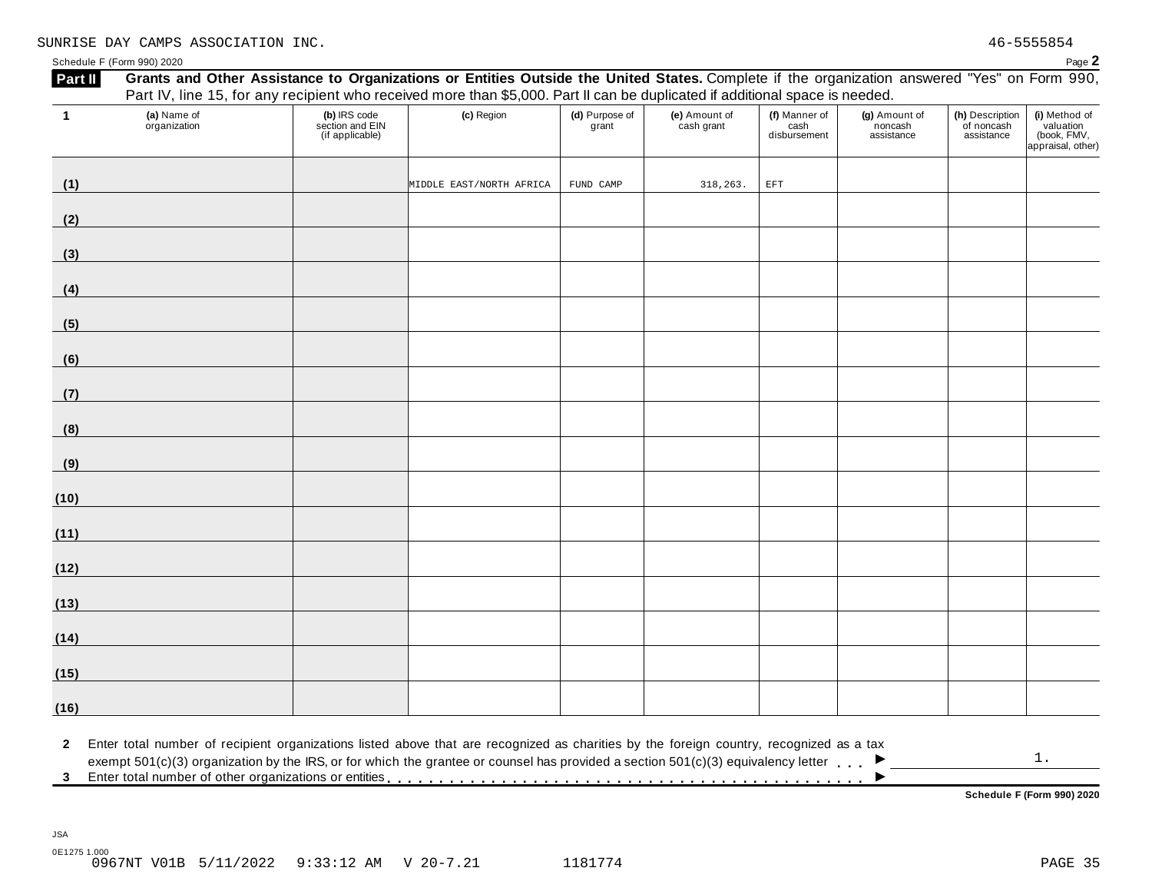Schedule F (Form 990) 2020  $\blacksquare$ 

| $\mathbf{1}$                | (a) Name of<br>organization | (b) IRS code<br>section and EIN<br>(if applicable) | (c) Region                                                                                                                                                                                                                                                                                      | (d) Purpose of<br>grant | (e) Amount of<br>cash grant | (f) Manner of<br>cash<br>disbursement | (g) Amount of<br>noncash<br>assistance | (h) Description<br>of noncash<br>assistance | (i) Method of<br>valuation<br>(book, FMV,<br>appraisal, other) |
|-----------------------------|-----------------------------|----------------------------------------------------|-------------------------------------------------------------------------------------------------------------------------------------------------------------------------------------------------------------------------------------------------------------------------------------------------|-------------------------|-----------------------------|---------------------------------------|----------------------------------------|---------------------------------------------|----------------------------------------------------------------|
| (1)                         |                             |                                                    | MIDDLE EAST/NORTH AFRICA                                                                                                                                                                                                                                                                        | FUND CAMP               | 318,263.                    | $\operatorname{EFT}$                  |                                        |                                             |                                                                |
| (2)                         |                             |                                                    |                                                                                                                                                                                                                                                                                                 |                         |                             |                                       |                                        |                                             |                                                                |
| (3)                         |                             |                                                    |                                                                                                                                                                                                                                                                                                 |                         |                             |                                       |                                        |                                             |                                                                |
| (4)                         |                             |                                                    |                                                                                                                                                                                                                                                                                                 |                         |                             |                                       |                                        |                                             |                                                                |
| (5)                         |                             |                                                    |                                                                                                                                                                                                                                                                                                 |                         |                             |                                       |                                        |                                             |                                                                |
| (6)                         |                             |                                                    |                                                                                                                                                                                                                                                                                                 |                         |                             |                                       |                                        |                                             |                                                                |
| (7)                         |                             |                                                    |                                                                                                                                                                                                                                                                                                 |                         |                             |                                       |                                        |                                             |                                                                |
| (8)                         |                             |                                                    |                                                                                                                                                                                                                                                                                                 |                         |                             |                                       |                                        |                                             |                                                                |
| (9)                         |                             |                                                    |                                                                                                                                                                                                                                                                                                 |                         |                             |                                       |                                        |                                             |                                                                |
| (10)                        |                             |                                                    |                                                                                                                                                                                                                                                                                                 |                         |                             |                                       |                                        |                                             |                                                                |
| (11)                        |                             |                                                    |                                                                                                                                                                                                                                                                                                 |                         |                             |                                       |                                        |                                             |                                                                |
| (12)                        |                             |                                                    |                                                                                                                                                                                                                                                                                                 |                         |                             |                                       |                                        |                                             |                                                                |
| (13)                        |                             |                                                    |                                                                                                                                                                                                                                                                                                 |                         |                             |                                       |                                        |                                             |                                                                |
| (14)                        |                             |                                                    |                                                                                                                                                                                                                                                                                                 |                         |                             |                                       |                                        |                                             |                                                                |
| (15)                        |                             |                                                    |                                                                                                                                                                                                                                                                                                 |                         |                             |                                       |                                        |                                             |                                                                |
| (16)                        |                             |                                                    |                                                                                                                                                                                                                                                                                                 |                         |                             |                                       |                                        |                                             |                                                                |
| $\mathbf{2}$<br>$3^{\circ}$ |                             |                                                    | Enter total number of recipient organizations listed above that are recognized as charities by the foreign country, recognized as a tax<br>exempt $501(c)(3)$ organization by the IRS, or for which the grantee or counsel has provided a section $501(c)(3)$ equivalency letter $\blacksquare$ |                         |                             |                                       |                                        |                                             | $1$ .                                                          |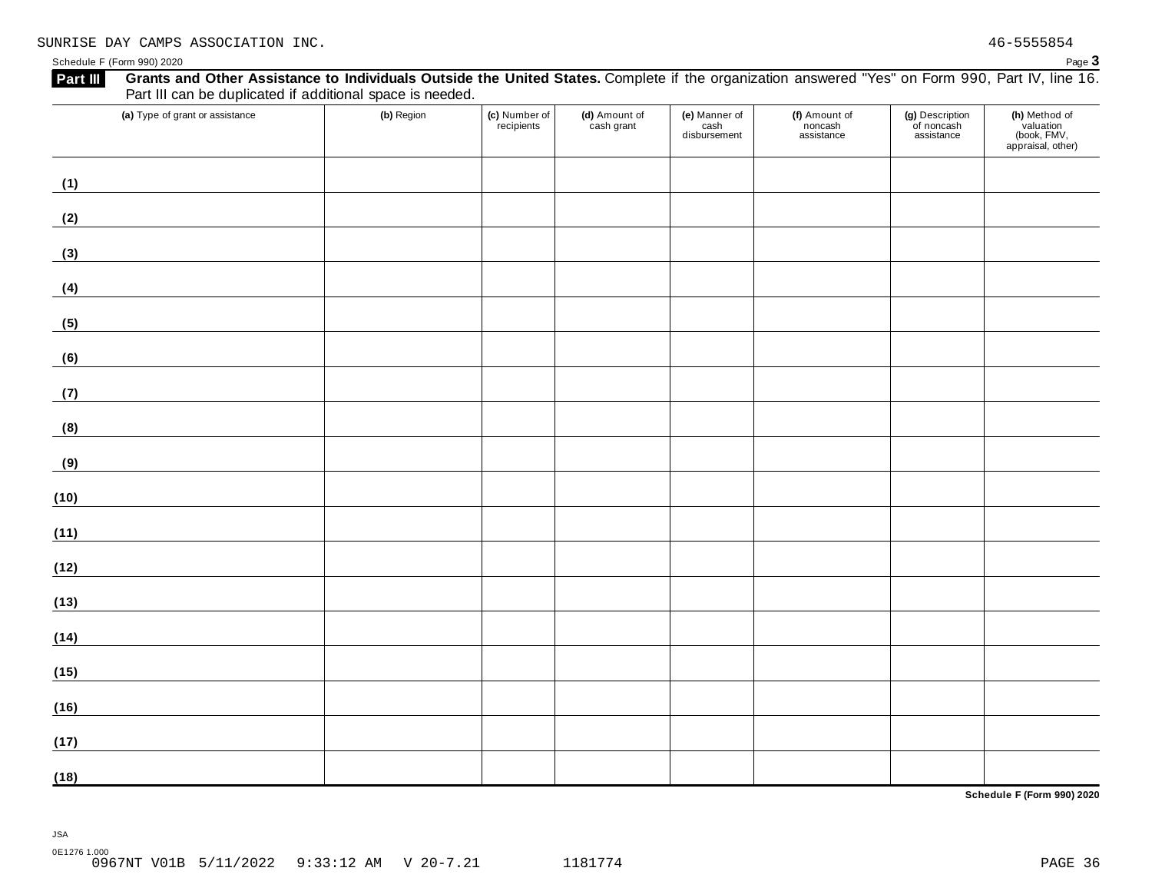Schedule <sup>F</sup> (Form 990) <sup>2020</sup> Page **3**

### Part III can be duplicated if additional space is needed. **(a)** Type of grant or assistance **(b)** Region **(c)** Number of **(d)** Amount of **(e)** Manner of **(g)** Description **(h)** Method of **(f)** Amount of recipients cash grant noncash of noncash valuation cash disbursement (book, FMV, assistance assistance appraisal, other) **(1) (2) (3) (4) (5)** <u> 1989 - Johann Barn, mars ann an t-Amhain Aonaich an t-Aonaich an t-Aonaich an t-Aonaich an t-Aonaich an t-Aon</u> **(6) (7)** <u> 1989 - Johann Barn, mars ann an t-Amhain</u> **(8) (9) (10) (11) (12) (13) (14) (15) (16) (17) (18)**

Part III Grants and Other Assistance to Individuals Outside the United States. Complete if the organization answered "Yes" on Form 990, Part IV, line 16.

**Schedule F (Form 990) 2020**

0E1276 1.000

JSA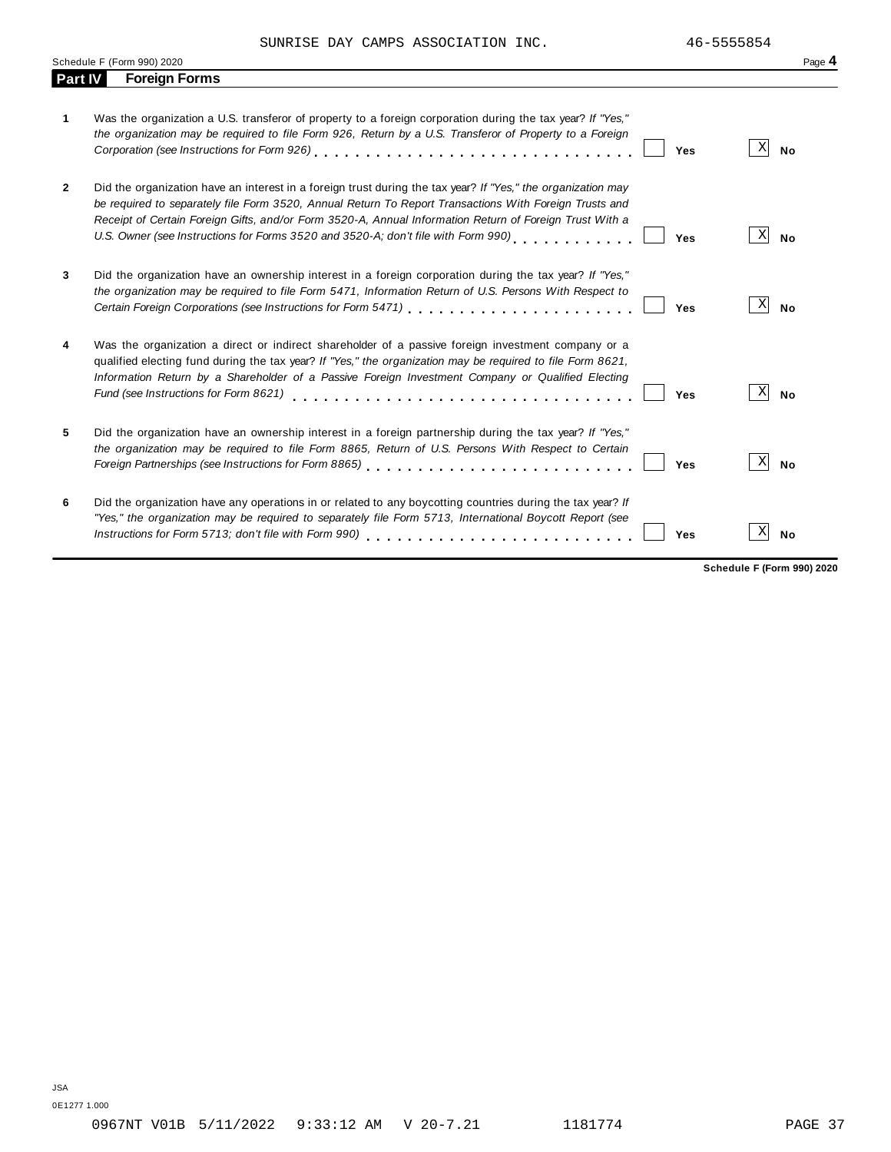SUNRISE DAY CAMPS ASSOCIATION INC.  $46-5555854$ 

|                | Schedule F (Form 990) 2020                                                                                | Page 4 |
|----------------|-----------------------------------------------------------------------------------------------------------|--------|
| <b>Part IV</b> | <b>Foreign Forms</b>                                                                                      |        |
|                |                                                                                                           |        |
|                | Was the organization a U.S. transferor of property to a foreign corporation during the tax year? If "Yes" |        |

| 1              | Was the organization a U.S. transferor of property to a foreign corporation during the tax year? If "Yes,"<br>the organization may be required to file Form 926, Return by a U.S. Transferor of Property to a Foreign                                                                                                                                                                                                  | Yes | Χ | <b>No</b> |
|----------------|------------------------------------------------------------------------------------------------------------------------------------------------------------------------------------------------------------------------------------------------------------------------------------------------------------------------------------------------------------------------------------------------------------------------|-----|---|-----------|
| $\overline{2}$ | Did the organization have an interest in a foreign trust during the tax year? If "Yes," the organization may<br>be required to separately file Form 3520, Annual Return To Report Transactions With Foreign Trusts and<br>Receipt of Certain Foreign Gifts, and/or Form 3520-A, Annual Information Return of Foreign Trust With a<br>U.S. Owner (see Instructions for Forms 3520 and 3520-A; don't file with Form 990) | Yes | х | <b>No</b> |
| 3              | Did the organization have an ownership interest in a foreign corporation during the tax year? If "Yes,"<br>the organization may be required to file Form 5471, Information Return of U.S. Persons With Respect to                                                                                                                                                                                                      | Yes | Χ | <b>No</b> |
| 4              | Was the organization a direct or indirect shareholder of a passive foreign investment company or a<br>qualified electing fund during the tax year? If "Yes," the organization may be required to file Form 8621,<br>Information Return by a Shareholder of a Passive Foreign Investment Company or Qualified Electing<br>Fund (see Instructions for Form 8621)                                                         | Yes | Х | No        |
| 5              | Did the organization have an ownership interest in a foreign partnership during the tax year? If "Yes,"<br>the organization may be required to file Form 8865, Return of U.S. Persons With Respect to Certain                                                                                                                                                                                                          | Yes | X | <b>No</b> |
| 6              | Did the organization have any operations in or related to any boycotting countries during the tax year? If<br>"Yes," the organization may be required to separately file Form 5713, International Boycott Report (see<br>Instructions for Form 5713; don't file with Form 990)                                                                                                                                         | Yes | х | No        |

**Schedule F (Form 990) 2020**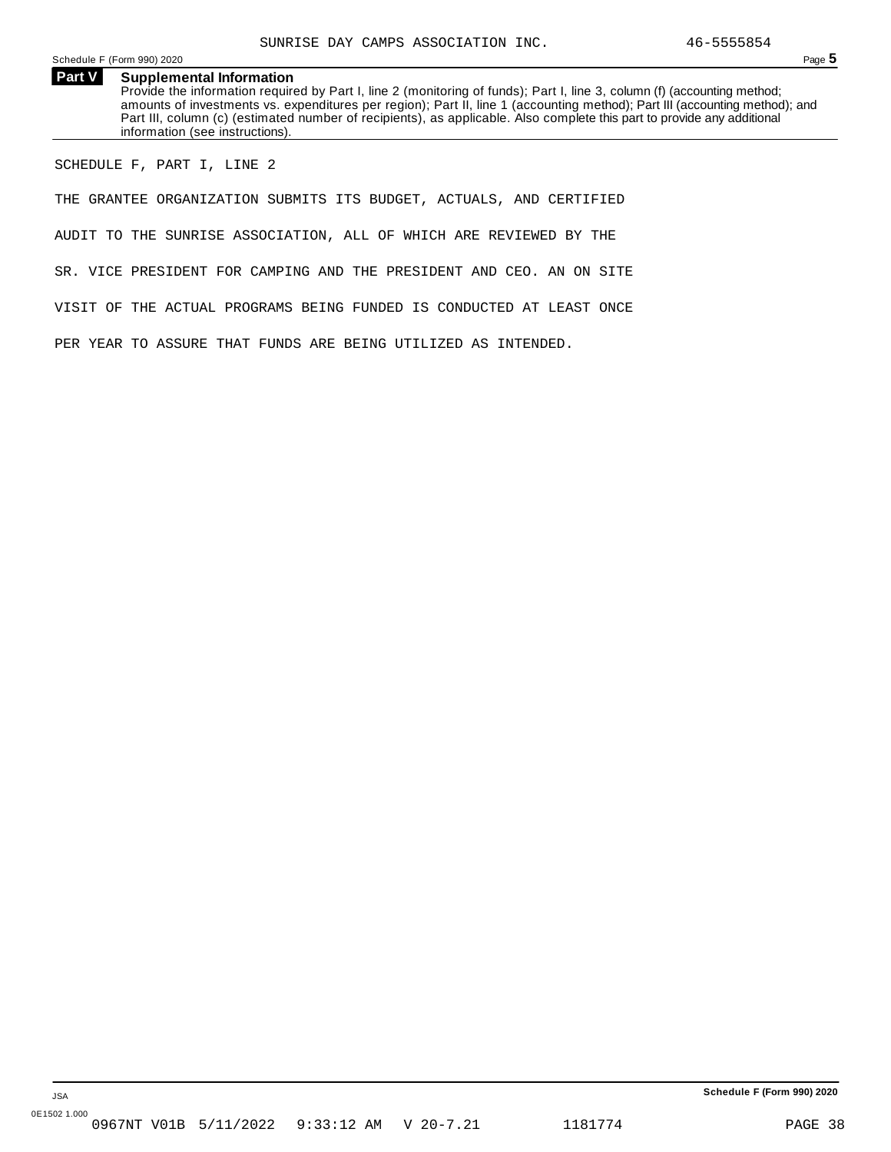Schedule <sup>F</sup> (Form 990) <sup>2020</sup> Page **5**

**Part V Supplemental Information** Provide the information required by Part I, line 2 (monitoring of funds); Part I, line 3, column (f) (accounting method; amounts of investments vs. expenditures per region); Part II, line 1 (accounting method); Part III (accounting method); and Part III, column (c) (estimated number of recipients), as applicable. Also complete this part to provide any additional information (see instructions).

SCHEDULE F, PART I, LINE 2

THE GRANTEE ORGANIZATION SUBMITS ITS BUDGET, ACTUALS, AND CERTIFIED

AUDIT TO THE SUNRISE ASSOCIATION, ALL OF WHICH ARE REVIEWED BY THE

SR. VICE PRESIDENT FOR CAMPING AND THE PRESIDENT AND CEO. AN ON SITE

VISIT OF THE ACTUAL PROGRAMS BEING FUNDED IS CONDUCTED AT LEAST ONCE

PER YEAR TO ASSURE THAT FUNDS ARE BEING UTILIZED AS INTENDED.

**Schedule F (Form 990) 2020**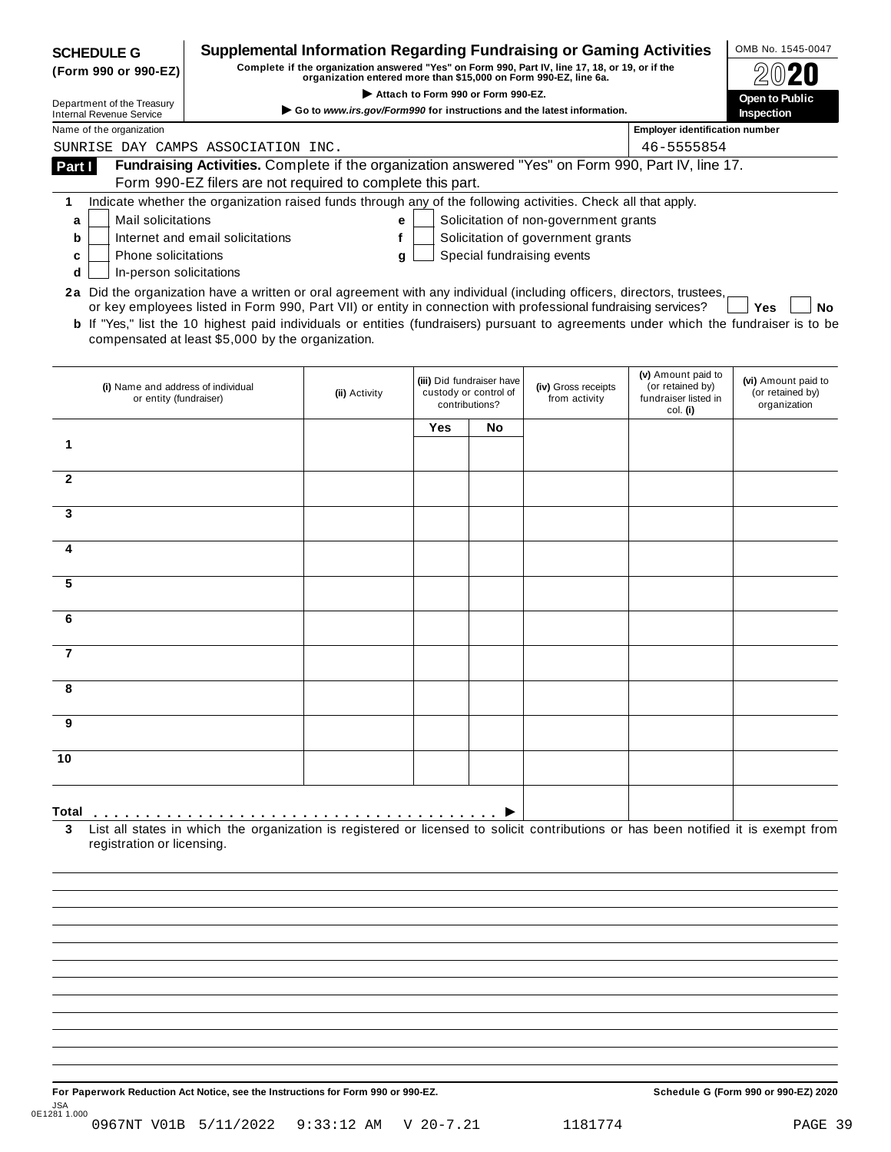| Supplemental Information Regarding Fundraising or Gaming Activities<br><b>SCHEDULE G</b><br>Complete if the organization answered "Yes" on Form 990, Part IV, line 17, 18, or 19, or if the<br>(Form 990 or 990-EZ)<br>organization entered more than \$15,000 on Form 990-EZ, line 6a.<br>Attach to Form 990 or Form 990-EZ.<br>Department of the Treasury<br>Go to www.irs.gov/Form990 for instructions and the latest information.<br><b>Internal Revenue Service</b> |                                                                                                                                                                                                                                                                                                                               |               |     |                                                                      |                                                                                                          | OMB No. 1545-0047<br>Open to Public<br>Inspection                          |                                                         |
|--------------------------------------------------------------------------------------------------------------------------------------------------------------------------------------------------------------------------------------------------------------------------------------------------------------------------------------------------------------------------------------------------------------------------------------------------------------------------|-------------------------------------------------------------------------------------------------------------------------------------------------------------------------------------------------------------------------------------------------------------------------------------------------------------------------------|---------------|-----|----------------------------------------------------------------------|----------------------------------------------------------------------------------------------------------|----------------------------------------------------------------------------|---------------------------------------------------------|
| Name of the organization                                                                                                                                                                                                                                                                                                                                                                                                                                                 |                                                                                                                                                                                                                                                                                                                               |               |     |                                                                      |                                                                                                          | <b>Employer identification number</b>                                      |                                                         |
|                                                                                                                                                                                                                                                                                                                                                                                                                                                                          | SUNRISE DAY CAMPS ASSOCIATION INC.                                                                                                                                                                                                                                                                                            |               |     |                                                                      |                                                                                                          | 46-5555854                                                                 |                                                         |
| Part I                                                                                                                                                                                                                                                                                                                                                                                                                                                                   | Fundraising Activities. Complete if the organization answered "Yes" on Form 990, Part IV, line 17.                                                                                                                                                                                                                            |               |     |                                                                      |                                                                                                          |                                                                            |                                                         |
|                                                                                                                                                                                                                                                                                                                                                                                                                                                                          | Form 990-EZ filers are not required to complete this part.                                                                                                                                                                                                                                                                    |               |     |                                                                      |                                                                                                          |                                                                            |                                                         |
| 1<br>Mail solicitations<br>a<br>b<br>c<br>d                                                                                                                                                                                                                                                                                                                                                                                                                              | Indicate whether the organization raised funds through any of the following activities. Check all that apply.<br>Internet and email solicitations<br>Phone solicitations<br>In-person solicitations<br>2a Did the organization have a written or oral agreement with any individual (including officers, directors, trustees, | е<br>f<br>g   |     |                                                                      | Solicitation of non-government grants<br>Solicitation of government grants<br>Special fundraising events |                                                                            |                                                         |
|                                                                                                                                                                                                                                                                                                                                                                                                                                                                          | or key employees listed in Form 990, Part VII) or entity in connection with professional fundraising services?<br><b>b</b> If "Yes," list the 10 highest paid individuals or entities (fundraisers) pursuant to agreements under which the fundraiser is to be<br>compensated at least \$5,000 by the organization.           |               |     |                                                                      |                                                                                                          |                                                                            | Yes<br>No                                               |
|                                                                                                                                                                                                                                                                                                                                                                                                                                                                          | (i) Name and address of individual<br>or entity (fundraiser)                                                                                                                                                                                                                                                                  | (ii) Activity |     | (iii) Did fundraiser have<br>custody or control of<br>contributions? | (iv) Gross receipts<br>from activity                                                                     | (v) Amount paid to<br>(or retained by)<br>fundraiser listed in<br>col. (i) | (vi) Amount paid to<br>(or retained by)<br>organization |
|                                                                                                                                                                                                                                                                                                                                                                                                                                                                          |                                                                                                                                                                                                                                                                                                                               |               | Yes | No                                                                   |                                                                                                          |                                                                            |                                                         |
| 1                                                                                                                                                                                                                                                                                                                                                                                                                                                                        |                                                                                                                                                                                                                                                                                                                               |               |     |                                                                      |                                                                                                          |                                                                            |                                                         |
|                                                                                                                                                                                                                                                                                                                                                                                                                                                                          |                                                                                                                                                                                                                                                                                                                               |               |     |                                                                      |                                                                                                          |                                                                            |                                                         |
| $\overline{2}$                                                                                                                                                                                                                                                                                                                                                                                                                                                           |                                                                                                                                                                                                                                                                                                                               |               |     |                                                                      |                                                                                                          |                                                                            |                                                         |
|                                                                                                                                                                                                                                                                                                                                                                                                                                                                          |                                                                                                                                                                                                                                                                                                                               |               |     |                                                                      |                                                                                                          |                                                                            |                                                         |
| 3                                                                                                                                                                                                                                                                                                                                                                                                                                                                        |                                                                                                                                                                                                                                                                                                                               |               |     |                                                                      |                                                                                                          |                                                                            |                                                         |
|                                                                                                                                                                                                                                                                                                                                                                                                                                                                          |                                                                                                                                                                                                                                                                                                                               |               |     |                                                                      |                                                                                                          |                                                                            |                                                         |
| 4                                                                                                                                                                                                                                                                                                                                                                                                                                                                        |                                                                                                                                                                                                                                                                                                                               |               |     |                                                                      |                                                                                                          |                                                                            |                                                         |
|                                                                                                                                                                                                                                                                                                                                                                                                                                                                          |                                                                                                                                                                                                                                                                                                                               |               |     |                                                                      |                                                                                                          |                                                                            |                                                         |
| 5                                                                                                                                                                                                                                                                                                                                                                                                                                                                        |                                                                                                                                                                                                                                                                                                                               |               |     |                                                                      |                                                                                                          |                                                                            |                                                         |
| 6                                                                                                                                                                                                                                                                                                                                                                                                                                                                        |                                                                                                                                                                                                                                                                                                                               |               |     |                                                                      |                                                                                                          |                                                                            |                                                         |
|                                                                                                                                                                                                                                                                                                                                                                                                                                                                          |                                                                                                                                                                                                                                                                                                                               |               |     |                                                                      |                                                                                                          |                                                                            |                                                         |
| $\overline{7}$                                                                                                                                                                                                                                                                                                                                                                                                                                                           |                                                                                                                                                                                                                                                                                                                               |               |     |                                                                      |                                                                                                          |                                                                            |                                                         |
|                                                                                                                                                                                                                                                                                                                                                                                                                                                                          |                                                                                                                                                                                                                                                                                                                               |               |     |                                                                      |                                                                                                          |                                                                            |                                                         |
|                                                                                                                                                                                                                                                                                                                                                                                                                                                                          |                                                                                                                                                                                                                                                                                                                               |               |     |                                                                      |                                                                                                          |                                                                            |                                                         |
|                                                                                                                                                                                                                                                                                                                                                                                                                                                                          |                                                                                                                                                                                                                                                                                                                               |               |     |                                                                      |                                                                                                          |                                                                            |                                                         |
| 9                                                                                                                                                                                                                                                                                                                                                                                                                                                                        |                                                                                                                                                                                                                                                                                                                               |               |     |                                                                      |                                                                                                          |                                                                            |                                                         |
|                                                                                                                                                                                                                                                                                                                                                                                                                                                                          |                                                                                                                                                                                                                                                                                                                               |               |     |                                                                      |                                                                                                          |                                                                            |                                                         |
| 10                                                                                                                                                                                                                                                                                                                                                                                                                                                                       |                                                                                                                                                                                                                                                                                                                               |               |     |                                                                      |                                                                                                          |                                                                            |                                                         |
|                                                                                                                                                                                                                                                                                                                                                                                                                                                                          |                                                                                                                                                                                                                                                                                                                               |               |     |                                                                      |                                                                                                          |                                                                            |                                                         |
| Total                                                                                                                                                                                                                                                                                                                                                                                                                                                                    |                                                                                                                                                                                                                                                                                                                               |               |     |                                                                      |                                                                                                          |                                                                            |                                                         |
| 3<br>registration or licensing.                                                                                                                                                                                                                                                                                                                                                                                                                                          | List all states in which the organization is registered or licensed to solicit contributions or has been notified it is exempt from                                                                                                                                                                                           |               |     |                                                                      |                                                                                                          |                                                                            |                                                         |
|                                                                                                                                                                                                                                                                                                                                                                                                                                                                          |                                                                                                                                                                                                                                                                                                                               |               |     |                                                                      |                                                                                                          |                                                                            |                                                         |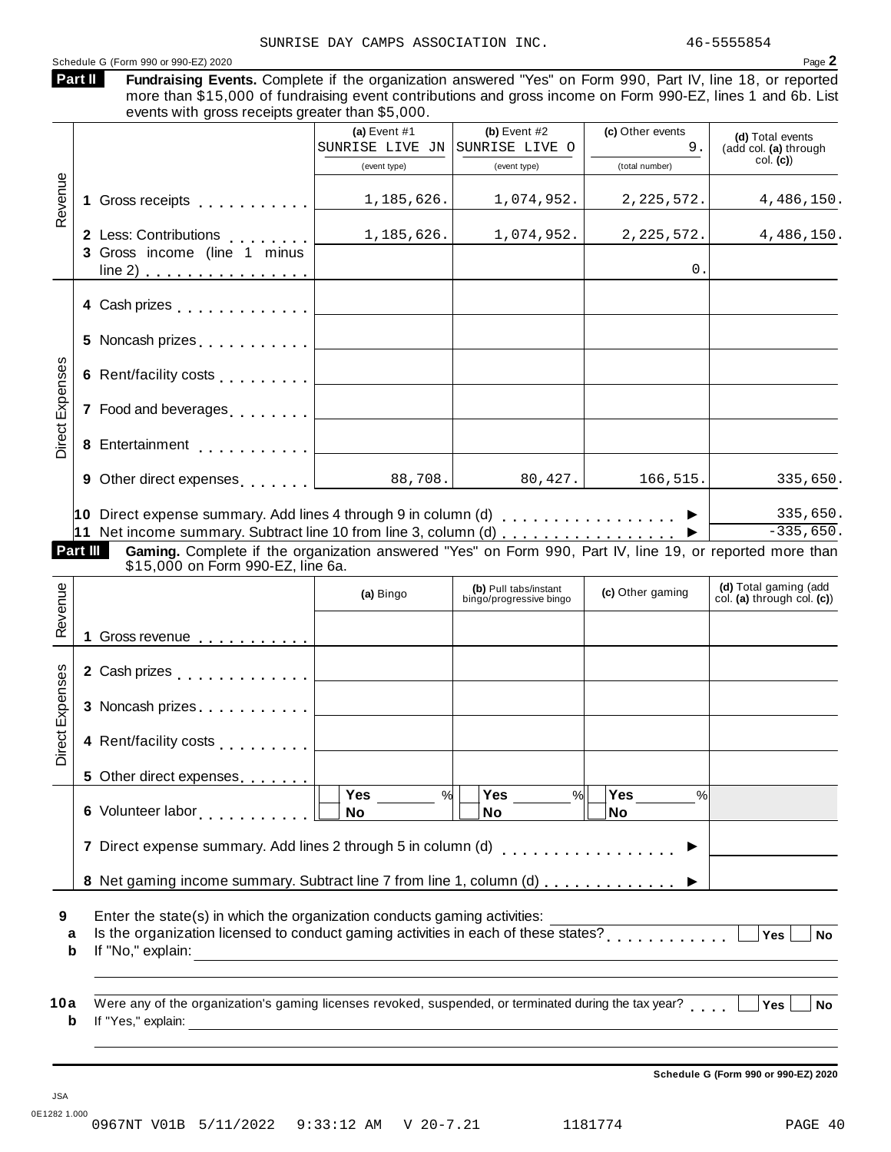| Part II                |          | Schedule G (Form 990 or 990-EZ) 2020<br>Fundraising Events. Complete if the organization answered "Yes" on Form 990, Part IV, line 18, or reported<br>more than \$15,000 of fundraising event contributions and gross income on Form 990-EZ, lines 1 and 6b. List<br>events with gross receipts greater than \$5,000. |                                                                                                                      |                                                  |                        | Page 2                                              |
|------------------------|----------|-----------------------------------------------------------------------------------------------------------------------------------------------------------------------------------------------------------------------------------------------------------------------------------------------------------------------|----------------------------------------------------------------------------------------------------------------------|--------------------------------------------------|------------------------|-----------------------------------------------------|
|                        |          |                                                                                                                                                                                                                                                                                                                       | (a) Event $#1$<br>SUNRISE LIVE JN SUNRISE LIVE O                                                                     | (b) Event $#2$                                   | (c) Other events<br>9. | (d) Total events<br>(add col. (a) through           |
|                        |          |                                                                                                                                                                                                                                                                                                                       | (event type)                                                                                                         | (event type)                                     | (total number)         | col. (c)                                            |
| Revenue                | 1        | Gross receipts <b>Container and Street Street Street</b>                                                                                                                                                                                                                                                              | 1,185,626.                                                                                                           | 1,074,952.                                       | 2,225,572.             | 4,486,150.                                          |
|                        |          | 2 Less: Contributions                                                                                                                                                                                                                                                                                                 | 1,185,626.                                                                                                           | 1,074,952.                                       | 2, 225, 572.           | 4,486,150.                                          |
|                        |          | 3 Gross income (line 1 minus<br>line 2) $\ldots$ $\ldots$ $\ldots$ $\ldots$ $\ldots$                                                                                                                                                                                                                                  |                                                                                                                      |                                                  | 0.                     |                                                     |
|                        |          | 4 Cash prizes [19] Cash prizes                                                                                                                                                                                                                                                                                        |                                                                                                                      |                                                  |                        |                                                     |
|                        |          | 5 Noncash prizes [1,1,1,1,1,1,1,1]                                                                                                                                                                                                                                                                                    |                                                                                                                      |                                                  |                        |                                                     |
|                        |          | 6 Rent/facility costs [1, 1, 1, 1, 1]                                                                                                                                                                                                                                                                                 |                                                                                                                      |                                                  |                        |                                                     |
| <b>Direct Expenses</b> |          | 7 Food and beverages                                                                                                                                                                                                                                                                                                  |                                                                                                                      |                                                  |                        |                                                     |
|                        | 8        | Entertainment [1999]                                                                                                                                                                                                                                                                                                  |                                                                                                                      |                                                  |                        |                                                     |
|                        |          | 9 Other direct expenses                                                                                                                                                                                                                                                                                               | 88,708.                                                                                                              | 80,427.                                          | 166,515.               | 335,650.                                            |
|                        | Part III | 10 Direct expense summary. Add lines 4 through 9 in column (d) $\ldots$ ,,,,,,,,,,,,,,,,<br>11 Net income summary. Subtract line 10 from line 3, column (d) ▶<br>Gaming. Complete if the organization answered "Yes" on Form 990, Part IV, line 19, or reported more than                                             |                                                                                                                      |                                                  |                        | 335,650.<br>$-335,650.$                             |
|                        |          | \$15,000 on Form 990-EZ, line 6a.                                                                                                                                                                                                                                                                                     |                                                                                                                      |                                                  |                        |                                                     |
| Revenue                |          |                                                                                                                                                                                                                                                                                                                       | (a) Bingo                                                                                                            | (b) Pull tabs/instant<br>bingo/progressive bingo | (c) Other gaming       | (d) Total gaming (add<br>col. (a) through col. (c)) |
|                        |          | Gross revenue <b>contracts</b> cross revenue <b>contracts</b>                                                                                                                                                                                                                                                         |                                                                                                                      |                                                  |                        |                                                     |
| nses                   |          | 2 Cash prizes <b>contained 2</b> Cash prizes                                                                                                                                                                                                                                                                          |                                                                                                                      |                                                  |                        |                                                     |
|                        |          | 3 Noncash prizes                                                                                                                                                                                                                                                                                                      |                                                                                                                      |                                                  |                        |                                                     |
| Direct Expe            |          | 4 Rent/facility costs                                                                                                                                                                                                                                                                                                 |                                                                                                                      |                                                  |                        |                                                     |
|                        |          | 5 Other direct expenses                                                                                                                                                                                                                                                                                               |                                                                                                                      |                                                  |                        |                                                     |
|                        |          |                                                                                                                                                                                                                                                                                                                       | Yes<br>%<br>No                                                                                                       | Yes<br>$\frac{9}{6}$<br>No                       | Yes<br>%<br><b>No</b>  |                                                     |
|                        |          | 7 Direct expense summary. Add lines 2 through 5 in column (d)                                                                                                                                                                                                                                                         |                                                                                                                      |                                                  |                        |                                                     |
|                        |          | 8 Net gaming income summary. Subtract line 7 from line 1, column (d)                                                                                                                                                                                                                                                  |                                                                                                                      |                                                  |                        |                                                     |
| 9<br>a<br>b            |          | Enter the state(s) in which the organization conducts gaming activities:<br>Is the organization licensed to conduct gaming activities in each of these states?<br>If "No," explain:                                                                                                                                   | <u> 1989 - Johann Stein, mars an deutscher Stein und der Stein und der Stein und der Stein und der Stein und der</u> |                                                  |                        | Yes  <br><b>No</b>                                  |
|                        |          |                                                                                                                                                                                                                                                                                                                       |                                                                                                                      |                                                  |                        |                                                     |

**Schedule G (Form 990 or 990-EZ) 2020**

JSA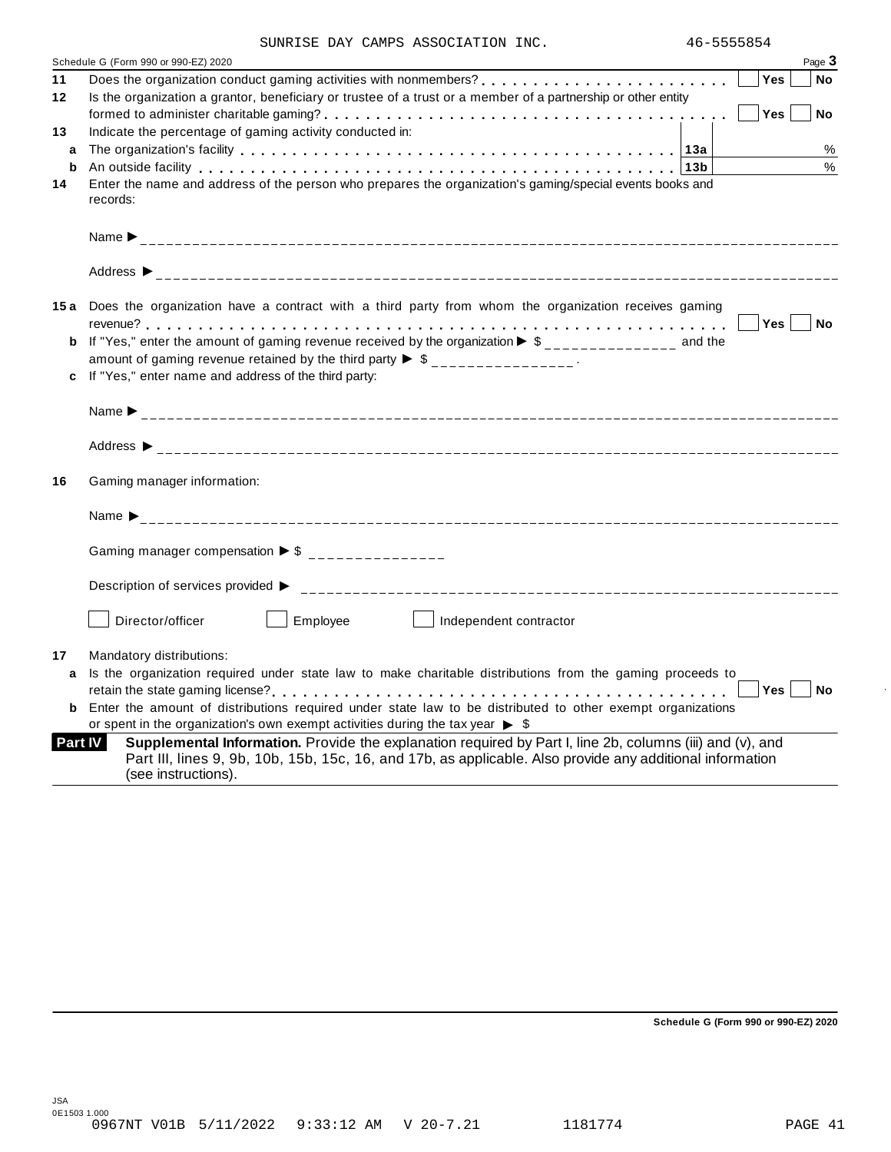|  | SUNRISE DAY CAMPS ASSOCIATION INC. |  |
|--|------------------------------------|--|
|  |                                    |  |

|         | Schedule G (Form 990 or 990-EZ) 2020                                                                                                                                                                                                          | Page 3                  |
|---------|-----------------------------------------------------------------------------------------------------------------------------------------------------------------------------------------------------------------------------------------------|-------------------------|
| 11      |                                                                                                                                                                                                                                               | <b>Yes</b><br><b>No</b> |
| 12      | Is the organization a grantor, beneficiary or trustee of a trust or a member of a partnership or other entity                                                                                                                                 |                         |
|         |                                                                                                                                                                                                                                               | Yes<br><b>No</b>        |
| 13      | Indicate the percentage of gaming activity conducted in:                                                                                                                                                                                      |                         |
| a       |                                                                                                                                                                                                                                               | %                       |
| b       | An outside facility enterpreteration of the control of the control of the control of the control of the control of the control of the control of the control of the control of the control of the control of the control of th                | %                       |
| 14      | Enter the name and address of the person who prepares the organization's gaming/special events books and<br>records:                                                                                                                          |                         |
|         |                                                                                                                                                                                                                                               |                         |
|         | Address $\triangleright$                                                                                                                                                                                                                      |                         |
|         | 15a Does the organization have a contract with a third party from whom the organization receives gaming                                                                                                                                       |                         |
|         |                                                                                                                                                                                                                                               | <b>No</b><br>Yes        |
|         | <b>b</b> If "Yes," enter the amount of gaming revenue received by the organization $\triangleright$ \$______________ and the                                                                                                                  |                         |
|         | amount of gaming revenue retained by the third party $\triangleright$ \$ _______________.                                                                                                                                                     |                         |
|         | c If "Yes," enter name and address of the third party:                                                                                                                                                                                        |                         |
|         |                                                                                                                                                                                                                                               |                         |
|         |                                                                                                                                                                                                                                               |                         |
| 16      | Gaming manager information:                                                                                                                                                                                                                   |                         |
|         | Name $\sum_{-1}^{1}$                                                                                                                                                                                                                          |                         |
|         | Gaming manager compensation $\triangleright$ \$ ________________                                                                                                                                                                              |                         |
|         |                                                                                                                                                                                                                                               |                         |
|         | Employee<br>Director/officer<br>    Independent contractor                                                                                                                                                                                    |                         |
| 17      | Mandatory distributions:                                                                                                                                                                                                                      |                         |
| a       | Is the organization required under state law to make charitable distributions from the gaming proceeds to                                                                                                                                     |                         |
|         |                                                                                                                                                                                                                                               | Yes<br><b>No</b>        |
| b       | Enter the amount of distributions required under state law to be distributed to other exempt organizations                                                                                                                                    |                         |
|         | or spent in the organization's own exempt activities during the tax year $\triangleright$ \$                                                                                                                                                  |                         |
| Part IV | Supplemental Information. Provide the explanation required by Part I, line 2b, columns (iii) and (v), and<br>Part III, lines 9, 9b, 10b, 15b, 15c, 16, and 17b, as applicable. Also provide any additional information<br>(see instructions). |                         |

**Schedule G (Form 990 or 990-EZ) 2020**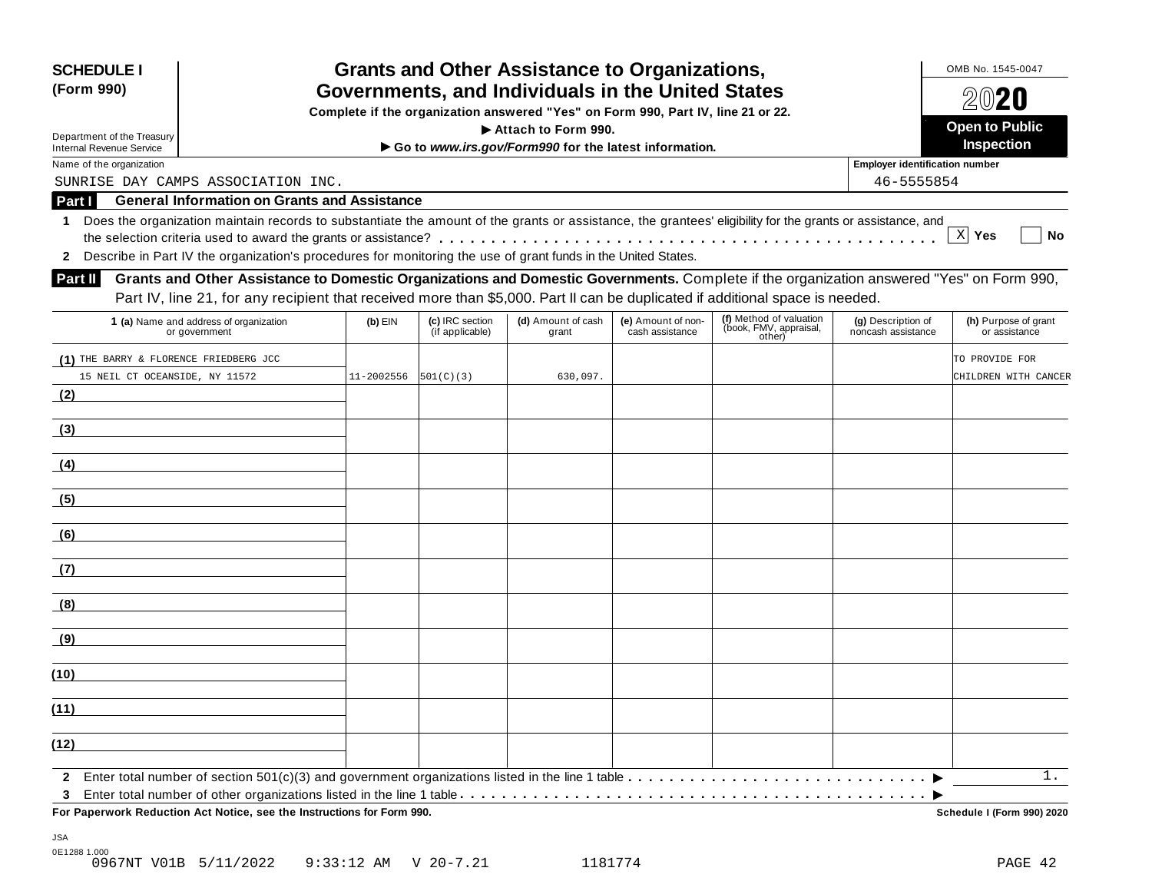| <b>SCHEDULE I</b><br>(Form 990)                                          |                                                                                                                                                                                                                                                                             |            |                                    | <b>Grants and Other Assistance to Organizations,</b><br>Governments, and Individuals in the United States |                                       |                                                             |                                          | OMB No. 1545-0047                      |
|--------------------------------------------------------------------------|-----------------------------------------------------------------------------------------------------------------------------------------------------------------------------------------------------------------------------------------------------------------------------|------------|------------------------------------|-----------------------------------------------------------------------------------------------------------|---------------------------------------|-------------------------------------------------------------|------------------------------------------|----------------------------------------|
|                                                                          |                                                                                                                                                                                                                                                                             |            |                                    | Complete if the organization answered "Yes" on Form 990, Part IV, line 21 or 22.                          |                                       |                                                             |                                          | 2020                                   |
| Department of the Treasury                                               |                                                                                                                                                                                                                                                                             |            |                                    | Attach to Form 990.                                                                                       |                                       |                                                             |                                          | <b>Open to Public</b>                  |
| <b>Internal Revenue Service</b>                                          |                                                                                                                                                                                                                                                                             |            |                                    | Go to www.irs.gov/Form990 for the latest information.                                                     |                                       |                                                             |                                          | Inspection                             |
| Name of the organization                                                 |                                                                                                                                                                                                                                                                             |            |                                    |                                                                                                           |                                       |                                                             | <b>Employer identification number</b>    |                                        |
|                                                                          | SUNRISE DAY CAMPS ASSOCIATION INC.                                                                                                                                                                                                                                          |            |                                    |                                                                                                           |                                       |                                                             | 46-5555854                               |                                        |
| Part I                                                                   | <b>General Information on Grants and Assistance</b>                                                                                                                                                                                                                         |            |                                    |                                                                                                           |                                       |                                                             |                                          |                                        |
| 1<br>$\mathbf{2}$                                                        | Does the organization maintain records to substantiate the amount of the grants or assistance, the grantees' eligibility for the grants or assistance, and<br>Describe in Part IV the organization's procedures for monitoring the use of grant funds in the United States. |            |                                    |                                                                                                           |                                       |                                                             |                                          | $X$ Yes<br>No                          |
| <b>Part II</b>                                                           | Grants and Other Assistance to Domestic Organizations and Domestic Governments. Complete if the organization answered "Yes" on Form 990,<br>Part IV, line 21, for any recipient that received more than \$5,000. Part II can be duplicated if additional space is needed.   |            |                                    |                                                                                                           |                                       |                                                             |                                          |                                        |
|                                                                          | 1 (a) Name and address of organization<br>or government                                                                                                                                                                                                                     | $(b)$ EIN  | (c) IRC section<br>(if applicable) | (d) Amount of cash<br>grant                                                                               | (e) Amount of non-<br>cash assistance | (f) Method of valuation<br>(book, FMV, appraisal,<br>other) | (g) Description of<br>noncash assistance | (h) Purpose of grant<br>or assistance  |
| (1) THE BARRY & FLORENCE FRIEDBERG JCC<br>15 NEIL CT OCEANSIDE, NY 11572 |                                                                                                                                                                                                                                                                             | 11-2002556 | 501(C)(3)                          | 630,097.                                                                                                  |                                       |                                                             |                                          | TO PROVIDE FOR<br>CHILDREN WITH CANCER |
| (2)                                                                      |                                                                                                                                                                                                                                                                             |            |                                    |                                                                                                           |                                       |                                                             |                                          |                                        |
| (3)                                                                      |                                                                                                                                                                                                                                                                             |            |                                    |                                                                                                           |                                       |                                                             |                                          |                                        |
| (4)                                                                      |                                                                                                                                                                                                                                                                             |            |                                    |                                                                                                           |                                       |                                                             |                                          |                                        |
| (5)                                                                      |                                                                                                                                                                                                                                                                             |            |                                    |                                                                                                           |                                       |                                                             |                                          |                                        |
| (6)                                                                      |                                                                                                                                                                                                                                                                             |            |                                    |                                                                                                           |                                       |                                                             |                                          |                                        |
| (7)                                                                      |                                                                                                                                                                                                                                                                             |            |                                    |                                                                                                           |                                       |                                                             |                                          |                                        |
| (8)                                                                      |                                                                                                                                                                                                                                                                             |            |                                    |                                                                                                           |                                       |                                                             |                                          |                                        |
| (9)                                                                      |                                                                                                                                                                                                                                                                             |            |                                    |                                                                                                           |                                       |                                                             |                                          |                                        |
| (10)                                                                     |                                                                                                                                                                                                                                                                             |            |                                    |                                                                                                           |                                       |                                                             |                                          |                                        |
| (11)                                                                     |                                                                                                                                                                                                                                                                             |            |                                    |                                                                                                           |                                       |                                                             |                                          |                                        |
| (12)                                                                     |                                                                                                                                                                                                                                                                             |            |                                    |                                                                                                           |                                       |                                                             |                                          |                                        |
| $\mathbf{2}$<br>3                                                        |                                                                                                                                                                                                                                                                             |            |                                    |                                                                                                           |                                       |                                                             |                                          | 1.                                     |
|                                                                          | For Paperwork Reduction Act Notice, see the Instructions for Form 990.                                                                                                                                                                                                      |            |                                    |                                                                                                           |                                       |                                                             |                                          | Schedule I (Form 990) 2020             |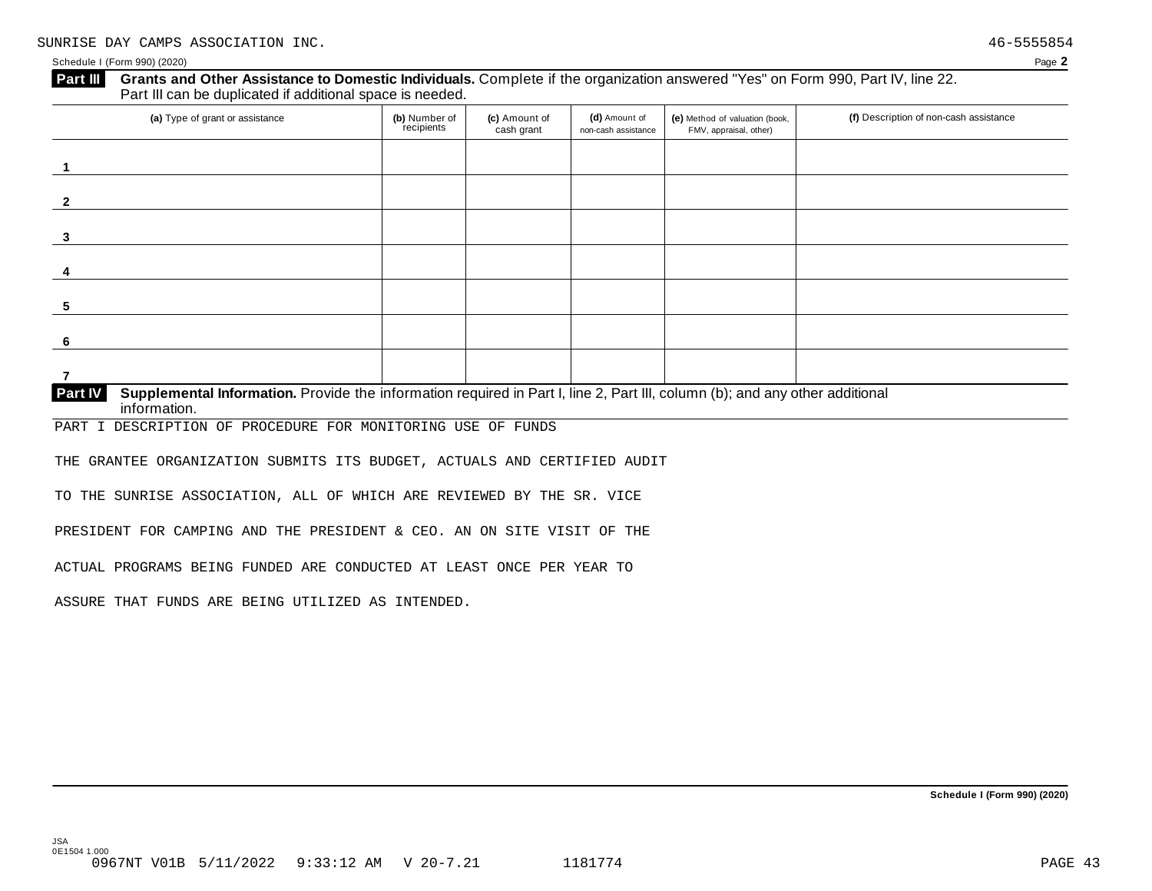### Schedule I (Form 990) (2020) Page **2**

**5**

**6**

**7**

| <b>Part III</b> | Grants and Other Assistance to Domestic Individuals. Complete if the organization answered "Yes" on Form 990, Part IV, line 22.<br>Part III can be duplicated if additional space is needed. |                             |                             |                                      |                                                          |                                        |  |  |  |  |  |
|-----------------|----------------------------------------------------------------------------------------------------------------------------------------------------------------------------------------------|-----------------------------|-----------------------------|--------------------------------------|----------------------------------------------------------|----------------------------------------|--|--|--|--|--|
|                 | (a) Type of grant or assistance                                                                                                                                                              | (b) Number of<br>recipients | (c) Amount of<br>cash grant | (d) Amount of<br>non-cash assistance | (e) Method of valuation (book,<br>FMV, appraisal, other) | (f) Description of non-cash assistance |  |  |  |  |  |
|                 |                                                                                                                                                                                              |                             |                             |                                      |                                                          |                                        |  |  |  |  |  |
|                 |                                                                                                                                                                                              |                             |                             |                                      |                                                          |                                        |  |  |  |  |  |
|                 |                                                                                                                                                                                              |                             |                             |                                      |                                                          |                                        |  |  |  |  |  |
|                 |                                                                                                                                                                                              |                             |                             |                                      |                                                          |                                        |  |  |  |  |  |

## **Supplemental Information.** Provide the information required in Part I, line 2, Part III, column (b); and any other additional information. **Part IV**

PART I DESCRIPTION OF PROCEDURE FOR MONITORING USE OF FUNDS

THE GRANTEE ORGANIZATION SUBMITS ITS BUDGET, ACTUALS AND CERTIFIED AUDIT

TO THE SUNRISE ASSOCIATION, ALL OF WHICH ARE REVIEWED BY THE SR. VICE

PRESIDENT FOR CAMPING AND THE PRESIDENT & CEO. AN ON SITE VISIT OF THE

ACTUAL PROGRAMS BEING FUNDED ARE CONDUCTED AT LEAST ONCE PER YEAR TO

ASSURE THAT FUNDS ARE BEING UTILIZED AS INTENDED.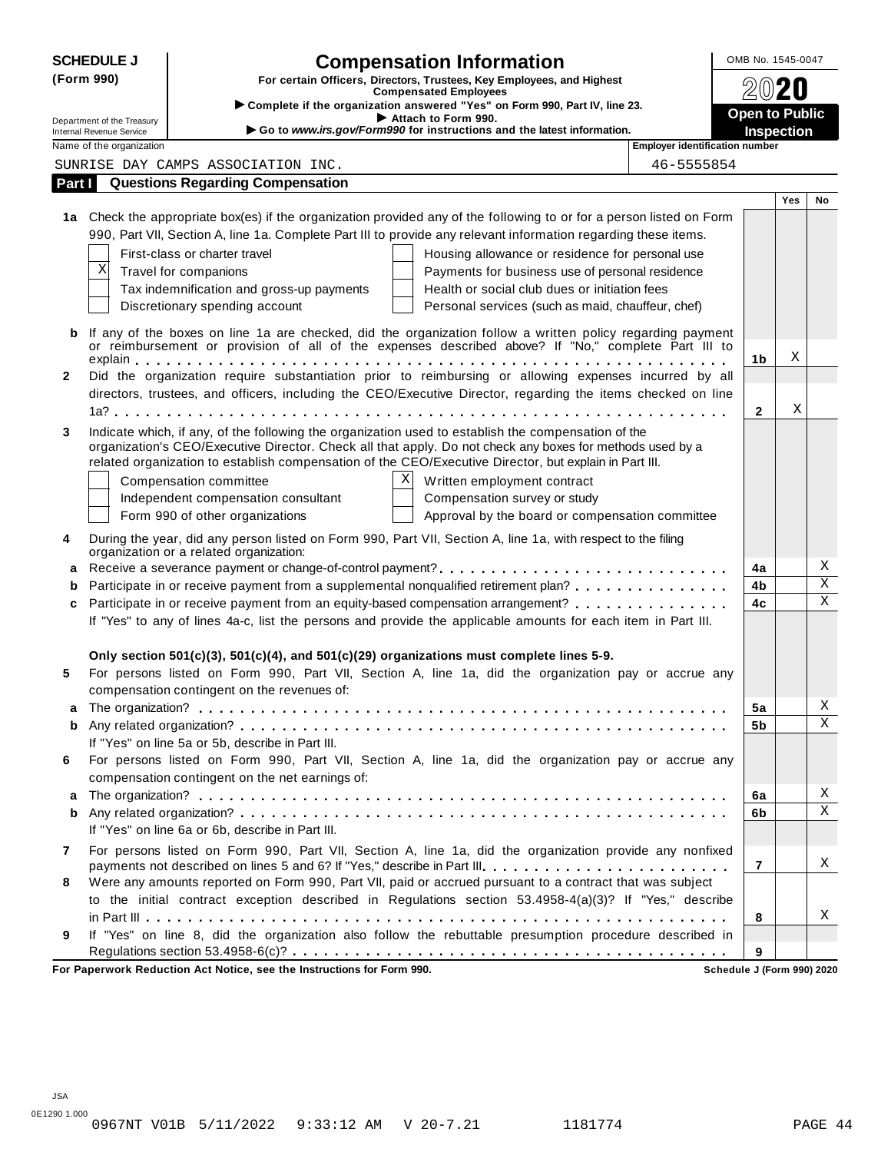| (Form 990)   |                                                      | <b>Compensation Information</b>                                                                                                                                                                                                                                                                                            |                                            |     | OMB No. 1545-0047       |  |
|--------------|------------------------------------------------------|----------------------------------------------------------------------------------------------------------------------------------------------------------------------------------------------------------------------------------------------------------------------------------------------------------------------------|--------------------------------------------|-----|-------------------------|--|
|              |                                                      | For certain Officers, Directors, Trustees, Key Employees, and Highest<br><b>Compensated Employees</b>                                                                                                                                                                                                                      |                                            |     |                         |  |
|              |                                                      | > Complete if the organization answered "Yes" on Form 990, Part IV, line 23.                                                                                                                                                                                                                                               |                                            |     |                         |  |
|              | Department of the Treasury                           | Attach to Form 990.<br>Go to www.irs.gov/Form990 for instructions and the latest information.                                                                                                                                                                                                                              | <b>Open to Public</b><br><b>Inspection</b> |     |                         |  |
|              | Internal Revenue Service<br>Name of the organization | Employer identification number                                                                                                                                                                                                                                                                                             |                                            |     |                         |  |
|              |                                                      | SUNRISE DAY CAMPS ASSOCIATION INC.<br>46-5555854                                                                                                                                                                                                                                                                           |                                            |     |                         |  |
| Part I       |                                                      | <b>Questions Regarding Compensation</b>                                                                                                                                                                                                                                                                                    |                                            |     |                         |  |
|              |                                                      |                                                                                                                                                                                                                                                                                                                            |                                            | Yes | No                      |  |
|              |                                                      | 1a Check the appropriate box(es) if the organization provided any of the following to or for a person listed on Form                                                                                                                                                                                                       |                                            |     |                         |  |
|              |                                                      | 990, Part VII, Section A, line 1a. Complete Part III to provide any relevant information regarding these items.                                                                                                                                                                                                            |                                            |     |                         |  |
|              |                                                      | First-class or charter travel<br>Housing allowance or residence for personal use                                                                                                                                                                                                                                           |                                            |     |                         |  |
|              | Χ                                                    | Travel for companions<br>Payments for business use of personal residence                                                                                                                                                                                                                                                   |                                            |     |                         |  |
|              |                                                      | Tax indemnification and gross-up payments<br>Health or social club dues or initiation fees                                                                                                                                                                                                                                 |                                            |     |                         |  |
|              |                                                      | Discretionary spending account<br>Personal services (such as maid, chauffeur, chef)                                                                                                                                                                                                                                        |                                            |     |                         |  |
| b            |                                                      | If any of the boxes on line 1a are checked, did the organization follow a written policy regarding payment<br>or reimbursement or provision of all of the expenses described above? If "No," complete Part III to                                                                                                          |                                            |     |                         |  |
|              |                                                      |                                                                                                                                                                                                                                                                                                                            | 1b                                         | Χ   |                         |  |
| $\mathbf{2}$ |                                                      | Did the organization require substantiation prior to reimbursing or allowing expenses incurred by all                                                                                                                                                                                                                      |                                            |     |                         |  |
|              |                                                      | directors, trustees, and officers, including the CEO/Executive Director, regarding the items checked on line                                                                                                                                                                                                               |                                            |     |                         |  |
|              |                                                      |                                                                                                                                                                                                                                                                                                                            | $\mathbf{2}$                               | Χ   |                         |  |
| 3            |                                                      | Indicate which, if any, of the following the organization used to establish the compensation of the<br>organization's CEO/Executive Director. Check all that apply. Do not check any boxes for methods used by a<br>related organization to establish compensation of the CEO/Executive Director, but explain in Part III. |                                            |     |                         |  |
|              |                                                      | ΧI<br>Written employment contract<br>Compensation committee                                                                                                                                                                                                                                                                |                                            |     |                         |  |
|              |                                                      | Independent compensation consultant<br>Compensation survey or study                                                                                                                                                                                                                                                        |                                            |     |                         |  |
|              |                                                      | Form 990 of other organizations<br>Approval by the board or compensation committee                                                                                                                                                                                                                                         |                                            |     |                         |  |
| 4            |                                                      | During the year, did any person listed on Form 990, Part VII, Section A, line 1a, with respect to the filing<br>organization or a related organization:                                                                                                                                                                    |                                            |     |                         |  |
| a            |                                                      |                                                                                                                                                                                                                                                                                                                            | 4a                                         |     | Χ                       |  |
| b            |                                                      | Participate in or receive payment from a supplemental nonqualified retirement plan?                                                                                                                                                                                                                                        | 4b                                         |     | $\overline{\mathbf{x}}$ |  |
| c            |                                                      | Participate in or receive payment from an equity-based compensation arrangement?                                                                                                                                                                                                                                           | 4c                                         |     | X                       |  |
|              |                                                      | If "Yes" to any of lines 4a-c, list the persons and provide the applicable amounts for each item in Part III.                                                                                                                                                                                                              |                                            |     |                         |  |
|              |                                                      |                                                                                                                                                                                                                                                                                                                            |                                            |     |                         |  |
|              |                                                      | Only section $501(c)(3)$ , $501(c)(4)$ , and $501(c)(29)$ organizations must complete lines 5-9.                                                                                                                                                                                                                           |                                            |     |                         |  |
| 5            |                                                      | For persons listed on Form 990, Part VII, Section A, line 1a, did the organization pay or accrue any<br>compensation contingent on the revenues of:                                                                                                                                                                        |                                            |     |                         |  |
|              |                                                      |                                                                                                                                                                                                                                                                                                                            | 5a                                         |     | Χ                       |  |
| b            |                                                      |                                                                                                                                                                                                                                                                                                                            | 5b                                         |     | X                       |  |
|              |                                                      | If "Yes" on line 5a or 5b, describe in Part III.                                                                                                                                                                                                                                                                           |                                            |     |                         |  |
| 6            |                                                      | For persons listed on Form 990, Part VII, Section A, line 1a, did the organization pay or accrue any                                                                                                                                                                                                                       |                                            |     |                         |  |
|              |                                                      | compensation contingent on the net earnings of:                                                                                                                                                                                                                                                                            |                                            |     | Χ                       |  |
| a            |                                                      |                                                                                                                                                                                                                                                                                                                            | 6a<br>6b                                   |     | X                       |  |
| b            |                                                      | If "Yes" on line 6a or 6b, describe in Part III.                                                                                                                                                                                                                                                                           |                                            |     |                         |  |
|              |                                                      |                                                                                                                                                                                                                                                                                                                            |                                            |     |                         |  |
| 7            |                                                      | For persons listed on Form 990, Part VII, Section A, line 1a, did the organization provide any nonfixed<br>payments not described on lines 5 and 6? If "Yes," describe in Part III.                                                                                                                                        | $\overline{7}$                             |     | Χ                       |  |
| 8            |                                                      | Were any amounts reported on Form 990, Part VII, paid or accrued pursuant to a contract that was subject                                                                                                                                                                                                                   |                                            |     |                         |  |
|              |                                                      | to the initial contract exception described in Regulations section 53.4958-4(a)(3)? If "Yes," describe                                                                                                                                                                                                                     |                                            |     |                         |  |
|              |                                                      |                                                                                                                                                                                                                                                                                                                            | 8                                          |     | Χ                       |  |
| 9            |                                                      | If "Yes" on line 8, did the organization also follow the rebuttable presumption procedure described in                                                                                                                                                                                                                     |                                            |     |                         |  |
|              |                                                      |                                                                                                                                                                                                                                                                                                                            | 9                                          |     |                         |  |

**For Paperwork Reduction Act Notice, see the Instructions for Form 990. Schedule J (Form 990) 2020**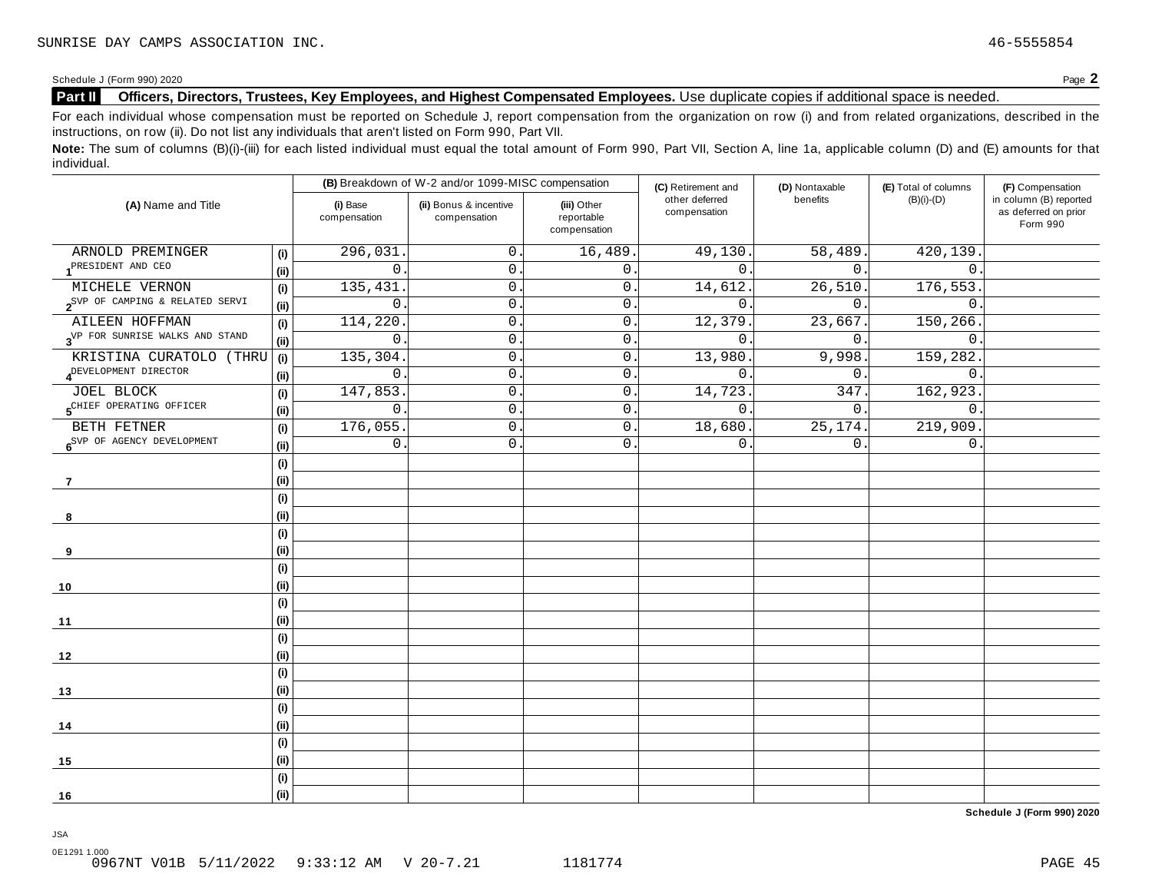### **Part II Officers, Directors, Trustees, Key Employees, and Highest Compensated Employees.** Use duplicate copies ifadditional space is needed.

For each individual whose compensation must be reported on Schedule J, report compensation from the organization on row (i) and from related organizations, described in the instructions, on row (ii). Do not list any individuals that aren't listed on Form 990, Part VII.

Note: The sum of columns (B)(i)-(iii) for each listed individual must equal the total amount of Form 990, Part VII, Section A, line 1a, applicable column (D) and (E) amounts for that individual.

| (A) Name and Title                                    |      |                          | (B) Breakdown of W-2 and/or 1099-MISC compensation |                                           | (C) Retirement and             | (D) Nontaxable   | (E) Total of columns | (F) Compensation                                           |
|-------------------------------------------------------|------|--------------------------|----------------------------------------------------|-------------------------------------------|--------------------------------|------------------|----------------------|------------------------------------------------------------|
|                                                       |      | (i) Base<br>compensation | (ii) Bonus & incentive<br>compensation             | (iii) Other<br>reportable<br>compensation | other deferred<br>compensation | benefits         | $(B)(i)-(D)$         | in column (B) reported<br>as deferred on prior<br>Form 990 |
| ARNOLD PREMINGER                                      | (i)  | 296,031                  | 0.                                                 | 16,489                                    | 49,130                         | 58,489.          | 420,139              |                                                            |
| PRESIDENT AND CEO                                     | (ii) | $\overline{0}$           | 0.                                                 | $\mathsf{O}$ .                            | $\Omega$                       | 0.               | $\mathbf{0}$ .       |                                                            |
| MICHELE VERNON                                        | (i)  | 135,431                  | 0.                                                 | $\overline{0}$ .                          | 14,612                         | 26,510.          | 176,553.             |                                                            |
| $2^{SVP}$ OF CAMPING & RELATED SERVI                  | (ii) | $\mathsf{O}$             | $0$ .                                              | 0                                         | $\overline{0}$                 | 0.               | $\mathbf 0$          |                                                            |
| AILEEN HOFFMAN                                        | (i)  | 114,220                  | 0.                                                 | 0                                         | 12,379                         | 23,667.          | 150,266              |                                                            |
| 3 <sup>VP</sup> FOR SUNRISE WALKS AND STAND           | (ii) | $\mathsf{O}$             | $\mathsf{0}$ .                                     | $\mathsf{O}\xspace$                       | $\mathsf{0}$ .                 | $\overline{0}$ . | $\mathbf 0$ .        |                                                            |
| KRISTINA CURATOLO (THRU                               | (i)  | 135,304                  | 0.                                                 | 0                                         | 13,980                         | 9,998.           | 159,282.             |                                                            |
| A <sup>DEVELOPMENT</sup> DIRECTOR                     | (ii) | 0                        | 0.                                                 | 0                                         | $\mathbf{0}$ .                 | 0.               | $\mathbf 0$          |                                                            |
| <b>JOEL BLOCK</b>                                     | (i)  | 147,853                  | 0.                                                 | $0\,$ .                                   | 14,723                         | 347.             | 162,923.             |                                                            |
| 5 <sup>CHIEF</sup> OPERATING OFFICER                  | (ii) | $\mathsf{O}$             | $\mathsf{O}$ .                                     | 0                                         | $\mathsf{0}$ .                 | $0$ .            | $\mathbf 0$ .        |                                                            |
| BETH FETNER<br>6 <sup>SVP</sup> OF AGENCY DEVELOPMENT | (i)  | 176,055                  | 0.                                                 | 0                                         | 18,680.                        | 25, 174.         | 219,909.             |                                                            |
|                                                       | (ii) | 0                        | $0$ .                                              | 0                                         | $\mathbf 0$                    | 0.               | $\mathsf{0}$ .       |                                                            |
|                                                       | (i)  |                          |                                                    |                                           |                                |                  |                      |                                                            |
| 7                                                     | (ii) |                          |                                                    |                                           |                                |                  |                      |                                                            |
|                                                       | (i)  |                          |                                                    |                                           |                                |                  |                      |                                                            |
| 8                                                     | (ii) |                          |                                                    |                                           |                                |                  |                      |                                                            |
|                                                       | (i)  |                          |                                                    |                                           |                                |                  |                      |                                                            |
| 9                                                     | (ii) |                          |                                                    |                                           |                                |                  |                      |                                                            |
|                                                       | (i)  |                          |                                                    |                                           |                                |                  |                      |                                                            |
| 10                                                    | (ii) |                          |                                                    |                                           |                                |                  |                      |                                                            |
|                                                       | (i)  |                          |                                                    |                                           |                                |                  |                      |                                                            |
| 11                                                    | (ii) |                          |                                                    |                                           |                                |                  |                      |                                                            |
|                                                       | (i)  |                          |                                                    |                                           |                                |                  |                      |                                                            |
| 12                                                    | (ii) |                          |                                                    |                                           |                                |                  |                      |                                                            |
|                                                       | (i)  |                          |                                                    |                                           |                                |                  |                      |                                                            |
| 13                                                    | (ii) |                          |                                                    |                                           |                                |                  |                      |                                                            |
|                                                       | (i)  |                          |                                                    |                                           |                                |                  |                      |                                                            |
| 14                                                    | (ii) |                          |                                                    |                                           |                                |                  |                      |                                                            |
|                                                       | (i)  |                          |                                                    |                                           |                                |                  |                      |                                                            |
| 15                                                    | (ii) |                          |                                                    |                                           |                                |                  |                      |                                                            |
|                                                       | (i)  |                          |                                                    |                                           |                                |                  |                      |                                                            |
| 16                                                    | (ii) |                          |                                                    |                                           |                                |                  |                      |                                                            |

**Schedule J (Form 990) 2020**

0E1291 1.000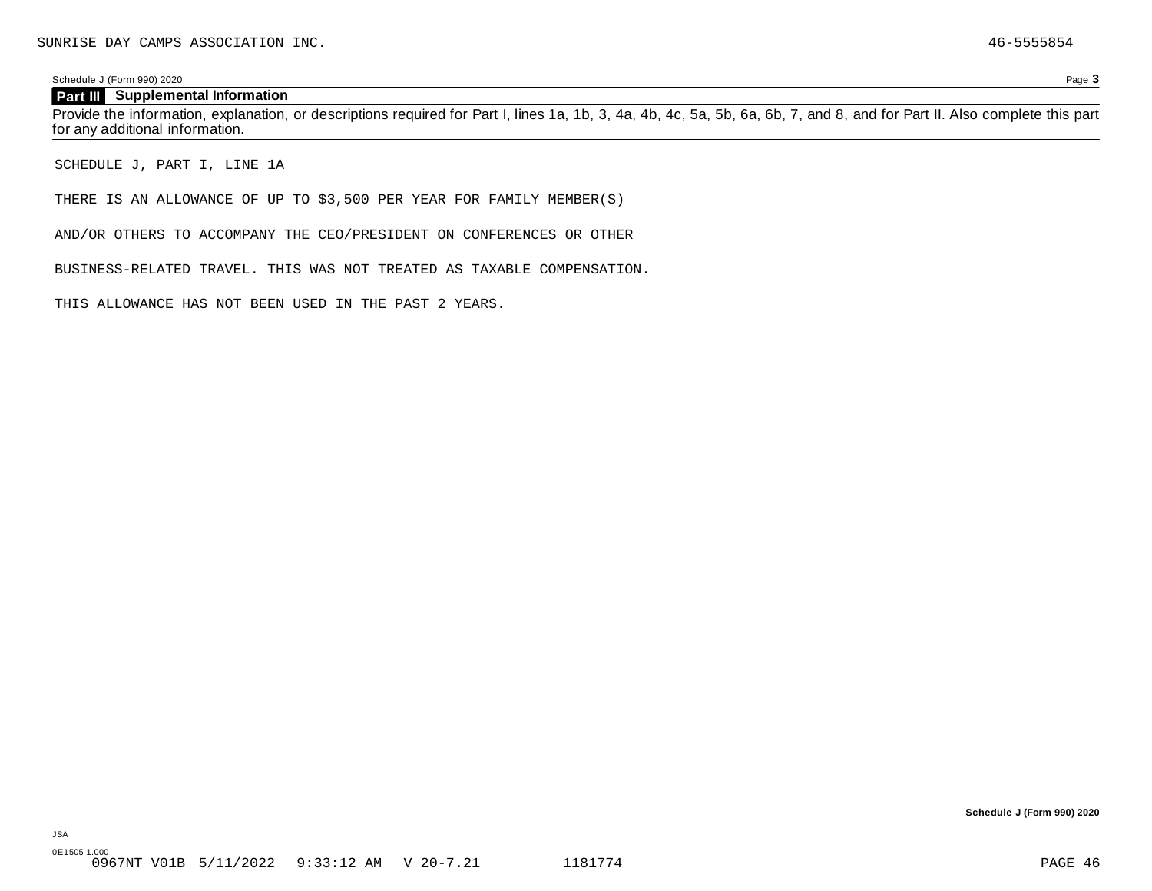### Schedule J (Form 990) 2020 Page **3**

### **Part III Supplemental Information**

Provide the information, explanation, or descriptions required for Part I, lines 1a, 1b, 3, 4a, 4b, 4c, 5a, 5b, 6a, 6b, 7, and 8, and for Part II. Also complete this part for any additional information.

SCHEDULE J, PART I, LINE 1A

THERE IS AN ALLOWANCE OF UP TO \$3,500 PER YEAR FOR FAMILY MEMBER(S)

AND/OR OTHERS TO ACCOMPANY THE CEO/PRESIDENT ON CONFERENCES OR OTHER

BUSINESS-RELATED TRAVEL. THIS WAS NOT TREATED AS TAXABLE COMPENSATION.

THIS ALLOWANCE HAS NOT BEEN USED IN THE PAST 2 YEARS.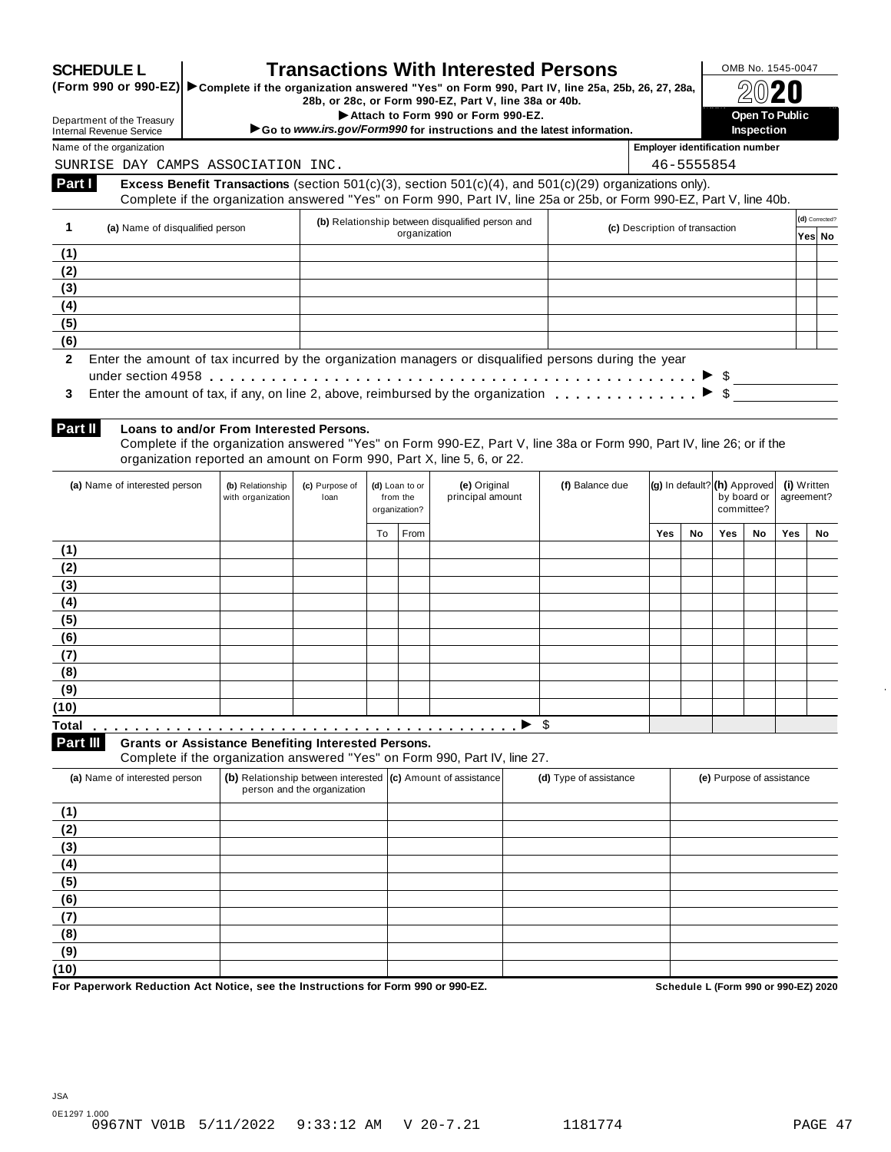| <b>SCHEDULE L</b> |
|-------------------|
|-------------------|

## **SCHEDULE L Transactions With Interested Persons**  $\frac{\text{OMB No. 1545-0047}}{\text{OMB No. 1545-0047}}$

Complete if the organization answered "Yes" on Form 990, Part IV, line 25a, 25b, 26, 27, 28a,<br>28b, or 28c, or Form 990-EZ, Part V, line 38a or 40b.<br>Attach to Form 990 or Form 990-EZ.

Department of the Treasury<br>Internal Revenue Service<br>Name of the organization<br>Name of the organization

Department of the Treasury

SUNRISE DAY CAMPS ASSOCIATION INC. 46-5555854

Name of the organization **Employer identification number**

| Part I | <b>Excess Benefit Transactions</b> (section 501 $(c)(3)$ , section 501 $(c)(4)$ , and 501 $(c)(29)$ organizations only). |  |
|--------|--------------------------------------------------------------------------------------------------------------------------|--|
|        | Complete if the organization answered "Yes" on Form 990, Part IV, line 25a or 25b, or Form 990-EZ, Part V, line 40b.     |  |

|     | (a) Name of disqualified person                                                                                 | (b) Relationship between disqualified person and | (c) Description of transaction | (d) Corrected? |        |  |  |  |
|-----|-----------------------------------------------------------------------------------------------------------------|--------------------------------------------------|--------------------------------|----------------|--------|--|--|--|
|     |                                                                                                                 | organization                                     |                                |                | Yes No |  |  |  |
| (1) |                                                                                                                 |                                                  |                                |                |        |  |  |  |
| (2) |                                                                                                                 |                                                  |                                |                |        |  |  |  |
| (3) |                                                                                                                 |                                                  |                                |                |        |  |  |  |
| (4) |                                                                                                                 |                                                  |                                |                |        |  |  |  |
| (5) |                                                                                                                 |                                                  |                                |                |        |  |  |  |
| (6) |                                                                                                                 |                                                  |                                |                |        |  |  |  |
|     | 2 Enter the amount of tax incurred by the organization managers or disqualified persons during the year         |                                                  |                                |                |        |  |  |  |
|     | under section 4958 $\dots\dots\dots\dots\dots\dots\dots\dots\dots\dots\dots\dots\dots\dots\dots\dots\dots\dots$ |                                                  |                                |                |        |  |  |  |
| 3   |                                                                                                                 |                                                  |                                |                |        |  |  |  |

| 3 Enter the amount of tax, if any, on line 2, above, reimbursed by the organization |  |
|-------------------------------------------------------------------------------------|--|

**Part II**

### **Loans to and/or From Interested Persons.**

Complete if the organization answered "Yes" on Form 990-EZ, Part V, line 38a or Form 990, Part IV, line 26; or if the organization reported an amount on Form 990, Part X, line 5, 6, or 22.

| (a) Name of interested person     | (b) Relationship<br>with organization | (c) Purpose of<br>loan |    | (d) Loan to or<br>from the<br>organization? | (e) Original<br>principal amount | (f) Balance due | (g) In default? (h) Approved |    | by board or<br>committee? |    | (i) Written<br>agreement? |    |
|-----------------------------------|---------------------------------------|------------------------|----|---------------------------------------------|----------------------------------|-----------------|------------------------------|----|---------------------------|----|---------------------------|----|
|                                   |                                       |                        | To | From                                        |                                  |                 | Yes                          | No | Yes                       | No | Yes                       | No |
| (1)                               |                                       |                        |    |                                             |                                  |                 |                              |    |                           |    |                           |    |
| (2)                               |                                       |                        |    |                                             |                                  |                 |                              |    |                           |    |                           |    |
| (3)                               |                                       |                        |    |                                             |                                  |                 |                              |    |                           |    |                           |    |
| (4)                               |                                       |                        |    |                                             |                                  |                 |                              |    |                           |    |                           |    |
| (5)                               |                                       |                        |    |                                             |                                  |                 |                              |    |                           |    |                           |    |
| (6)                               |                                       |                        |    |                                             |                                  |                 |                              |    |                           |    |                           |    |
| (7)                               |                                       |                        |    |                                             |                                  |                 |                              |    |                           |    |                           |    |
| (8)                               |                                       |                        |    |                                             |                                  |                 |                              |    |                           |    |                           |    |
| (9)                               |                                       |                        |    |                                             |                                  |                 |                              |    |                           |    |                           |    |
| (10)                              |                                       |                        |    |                                             |                                  |                 |                              |    |                           |    |                           |    |
| <b>Total</b><br>.                 |                                       |                        |    |                                             | ,<br>.                           | \$              |                              |    |                           |    |                           |    |
| <b>Contract Contract Contract</b> |                                       |                        |    |                                             |                                  |                 |                              |    |                           |    |                           |    |

**Grants or Assistance Benefiting Interested Persons.**

**Part III** Grants or Assistance Benefiting Interested Persons.<br>Complete if the organization answered "Yes" on Form 990, Part IV, line 27.

| (a) Name of interested person | (b) Relationship between interested (c) Amount of assistance<br>person and the organization | (d) Type of assistance | (e) Purpose of assistance |
|-------------------------------|---------------------------------------------------------------------------------------------|------------------------|---------------------------|
| (1)                           |                                                                                             |                        |                           |
| (2)                           |                                                                                             |                        |                           |
| (3)                           |                                                                                             |                        |                           |
| (4)                           |                                                                                             |                        |                           |
| (5)                           |                                                                                             |                        |                           |
| (6)                           |                                                                                             |                        |                           |
| (7)                           |                                                                                             |                        |                           |
| (8)                           |                                                                                             |                        |                           |
| (9)                           |                                                                                             |                        |                           |
| (10)                          |                                                                                             |                        |                           |

For Paperwork Reduction Act Notice, see the Instructions for Form 990 or 990-EZ. Schedule L (Form 990 or 990-E2) 2020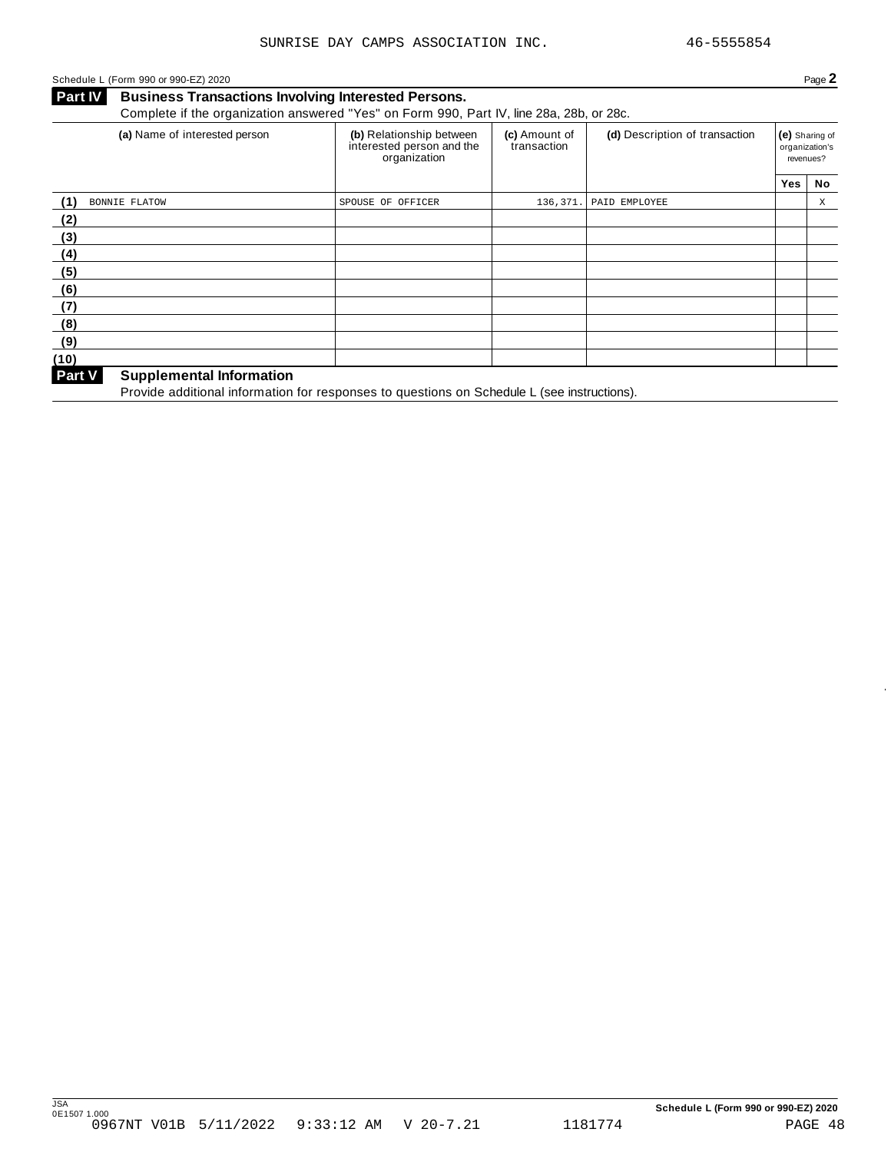### Schedule L (Form 990 or 990-EZ) 2020 Page 2

**Business Transactions Involving Interested Persons.** Complete if the organization answered "Yes" on Form 990, Part IV, line 28a, 28b, or 28c.

| (a) Name of interested person             | (b) Relationship between<br>interested person and the<br>organization | (c) Amount of<br>transaction | (d) Description of transaction | (e) Sharing of<br>organization's<br>revenues? |    |
|-------------------------------------------|-----------------------------------------------------------------------|------------------------------|--------------------------------|-----------------------------------------------|----|
|                                           |                                                                       |                              |                                | <b>Yes</b>                                    | No |
| (1)<br><b>BONNIE FLATOW</b>               | SPOUSE OF OFFICER                                                     | 136,371.                     | PAID EMPLOYEE                  |                                               | X  |
| (2)                                       |                                                                       |                              |                                |                                               |    |
| (3)                                       |                                                                       |                              |                                |                                               |    |
| (4)                                       |                                                                       |                              |                                |                                               |    |
| (5)                                       |                                                                       |                              |                                |                                               |    |
| (6)                                       |                                                                       |                              |                                |                                               |    |
| (7)                                       |                                                                       |                              |                                |                                               |    |
| (8)                                       |                                                                       |                              |                                |                                               |    |
| (9)                                       |                                                                       |                              |                                |                                               |    |
| (10)                                      |                                                                       |                              |                                |                                               |    |
| Part V<br><b>Supplemental Information</b> |                                                                       |                              |                                |                                               |    |

Provide additional information for responses to questions on Schedule <sup>L</sup> (see instructions). **Part <sup>V</sup>**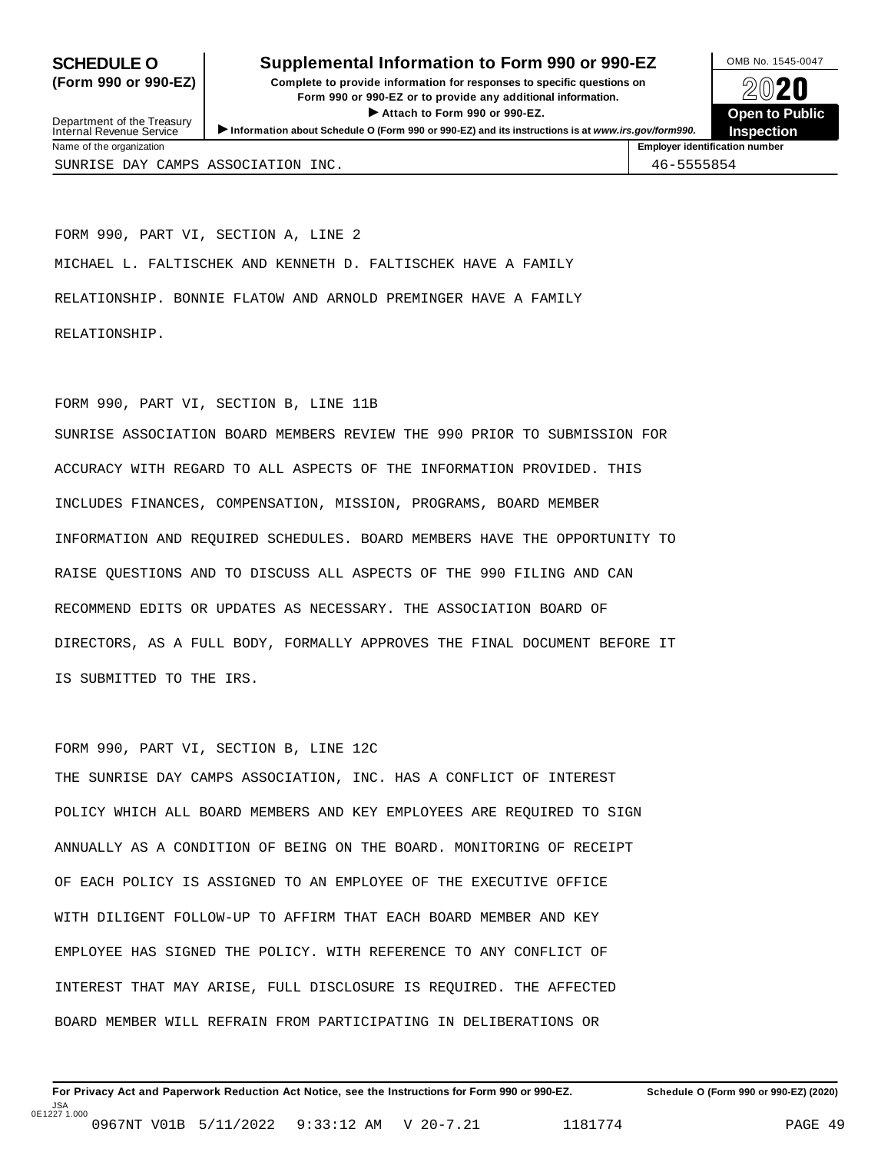### **SCHEDULE O** Supplemental Information to Form 990 or 990-EZ DMB No. 1545-0047

**(Form 990 or 990-EZ) Complete to provide information for responses to specific questions on** plete to provide information for responses to specific questions on  $\bigotimes_{\mathbb{Z}}\mathbb{Q}$  20 **EVECT**<br>
Attach to Form 990 or 990-EZ.<br>
and the Communication of the Communication of the Communication of the Communication of the Communication of the Communication of the Communication of the Communication of the Commu



| Department of the Treasury<br>Internal Revenue Service | $\blacktriangleright$ Attach to Form 990 or 990-EZ.<br>Information about Schedule O (Form 990 or 990-EZ) and its instructions is at www.irs.gov/form990. | <b>Open to Publi</b><br><b>Inspection</b> |  |
|--------------------------------------------------------|----------------------------------------------------------------------------------------------------------------------------------------------------------|-------------------------------------------|--|
| Name of the organization                               |                                                                                                                                                          | <b>Employer identification number</b>     |  |
| SUNRISE DAY CAMPS ASSOCIATION INC.                     |                                                                                                                                                          | 46-5555854                                |  |

FORM 990, PART VI, SECTION A, LINE 2 MICHAEL L. FALTISCHEK AND KENNETH D. FALTISCHEK HAVE A FAMILY RELATIONSHIP. BONNIE FLATOW AND ARNOLD PREMINGER HAVE A FAMILY RELATIONSHIP.

### FORM 990, PART VI, SECTION B, LINE 11B

SUNRISE ASSOCIATION BOARD MEMBERS REVIEW THE 990 PRIOR TO SUBMISSION FOR ACCURACY WITH REGARD TO ALL ASPECTS OF THE INFORMATION PROVIDED. THIS INCLUDES FINANCES, COMPENSATION, MISSION, PROGRAMS, BOARD MEMBER INFORMATION AND REQUIRED SCHEDULES. BOARD MEMBERS HAVE THE OPPORTUNITY TO RAISE QUESTIONS AND TO DISCUSS ALL ASPECTS OF THE 990 FILING AND CAN RECOMMEND EDITS OR UPDATES AS NECESSARY. THE ASSOCIATION BOARD OF DIRECTORS, AS A FULL BODY, FORMALLY APPROVES THE FINAL DOCUMENT BEFORE IT IS SUBMITTED TO THE IRS.

```
FORM 990, PART VI, SECTION B, LINE 12C
```
THE SUNRISE DAY CAMPS ASSOCIATION, INC. HAS A CONFLICT OF INTEREST POLICY WHICH ALL BOARD MEMBERS AND KEY EMPLOYEES ARE REQUIRED TO SIGN ANNUALLY AS A CONDITION OF BEING ON THE BOARD. MONITORING OF RECEIPT OF EACH POLICY IS ASSIGNED TO AN EMPLOYEE OF THE EXECUTIVE OFFICE WITH DILIGENT FOLLOW-UP TO AFFIRM THAT EACH BOARD MEMBER AND KEY EMPLOYEE HAS SIGNED THE POLICY. WITH REFERENCE TO ANY CONFLICT OF INTEREST THAT MAY ARISE, FULL DISCLOSURE IS REQUIRED. THE AFFECTED BOARD MEMBER WILL REFRAIN FROM PARTICIPATING IN DELIBERATIONS OR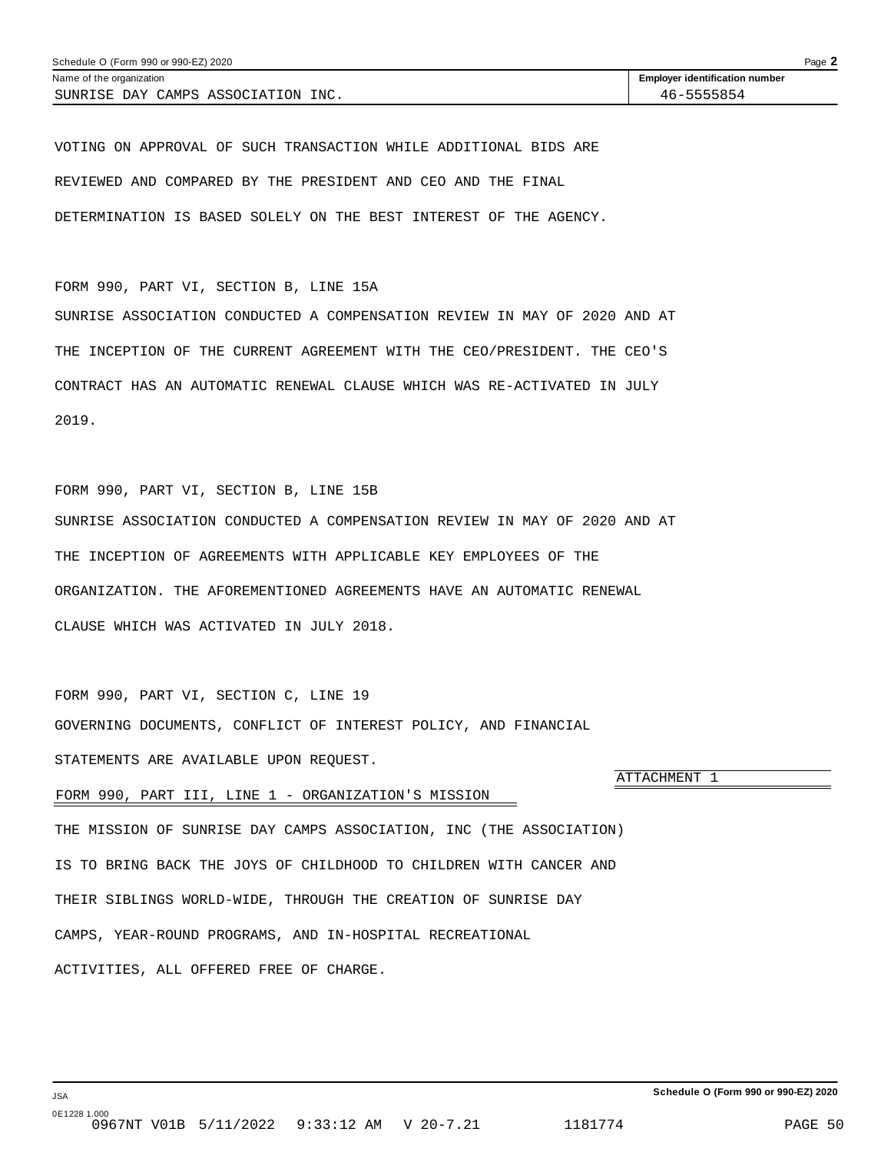VOTING ON APPROVAL OF SUCH TRANSACTION WHILE ADDITIONAL BIDS ARE REVIEWED AND COMPARED BY THE PRESIDENT AND CEO AND THE FINAL DETERMINATION IS BASED SOLELY ON THE BEST INTEREST OF THE AGENCY.

FORM 990, PART VI, SECTION B, LINE 15A SUNRISE ASSOCIATION CONDUCTED A COMPENSATION REVIEW IN MAY OF 2020 AND AT THE INCEPTION OF THE CURRENT AGREEMENT WITH THE CEO/PRESIDENT. THE CEO'S CONTRACT HAS AN AUTOMATIC RENEWAL CLAUSE WHICH WAS RE-ACTIVATED IN JULY 2019.

FORM 990, PART VI, SECTION B, LINE 15B SUNRISE ASSOCIATION CONDUCTED A COMPENSATION REVIEW IN MAY OF 2020 AND AT THE INCEPTION OF AGREEMENTS WITH APPLICABLE KEY EMPLOYEES OF THE ORGANIZATION. THE AFOREMENTIONED AGREEMENTS HAVE AN AUTOMATIC RENEWAL CLAUSE WHICH WAS ACTIVATED IN JULY 2018.

FORM 990, PART VI, SECTION C, LINE 19 GOVERNING DOCUMENTS, CONFLICT OF INTEREST POLICY, AND FINANCIAL STATEMENTS ARE AVAILABLE UPON REQUEST.

FORM 990, PART III, LINE 1 - ORGANIZATION'S MISSION

THE MISSION OF SUNRISE DAY CAMPS ASSOCIATION, INC (THE ASSOCIATION) IS TO BRING BACK THE JOYS OF CHILDHOOD TO CHILDREN WITH CANCER AND THEIR SIBLINGS WORLD-WIDE, THROUGH THE CREATION OF SUNRISE DAY CAMPS, YEAR-ROUND PROGRAMS, AND IN-HOSPITAL RECREATIONAL ACTIVITIES, ALL OFFERED FREE OF CHARGE.

ATTACHMENT 1

0E1228 1.000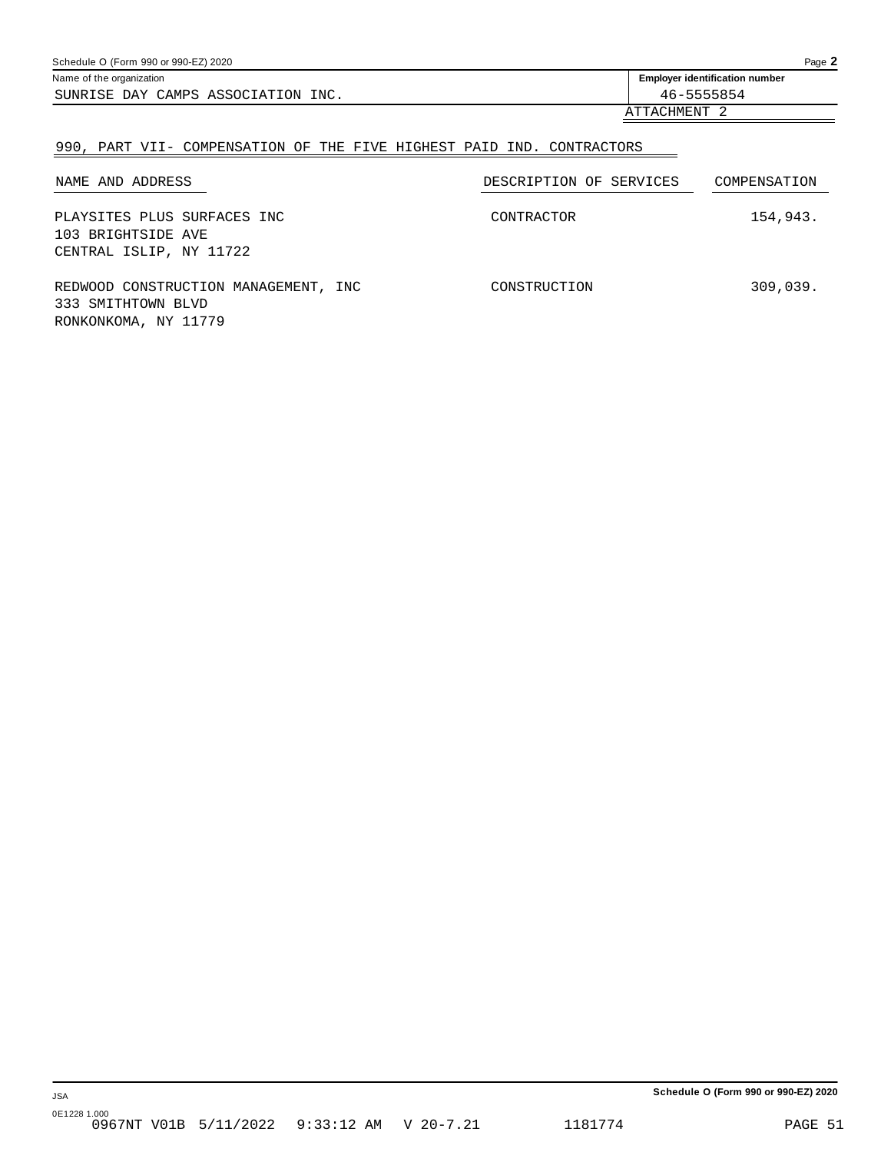| Schedule O (Form 990 or 990-EZ) 2020 |                                       |  |
|--------------------------------------|---------------------------------------|--|
| Name of the organization             | <b>Employer identification number</b> |  |
| SUNRISE DAY CAMPS ASSOCIATION INC.   | 46-5555854                            |  |
| ATTACHMENT                           |                                       |  |

### 990, PART VII- COMPENSATION OF THE FIVE HIGHEST PAID IND. CONTRACTORS

| NAME AND ADDRESS                                                                   | DESCRIPTION OF SERVICES | COMPENSATION |
|------------------------------------------------------------------------------------|-------------------------|--------------|
| PLAYSITES PLUS SURFACES INC<br>103 BRIGHTSIDE AVE<br>CENTRAL ISLIP, NY 11722       | CONTRACTOR              | 154,943.     |
| REDWOOD CONSTRUCTION MANAGEMENT, INC<br>333 SMITHTOWN BLVD<br>RONKONKOMA, NY 11779 | CONSTRUCTION            | 309,039.     |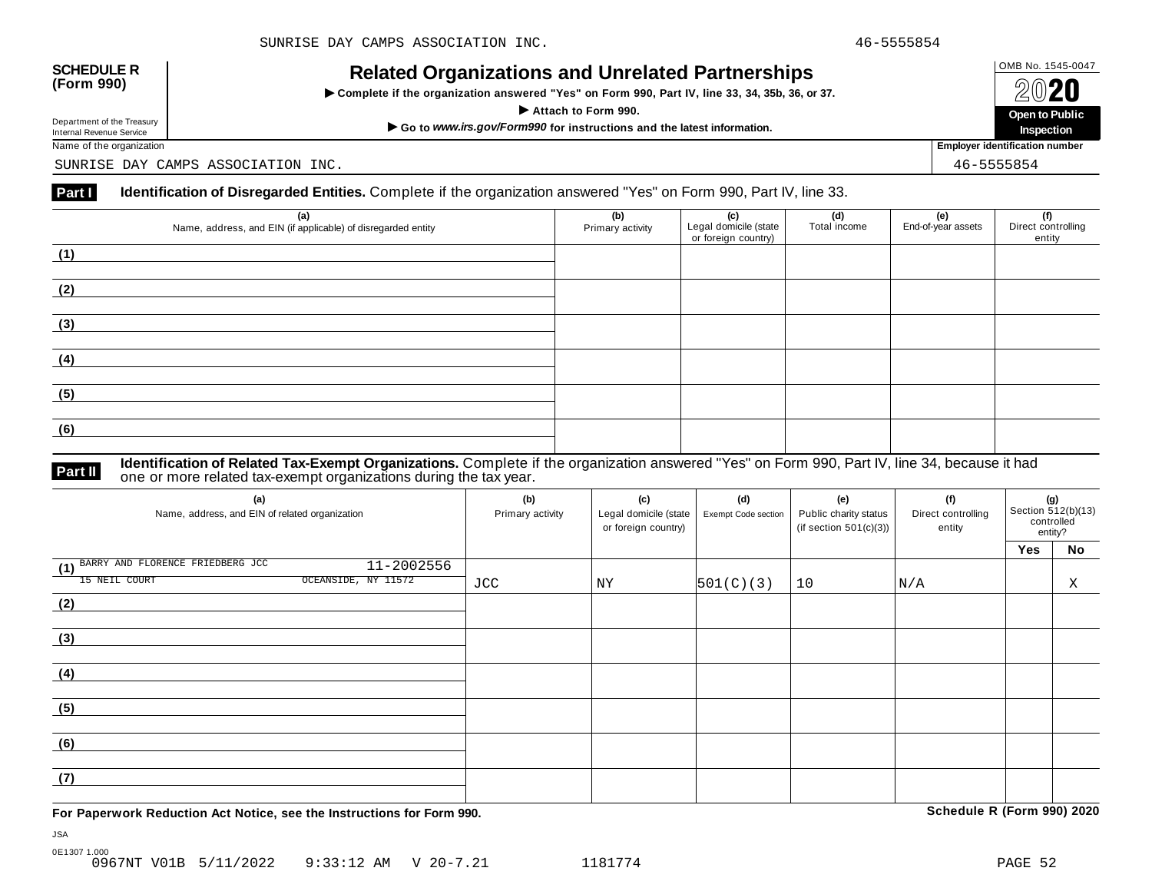## OMB No. 1545-0047 **SCHEDULE R (Form 990) Related Organizations and Unrelated Partnerships**

 $\triangleright$  Complete if the organization answered "Yes" on Form 990, Part IV, line 33, 34, 35b, 36, or 37.



Department of the Treasury

SUNRISE DAY CAMPS ASSOCIATION INC. 46-5555854

### **Part I Identification of Disregarded Entities.** Complete if the organization answered "Yes" on Form 990, Part IV, line 33.

| (a)<br>Name, address, and EIN (if applicable) of disregarded entity | (b)<br>Primary activity | (c)<br>Legal domicile (state<br>or foreign country) | (d)<br>Total income | (e)<br>End-of-year assets | (f)<br>Direct controlling<br>entity |
|---------------------------------------------------------------------|-------------------------|-----------------------------------------------------|---------------------|---------------------------|-------------------------------------|
| (1)                                                                 |                         |                                                     |                     |                           |                                     |
| (2)                                                                 |                         |                                                     |                     |                           |                                     |
| (3)                                                                 |                         |                                                     |                     |                           |                                     |
| (4)                                                                 |                         |                                                     |                     |                           |                                     |
| (5)                                                                 |                         |                                                     |                     |                           |                                     |
| (6)                                                                 |                         |                                                     |                     |                           |                                     |

**Identification of Related Tax-Exempt Organizations.** Complete if the organization answered "Yes" on Form 990, Part IV, line 34, because it had **Part II** one or more related tax-exempt organizations during the tax year.

| (a)<br>Name, address, and EIN of related organization | (b)<br>Primary activity | (c)<br>Legal domicile (state<br>or foreign country) | (d)<br>Exempt Code section | (e)<br>Public charity status<br>(if section $501(c)(3)$ ) | (f)<br>Direct controlling<br>entity | (g)<br>Section $\frac{3}{12(b)(13)}$<br>controlled<br>entity? |    |
|-------------------------------------------------------|-------------------------|-----------------------------------------------------|----------------------------|-----------------------------------------------------------|-------------------------------------|---------------------------------------------------------------|----|
|                                                       |                         |                                                     |                            |                                                           |                                     | Yes                                                           | No |
| BARRY AND FLORENCE FRIEDBERG JCC<br>11-2002556<br>(1) |                         |                                                     |                            |                                                           |                                     |                                                               |    |
| OCEANSIDE, NY 11572<br>15 NEIL COURT                  | JCC                     | ΝY                                                  | 501(C)(3)                  | 10                                                        | N/A                                 |                                                               | Χ  |
| (2)                                                   |                         |                                                     |                            |                                                           |                                     |                                                               |    |
|                                                       |                         |                                                     |                            |                                                           |                                     |                                                               |    |
| (3)                                                   |                         |                                                     |                            |                                                           |                                     |                                                               |    |
|                                                       |                         |                                                     |                            |                                                           |                                     |                                                               |    |
| (4)                                                   |                         |                                                     |                            |                                                           |                                     |                                                               |    |
|                                                       |                         |                                                     |                            |                                                           |                                     |                                                               |    |
| (5)                                                   |                         |                                                     |                            |                                                           |                                     |                                                               |    |
|                                                       |                         |                                                     |                            |                                                           |                                     |                                                               |    |
| (6)                                                   |                         |                                                     |                            |                                                           |                                     |                                                               |    |
|                                                       |                         |                                                     |                            |                                                           |                                     |                                                               |    |
| (7)                                                   |                         |                                                     |                            |                                                           |                                     |                                                               |    |
|                                                       |                         |                                                     |                            |                                                           |                                     |                                                               |    |

**For Paperwork Reduction Act Notice, see the Instructions for Form 990. Schedule R (Form 990) 2020**

JSA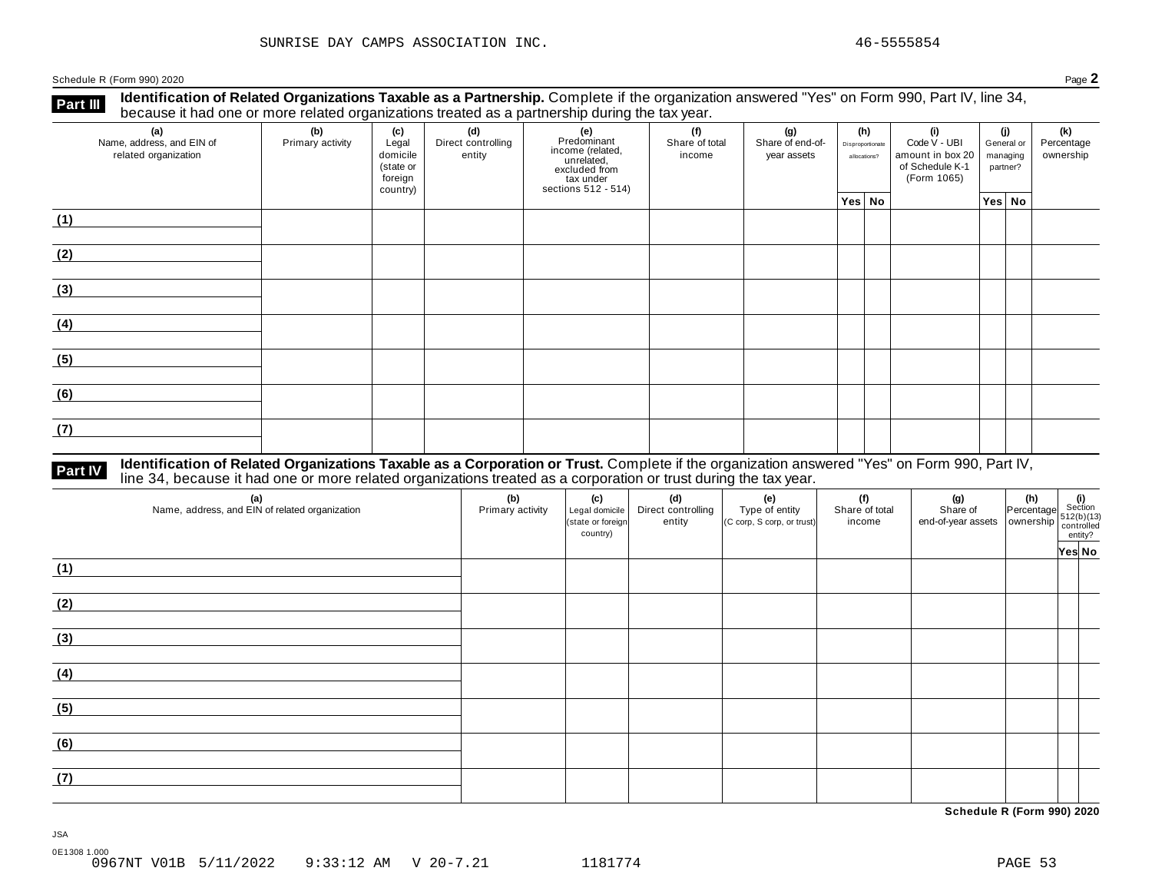Schedule <sup>R</sup> (Form 990) <sup>2020</sup> Page **2**

**Part III** Identification of Related Organizations Taxable as a Partnership. Complete if the organization answered "Yes" on Form 990, Part IV, line 34,<br>because it had one or more related organizations treated as a partners

| (a)<br>Name, address, and EIN of<br>related organization | ັ<br>(b)<br>Primary activity | (c)<br>Legal<br>domicile<br>(state or<br>foreign<br>country) | .<br>(d)<br>Direct controlling<br>entity | ັ<br>(e)<br>Predominant<br>Frecommand<br>income (related,<br>unrelated,<br>excluded from<br>sections 512 - 514) | (f)<br>Share of total<br>income | (g)<br>Share of end-of-<br>year assets | (h)<br>Disproportionate<br>allocations? | (i)<br>Code V - UBI<br>amount in box 20<br>of Schedule K-1<br>(Form 1065) | (j)<br>General or<br>managing<br>partner? | (k)<br>Percentage<br>ownership |
|----------------------------------------------------------|------------------------------|--------------------------------------------------------------|------------------------------------------|-----------------------------------------------------------------------------------------------------------------|---------------------------------|----------------------------------------|-----------------------------------------|---------------------------------------------------------------------------|-------------------------------------------|--------------------------------|
|                                                          |                              |                                                              |                                          |                                                                                                                 |                                 |                                        | Yes No                                  |                                                                           | Yes No                                    |                                |
| (1)                                                      |                              |                                                              |                                          |                                                                                                                 |                                 |                                        |                                         |                                                                           |                                           |                                |
| (2)                                                      |                              |                                                              |                                          |                                                                                                                 |                                 |                                        |                                         |                                                                           |                                           |                                |
| (3)                                                      |                              |                                                              |                                          |                                                                                                                 |                                 |                                        |                                         |                                                                           |                                           |                                |
| (4)                                                      |                              |                                                              |                                          |                                                                                                                 |                                 |                                        |                                         |                                                                           |                                           |                                |
| (5)                                                      |                              |                                                              |                                          |                                                                                                                 |                                 |                                        |                                         |                                                                           |                                           |                                |
| (6)                                                      |                              |                                                              |                                          |                                                                                                                 |                                 |                                        |                                         |                                                                           |                                           |                                |
| (7)                                                      |                              |                                                              |                                          |                                                                                                                 |                                 |                                        |                                         |                                                                           |                                           |                                |

## **Part IV** Identification of Related Organizations Taxable as a Corporation or Trust. Complete if the organization answered "Yes" on Form 990, Part IV,<br>line 34, because it had one or more related organizations treated as a

| (a)<br>Name, address, and EIN of related organization | (b)<br>Primary activity | (c)<br>Legal domicile<br>(state or foreign<br>country) | (d)<br>Direct controlling<br>entity | (e)<br>Type of entity<br>(C corp, S corp, or trust) | (f)<br>Share of total<br>income | (g) (h) $\frac{1}{2}$ (i) $\frac{1}{2}$ (i) $\frac{1}{2}$ (i) $\frac{1}{2}$ (i) $\frac{1}{2}$ (b)(13) $\frac{1}{2}$ end-of-year assets ownership $\frac{1}{2}$ (c)(b)(13) $\frac{1}{2}$ entity? |        |
|-------------------------------------------------------|-------------------------|--------------------------------------------------------|-------------------------------------|-----------------------------------------------------|---------------------------------|-------------------------------------------------------------------------------------------------------------------------------------------------------------------------------------------------|--------|
| (1)                                                   |                         |                                                        |                                     |                                                     |                                 |                                                                                                                                                                                                 | Yes No |
| (2)                                                   |                         |                                                        |                                     |                                                     |                                 |                                                                                                                                                                                                 |        |
| (3)                                                   |                         |                                                        |                                     |                                                     |                                 |                                                                                                                                                                                                 |        |
| (4)                                                   |                         |                                                        |                                     |                                                     |                                 |                                                                                                                                                                                                 |        |
| (5)                                                   |                         |                                                        |                                     |                                                     |                                 |                                                                                                                                                                                                 |        |
| (6)                                                   |                         |                                                        |                                     |                                                     |                                 |                                                                                                                                                                                                 |        |
| (7)                                                   |                         |                                                        |                                     |                                                     |                                 |                                                                                                                                                                                                 |        |

**Schedule R (Form 990) 2020**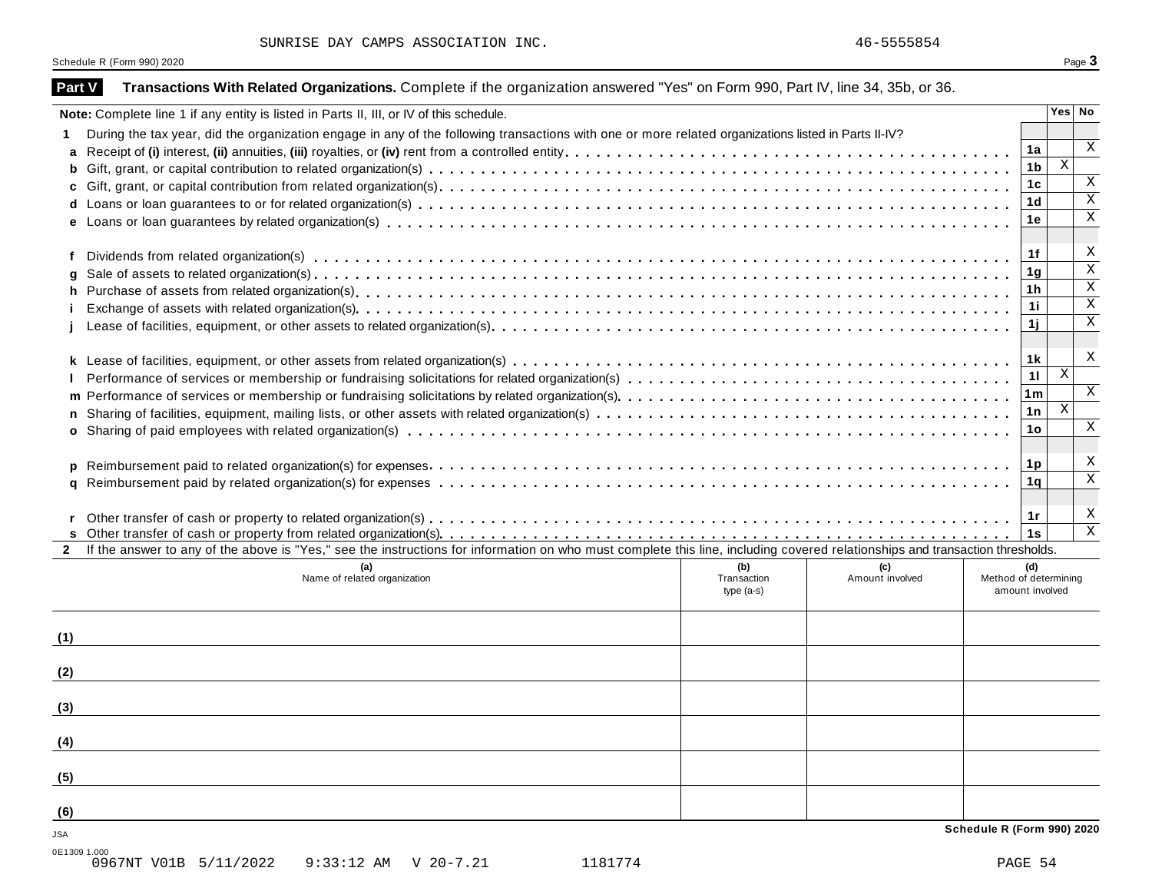| SUNRISE DAY CAMPS ASSOCIATION INC. |  |  |  |
|------------------------------------|--|--|--|
|------------------------------------|--|--|--|

Schedule R (Form 990) 2020 Page 3

|     | Note: Complete line 1 if any entity is listed in Parts II, III, or IV of this schedule.                                                                                      |                                   |                        |                                          |                | Yes No                  |
|-----|------------------------------------------------------------------------------------------------------------------------------------------------------------------------------|-----------------------------------|------------------------|------------------------------------------|----------------|-------------------------|
|     | During the tax year, did the organization engage in any of the following transactions with one or more related organizations listed in Parts II-IV?                          |                                   |                        |                                          |                |                         |
| a   |                                                                                                                                                                              |                                   |                        |                                          | 1a             | X                       |
| b   |                                                                                                                                                                              |                                   |                        |                                          | 1 <sub>b</sub> | $\mathbf{X}$            |
| c   |                                                                                                                                                                              |                                   |                        |                                          | 1 <sub>c</sub> | Χ                       |
|     |                                                                                                                                                                              |                                   |                        |                                          | 1 <sub>d</sub> | $\overline{\mathbf{x}}$ |
|     |                                                                                                                                                                              |                                   |                        |                                          | 1e             | $\overline{\mathbf{x}}$ |
|     |                                                                                                                                                                              |                                   |                        |                                          | 1f             | X                       |
| q   |                                                                                                                                                                              |                                   |                        |                                          | 1 <sub>g</sub> | $\overline{\mathbf{x}}$ |
| h.  |                                                                                                                                                                              |                                   |                        |                                          | 1 <sub>h</sub> | $\overline{\mathbf{x}}$ |
|     |                                                                                                                                                                              |                                   |                        |                                          | 1i             | $\overline{\mathbf{x}}$ |
|     |                                                                                                                                                                              |                                   |                        |                                          | 1j             | $\overline{\mathbf{x}}$ |
|     |                                                                                                                                                                              |                                   |                        |                                          | 1k             | X                       |
|     |                                                                                                                                                                              |                                   |                        |                                          | 11             | $\mathbf{X}$            |
|     |                                                                                                                                                                              |                                   |                        |                                          | 1 <sub>m</sub> | $\,$ X                  |
| n.  |                                                                                                                                                                              |                                   |                        |                                          | 1n             | $\mathbf{X}$            |
|     |                                                                                                                                                                              |                                   |                        |                                          | 1o             | $\,$ X                  |
| p   |                                                                                                                                                                              |                                   |                        |                                          | 1p             | X                       |
| a   |                                                                                                                                                                              |                                   |                        |                                          | 1 <sub>q</sub> | $\overline{\mathbf{x}}$ |
|     |                                                                                                                                                                              |                                   |                        |                                          | 1r<br>1s       | $\overline{\mathbf{x}}$ |
|     | If the answer to any of the above is "Yes," see the instructions for information on who must complete this line, including covered relationships and transaction thresholds. |                                   |                        |                                          |                |                         |
|     | (a)<br>Name of related organization                                                                                                                                          | (b)<br>Transaction<br>$type(a-s)$ | (c)<br>Amount involved | Method of determining<br>amount involved | (d)            |                         |
| (1) |                                                                                                                                                                              |                                   |                        |                                          |                |                         |
| (2) |                                                                                                                                                                              |                                   |                        |                                          |                |                         |
| (3) |                                                                                                                                                                              |                                   |                        |                                          |                |                         |
| (4) |                                                                                                                                                                              |                                   |                        |                                          |                |                         |
| (5) |                                                                                                                                                                              |                                   |                        |                                          |                |                         |
| (6) |                                                                                                                                                                              |                                   |                        |                                          |                |                         |
|     |                                                                                                                                                                              |                                   |                        | Schedule R (Form 990) 2020               |                |                         |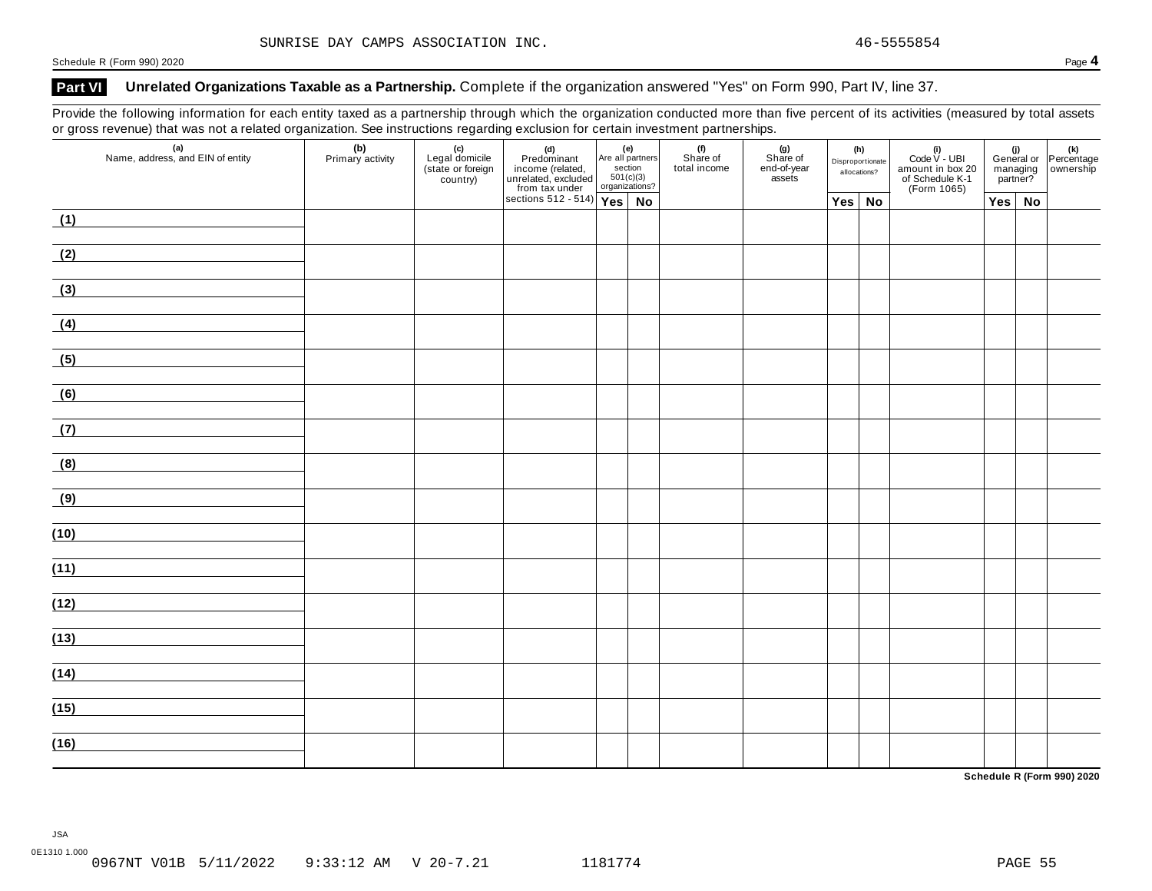### **Part VI Unrelated Organizations Taxable as a Partnership.** Complete if the organization answered "Yes" on Form 990, Part IV, line 37.

Provide the following information for each entity taxed as a partnership through which the organization conducted more than five percent of its activities (measured by total assets or gross revenue) that was not a related organization. See instructions regarding exclusion for certain investment partnerships.

|  | (d)<br>Predominant<br>income (related,<br>unrelated, excluded<br>from tax under<br>sections 512 - 514)<br>Yes No |  |  | Yes No | amount in box 20<br>of Schedule K-1<br>(Form 1065) | $Yes \mid No$ |  |
|--|------------------------------------------------------------------------------------------------------------------|--|--|--------|----------------------------------------------------|---------------|--|
|  |                                                                                                                  |  |  |        |                                                    |               |  |
|  |                                                                                                                  |  |  |        |                                                    |               |  |
|  |                                                                                                                  |  |  |        |                                                    |               |  |
|  |                                                                                                                  |  |  |        |                                                    |               |  |
|  |                                                                                                                  |  |  |        |                                                    |               |  |
|  |                                                                                                                  |  |  |        |                                                    |               |  |
|  |                                                                                                                  |  |  |        |                                                    |               |  |
|  |                                                                                                                  |  |  |        |                                                    |               |  |
|  |                                                                                                                  |  |  |        |                                                    |               |  |
|  |                                                                                                                  |  |  |        |                                                    |               |  |
|  |                                                                                                                  |  |  |        |                                                    |               |  |
|  |                                                                                                                  |  |  |        |                                                    |               |  |
|  |                                                                                                                  |  |  |        |                                                    |               |  |
|  |                                                                                                                  |  |  |        |                                                    |               |  |
|  |                                                                                                                  |  |  |        |                                                    |               |  |
|  |                                                                                                                  |  |  |        |                                                    |               |  |
|  |                                                                                                                  |  |  |        |                                                    |               |  |
|  |                                                                                                                  |  |  |        |                                                    |               |  |

**Schedule R (Form 990) 2020**

JSA